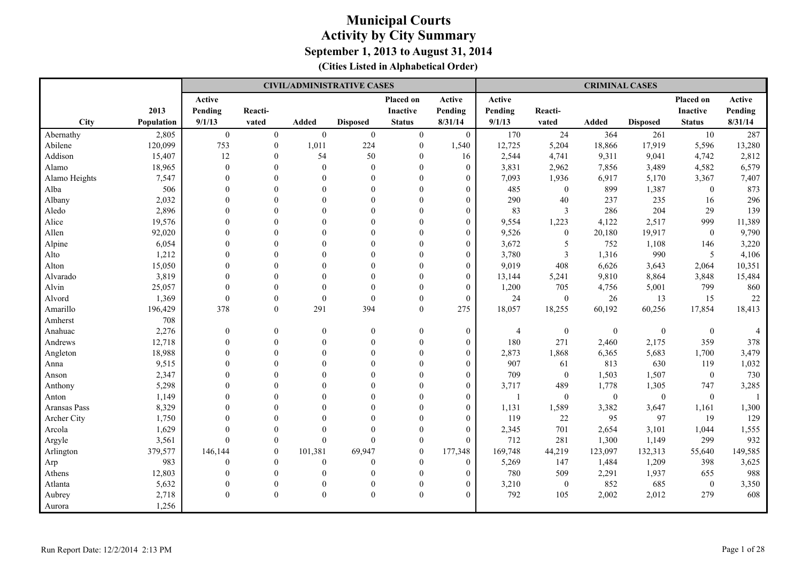|               |            |                  |                  |              | <b>CIVIL/ADMINISTRATIVE CASES</b> |                  |                  |                |                  | <b>CRIMINAL CASES</b> |                  |                  |                |
|---------------|------------|------------------|------------------|--------------|-----------------------------------|------------------|------------------|----------------|------------------|-----------------------|------------------|------------------|----------------|
|               |            | Active           |                  |              |                                   | Placed on        | Active           | Active         |                  |                       |                  | Placed on        | Active         |
|               | 2013       | Pending          | Reacti-          |              |                                   | Inactive         | Pending          | Pending        | Reacti-          |                       |                  | <b>Inactive</b>  | Pending        |
| <b>City</b>   | Population | 9/1/13           | vated            | <b>Added</b> | <b>Disposed</b>                   | <b>Status</b>    | 8/31/14          | 9/1/13         | vated            | <b>Added</b>          | <b>Disposed</b>  | <b>Status</b>    | 8/31/14        |
| Abernathy     | 2,805      | $\boldsymbol{0}$ | $\overline{0}$   | $\mathbf{0}$ | $\boldsymbol{0}$                  | $\boldsymbol{0}$ | $\overline{0}$   | 170            | 24               | 364                   | 261              | $10\,$           | 287            |
| Abilene       | 120,099    | 753              | $\boldsymbol{0}$ | 1,011        | 224                               | $\mathbf{0}$     | 1,540            | 12,725         | 5,204            | 18,866                | 17,919           | 5,596            | 13,280         |
| Addison       | 15,407     | 12               | $\mathbf{0}$     | 54           | 50                                | $\Omega$         | 16               | 2,544          | 4,741            | 9,311                 | 9,041            | 4,742            | 2,812          |
| Alamo         | 18,965     | $\theta$         | $\Omega$         | $\theta$     | $\theta$                          |                  | $\mathbf{0}$     | 3,831          | 2,962            | 7,856                 | 3,489            | 4,582            | 6,579          |
| Alamo Heights | 7,547      | $\Omega$         | $\Omega$         | $\Omega$     | $\Omega$                          |                  | $\mathbf{0}$     | 7,093          | 1,936            | 6,917                 | 5,170            | 3,367            | 7,407          |
| Alba          | 506        | $\Omega$         |                  | $\theta$     | $\Omega$                          |                  | $\mathbf{0}$     | 485            | $\boldsymbol{0}$ | 899                   | 1,387            | $\mathbf{0}$     | 873            |
| Albany        | 2,032      |                  |                  | $\theta$     |                                   |                  | $\mathbf{0}$     | 290            | $40\,$           | 237                   | 235              | 16               | 296            |
| Aledo         | 2,896      |                  |                  | $\theta$     |                                   |                  | $\boldsymbol{0}$ | 83             | $\mathfrak{Z}$   | 286                   | 204              | 29               | 139            |
| Alice         | 19,576     |                  |                  | $\Omega$     |                                   | $\Omega$         | $\mathbf{0}$     | 9,554          | 1,223            | 4,122                 | 2,517            | 999              | 11,389         |
| Allen         | 92,020     |                  | $\Omega$         | $\Omega$     |                                   |                  | $\mathbf{0}$     | 9,526          | $\mathbf{0}$     | 20,180                | 19,917           | $\mathbf{0}$     | 9,790          |
| Alpine        | 6,054      |                  |                  | $\theta$     |                                   |                  | $\boldsymbol{0}$ | 3,672          | 5                | 752                   | 1,108            | 146              | 3,220          |
| Alto          | 1,212      | $\Omega$         | $\Omega$         | $\Omega$     | $\Omega$                          | $\Omega$         | $\mathbf{0}$     | 3,780          | $\mathfrak{Z}$   | 1,316                 | 990              | 5                | 4,106          |
| Alton         | 15,050     | $\Omega$         | $\Omega$         | $\Omega$     | $\Omega$                          | $\Omega$         | $\overline{0}$   | 9,019          | 408              | 6,626                 | 3,643            | 2,064            | 10,351         |
| Alvarado      | 3,819      |                  | $\Omega$         | $\theta$     | $\Omega$                          | $\Omega$         | $\boldsymbol{0}$ | 13,144         | 5,241            | 9,810                 | 8,864            | 3,848            | 15,484         |
| Alvin         | 25,057     |                  | $\Omega$         | $\Omega$     | $\Omega$                          | $\Omega$         | $\boldsymbol{0}$ | 1,200          | 705              | 4,756                 | 5,001            | 799              | 860            |
| Alvord        | 1,369      | $\theta$         | $\theta$         | $\theta$     | $\theta$                          | $\theta$         | $\mathbf{0}$     | 24             | $\boldsymbol{0}$ | 26                    | 13               | 15               | 22             |
| Amarillo      | 196,429    | 378              | $\overline{0}$   | 291          | 394                               | $\theta$         | 275              | 18,057         | 18,255           | 60,192                | 60,256           | 17,854           | 18,413         |
| Amherst       | 708        |                  |                  |              |                                   |                  |                  |                |                  |                       |                  |                  |                |
| Anahuac       | 2,276      | $\mathbf{0}$     | $\theta$         | $\mathbf{0}$ | $\mathbf{0}$                      | $\theta$         | $\mathbf{0}$     | $\overline{4}$ | $\boldsymbol{0}$ | $\mathbf{0}$          | $\boldsymbol{0}$ | $\mathbf{0}$     | 4              |
| Andrews       | 12,718     | $\Omega$         | $\Omega$         | $\mathbf{0}$ | $\Omega$                          | $\Omega$         | $\overline{0}$   | 180            | 271              | 2,460                 | 2,175            | 359              | 378            |
| Angleton      | 18,988     |                  | $\Omega$         | $\theta$     | $\theta$                          | $\theta$         | $\mathbf{0}$     | 2,873          | 1,868            | 6,365                 | 5,683            | 1,700            | 3,479          |
| Anna          | 9,515      |                  |                  | $\Omega$     |                                   |                  | $\theta$         | 907            | 61               | 813                   | 630              | 119              | 1,032          |
| Anson         | 2,347      |                  | $\Omega$         | $\Omega$     |                                   |                  | $\theta$         | 709            | $\boldsymbol{0}$ | 1,503                 | 1,507            | $\mathbf{0}$     | 730            |
| Anthony       | 5,298      |                  |                  | $\Omega$     |                                   |                  | $\theta$         | 3,717          | 489              | 1,778                 | 1,305            | 747              | 3,285          |
| Anton         | 1,149      | $\Omega$         | $\Omega$         | $\Omega$     | $\Omega$                          | $\Omega$         | $\boldsymbol{0}$ |                | $\mathbf{0}$     | $\mathbf{0}$          | $\mathbf{0}$     | $\mathbf{0}$     | $\overline{1}$ |
| Aransas Pass  | 8,329      | $\Omega$         |                  | $\theta$     | $\Omega$                          | $\Omega$         | $\boldsymbol{0}$ | 1,131          | 1,589            | 3,382                 | 3,647            | 1,161            | 1,300          |
| Archer City   | 1,750      |                  |                  | $\theta$     |                                   | $\Omega$         | $\mathbf{0}$     | 119            | $22\,$           | 95                    | 97               | 19               | 129            |
| Arcola        | 1,629      |                  |                  | $\theta$     |                                   |                  | $\mathbf{0}$     | 2,345          | 701              | 2,654                 | 3,101            | 1,044            | 1,555          |
| Argyle        | 3,561      | $\theta$         | $\Omega$         | $\theta$     | $\theta$                          | $\theta$         | $\theta$         | 712            | 281              | 1,300                 | 1,149            | 299              | 932            |
| Arlington     | 379,577    | 146,144          | $\theta$         | 101,381      | 69,947                            | $\Omega$         | 177,348          | 169,748        | 44,219           | 123,097               | 132,313          | 55,640           | 149,585        |
| Arp           | 983        | $\theta$         | $\theta$         | $\theta$     | $\mathbf{0}$                      | $\Omega$         | $\boldsymbol{0}$ | 5,269          | 147              | 1,484                 | 1,209            | 398              | 3,625          |
| Athens        | 12,803     | $\Omega$         | $\Omega$         | $\theta$     | $\theta$                          | $\Omega$         | $\mathbf{0}$     | 780            | 509              | 2,291                 | 1,937            | 655              | 988            |
| Atlanta       | 5,632      |                  | $\theta$         | $\theta$     | $\mathbf{0}$                      | $\Omega$         | $\mathbf{0}$     | 3,210          | $\boldsymbol{0}$ | 852                   | 685              | $\boldsymbol{0}$ | 3,350          |
| Aubrey        | 2,718      | $\Omega$         | $\mathbf{0}$     | $\mathbf{0}$ | $\mathbf{0}$                      | $\Omega$         | $\theta$         | 792            | 105              | 2,002                 | 2,012            | 279              | 608            |
| Aurora        | 1,256      |                  |                  |              |                                   |                  |                  |                |                  |                       |                  |                  |                |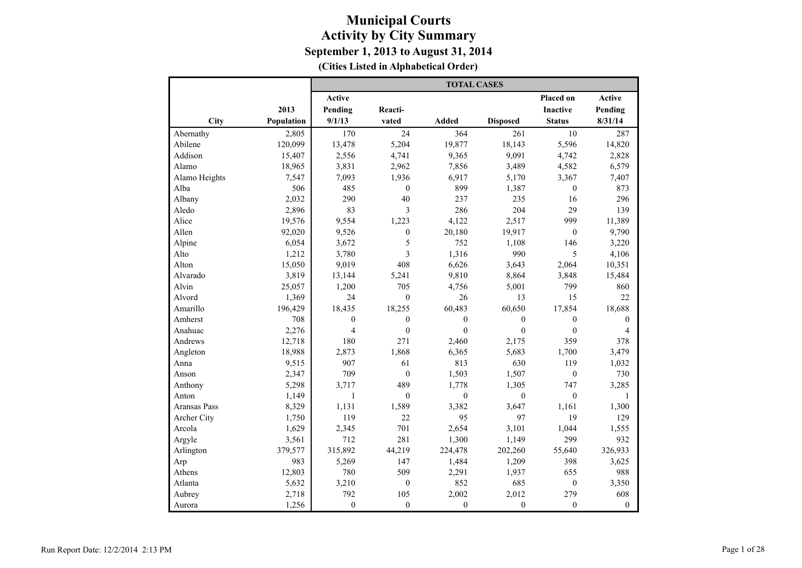|               |            | <b>TOTAL CASES</b> |                         |                  |                  |                  |                |  |  |  |
|---------------|------------|--------------------|-------------------------|------------------|------------------|------------------|----------------|--|--|--|
|               |            | Active             |                         |                  |                  | Placed on        | Active         |  |  |  |
|               | 2013       | Pending            | Reacti-                 |                  |                  | <b>Inactive</b>  | Pending        |  |  |  |
| City          | Population | 9/1/13             | vated                   | <b>Added</b>     | <b>Disposed</b>  | <b>Status</b>    | 8/31/14        |  |  |  |
| Abernathy     | 2,805      | 170                | 24                      | 364              | 261              | $10\,$           | 287            |  |  |  |
| Abilene       | 120,099    | 13,478             | 5,204                   | 19,877           | 18,143           | 5,596            | 14,820         |  |  |  |
| Addison       | 15,407     | 2,556              | 4,741                   | 9,365            | 9,091            | 4,742            | 2,828          |  |  |  |
| Alamo         | 18,965     | 3,831              | 2,962                   | 7,856            | 3,489            | 4,582            | 6,579          |  |  |  |
| Alamo Heights | 7,547      | 7,093              | 1,936                   | 6,917            | 5,170            | 3,367            | 7,407          |  |  |  |
| Alba          | 506        | 485                | $\mathbf{0}$            | 899              | 1,387            | $\boldsymbol{0}$ | 873            |  |  |  |
| Albany        | 2,032      | 290                | 40                      | 237              | 235              | 16               | 296            |  |  |  |
| Aledo         | 2,896      | 83                 | $\overline{\mathbf{3}}$ | 286              | 204              | 29               | 139            |  |  |  |
| Alice         | 19,576     | 9,554              | 1,223                   | 4,122            | 2,517            | 999              | 11,389         |  |  |  |
| Allen         | 92,020     | 9,526              | $\boldsymbol{0}$        | 20,180           | 19,917           | $\boldsymbol{0}$ | 9,790          |  |  |  |
| Alpine        | 6,054      | 3,672              | 5                       | 752              | 1,108            | 146              | 3,220          |  |  |  |
| Alto          | 1,212      | 3,780              | 3                       | 1,316            | 990              | 5                | 4,106          |  |  |  |
| Alton         | 15,050     | 9,019              | 408                     | 6,626            | 3,643            | 2,064            | 10,351         |  |  |  |
| Alvarado      | 3,819      | 13,144             | 5,241                   | 9,810            | 8,864            | 3,848            | 15,484         |  |  |  |
| Alvin         | 25,057     | 1,200              | 705                     | 4,756            | 5,001            | 799              | 860            |  |  |  |
| Alvord        | 1,369      | 24                 | $\mathbf{0}$            | 26               | 13               | 15               | 22             |  |  |  |
| Amarillo      | 196,429    | 18,435             | 18,255                  | 60,483           | 60,650           | 17,854           | 18,688         |  |  |  |
| Amherst       | 708        | $\boldsymbol{0}$   | $\boldsymbol{0}$        | $\boldsymbol{0}$ | $\boldsymbol{0}$ | $\boldsymbol{0}$ | $\mathbf{0}$   |  |  |  |
| Anahuac       | 2,276      | $\overline{4}$     | $\mathbf{0}$            | $\theta$         | $\mathbf{0}$     | $\mathbf{0}$     | $\overline{4}$ |  |  |  |
| Andrews       | 12,718     | 180                | 271                     | 2,460            | 2,175            | 359              | 378            |  |  |  |
| Angleton      | 18,988     | 2,873              | 1,868                   | 6,365            | 5,683            | 1,700            | 3,479          |  |  |  |
| Anna          | 9,515      | 907                | 61                      | 813              | 630              | 119              | 1,032          |  |  |  |
| Anson         | 2,347      | 709                | $\mathbf{0}$            | 1,503            | 1,507            | $\boldsymbol{0}$ | 730            |  |  |  |
| Anthony       | 5,298      | 3,717              | 489                     | 1,778            | 1,305            | 747              | 3,285          |  |  |  |
| Anton         | 1,149      | $\mathbf{1}$       | $\mathbf{0}$            | $\boldsymbol{0}$ | $\boldsymbol{0}$ | $\boldsymbol{0}$ | $\mathbf{1}$   |  |  |  |
| Aransas Pass  | 8,329      | 1,131              | 1,589                   | 3,382            | 3,647            | 1,161            | 1,300          |  |  |  |
| Archer City   | 1,750      | 119                | 22                      | 95               | 97               | 19               | 129            |  |  |  |
| Arcola        | 1,629      | 2,345              | 701                     | 2,654            | 3,101            | 1,044            | 1,555          |  |  |  |
| Argyle        | 3,561      | 712                | 281                     | 1,300            | 1,149            | 299              | 932            |  |  |  |
| Arlington     | 379,577    | 315,892            | 44,219                  | 224,478          | 202,260          | 55,640           | 326,933        |  |  |  |
| Arp           | 983        | 5,269              | 147                     | 1,484            | 1,209            | 398              | 3,625          |  |  |  |
| Athens        | 12,803     | 780                | 509                     | 2,291            | 1,937            | 655              | 988            |  |  |  |
| Atlanta       | 5,632      | 3,210              | $\boldsymbol{0}$        | 852              | 685              | $\boldsymbol{0}$ | 3,350          |  |  |  |
| Aubrey        | 2,718      | 792                | 105                     | 2,002            | 2,012            | 279              | 608            |  |  |  |
| Aurora        | 1,256      | $\mathbf{0}$       | $\mathbf{0}$            | $\mathbf{0}$     | $\mathbf{0}$     | $\mathbf{0}$     | $\mathbf{0}$   |  |  |  |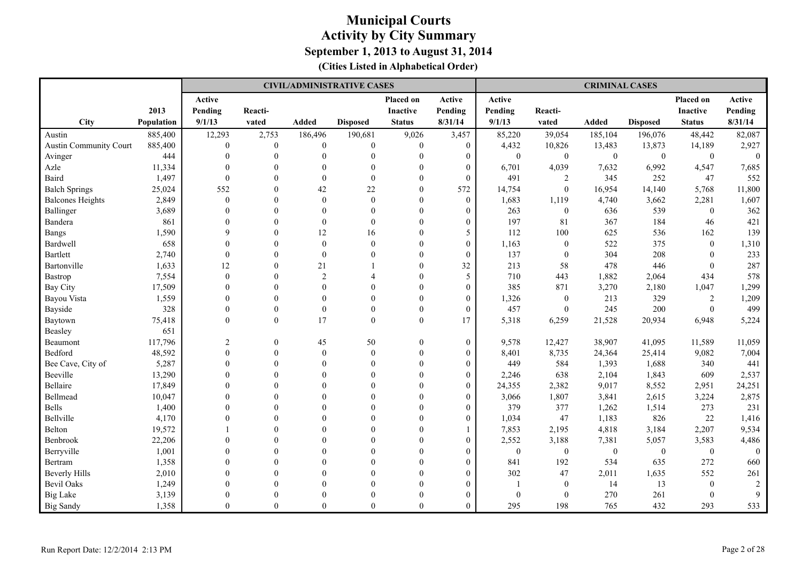|                               |            |                |                  |                | <b>CIVIL/ADMINISTRATIVE CASES</b> |                  |                  |                  |                  | <b>CRIMINAL CASES</b> |                  |                  |                  |
|-------------------------------|------------|----------------|------------------|----------------|-----------------------------------|------------------|------------------|------------------|------------------|-----------------------|------------------|------------------|------------------|
|                               |            | Active         |                  |                |                                   | Placed on        | Active           | Active           |                  |                       |                  | Placed on        | Active           |
|                               | 2013       | Pending        | Reacti-          |                |                                   | Inactive         | Pending          | Pending          | Reacti-          |                       |                  | <b>Inactive</b>  | Pending          |
| City                          | Population | 9/1/13         | vated            | <b>Added</b>   | <b>Disposed</b>                   | <b>Status</b>    | 8/31/14          | 9/1/13           | vated            | Added                 | <b>Disposed</b>  | <b>Status</b>    | 8/31/14          |
| Austin                        | 885,400    | 12,293         | 2,753            | 186,496        | 190,681                           | 9,026            | 3,457            | 85,220           | 39,054           | 185,104               | 196,076          | 48,442           | 82,087           |
| <b>Austin Community Court</b> | 885,400    | $\mathbf{0}$   | $\boldsymbol{0}$ | $\mathbf{0}$   | $\boldsymbol{0}$                  | $\boldsymbol{0}$ | $\mathbf{0}$     | 4,432            | 10,826           | 13,483                | 13,873           | 14,189           | 2,927            |
| Avinger                       | 444        | $\mathbf{0}$   | $\theta$         | $\mathbf{0}$   | $\theta$                          | $\mathbf{0}$     | $\theta$         | $\overline{0}$   | $\boldsymbol{0}$ | $\overline{0}$        | $\boldsymbol{0}$ | $\mathbf{0}$     | $\mathbf{0}$     |
| Azle                          | 11,334     | $\theta$       | $\theta$         | $\theta$       | $\theta$                          | $\Omega$         | $\overline{0}$   | 6,701            | 4,039            | 7,632                 | 6,992            | 4,547            | 7,685            |
| Baird                         | 1,497      | $\mathbf{0}$   | $\theta$         | $\theta$       | $\mathbf{0}$                      | $\theta$         | $\overline{0}$   | 491              | 2                | 345                   | 252              | 47               | 552              |
| <b>Balch Springs</b>          | 25,024     | 552            | $\theta$         | 42             | 22                                | $\theta$         | 572              | 14,754           | $\boldsymbol{0}$ | 16,954                | 14,140           | 5,768            | 11,800           |
| <b>Balcones Heights</b>       | 2,849      | $\theta$       | $\Omega$         | $\Omega$       | $\theta$                          | $\Omega$         | $\theta$         | 1,683            | 1,119            | 4,740                 | 3,662            | 2,281            | 1,607            |
| Ballinger                     | 3,689      | $\theta$       | $\Omega$         | $\theta$       | $\theta$                          | $\theta$         | $\mathbf{0}$     | 263              | $\boldsymbol{0}$ | 636                   | 539              | $\mathbf{0}$     | 362              |
| Bandera                       | 861        | $\theta$       | $\theta$         | $\theta$       | $\theta$                          | $\Omega$         | $\mathbf{0}$     | 197              | 81               | 367                   | 184              | 46               | 421              |
| Bangs                         | 1,590      | 9              | $\Omega$         | 12             | 16                                | $\Omega$         | 5                | 112              | 100              | 625                   | 536              | 162              | 139              |
| Bardwell                      | 658        | $\theta$       | $\Omega$         | $\theta$       | $\mathbf{0}$                      | $\Omega$         | $\boldsymbol{0}$ | 1,163            | $\boldsymbol{0}$ | 522                   | 375              | $\boldsymbol{0}$ | 1,310            |
| <b>Bartlett</b>               | 2,740      | $\theta$       | $\Omega$         | $\theta$       | $\theta$                          | $\Omega$         | $\overline{0}$   | 137              | $\mathbf{0}$     | 304                   | 208              | $\theta$         | 233              |
| Bartonville                   | 1,633      | 12             | $\Omega$         | 21             |                                   | $\Omega$         | 32               | 213              | 58               | 478                   | 446              | $\theta$         | 287              |
| Bastrop                       | 7,554      | $\theta$       | $\Omega$         | $\overline{2}$ | $\boldsymbol{\varDelta}$          | $\Omega$         | 5                | 710              | 443              | 1,882                 | 2,064            | 434              | 578              |
| <b>Bay City</b>               | 17,509     | $\theta$       | $\Omega$         | $\theta$       | $\Omega$                          | $\theta$         | $\mathbf{0}$     | 385              | 871              | 3,270                 | 2,180            | 1,047            | 1,299            |
| Bayou Vista                   | 1,559      | $\theta$       | $\theta$         | $\theta$       | $\theta$                          | $\theta$         | $\boldsymbol{0}$ | 1,326            | $\boldsymbol{0}$ | 213                   | 329              | 2                | 1,209            |
| Bayside                       | 328        | $\mathbf{0}$   | $\theta$         | $\mathbf{0}$   | $\theta$                          | $\mathbf{0}$     | $\boldsymbol{0}$ | 457              | $\boldsymbol{0}$ | 245                   | 200              | $\mathbf{0}$     | 499              |
| Baytown                       | 75,418     | $\theta$       | $\boldsymbol{0}$ | 17             | $\mathbf{0}$                      | $\mathbf{0}$     | 17               | 5,318            | 6,259            | 21,528                | 20,934           | 6,948            | 5,224            |
| Beasley                       | 651        |                |                  |                |                                   |                  |                  |                  |                  |                       |                  |                  |                  |
| Beaumont                      | 117,796    | $\overline{2}$ | $\theta$         | 45             | 50                                | $\theta$         | $\mathbf{0}$     | 9,578            | 12,427           | 38,907                | 41,095           | 11,589           | 11,059           |
| Bedford                       | 48,592     | $\theta$       | $\mathbf{0}$     | $\theta$       | $\mathbf{0}$                      | $\theta$         | $\mathbf{0}$     | 8,401            | 8,735            | 24,364                | 25,414           | 9,082            | 7,004            |
| Bee Cave, City of             | 5,287      | $\theta$       | $\mathbf{0}$     | $\theta$       | $\mathbf{0}$                      | $\mathbf{0}$     | $\mathbf{0}$     | 449              | 584              | 1,393                 | 1,688            | 340              | 441              |
| Beeville                      | 13,290     | $\theta$       | $\theta$         | $\theta$       | $\theta$                          | $\Omega$         | $\boldsymbol{0}$ | 2,246            | 638              | 2,104                 | 1,843            | 609              | 2,537            |
| Bellaire                      | 17,849     | $\theta$       | $\Omega$         | $\theta$       | $\theta$                          | $\Omega$         | $\boldsymbol{0}$ | 24,355           | 2,382            | 9,017                 | 8,552            | 2,951            | 24,251           |
| Bellmead                      | 10,047     | $\theta$       | $\theta$         | $\theta$       | $\theta$                          | $\Omega$         | $\mathbf{0}$     | 3,066            | 1,807            | 3,841                 | 2,615            | 3,224            | 2,875            |
| Bells                         | 1,400      | $\Omega$       | $\Omega$         | $\Omega$       | $\Omega$                          | $\Omega$         | $\theta$         | 379              | 377              | 1,262                 | 1,514            | 273              | 231              |
| Bellville                     | 4,170      | $\theta$       | $\Omega$         | $\Omega$       | $\Omega$                          | $\Omega$         | $\theta$         | 1,034            | 47               | 1,183                 | 826              | 22               | 1,416            |
| Belton                        | 19,572     |                | $\Omega$         | $\Omega$       | $\Omega$                          | $\theta$         | $\mathbf{1}$     | 7,853            | 2,195            | 4,818                 | 3,184            | 2,207            | 9,534            |
| Benbrook                      | 22,206     | $\mathbf{0}$   | $\theta$         | $\theta$       | $\theta$                          | $\Omega$         | $\boldsymbol{0}$ | 2,552            | 3,188            | 7,381                 | 5,057            | 3,583            | 4,486            |
| Berryville                    | 1,001      | $\theta$       | $\theta$         | $\theta$       | $\theta$                          | $\Omega$         | $\boldsymbol{0}$ | $\boldsymbol{0}$ | $\boldsymbol{0}$ | $\boldsymbol{0}$      | $\boldsymbol{0}$ | $\boldsymbol{0}$ | $\boldsymbol{0}$ |
| Bertram                       | 1,358      | $\theta$       | $\theta$         | $\theta$       | $\Omega$                          | $\Omega$         | $\boldsymbol{0}$ | 841              | 192              | 534                   | 635              | 272              | 660              |
| <b>Beverly Hills</b>          | 2,010      | $\Omega$       | $\Omega$         | $\Omega$       | $\Omega$                          | $\Omega$         | $\theta$         | 302              | 47               | 2,011                 | 1,635            | 552              | 261              |
| <b>Bevil Oaks</b>             | 1,249      | $\Omega$       | $\Omega$         | $\Omega$       | $\Omega$                          |                  | $\theta$         |                  | $\mathbf{0}$     | 14                    | 13               | $\mathbf{0}$     | $\overline{2}$   |
| <b>Big Lake</b>               | 3,139      | $\Omega$       | $\Omega$         | $\Omega$       | $\Omega$                          | $\Omega$         | $\theta$         | $\theta$         | $\mathbf{0}$     | 270                   | 261              | $\theta$         | 9                |
| <b>Big Sandy</b>              | 1,358      | $\Omega$       | $\theta$         | $\Omega$       | $\theta$                          | $\Omega$         | $\theta$         | 295              | 198              | 765                   | 432              | 293              | 533              |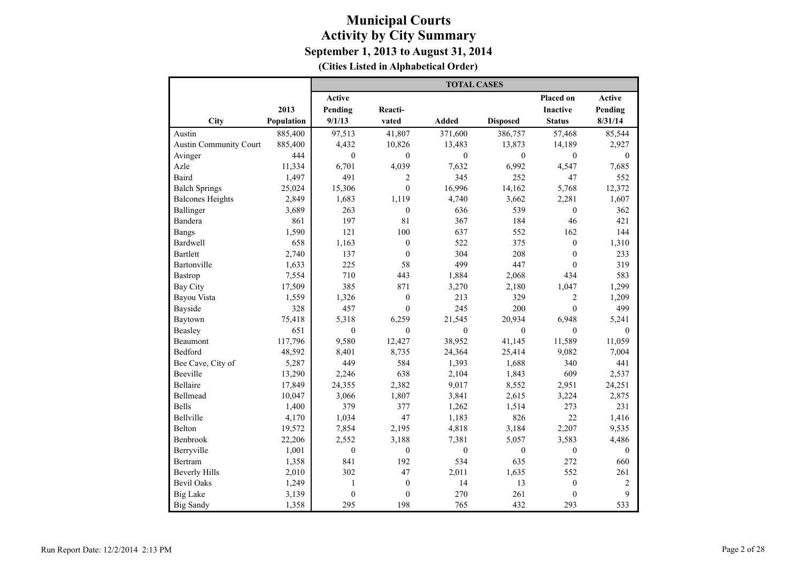|                               |            |                  |                  | <b>TOTAL CASES</b> |                 |                  |                |
|-------------------------------|------------|------------------|------------------|--------------------|-----------------|------------------|----------------|
|                               |            | Active           |                  |                    |                 | Placed on        | Active         |
|                               | 2013       | Pending          | Reacti-          |                    |                 | <b>Inactive</b>  | Pending        |
| City                          | Population | 9/1/13           | vated            | Added              | <b>Disposed</b> | <b>Status</b>    | 8/31/14        |
| Austin                        | 885,400    | 97,513           | 41,807           | 371,600            | 386,757         | 57,468           | 85,544         |
| <b>Austin Community Court</b> | 885,400    | 4,432            | 10,826           | 13,483             | 13,873          | 14,189           | 2,927          |
| Avinger                       | 444        | $\mathbf{0}$     | $\mathbf{0}$     | $\mathbf{0}$       | $\mathbf{0}$    | $\boldsymbol{0}$ | $\mathbf{0}$   |
| Azle                          | 11,334     | 6,701            | 4,039            | 7,632              | 6,992           | 4,547            | 7,685          |
| Baird                         | 1,497      | 491              | $\overline{c}$   | 345                | 252             | 47               | 552            |
| <b>Balch Springs</b>          | 25,024     | 15,306           | $\boldsymbol{0}$ | 16,996             | 14,162          | 5,768            | 12,372         |
| <b>Balcones Heights</b>       | 2,849      | 1,683            | 1,119            | 4,740              | 3,662           | 2,281            | 1,607          |
| Ballinger                     | 3,689      | 263              | $\boldsymbol{0}$ | 636                | 539             | $\boldsymbol{0}$ | 362            |
| Bandera                       | 861        | 197              | 81               | 367                | 184             | 46               | 421            |
| <b>Bangs</b>                  | 1,590      | 121              | 100              | 637                | 552             | 162              | 144            |
| Bardwell                      | 658        | 1,163            | $\boldsymbol{0}$ | 522                | 375             | $\boldsymbol{0}$ | 1,310          |
| <b>Bartlett</b>               | 2,740      | 137              | $\overline{0}$   | 304                | 208             | $\mathbf{0}$     | 233            |
| Bartonville                   | 1,633      | 225              | 58               | 499                | 447             | $\boldsymbol{0}$ | 319            |
| Bastrop                       | 7,554      | 710              | 443              | 1,884              | 2,068           | 434              | 583            |
| <b>Bay City</b>               | 17,509     | 385              | 871              | 3,270              | 2,180           | 1,047            | 1,299          |
| <b>Bayou Vista</b>            | 1,559      | 1,326            | $\boldsymbol{0}$ | 213                | 329             | $\overline{c}$   | 1,209          |
| Bayside                       | 328        | 457              | $\mathbf{0}$     | 245                | 200             | $\mathbf{0}$     | 499            |
| Baytown                       | 75,418     | 5,318            | 6,259            | 21,545             | 20,934          | 6,948            | 5,241          |
| Beasley                       | 651        | $\mathbf{0}$     | $\mathbf{0}$     | $\theta$           | $\mathbf{0}$    | $\mathbf{0}$     | $\theta$       |
| Beaumont                      | 117,796    | 9,580            | 12,427           | 38,952             | 41,145          | 11,589           | 11,059         |
| Bedford                       | 48,592     | 8,401            | 8,735            | 24,364             | 25,414          | 9,082            | 7,004          |
| Bee Cave, City of             | 5,287      | 449              | 584              | 1,393              | 1,688           | 340              | 441            |
| Beeville                      | 13,290     | 2,246            | 638              | 2,104              | 1,843           | 609              | 2,537          |
| Bellaire                      | 17,849     | 24,355           | 2,382            | 9,017              | 8,552           | 2,951            | 24,251         |
| Bellmead                      | 10,047     | 3,066            | 1,807            | 3,841              | 2,615           | 3,224            | 2,875          |
| <b>Bells</b>                  | 1,400      | 379              | 377              | 1,262              | 1,514           | 273              | 231            |
| Bellville                     | 4,170      | 1,034            | 47               | 1,183              | 826             | 22               | 1,416          |
| <b>Belton</b>                 | 19,572     | 7,854            | 2,195            | 4,818              | 3,184           | 2,207            | 9,535          |
| Benbrook                      | 22,206     | 2,552            | 3,188            | 7,381              | 5,057           | 3,583            | 4,486          |
| Berryville                    | 1,001      | $\mathbf{0}$     | $\mathbf{0}$     | $\mathbf{0}$       | $\mathbf{0}$    | $\mathbf{0}$     | $\theta$       |
| Bertram                       | 1,358      | 841              | 192              | 534                | 635             | 272              | 660            |
| <b>Beverly Hills</b>          | 2,010      | 302              | 47               | 2,011              | 1,635           | 552              | 261            |
| <b>Bevil Oaks</b>             | 1,249      | $\mathbf{1}$     | $\boldsymbol{0}$ | 14                 | 13              | $\boldsymbol{0}$ | $\overline{2}$ |
| <b>Big Lake</b>               | 3,139      | $\boldsymbol{0}$ | $\overline{0}$   | 270                | 261             | $\boldsymbol{0}$ | 9              |
| <b>Big Sandy</b>              | 1,358      | 295              | 198              | 765                | 432             | 293              | 533            |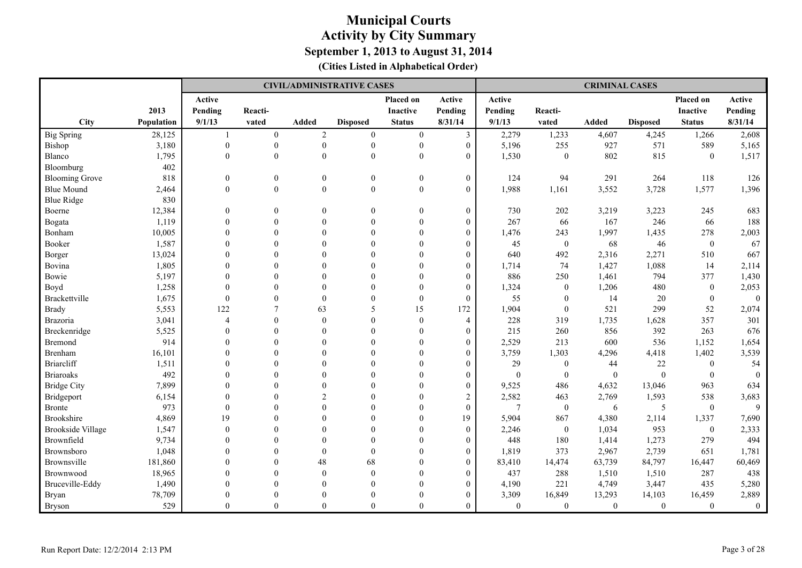|                          |            |                |                  |                  | <b>CIVIL/ADMINISTRATIVE CASES</b> |                  |                  |                |                  | <b>CRIMINAL CASES</b> |                  |                  |              |
|--------------------------|------------|----------------|------------------|------------------|-----------------------------------|------------------|------------------|----------------|------------------|-----------------------|------------------|------------------|--------------|
|                          |            | Active         |                  |                  |                                   | Placed on        | Active           | Active         |                  |                       |                  | Placed on        | Active       |
|                          | 2013       | Pending        | Reacti-          |                  |                                   | Inactive         | Pending          | Pending        | Reacti-          |                       |                  | <b>Inactive</b>  | Pending      |
| <b>City</b>              | Population | 9/1/13         | vated            | Added            | <b>Disposed</b>                   | <b>Status</b>    | 8/31/14          | 9/1/13         | vated            | Added                 | <b>Disposed</b>  | <b>Status</b>    | 8/31/14      |
| <b>Big Spring</b>        | 28,125     |                | $\boldsymbol{0}$ | $\overline{2}$   | $\boldsymbol{0}$                  | $\overline{0}$   | $\mathfrak{Z}$   | 2,279          | 1,233            | 4,607                 | 4,245            | 1,266            | 2,608        |
| <b>Bishop</b>            | 3,180      | $\mathbf{0}$   | $\boldsymbol{0}$ | $\mathbf{0}$     | $\boldsymbol{0}$                  | $\mathbf{0}$     | $\mathbf{0}$     | 5,196          | 255              | 927                   | 571              | 589              | 5,165        |
| <b>Blanco</b>            | 1,795      | $\theta$       | $\overline{0}$   | $\theta$         | $\mathbf{0}$                      | $\theta$         | $\overline{0}$   | 1,530          | $\mathbf{0}$     | 802                   | 815              | $\mathbf{0}$     | 1,517        |
| Bloomburg                | 402        |                |                  |                  |                                   |                  |                  |                |                  |                       |                  |                  |              |
| <b>Blooming Grove</b>    | 818        | $\mathbf{0}$   | $\boldsymbol{0}$ | $\mathbf{0}$     | $\boldsymbol{0}$                  | $\boldsymbol{0}$ | $\boldsymbol{0}$ | 124            | 94               | 291                   | 264              | 118              | 126          |
| <b>Blue Mound</b>        | 2,464      | $\theta$       | $\mathbf{0}$     | $\boldsymbol{0}$ | $\overline{0}$                    | $\boldsymbol{0}$ | $\boldsymbol{0}$ | 1,988          | 1,161            | 3,552                 | 3,728            | 1,577            | 1,396        |
| <b>Blue Ridge</b>        | 830        |                |                  |                  |                                   |                  |                  |                |                  |                       |                  |                  |              |
| Boerne                   | 12,384     | $\overline{0}$ | $\Omega$         | $\mathbf{0}$     | $\Omega$                          | $\overline{0}$   | $\boldsymbol{0}$ | 730            | 202              | 3,219                 | 3,223            | 245              | 683          |
| Bogata                   | 1,119      |                |                  | $\theta$         |                                   | $\Omega$         | $\mathbf{0}$     | 267            | 66               | 167                   | 246              | 66               | 188          |
| Bonham                   | 10,005     |                |                  | $\Omega$         |                                   |                  | $\mathbf{0}$     | 1,476          | 243              | 1,997                 | 1,435            | 278              | 2,003        |
| Booker                   | 1,587      |                |                  | $\Omega$         |                                   |                  | $\theta$         | 45             | $\mathbf{0}$     | 68                    | 46               | $\mathbf{0}$     | 67           |
| Borger                   | 13,024     |                |                  | $\Omega$         |                                   |                  | $\mathbf{0}$     | 640            | 492              | 2,316                 | 2,271            | 510              | 667          |
| Bovina                   | 1,805      |                |                  | $\Omega$         |                                   |                  | $\mathbf{0}$     | 1,714          | 74               | 1,427                 | 1,088            | 14               | 2,114        |
| Bowie                    | 5,197      |                |                  | $\theta$         |                                   |                  | $\boldsymbol{0}$ | 886            | 250              | 1,461                 | 794              | 377              | 1,430        |
| Boyd                     | 1,258      |                |                  | $\theta$         |                                   |                  | $\boldsymbol{0}$ | 1,324          | $\boldsymbol{0}$ | 1,206                 | 480              | $\mathbf{0}$     | 2,053        |
| <b>Brackettville</b>     | 1,675      | $\Omega$       | $\Omega$         | $\Omega$         |                                   | $\theta$         | $\mathbf{0}$     | 55             | $\mathbf{0}$     | 14                    | 20               | $\mathbf{0}$     | $\mathbf{0}$ |
| <b>Brady</b>             | 5,553      | 122            | 7                | 63               | 5                                 | 15               | 172              | 1,904          | $\mathbf{0}$     | 521                   | 299              | 52               | 2,074        |
| <b>Brazoria</b>          | 3,041      | $\overline{4}$ | $\Omega$         | $\Omega$         |                                   | $\theta$         | $\overline{4}$   | 228            | 319              | 1,735                 | 1,628            | 357              | 301          |
| Breckenridge             | 5,525      | $\Omega$       | $\Omega$         | $\Omega$         |                                   | $\Omega$         | $\mathbf{0}$     | 215            | 260              | 856                   | 392              | 263              | 676          |
| <b>Bremond</b>           | 914        |                | $\Omega$         | $\Omega$         |                                   | $\Omega$         | $\mathbf{0}$     | 2,529          | 213              | 600                   | 536              | 1,152            | 1,654        |
| Brenham                  | 16,101     |                |                  | $\theta$         |                                   |                  | $\boldsymbol{0}$ | 3,759          | 1,303            | 4,296                 | 4,418            | 1,402            | 3,539        |
| <b>Briarcliff</b>        | 1,511      |                |                  |                  |                                   |                  | $\boldsymbol{0}$ | 29             | $\boldsymbol{0}$ | 44                    | $22\,$           | $\mathbf{0}$     | 54           |
| <b>Briaroaks</b>         | 492        |                |                  |                  |                                   |                  | $\boldsymbol{0}$ | $\mathbf{0}$   | $\boldsymbol{0}$ | $\boldsymbol{0}$      | $\boldsymbol{0}$ | $\boldsymbol{0}$ | $\Omega$     |
| <b>Bridge City</b>       | 7,899      |                |                  | $\Omega$         |                                   |                  | $\mathbf{0}$     | 9,525          | 486              | 4,632                 | 13,046           | 963              | 634          |
| Bridgeport               | 6,154      |                |                  | $\overline{2}$   |                                   |                  | $\overline{2}$   | 2,582          | 463              | 2,769                 | 1,593            | 538              | 3,683        |
| <b>Bronte</b>            | 973        | $\Omega$       |                  | $\Omega$         |                                   |                  | $\boldsymbol{0}$ | $\overline{7}$ | $\boldsymbol{0}$ | 6                     | 5                | $\mathbf{0}$     | 9            |
| <b>Brookshire</b>        | 4,869      | 19             |                  | $\Omega$         |                                   | $\theta$         | 19               | 5,904          | 867              | 4,380                 | 2,114            | 1,337            | 7,690        |
| <b>Brookside Village</b> | 1,547      | $\theta$       |                  | $\theta$         |                                   |                  | $\mathbf{0}$     | 2,246          | $\boldsymbol{0}$ | 1,034                 | 953              | $\mathbf{0}$     | 2,333        |
| Brownfield               | 9,734      |                |                  |                  |                                   |                  | $\boldsymbol{0}$ | 448            | 180              | 1,414                 | 1,273            | 279              | 494          |
| Brownsboro               | 1,048      |                |                  | $\theta$         | $\theta$                          |                  | $\theta$         | 1,819          | 373              | 2,967                 | 2,739            | 651              | 1,781        |
| Brownsville              | 181,860    |                | $\Omega$         | 48               | 68                                |                  | $\theta$         | 83,410         | 14,474           | 63,739                | 84,797           | 16,447           | 60,469       |
| Brownwood                | 18,965     |                | $\Omega$         | $\Omega$         | $\Omega$                          |                  | $\theta$         | 437            | 288              | 1,510                 | 1,510            | 287              | 438          |
| Bruceville-Eddy          | 1,490      |                |                  | $\Omega$         |                                   |                  | $\mathbf{0}$     | 4,190          | 221              | 4,749                 | 3,447            | 435              | 5,280        |
| <b>Bryan</b>             | 78,709     |                |                  | $\Omega$         |                                   |                  | $\mathbf{0}$     | 3,309          | 16,849           | 13,293                | 14,103           | 16,459           | 2,889        |
| Bryson                   | 529        | $\theta$       | $\theta$         | $\theta$         | $\theta$                          | $\theta$         | $\overline{0}$   | $\mathbf{0}$   | $\mathbf{0}$     | $\overline{0}$        | $\mathbf{0}$     | $\overline{0}$   | $\mathbf{0}$ |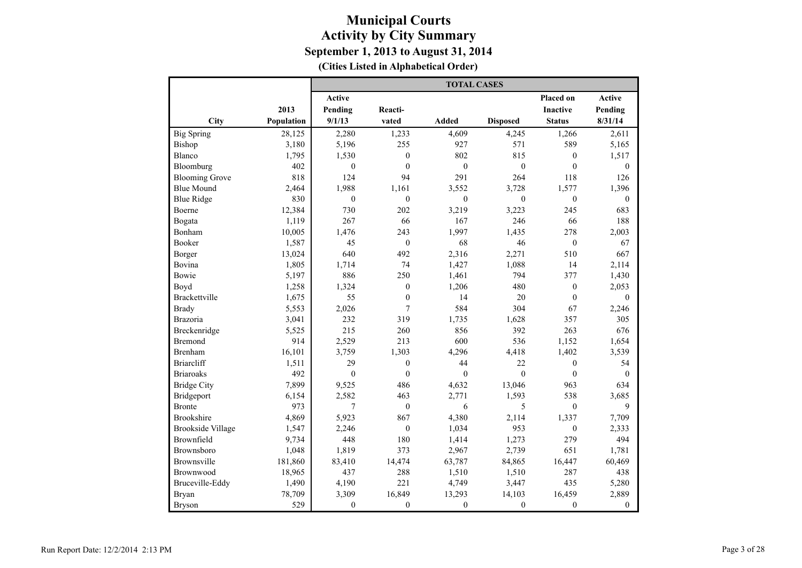|                          |            | <b>TOTAL CASES</b> |                  |                  |                  |                  |              |  |  |  |
|--------------------------|------------|--------------------|------------------|------------------|------------------|------------------|--------------|--|--|--|
|                          |            | Active             |                  |                  |                  | Placed on        | Active       |  |  |  |
|                          | 2013       | Pending            | Reacti-          |                  |                  | <b>Inactive</b>  | Pending      |  |  |  |
| City                     | Population | 9/1/13             | vated            | <b>Added</b>     | <b>Disposed</b>  | <b>Status</b>    | 8/31/14      |  |  |  |
| <b>Big Spring</b>        | 28,125     | 2,280              | 1,233            | 4,609            | 4,245            | 1,266            | 2,611        |  |  |  |
| Bishop                   | 3,180      | 5,196              | 255              | 927              | 571              | 589              | 5,165        |  |  |  |
| <b>Blanco</b>            | 1,795      | 1,530              | $\mathbf{0}$     | 802              | 815              | $\boldsymbol{0}$ | 1,517        |  |  |  |
| Bloomburg                | 402        | $\boldsymbol{0}$   | $\theta$         | $\boldsymbol{0}$ | $\boldsymbol{0}$ | $\theta$         | $\theta$     |  |  |  |
| <b>Blooming Grove</b>    | 818        | 124                | 94               | 291              | 264              | 118              | 126          |  |  |  |
| <b>Blue Mound</b>        | 2,464      | 1,988              | 1,161            | 3,552            | 3,728            | 1,577            | 1,396        |  |  |  |
| <b>Blue Ridge</b>        | 830        | $\mathbf{0}$       | $\mathbf{0}$     | $\mathbf{0}$     | $\theta$         | $\mathbf{0}$     | $\mathbf{0}$ |  |  |  |
| Boerne                   | 12,384     | 730                | 202              | 3,219            | 3,223            | 245              | 683          |  |  |  |
| Bogata                   | 1,119      | 267                | 66               | 167              | 246              | 66               | 188          |  |  |  |
| Bonham                   | 10,005     | 1,476              | 243              | 1,997            | 1,435            | 278              | 2,003        |  |  |  |
| Booker                   | 1,587      | 45                 | $\boldsymbol{0}$ | 68               | 46               | $\boldsymbol{0}$ | 67           |  |  |  |
| Borger                   | 13,024     | 640                | 492              | 2,316            | 2,271            | 510              | 667          |  |  |  |
| Bovina                   | 1,805      | 1,714              | 74               | 1,427            | 1,088            | 14               | 2,114        |  |  |  |
| Bowie                    | 5,197      | 886                | 250              | 1,461            | 794              | 377              | 1,430        |  |  |  |
| Boyd                     | 1,258      | 1,324              | $\mathbf{0}$     | 1,206            | 480              | $\boldsymbol{0}$ | 2,053        |  |  |  |
| Brackettville            | 1,675      | 55                 | $\boldsymbol{0}$ | 14               | 20               | $\mathbf{0}$     | $\mathbf{0}$ |  |  |  |
| <b>Brady</b>             | 5,553      | 2,026              | $\boldsymbol{7}$ | 584              | 304              | 67               | 2,246        |  |  |  |
| Brazoria                 | 3,041      | 232                | 319              | 1,735            | 1,628            | 357              | 305          |  |  |  |
| Breckenridge             | 5,525      | 215                | 260              | 856              | 392              | 263              | 676          |  |  |  |
| Bremond                  | 914        | 2,529              | 213              | 600              | 536              | 1,152            | 1,654        |  |  |  |
| <b>Brenham</b>           | 16,101     | 3,759              | 1,303            | 4,296            | 4,418            | 1,402            | 3,539        |  |  |  |
| <b>Briarcliff</b>        | 1,511      | 29                 | $\mathbf{0}$     | 44               | 22               | $\mathbf{0}$     | 54           |  |  |  |
| <b>Briaroaks</b>         | 492        | $\mathbf{0}$       | $\mathbf{0}$     | $\theta$         | $\theta$         | $\overline{0}$   | $\theta$     |  |  |  |
| <b>Bridge City</b>       | 7,899      | 9,525              | 486              | 4,632            | 13,046           | 963              | 634          |  |  |  |
| Bridgeport               | 6,154      | 2,582              | 463              | 2,771            | 1,593            | 538              | 3,685        |  |  |  |
| <b>Bronte</b>            | 973        | 7                  | $\mathbf{0}$     | 6                | 5                | $\overline{0}$   | 9            |  |  |  |
| <b>Brookshire</b>        | 4,869      | 5,923              | 867              | 4,380            | 2,114            | 1,337            | 7,709        |  |  |  |
| <b>Brookside Village</b> | 1,547      | 2,246              | $\mathbf{0}$     | 1,034            | 953              | $\mathbf{0}$     | 2,333        |  |  |  |
| Brownfield               | 9,734      | 448                | 180              | 1,414            | 1,273            | 279              | 494          |  |  |  |
| Brownsboro               | 1,048      | 1,819              | 373              | 2,967            | 2,739            | 651              | 1,781        |  |  |  |
| Brownsville              | 181,860    | 83,410             | 14,474           | 63,787           | 84,865           | 16,447           | 60,469       |  |  |  |
| Brownwood                | 18,965     | 437                | 288              | 1,510            | 1,510            | 287              | 438          |  |  |  |
| Bruceville-Eddy          | 1,490      | 4,190              | 221              | 4,749            | 3,447            | 435              | 5,280        |  |  |  |
| Bryan                    | 78,709     | 3,309              | 16,849           | 13,293           | 14,103           | 16,459           | 2,889        |  |  |  |
| <b>Bryson</b>            | 529        | $\mathbf{0}$       | $\overline{0}$   | $\mathbf{0}$     | $\theta$         | $\mathbf{0}$     | $\mathbf{0}$ |  |  |  |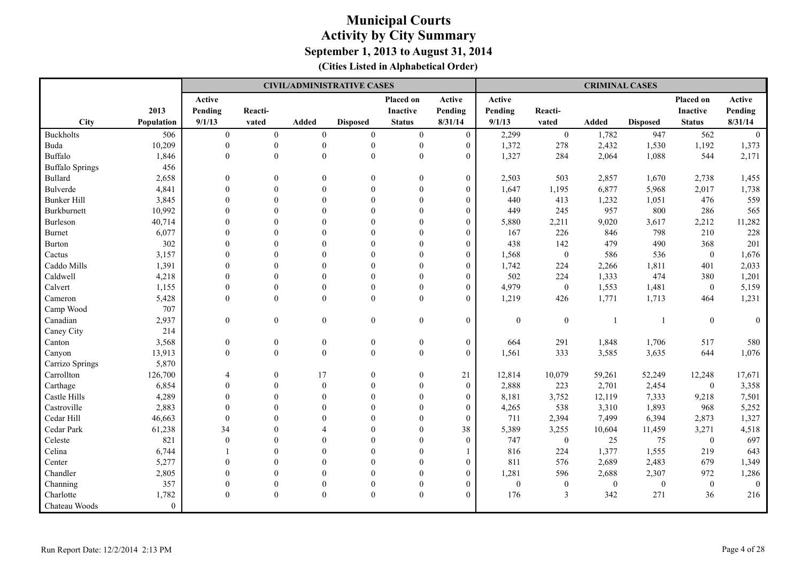|                        |            |                  |                  |                  | <b>CIVIL/ADMINISTRATIVE CASES</b> |                  |                  |              |                  | <b>CRIMINAL CASES</b>   |                  |                  |                  |
|------------------------|------------|------------------|------------------|------------------|-----------------------------------|------------------|------------------|--------------|------------------|-------------------------|------------------|------------------|------------------|
|                        |            | Active           |                  |                  |                                   | <b>Placed on</b> | Active           | Active       |                  |                         |                  | Placed on        | Active           |
|                        | 2013       | Pending          | Reacti-          |                  |                                   | <b>Inactive</b>  | Pending          | Pending      | Reacti-          |                         |                  | <b>Inactive</b>  | Pending          |
| <b>City</b>            | Population | 9/1/13           | vated            | <b>Added</b>     | <b>Disposed</b>                   | <b>Status</b>    | 8/31/14          | 9/1/13       | vated            | Added                   | <b>Disposed</b>  | <b>Status</b>    | 8/31/14          |
| <b>Buckholts</b>       | 506        | $\boldsymbol{0}$ | $\boldsymbol{0}$ | $\overline{0}$   | $\boldsymbol{0}$                  | $\boldsymbol{0}$ | $\mathbf{0}$     | 2,299        | $\boldsymbol{0}$ | 1,782                   | 947              | 562              | $\mathbf{0}$     |
| <b>Buda</b>            | 10,209     | $\mathbf{0}$     | $\boldsymbol{0}$ | $\boldsymbol{0}$ | $\boldsymbol{0}$                  | $\mathbf{0}$     | $\mathbf{0}$     | 1,372        | 278              | 2,432                   | 1,530            | 1,192            | 1,373            |
| <b>Buffalo</b>         | 1,846      | $\theta$         | $\mathbf{0}$     | $\boldsymbol{0}$ | $\boldsymbol{0}$                  | $\mathbf{0}$     | $\overline{0}$   | 1,327        | 284              | 2,064                   | 1,088            | 544              | 2,171            |
| <b>Buffalo Springs</b> | 456        |                  |                  |                  |                                   |                  |                  |              |                  |                         |                  |                  |                  |
| <b>Bullard</b>         | 2,658      | $\theta$         | $\theta$         | $\theta$         | $\Omega$                          | $\theta$         | $\boldsymbol{0}$ | 2,503        | 503              | 2,857                   | 1,670            | 2,738            | 1,455            |
| Bulverde               | 4,841      | $\Omega$         | $\Omega$         | $\theta$         |                                   | $\theta$         | $\mathbf{0}$     | 1,647        | 1,195            | 6,877                   | 5,968            | 2,017            | 1,738            |
| <b>Bunker Hill</b>     | 3,845      |                  | $\Omega$         | $\theta$         |                                   | $\theta$         | $\overline{0}$   | 440          | 413              | 1,232                   | 1,051            | 476              | 559              |
| <b>Burkburnett</b>     | 10,992     |                  |                  | $\theta$         |                                   |                  | $\mathbf{0}$     | 449          | 245              | 957                     | 800              | 286              | 565              |
| Burleson               | 40,714     |                  |                  | $\Omega$         |                                   |                  | $\boldsymbol{0}$ | 5,880        | 2,211            | 9,020                   | 3,617            | 2,212            | 11,282           |
| <b>Burnet</b>          | 6,077      |                  |                  | $\Omega$         |                                   |                  | $\mathbf{0}$     | 167          | 226              | 846                     | 798              | 210              | 228              |
| <b>Burton</b>          | 302        |                  | $\Omega$         | $\theta$         |                                   |                  | $\mathbf{0}$     | 438          | 142              | 479                     | 490              | 368              | 201              |
| Cactus                 | 3,157      | $\Omega$         | $\Omega$         | $\Omega$         | $\Omega$                          |                  | $\boldsymbol{0}$ | 1,568        | $\boldsymbol{0}$ | 586                     | 536              | $\boldsymbol{0}$ | 1,676            |
| Caddo Mills            | 1,391      | $\Omega$         | $\Omega$         | $\theta$         | $\Omega$                          | $\Omega$         | $\mathbf{0}$     | 1,742        | 224              | 2,266                   | 1,811            | 401              | 2,033            |
| Caldwell               | 4,218      |                  | $\Omega$         | $\theta$         | $\Omega$                          | $\Omega$         | $\boldsymbol{0}$ | 502          | 224              | 1,333                   | 474              | 380              | 1,201            |
| Calvert                | 1,155      | $\theta$         | $\theta$         | $\theta$         | $\theta$                          | $\mathbf{0}$     | $\boldsymbol{0}$ | 4,979        | $\boldsymbol{0}$ | 1,553                   | 1,481            | $\mathbf{0}$     | 5,159            |
| Cameron                | 5,428      | $\Omega$         | $\theta$         | $\theta$         | $\Omega$                          | $\theta$         | $\theta$         | 1,219        | 426              | 1,771                   | 1,713            | 464              | 1,231            |
| Camp Wood              | 707        |                  |                  |                  |                                   |                  |                  |              |                  |                         |                  |                  |                  |
| Canadian               | 2,937      | $\mathbf{0}$     | $\boldsymbol{0}$ | $\boldsymbol{0}$ | $\boldsymbol{0}$                  | $\boldsymbol{0}$ | $\boldsymbol{0}$ | $\mathbf{0}$ | $\boldsymbol{0}$ | $\overline{\mathbf{1}}$ | $\overline{1}$   | $\mathbf{0}$     | $\boldsymbol{0}$ |
| Caney City             | 214        |                  |                  |                  |                                   |                  |                  |              |                  |                         |                  |                  |                  |
| Canton                 | 3,568      | $\boldsymbol{0}$ | $\boldsymbol{0}$ | $\boldsymbol{0}$ | $\boldsymbol{0}$                  | $\boldsymbol{0}$ | $\overline{0}$   | 664          | 291              | 1,848                   | 1,706            | 517              | 580              |
| Canyon                 | 13,913     | $\theta$         | $\overline{0}$   | $\mathbf{0}$     | $\mathbf{0}$                      | $\theta$         | $\theta$         | 1,561        | 333              | 3,585                   | 3,635            | 644              | 1,076            |
| Carrizo Springs        | 5,870      |                  |                  |                  |                                   |                  |                  |              |                  |                         |                  |                  |                  |
| Carrollton             | 126,700    | $\overline{4}$   | $\theta$         | 17               | $\Omega$                          | $\theta$         | 21               | 12,814       | 10,079           | 59,261                  | 52,249           | 12,248           | 17,671           |
| Carthage               | 6,854      | $\Omega$         | $\Omega$         | $\theta$         | $\Omega$                          | $\Omega$         | $\mathbf{0}$     | 2,888        | 223              | 2,701                   | 2,454            | $\mathbf{0}$     | 3,358            |
| Castle Hills           | 4,289      | $\Omega$         | $\Omega$         | $\Omega$         | $\Omega$                          |                  | $\mathbf{0}$     | 8,181        | 3,752            | 12,119                  | 7,333            | 9,218            | 7,501            |
| Castroville            | 2,883      | $\Omega$         | $\Omega$         | $\Omega$         |                                   | $\Omega$         | $\mathbf{0}$     | 4,265        | 538              | 3,310                   | 1,893            | 968              | 5,252            |
| Cedar Hill             | 46,663     | $\mathbf{0}$     |                  | $\theta$         |                                   | $\theta$         | $\boldsymbol{0}$ | 711          | 2,394            | 7,499                   | 6,394            | 2,873            | 1,327            |
| Cedar Park             | 61,238     | 34               |                  |                  |                                   |                  | 38               | 5,389        | 3,255            | 10,604                  | 11,459           | 3,271            | 4,518            |
| Celeste                | 821        | $\mathbf{0}$     | $\Omega$         | $\Omega$         |                                   | $\Omega$         | $\mathbf{0}$     | 747          | $\boldsymbol{0}$ | 25                      | 75               | $\mathbf{0}$     | 697              |
| Celina                 | 6,744      |                  | $\Omega$         | $\Omega$         | $\Omega$                          |                  |                  | 816          | 224              | 1,377                   | 1,555            | 219              | 643              |
| Center                 | 5,277      |                  | $\Omega$         | $\Omega$         |                                   |                  | $\mathbf{0}$     | 811          | 576              | 2,689                   | 2,483            | 679              | 1,349            |
| Chandler               | 2,805      |                  | $\Omega$         | $\Omega$         | $\Omega$                          |                  | $\mathbf{0}$     | 1,281        | 596              | 2,688                   | 2,307            | 972              | 1,286            |
| Channing               | 357        |                  | $\theta$         | $\Omega$         | $\mathbf{0}$                      | $\mathbf{0}$     | $\overline{0}$   | $\mathbf{0}$ | $\boldsymbol{0}$ | $\mathbf{0}$            | $\boldsymbol{0}$ | $\mathbf{0}$     | $\overline{0}$   |
| Charlotte              | 1,782      | $\Omega$         | $\mathbf{0}$     | $\mathbf{0}$     | $\mathbf{0}$                      | $\Omega$         | $\theta$         | 176          | 3                | 342                     | 271              | 36               | 216              |
| Chateau Woods          | $\Omega$   |                  |                  |                  |                                   |                  |                  |              |                  |                         |                  |                  |                  |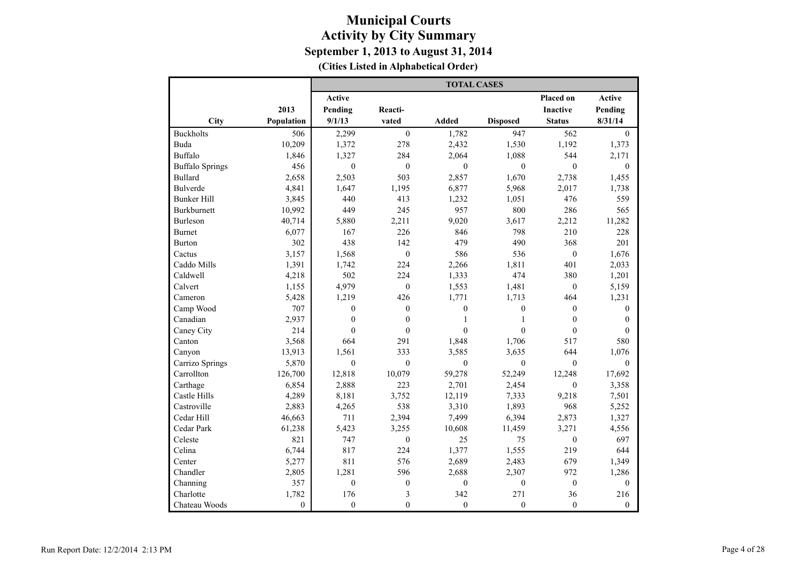|                        |              |                  |                  | <b>TOTAL CASES</b> |                  |                  |                  |
|------------------------|--------------|------------------|------------------|--------------------|------------------|------------------|------------------|
|                        |              | <b>Active</b>    |                  |                    |                  | Placed on        | Active           |
|                        | 2013         | Pending          | Reacti-          |                    |                  | <b>Inactive</b>  | Pending          |
| City                   | Population   | 9/1/13           | vated            | <b>Added</b>       | <b>Disposed</b>  | <b>Status</b>    | 8/31/14          |
| <b>Buckholts</b>       | 506          | 2,299            | $\boldsymbol{0}$ | 1,782              | 947              | 562              | $\mathbf{0}$     |
| Buda                   | 10,209       | 1,372            | 278              | 2,432              | 1,530            | 1,192            | 1,373            |
| Buffalo                | 1,846        | 1,327            | 284              | 2,064              | 1,088            | 544              | 2,171            |
| <b>Buffalo Springs</b> | 456          | $\theta$         | $\boldsymbol{0}$ | $\theta$           | $\boldsymbol{0}$ | $\theta$         | $\theta$         |
| <b>Bullard</b>         | 2,658        | 2,503            | 503              | 2,857              | 1,670            | 2,738            | 1,455            |
| Bulverde               | 4,841        | 1,647            | 1,195            | 6,877              | 5,968            | 2,017            | 1,738            |
| <b>Bunker Hill</b>     | 3,845        | 440              | 413              | 1,232              | 1,051            | 476              | 559              |
| <b>Burkburnett</b>     | 10,992       | 449              | 245              | 957                | 800              | 286              | 565              |
| <b>Burleson</b>        | 40,714       | 5,880            | 2,211            | 9,020              | 3,617            | 2,212            | 11,282           |
| <b>Burnet</b>          | 6,077        | 167              | 226              | 846                | 798              | 210              | 228              |
| <b>Burton</b>          | 302          | 438              | 142              | 479                | 490              | 368              | 201              |
| Cactus                 | 3,157        | 1,568            | $\mathbf{0}$     | 586                | 536              | $\overline{0}$   | 1,676            |
| Caddo Mills            | 1,391        | 1,742            | 224              | 2,266              | 1,811            | 401              | 2,033            |
| Caldwell               | 4,218        | 502              | 224              | 1,333              | 474              | 380              | 1,201            |
| Calvert                | 1,155        | 4,979            | $\mathbf{0}$     | 1,553              | 1,481            | $\mathbf{0}$     | 5,159            |
| Cameron                | 5,428        | 1,219            | 426              | 1,771              | 1,713            | 464              | 1,231            |
| Camp Wood              | 707          | $\boldsymbol{0}$ | $\boldsymbol{0}$ | $\mathbf{0}$       | $\boldsymbol{0}$ | $\mathbf{0}$     | $\boldsymbol{0}$ |
| Canadian               | 2,937        | $\mathbf{0}$     | $\boldsymbol{0}$ | $\mathbf{1}$       | $\mathbf{1}$     | $\boldsymbol{0}$ | $\mathbf{0}$     |
| Caney City             | 214          | $\theta$         | $\mathbf{0}$     | $\theta$           | $\theta$         | $\mathbf{0}$     | $\theta$         |
| Canton                 | 3,568        | 664              | 291              | 1,848              | 1,706            | 517              | 580              |
| Canyon                 | 13,913       | 1,561            | 333              | 3,585              | 3,635            | 644              | 1,076            |
| Carrizo Springs        | 5,870        | $\theta$         | $\boldsymbol{0}$ | $\mathbf{0}$       | $\mathbf{0}$     | $\mathbf{0}$     | $\theta$         |
| Carrollton             | 126,700      | 12,818           | 10,079           | 59,278             | 52,249           | 12,248           | 17,692           |
| Carthage               | 6,854        | 2,888            | 223              | 2,701              | 2,454            | $\mathbf{0}$     | 3,358            |
| Castle Hills           | 4,289        | 8,181            | 3,752            | 12,119             | 7,333            | 9,218            | 7,501            |
| Castroville            | 2,883        | 4,265            | 538              | 3,310              | 1,893            | 968              | 5,252            |
| Cedar Hill             | 46,663       | 711              | 2,394            | 7,499              | 6,394            | 2,873            | 1,327            |
| Cedar Park             | 61,238       | 5,423            | 3,255            | 10,608             | 11,459           | 3,271            | 4,556            |
| Celeste                | 821          | 747              | $\boldsymbol{0}$ | 25                 | 75               | $\mathbf{0}$     | 697              |
| Celina                 | 6,744        | 817              | 224              | 1,377              | 1,555            | 219              | 644              |
| Center                 | 5,277        | 811              | 576              | 2,689              | 2,483            | 679              | 1,349            |
| Chandler               | 2,805        | 1,281            | 596              | 2,688              | 2,307            | 972              | 1,286            |
| Channing               | 357          | $\mathbf{0}$     | $\boldsymbol{0}$ | $\mathbf{0}$       | $\boldsymbol{0}$ | $\mathbf{0}$     | $\mathbf{0}$     |
| Charlotte              | 1,782        | 176              | 3                | 342                | 271              | 36               | 216              |
| Chateau Woods          | $\mathbf{0}$ | $\overline{0}$   | $\mathbf{0}$     | $\mathbf{0}$       | $\mathbf{0}$     | $\mathbf{0}$     | $\mathbf{0}$     |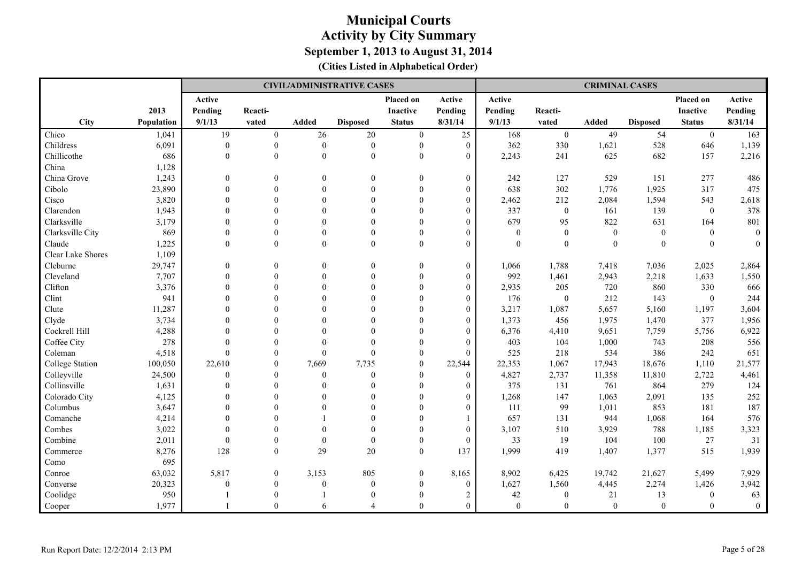|                   |            |              |                  |                | <b>CIVIL/ADMINISTRATIVE CASES</b> |                 |                  |              |                  | <b>CRIMINAL CASES</b> |                  |                  |                  |
|-------------------|------------|--------------|------------------|----------------|-----------------------------------|-----------------|------------------|--------------|------------------|-----------------------|------------------|------------------|------------------|
|                   |            | Active       |                  |                |                                   | Placed on       | Active           | Active       |                  |                       |                  | Placed on        | Active           |
|                   | 2013       | Pending      | Reacti-          |                |                                   | <b>Inactive</b> | Pending          | Pending      | Reacti-          |                       |                  | <b>Inactive</b>  | Pending          |
| <b>City</b>       | Population | 9/1/13       | vated            | Added          | <b>Disposed</b>                   | <b>Status</b>   | 8/31/14          | 9/1/13       | vated            | <b>Added</b>          | <b>Disposed</b>  | <b>Status</b>    | 8/31/14          |
| Chico             | 1,041      | 19           | $\bf{0}$         | 26             | 20                                | $\overline{0}$  | 25               | 168          | $\mathbf{0}$     | 49                    | 54               | $\overline{0}$   | 163              |
| Childress         | 6,091      | $\mathbf{0}$ | $\boldsymbol{0}$ | $\mathbf{0}$   | $\mathbf{0}$                      | $\mathbf{0}$    | $\overline{0}$   | 362          | 330              | 1,621                 | 528              | 646              | 1,139            |
| Chillicothe       | 686        | $\theta$     | $\mathbf{0}$     | $\theta$       | $\mathbf{0}$                      | $\theta$        | $\theta$         | 2,243        | 241              | 625                   | 682              | 157              | 2,216            |
| China             | 1,128      |              |                  |                |                                   |                 |                  |              |                  |                       |                  |                  |                  |
| China Grove       | 1,243      | $\Omega$     | $\Omega$         | $\theta$       | $\Omega$                          | $\Omega$        | $\mathbf{0}$     | 242          | 127              | 529                   | 151              | 277              | 486              |
| Cibolo            | 23,890     | $\Omega$     |                  | $\overline{0}$ |                                   | $\mathbf{0}$    | $\mathbf{0}$     | 638          | 302              | 1,776                 | 1,925            | 317              | 475              |
| Cisco             | 3,820      |              | $\Omega$         | $\Omega$       |                                   | $\theta$        | $\mathbf{0}$     | 2,462        | 212              | 2,084                 | 1,594            | 543              | 2,618            |
| Clarendon         | 1,943      |              | $\Omega$         | $\Omega$       |                                   | $\Omega$        | $\theta$         | 337          | $\boldsymbol{0}$ | 161                   | 139              | $\mathbf{0}$     | 378              |
| Clarksville       | 3,179      |              | $\Omega$         | $\Omega$       |                                   | $\Omega$        | $\theta$         | 679          | 95               | 822                   | 631              | 164              | 801              |
| Clarksville City  | 869        |              | $\Omega$         | $\Omega$       |                                   | $\theta$        | $\theta$         | $\mathbf{0}$ | $\mathbf{0}$     | $\mathbf{0}$          | $\boldsymbol{0}$ | $\theta$         | $\mathbf{0}$     |
| Claude            | 1,225      | $\Omega$     | $\theta$         | $\theta$       | $\Omega$                          | $\theta$        | $\mathbf{0}$     | $\theta$     | $\Omega$         | $\theta$              | $\theta$         | $\theta$         | $\mathbf{0}$     |
| Clear Lake Shores | 1,109      |              |                  |                |                                   |                 |                  |              |                  |                       |                  |                  |                  |
| Cleburne          | 29,747     | $\mathbf{0}$ | $\theta$         | $\overline{0}$ | $\theta$                          | $\mathbf{0}$    | $\mathbf{0}$     | 1,066        | 1,788            | 7,418                 | 7,036            | 2,025            | 2,864            |
| Cleveland         | 7,707      | $\Omega$     | $\Omega$         | $\Omega$       |                                   | $\theta$        | $\mathbf{0}$     | 992          | 1,461            | 2,943                 | 2,218            | 1,633            | 1,550            |
| Clifton           | 3,376      | $\Omega$     | $\Omega$         | $\Omega$       |                                   | $\theta$        | $\theta$         | 2,935        | 205              | 720                   | 860              | 330              | 666              |
| Clint             | 941        |              | $\Omega$         | $\Omega$       |                                   | $\Omega$        | $\theta$         | 176          | $\mathbf{0}$     | 212                   | 143              | $\mathbf{0}$     | 244              |
| Clute             | 11,287     |              | $\Omega$         | $\Omega$       |                                   | $\Omega$        | $\theta$         | 3,217        | 1,087            | 5,657                 | 5,160            | 1,197            | 3,604            |
| Clyde             | 3,734      |              | $\Omega$         | $\Omega$       |                                   | $\Omega$        | $\theta$         | 1,373        | 456              | 1,975                 | 1,470            | 377              | 1,956            |
| Cockrell Hill     | 4,288      |              |                  | $\Omega$       |                                   | $\Omega$        | $\theta$         | 6,376        | 4,410            | 9,651                 | 7,759            | 5,756            | 6,922            |
| Coffee City       | 278        |              |                  |                |                                   | $\theta$        | $\theta$         | 403          | 104              | 1,000                 | 743              | 208              | 556              |
| Coleman           | 4,518      | $\Omega$     |                  | $\Omega$       | $\Omega$                          | $\Omega$        | $\Omega$         | 525          | 218              | 534                   | 386              | 242              | 651              |
| College Station   | 100,050    | 22,610       | $\Omega$         | 7,669          | 7,735                             | $\Omega$        | 22,544           | 22,353       | 1,067            | 17,943                | 18,676           | 1,110            | 21,577           |
| Colleyville       | 24,500     | $\Omega$     | $\Omega$         | $\Omega$       | $\theta$                          | $\Omega$        | $\theta$         | 4,827        | 2,737            | 11,358                | 11,810           | 2,722            | 4,461            |
| Collinsville      | 1,631      | $\Omega$     | $\Omega$         | $\Omega$       |                                   | $\Omega$        | $\theta$         | 375          | 131              | 761                   | 864              | 279              | 124              |
| Colorado City     | 4,125      | $\Omega$     | $\Omega$         | $\Omega$       |                                   | $\Omega$        | $\theta$         | 1,268        | 147              | 1,063                 | 2,091            | 135              | 252              |
| Columbus          | 3,647      |              | $\Omega$         | $\Omega$       |                                   | $\theta$        | $\theta$         | 111          | 99               | 1,011                 | 853              | 181              | 187              |
| Comanche          | 4,214      |              |                  |                |                                   | $\Omega$        |                  | 657          | 131              | 944                   | 1,068            | 164              | 576              |
| Combes            | 3,022      |              |                  |                |                                   | $\Omega$        | $\theta$         | 3,107        | 510              | 3,929                 | 788              | 1,185            | 3,323            |
| Combine           | 2,011      | $\Omega$     | $\Omega$         | $\Omega$       | $\theta$                          | $\Omega$        | $\theta$         | 33           | 19               | 104                   | 100              | $27\,$           | 31               |
| Commerce          | 8,276      | 128          | $\mathbf{0}$     | 29             | 20                                | $\Omega$        | 137              | 1,999        | 419              | 1,407                 | 1,377            | 515              | 1,939            |
| Como              | 695        |              |                  |                |                                   |                 |                  |              |                  |                       |                  |                  |                  |
| Conroe            | 63,032     | 5,817        | $\boldsymbol{0}$ | 3,153          | 805                               | $\mathbf{0}$    | 8,165            | 8,902        | 6,425            | 19,742                | 21,627           | 5,499            | 7,929            |
| Converse          | 20,323     | $\theta$     | $\theta$         | $\overline{0}$ | $\overline{0}$                    | $\mathbf{0}$    | $\boldsymbol{0}$ | 1,627        | 1,560            | 4,445                 | 2,274            | 1,426            | 3,942            |
| Coolidge          | 950        |              | $\Omega$         |                | $\theta$                          | $\mathbf{0}$    | $\overline{2}$   | 42           | $\boldsymbol{0}$ | 21                    | 13               | $\boldsymbol{0}$ | 63               |
| Cooper            | 1,977      |              | $\theta$         | 6              | $\overline{\mathcal{A}}$          | $\theta$        | $\mathbf{0}$     | $\mathbf{0}$ | $\overline{0}$   | $\mathbf{0}$          | $\overline{0}$   | $\theta$         | $\boldsymbol{0}$ |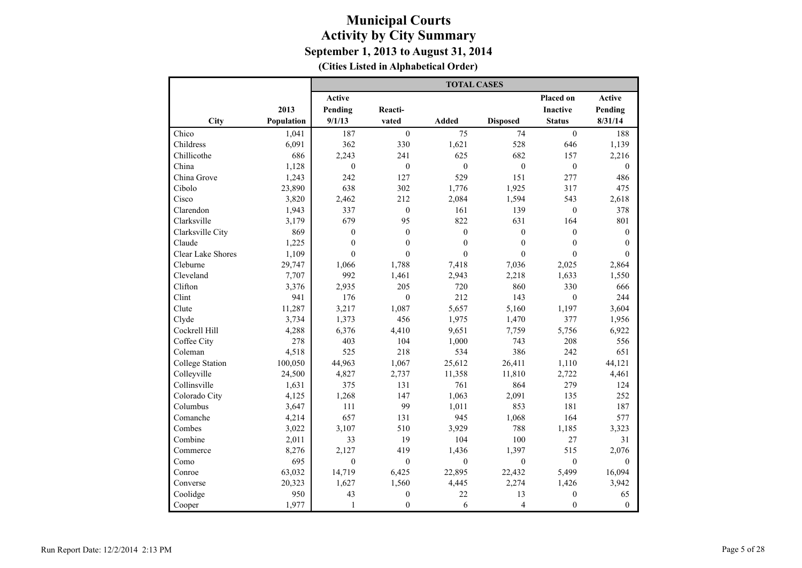|                          |            |                  |                  | <b>TOTAL CASES</b> |                  |                  |                  |
|--------------------------|------------|------------------|------------------|--------------------|------------------|------------------|------------------|
|                          |            | Active           |                  |                    |                  | Placed on        | Active           |
|                          | 2013       | Pending          | Reacti-          |                    |                  | <b>Inactive</b>  | Pending          |
| City                     | Population | 9/1/13           | vated            | <b>Added</b>       | <b>Disposed</b>  | <b>Status</b>    | 8/31/14          |
| Chico                    | 1,041      | 187              | $\boldsymbol{0}$ | 75                 | 74               | $\mathbf{0}$     | 188              |
| Childress                | 6,091      | 362              | 330              | 1,621              | 528              | 646              | 1,139            |
| Chillicothe              | 686        | 2,243            | 241              | 625                | 682              | 157              | 2,216            |
| China                    | 1,128      | $\boldsymbol{0}$ | $\boldsymbol{0}$ | $\mathbf{0}$       | $\boldsymbol{0}$ | $\boldsymbol{0}$ | $\overline{0}$   |
| China Grove              | 1,243      | 242              | 127              | 529                | 151              | 277              | 486              |
| Cibolo                   | 23,890     | 638              | 302              | 1,776              | 1,925            | 317              | 475              |
| Cisco                    | 3,820      | 2,462            | 212              | 2,084              | 1,594            | 543              | 2,618            |
| Clarendon                | 1,943      | 337              | $\boldsymbol{0}$ | 161                | 139              | $\boldsymbol{0}$ | 378              |
| Clarksville              | 3,179      | 679              | 95               | 822                | 631              | 164              | 801              |
| Clarksville City         | 869        | $\mathbf{0}$     | $\boldsymbol{0}$ | $\mathbf{0}$       | $\boldsymbol{0}$ | $\boldsymbol{0}$ | $\boldsymbol{0}$ |
| Claude                   | 1,225      | $\mathbf{0}$     | $\boldsymbol{0}$ | $\mathbf{0}$       | $\boldsymbol{0}$ | $\mathbf{0}$     | $\mathbf{0}$     |
| <b>Clear Lake Shores</b> | 1,109      | $\theta$         | $\theta$         | $\theta$           | $\theta$         | $\theta$         | $\Omega$         |
| Cleburne                 | 29,747     | 1,066            | 1,788            | 7,418              | 7,036            | 2,025            | 2,864            |
| Cleveland                | 7,707      | 992              | 1,461            | 2,943              | 2,218            | 1,633            | 1,550            |
| Clifton                  | 3,376      | 2,935            | 205              | 720                | 860              | 330              | 666              |
| Clint                    | 941        | 176              | $\mathbf{0}$     | 212                | 143              | $\mathbf{0}$     | 244              |
| Clute                    | 11,287     | 3,217            | 1,087            | 5,657              | 5,160            | 1,197            | 3,604            |
| Clyde                    | 3,734      | 1,373            | 456              | 1,975              | 1,470            | 377              | 1,956            |
| Cockrell Hill            | 4,288      | 6,376            | 4,410            | 9,651              | 7,759            | 5,756            | 6,922            |
| Coffee City              | 278        | 403              | 104              | 1,000              | 743              | 208              | 556              |
| Coleman                  | 4,518      | 525              | 218              | 534                | 386              | 242              | 651              |
| <b>College Station</b>   | 100,050    | 44,963           | 1,067            | 25,612             | 26,411           | 1,110            | 44,121           |
| Colleyville              | 24,500     | 4,827            | 2,737            | 11,358             | 11,810           | 2,722            | 4,461            |
| Collinsville             | 1,631      | 375              | 131              | 761                | 864              | 279              | 124              |
| Colorado City            | 4,125      | 1,268            | 147              | 1,063              | 2,091            | 135              | 252              |
| Columbus                 | 3,647      | 111              | 99               | 1,011              | 853              | 181              | 187              |
| Comanche                 | 4,214      | 657              | 131              | 945                | 1,068            | 164              | 577              |
| Combes                   | 3,022      | 3,107            | 510              | 3,929              | 788              | 1,185            | 3,323            |
| Combine                  | 2,011      | 33               | 19               | 104                | 100              | 27               | 31               |
| Commerce                 | 8,276      | 2,127            | 419              | 1,436              | 1,397            | 515              | 2,076            |
| Como                     | 695        | $\mathbf{0}$     | $\theta$         | $\mathbf{0}$       | $\theta$         | $\mathbf{0}$     | $\theta$         |
| Conroe                   | 63,032     | 14,719           | 6,425            | 22,895             | 22,432           | 5,499            | 16,094           |
| Converse                 | 20,323     | 1,627            | 1,560            | 4,445              | 2,274            | 1,426            | 3,942            |
| Coolidge                 | 950        | 43               | $\boldsymbol{0}$ | 22                 | 13               | $\boldsymbol{0}$ | 65               |
| Cooper                   | 1,977      | $\mathbf{1}$     | $\theta$         | 6                  | $\overline{4}$   | $\mathbf{0}$     | $\boldsymbol{0}$ |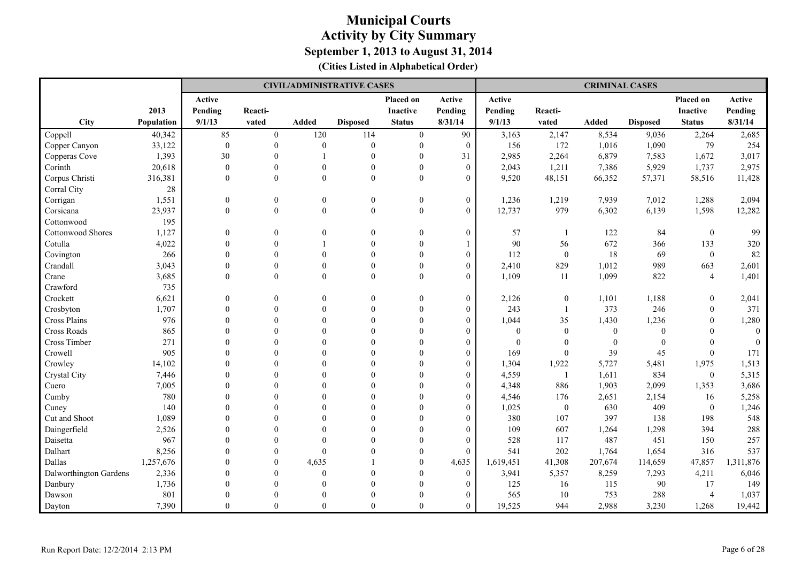|                          |            |                  |                |                  | <b>CIVIL/ADMINISTRATIVE CASES</b> |                  |                  |           |                  | <b>CRIMINAL CASES</b> |                 |                  |                  |
|--------------------------|------------|------------------|----------------|------------------|-----------------------------------|------------------|------------------|-----------|------------------|-----------------------|-----------------|------------------|------------------|
|                          |            | Active           |                |                  |                                   | Placed on        | Active           | Active    |                  |                       |                 | Placed on        | Active           |
|                          | 2013       | Pending          | Reacti-        |                  |                                   | <b>Inactive</b>  | Pending          | Pending   | Reacti-          |                       |                 | <b>Inactive</b>  | Pending          |
| City                     | Population | 9/1/13           | vated          | Added            | <b>Disposed</b>                   | <b>Status</b>    | 8/31/14          | 9/1/13    | vated            | <b>Added</b>          | <b>Disposed</b> | <b>Status</b>    | 8/31/14          |
| Coppell                  | 40,342     | 85               | $\mathbf{0}$   | 120              | 114                               | $\overline{0}$   | 90               | 3,163     | 2,147            | 8,534                 | 9,036           | 2,264            | 2,685            |
| Copper Canyon            | 33,122     | $\boldsymbol{0}$ | $\overline{0}$ | $\theta$         | $\boldsymbol{0}$                  | $\mathbf{0}$     | $\mathbf{0}$     | 156       | 172              | 1,016                 | 1,090           | 79               | 254              |
| Copperas Cove            | 1,393      | 30               | $\Omega$       |                  | $\theta$                          | $\Omega$         | 31               | 2,985     | 2,264            | 6,879                 | 7,583           | 1,672            | 3,017            |
| Corinth                  | 20,618     | $\boldsymbol{0}$ | $\mathbf{0}$   | $\Omega$         | $\mathbf{0}$                      | $\theta$         | $\mathbf{0}$     | 2,043     | 1,211            | 7,386                 | 5,929           | 1,737            | 2,975            |
| Corpus Christi           | 316,381    | $\theta$         | $\theta$       | $\theta$         | $\theta$                          | $\Omega$         | $\theta$         | 9,520     | 48,151           | 66,352                | 57,371          | 58,516           | 11,428           |
| Corral City              | $28\,$     |                  |                |                  |                                   |                  |                  |           |                  |                       |                 |                  |                  |
| Corrigan                 | 1,551      | $\boldsymbol{0}$ | $\mathbf{0}$   | $\boldsymbol{0}$ | $\boldsymbol{0}$                  | $\boldsymbol{0}$ | $\mathbf{0}$     | 1,236     | 1,219            | 7,939                 | 7,012           | 1,288            | 2,094            |
| Corsicana                | 23,937     | $\mathbf{0}$     | $\overline{0}$ | $\mathbf{0}$     | $\overline{0}$                    | $\mathbf{0}$     | $\overline{0}$   | 12,737    | 979              | 6,302                 | 6,139           | 1,598            | 12,282           |
| Cottonwood               | 195        |                  |                |                  |                                   |                  |                  |           |                  |                       |                 |                  |                  |
| <b>Cottonwood Shores</b> | 1,127      | $\theta$         | $\Omega$       | $\Omega$         | $\Omega$                          | $\theta$         | $\theta$         | 57        | $\mathbf{1}$     | 122                   | 84              | $\mathbf{0}$     | 99               |
| Cotulla                  | 4,022      |                  | $\Omega$       |                  | $\Omega$                          | $\theta$         |                  | 90        | 56               | 672                   | 366             | 133              | 320              |
| Covington                | 266        |                  | $\Omega$       | $\Omega$         | $\Omega$                          | $\Omega$         | $\theta$         | 112       | $\mathbf{0}$     | 18                    | 69              | $\mathbf{0}$     | 82               |
| Crandall                 | 3,043      | $\Omega$         | $\Omega$       | $\Omega$         | $\Omega$                          | $\Omega$         | $\theta$         | 2,410     | 829              | 1,012                 | 989             | 663              | 2,601            |
| Crane                    | 3,685      | $\theta$         | $\overline{0}$ | $\theta$         | $\theta$                          | $\theta$         | $\theta$         | 1,109     | 11               | 1,099                 | 822             | $\overline{4}$   | 1,401            |
| Crawford                 | 735        |                  |                |                  |                                   |                  |                  |           |                  |                       |                 |                  |                  |
| Crockett                 | 6,621      | $\mathbf{0}$     | $\Omega$       | $\Omega$         | $\Omega$                          | $\Omega$         | $\boldsymbol{0}$ | 2,126     | $\boldsymbol{0}$ | 1,101                 | 1,188           | $\mathbf{0}$     | 2,041            |
| Crosbyton                | 1,707      | $\theta$         | $\Omega$       | $\Omega$         |                                   | $\Omega$         | $\theta$         | 243       | $\mathbf{1}$     | 373                   | 246             | $\Omega$         | 371              |
| <b>Cross Plains</b>      | 976        |                  | $\Omega$       |                  |                                   | $\Omega$         | $\Omega$         | 1,044     | 35               | 1,430                 | 1,236           | $\Omega$         | 1,280            |
| Cross Roads              | 865        |                  | $\Omega$       |                  | $\Omega$                          | $\Omega$         | $\Omega$         | $\Omega$  | $\mathbf{0}$     | $\theta$              | $\mathbf{0}$    | $\Omega$         | $\boldsymbol{0}$ |
| Cross Timber             | 271        |                  |                |                  |                                   |                  | $\theta$         | $\Omega$  | $\Omega$         | $\mathbf{0}$          | $\mathbf{0}$    | $\Omega$         | $\boldsymbol{0}$ |
| Crowell                  | 905        |                  |                |                  |                                   |                  | $\mathbf{0}$     | 169       | $\boldsymbol{0}$ | 39                    | 45              | $\mathbf{0}$     | 171              |
| Crowley                  | 14,102     |                  |                |                  |                                   |                  | $\mathbf{0}$     | 1,304     | 1,922            | 5,727                 | 5,481           | 1,975            | 1,513            |
| Crystal City             | 7,446      |                  |                |                  |                                   | $\Omega$         | $\theta$         | 4,559     | $\mathbf{1}$     | 1,611                 | 834             | $\boldsymbol{0}$ | 5,315            |
| Cuero                    | 7,005      |                  |                |                  |                                   | $\Omega$         | $\Omega$         | 4,348     | 886              | 1,903                 | 2,099           | 1,353            | 3,686            |
| Cumby                    | 780        |                  |                |                  |                                   | $\Omega$         | $\Omega$         | 4,546     | 176              | 2,651                 | 2,154           | 16               | 5,258            |
| Cuney                    | 140        |                  |                | $\Omega$         |                                   | $\Omega$         | $\theta$         | 1,025     | $\mathbf{0}$     | 630                   | 409             | $\mathbf{0}$     | 1,246            |
| Cut and Shoot            | 1,089      | $\Omega$         |                | $\Omega$         |                                   | $\Omega$         | $\theta$         | 380       | 107              | 397                   | 138             | 198              | 548              |
| Daingerfield             | 2,526      |                  |                |                  |                                   | $\Omega$         | $\theta$         | 109       | 607              | 1,264                 | 1,298           | 394              | 288              |
| Daisetta                 | 967        |                  |                |                  |                                   |                  | $\theta$         | 528       | 117              | 487                   | 451             | 150              | 257              |
| Dalhart                  | 8,256      |                  |                | $\Omega$         |                                   |                  | $\theta$         | 541       | 202              | 1,764                 | 1,654           | 316              | 537              |
| Dallas                   | 1,257,676  |                  | $\Omega$       | 4,635            |                                   |                  | 4,635            | 1,619,451 | 41,308           | 207,674               | 114,659         | 47,857           | 1,311,876        |
| Dalworthington Gardens   | 2,336      |                  | $\Omega$       | $\Omega$         |                                   |                  | $\mathbf{0}$     | 3,941     | 5,357            | 8,259                 | 7,293           | 4,211            | 6,046            |
| Danbury                  | 1,736      |                  |                |                  |                                   |                  | $\theta$         | 125       | 16               | 115                   | 90              | 17               | 149              |
| Dawson                   | 801        |                  |                |                  |                                   | $\Omega$         | $\mathbf{0}$     | 565       | $10\,$           | 753                   | 288             | $\overline{4}$   | 1,037            |
| Dayton                   | 7,390      | $\theta$         | $\Omega$       | $\theta$         | $\Omega$                          | $\Omega$         | $\theta$         | 19,525    | 944              | 2,988                 | 3,230           | 1,268            | 19,442           |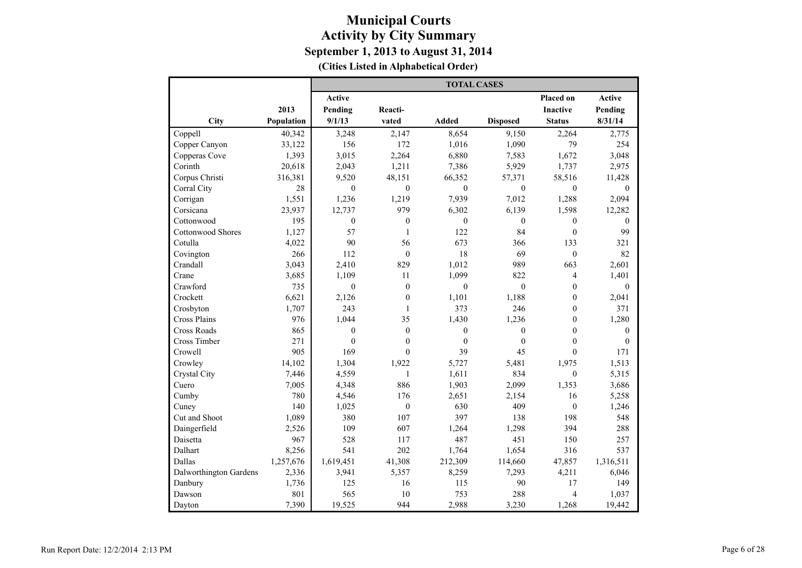|                        |            |                  |                  | <b>TOTAL CASES</b> |                  |                  |              |
|------------------------|------------|------------------|------------------|--------------------|------------------|------------------|--------------|
|                        |            | Active           |                  |                    |                  | Placed on        | Active       |
|                        | 2013       | Pending          | Reacti-          |                    |                  | <b>Inactive</b>  | Pending      |
| City                   | Population | 9/1/13           | vated            | <b>Added</b>       | <b>Disposed</b>  | <b>Status</b>    | 8/31/14      |
| Coppell                | 40,342     | 3,248            | 2,147            | 8,654              | 9,150            | 2,264            | 2,775        |
| Copper Canyon          | 33,122     | 156              | 172              | 1,016              | 1,090            | 79               | 254          |
| Copperas Cove          | 1,393      | 3,015            | 2,264            | 6,880              | 7,583            | 1,672            | 3,048        |
| Corinth                | 20,618     | 2,043            | 1,211            | 7,386              | 5,929            | 1,737            | 2,975        |
| Corpus Christi         | 316,381    | 9,520            | 48,151           | 66,352             | 57,371           | 58,516           | 11,428       |
| Corral City            | 28         | $\mathbf{0}$     | $\mathbf{0}$     | $\mathbf{0}$       | $\mathbf{0}$     | $\mathbf{0}$     | $\theta$     |
| Corrigan               | 1,551      | 1,236            | 1,219            | 7,939              | 7,012            | 1,288            | 2,094        |
| Corsicana              | 23,937     | 12,737           | 979              | 6,302              | 6,139            | 1,598            | 12,282       |
| Cottonwood             | 195        | $\mathbf{0}$     | $\boldsymbol{0}$ | $\mathbf{0}$       | $\boldsymbol{0}$ | $\boldsymbol{0}$ | $\mathbf{0}$ |
| Cottonwood Shores      | 1,127      | 57               | $\mathbf{1}$     | 122                | 84               | $\boldsymbol{0}$ | 99           |
| Cotulla                | 4,022      | 90               | 56               | 673                | 366              | 133              | 321          |
| Covington              | 266        | 112              | $\mathbf{0}$     | 18                 | 69               | $\boldsymbol{0}$ | 82           |
| Crandall               | 3,043      | 2,410            | 829              | 1,012              | 989              | 663              | 2,601        |
| Crane                  | 3,685      | 1,109            | 11               | 1,099              | 822              | $\overline{4}$   | 1,401        |
| Crawford               | 735        | $\mathbf{0}$     | $\mathbf{0}$     | $\mathbf{0}$       | $\mathbf{0}$     | $\mathbf{0}$     | $\mathbf{0}$ |
| Crockett               | 6,621      | 2,126            | $\mathbf{0}$     | 1,101              | 1,188            | $\overline{0}$   | 2,041        |
| Crosbyton              | 1,707      | 243              | 1                | 373                | 246              | $\boldsymbol{0}$ | 371          |
| Cross Plains           | 976        | 1,044            | 35               | 1,430              | 1,236            | $\boldsymbol{0}$ | 1,280        |
| <b>Cross Roads</b>     | 865        | $\mathbf{0}$     | $\mathbf{0}$     | $\mathbf{0}$       | $\boldsymbol{0}$ | $\mathbf{0}$     | $\mathbf{0}$ |
| Cross Timber           | 271        | $\boldsymbol{0}$ | $\overline{0}$   | $\boldsymbol{0}$   | $\boldsymbol{0}$ | $\boldsymbol{0}$ | $\theta$     |
| Crowell                | 905        | 169              | $\theta$         | 39                 | 45               | $\theta$         | 171          |
| Crowley                | 14,102     | 1,304            | 1,922            | 5,727              | 5,481            | 1,975            | 1,513        |
| Crystal City           | 7,446      | 4,559            | 1                | 1,611              | 834              | $\mathbf{0}$     | 5,315        |
| Cuero                  | 7,005      | 4,348            | 886              | 1,903              | 2,099            | 1,353            | 3,686        |
| Cumby                  | 780        | 4,546            | 176              | 2,651              | 2,154            | 16               | 5,258        |
| Cuney                  | 140        | 1,025            | $\mathbf{0}$     | 630                | 409              | $\mathbf{0}$     | 1,246        |
| Cut and Shoot          | 1,089      | 380              | 107              | 397                | 138              | 198              | 548          |
| Daingerfield           | 2,526      | 109              | 607              | 1,264              | 1,298            | 394              | 288          |
| Daisetta               | 967        | 528              | 117              | 487                | 451              | 150              | 257          |
| Dalhart                | 8,256      | 541              | 202              | 1,764              | 1,654            | 316              | 537          |
| Dallas                 | 1,257,676  | 1,619,451        | 41,308           | 212,309            | 114,660          | 47,857           | 1,316,511    |
| Dalworthington Gardens | 2,336      | 3,941            | 5,357            | 8,259              | 7,293            | 4,211            | 6,046        |
| Danbury                | 1,736      | 125              | 16               | 115                | 90               | 17               | 149          |
| Dawson                 | 801        | 565              | 10               | 753                | 288              | $\overline{4}$   | 1,037        |
| Dayton                 | 7,390      | 19,525           | 944              | 2,988              | 3,230            | 1,268            | 19,442       |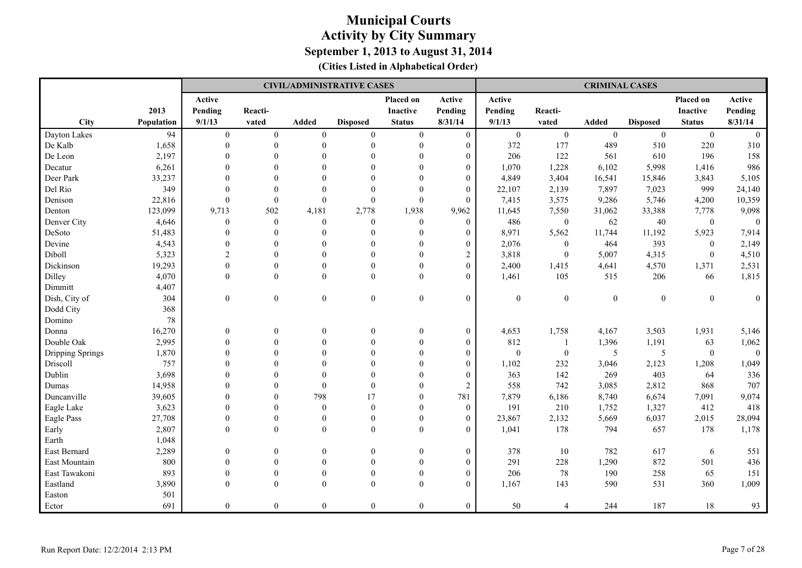|                  |                   |                |                  |                  | <b>CIVIL/ADMINISTRATIVE CASES</b> |                  |                  |                  |                  | <b>CRIMINAL CASES</b> |                  |                  |                  |
|------------------|-------------------|----------------|------------------|------------------|-----------------------------------|------------------|------------------|------------------|------------------|-----------------------|------------------|------------------|------------------|
|                  |                   | Active         |                  |                  |                                   | Placed on        | Active           | Active           |                  |                       |                  | Placed on        | Active           |
|                  | 2013              | Pending        | Reacti-          |                  |                                   | <b>Inactive</b>  | Pending          | Pending          | Reacti-          |                       |                  | <b>Inactive</b>  | Pending          |
| <b>City</b>      | <b>Population</b> | 9/1/13         | vated            | <b>Added</b>     | <b>Disposed</b>                   | <b>Status</b>    | 8/31/14          | 9/1/13           | vated            | Added                 | <b>Disposed</b>  | <b>Status</b>    | 8/31/14          |
| Dayton Lakes     | 94                | $\mathbf{0}$   | $\boldsymbol{0}$ | $\boldsymbol{0}$ | $\mathbf{0}$                      | $\mathbf{0}$     | $\overline{0}$   | $\overline{0}$   | $\boldsymbol{0}$ | $\mathbf{0}$          | $\boldsymbol{0}$ | $\overline{0}$   | $\boldsymbol{0}$ |
| De Kalb          | 1,658             | $\theta$       | $\theta$         | $\Omega$         | $\theta$                          | $\mathbf{0}$     | $\mathbf{0}$     | 372              | 177              | 489                   | 510              | 220              | 310              |
| De Leon          | 2,197             | $\Omega$       | $\Omega$         | $\Omega$         | $\theta$                          | $\theta$         | $\mathbf{0}$     | 206              | 122              | 561                   | 610              | 196              | 158              |
| Decatur          | 6,261             |                | $\Omega$         | $\Omega$         |                                   |                  | $\mathbf{0}$     | 1,070            | 1,228            | 6,102                 | 5,998            | 1,416            | 986              |
| Deer Park        | 33,237            |                |                  | $\Omega$         |                                   |                  | $\theta$         | 4,849            | 3,404            | 16,541                | 15,846           | 3,843            | 5,105            |
| Del Rio          | 349               | $\Omega$       | $\Omega$         | $\Omega$         |                                   |                  | $\mathbf{0}$     | 22,107           | 2,139            | 7,897                 | 7,023            | 999              | 24,140           |
| Denison          | 22,816            | $\theta$       | $\mathbf{0}$     | $\mathbf{0}$     | $\mathbf{0}$                      | $\theta$         | $\mathbf{0}$     | 7,415            | 3,575            | 9,286                 | 5,746            | 4,200            | 10,359           |
| Denton           | 123,099           | 9,713          | 502              | 4,181            | 2,778                             | 1,938            | 9,962            | 11,645           | 7,550            | 31,062                | 33,388           | 7,778            | 9,098            |
| Denver City      | 4,646             | $\theta$       | $\boldsymbol{0}$ | $\theta$         | $\theta$                          | $\mathbf{0}$     | $\mathbf{0}$     | 486              | $\boldsymbol{0}$ | 62                    | $40\,$           | $\boldsymbol{0}$ | $\boldsymbol{0}$ |
| DeSoto           | 51,483            | $\Omega$       | $\Omega$         | $\Omega$         | $\Omega$                          | $\Omega$         | $\theta$         | 8,971            | 5,562            | 11,744                | 11,192           | 5,923            | 7,914            |
| Devine           | 4,543             | $\theta$       | $\Omega$         | $\Omega$         |                                   |                  | $\theta$         | 2,076            | $\boldsymbol{0}$ | 464                   | 393              | $\mathbf{0}$     | 2,149            |
| Diboll           | 5,323             | $\overline{2}$ | $\Omega$         | $\Omega$         |                                   |                  | 2                | 3,818            | $\mathbf{0}$     | 5,007                 | 4,315            | $\mathbf{0}$     | 4,510            |
| Dickinson        | 19,293            | $\theta$       | $\theta$         | $\theta$         | $\Omega$                          | $\Omega$         | $\mathbf{0}$     | 2,400            | 1,415            | 4,641                 | 4,570            | 1,371            | 2,531            |
| Dilley           | 4,070             | $\theta$       | $\mathbf{0}$     | $\mathbf{0}$     | $\theta$                          | $\mathbf{0}$     | $\overline{0}$   | 1,461            | 105              | 515                   | 206              | 66               | 1,815            |
| Dimmitt          | 4,407             |                |                  |                  |                                   |                  |                  |                  |                  |                       |                  |                  |                  |
| Dish, City of    | 304               | $\mathbf{0}$   | $\boldsymbol{0}$ | $\boldsymbol{0}$ | $\boldsymbol{0}$                  | $\boldsymbol{0}$ | $\boldsymbol{0}$ | $\boldsymbol{0}$ | $\boldsymbol{0}$ | $\boldsymbol{0}$      | $\boldsymbol{0}$ | $\mathbf{0}$     | $\boldsymbol{0}$ |
| Dodd City        | 368               |                |                  |                  |                                   |                  |                  |                  |                  |                       |                  |                  |                  |
| Domino           | 78                |                |                  |                  |                                   |                  |                  |                  |                  |                       |                  |                  |                  |
| Donna            | 16,270            | $\mathbf{0}$   | $\theta$         | $\mathbf{0}$     | $\theta$                          | $\mathbf{0}$     | $\boldsymbol{0}$ | 4,653            | 1,758            | 4,167                 | 3,503            | 1,931            | 5,146            |
| Double Oak       | 2,995             | $\theta$       | $\theta$         | $\theta$         |                                   | $\Omega$         | $\boldsymbol{0}$ | 812              | 1                | 1,396                 | 1,191            | 63               | 1,062            |
| Dripping Springs | 1,870             | $\theta$       | $\Omega$         | $\Omega$         |                                   |                  | $\boldsymbol{0}$ | $\boldsymbol{0}$ | $\boldsymbol{0}$ | 5                     | $\sqrt{5}$       | $\boldsymbol{0}$ | $\mathbf{0}$     |
| Driscoll         | 757               |                |                  |                  |                                   |                  | $\mathbf{0}$     | 1,102            | 232              | 3,046                 | 2,123            | 1,208            | 1,049            |
| Dublin           | 3,698             |                |                  | $\Omega$         |                                   |                  | $\theta$         | 363              | 142              | 269                   | 403              | 64               | 336              |
| Dumas            | 14,958            | $\Omega$       |                  | $\Omega$         | $\theta$                          | $\Omega$         | 2                | 558              | 742              | 3,085                 | 2,812            | 868              | 707              |
| Duncanville      | 39,605            | $\Omega$       | $\Omega$         | 798              | 17                                | $\Omega$         | 781              | 7,879            | 6,186            | 8,740                 | 6,674            | 7,091            | 9,074            |
| Eagle Lake       | 3,623             | $\Omega$       | $\theta$         | $\theta$         | $\theta$                          | $\Omega$         | $\mathbf{0}$     | 191              | 210              | 1,752                 | 1,327            | 412              | 418              |
| Eagle Pass       | 27,708            | $\theta$       | $\Omega$         | $\theta$         | $\mathbf{0}$                      | $\theta$         | $\mathbf{0}$     | 23,867           | 2,132            | 5,669                 | 6,037            | 2,015            | 28,094           |
| Early            | 2,807             | $\theta$       | $\mathbf{0}$     | $\mathbf{0}$     | $\mathbf{0}$                      | $\theta$         | $\overline{0}$   | 1,041            | 178              | 794                   | 657              | 178              | 1,178            |
| Earth            | 1,048             |                |                  |                  |                                   |                  |                  |                  |                  |                       |                  |                  |                  |
| East Bernard     | 2,289             | $\theta$       | $\Omega$         | $\theta$         | $\theta$                          | $\mathbf{0}$     | $\mathbf{0}$     | 378              | $10\,$           | 782                   | 617              | 6                | 551              |
| East Mountain    | 800               | $\theta$       | $\Omega$         | $\Omega$         | $\theta$                          | $\theta$         | $\mathbf{0}$     | 291              | 228              | 1,290                 | 872              | 501              | 436              |
| East Tawakoni    | 893               | $\Omega$       | $\boldsymbol{0}$ | $\Omega$         | $\boldsymbol{0}$                  | $\Omega$         | $\boldsymbol{0}$ | 206              | 78               | 190                   | 258              | 65               | 151              |
| Eastland         | 3,890             | $\Omega$       | $\theta$         | $\Omega$         | $\Omega$                          | $\Omega$         | $\mathbf{0}$     | 1,167            | 143              | 590                   | 531              | 360              | 1,009            |
| Easton           | 501               |                |                  |                  |                                   |                  |                  |                  |                  |                       |                  |                  |                  |
| Ector            | 691               | $\mathbf{0}$   | $\mathbf{0}$     | $\mathbf{0}$     | $\mathbf{0}$                      | $\mathbf{0}$     | $\mathbf{0}$     | 50               | 4                | 244                   | 187              | 18               | 93               |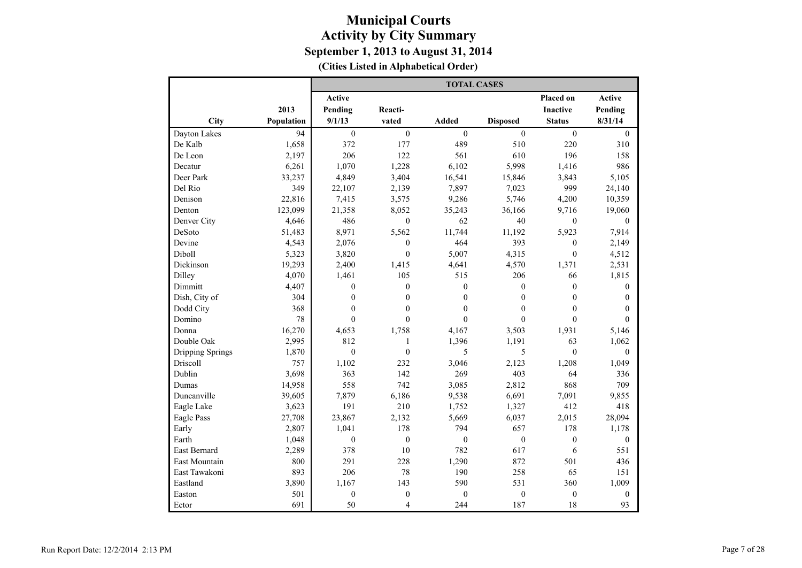**(Cities Listed in Alphabetical Order)**

|                     |            |                  |                  | <b>TOTAL CASES</b> |                  |                  |                  |
|---------------------|------------|------------------|------------------|--------------------|------------------|------------------|------------------|
|                     |            | <b>Active</b>    |                  |                    |                  | <b>Placed on</b> | Active           |
|                     | 2013       | Pending          | Reacti-          |                    |                  | <b>Inactive</b>  | Pending          |
| City                | Population | 9/1/13           | vated            | <b>Added</b>       | <b>Disposed</b>  | <b>Status</b>    | 8/31/14          |
| Dayton Lakes        | 94         | $\mathbf{0}$     | $\boldsymbol{0}$ | $\theta$           | $\boldsymbol{0}$ | $\boldsymbol{0}$ | $\mathbf{0}$     |
| De Kalb             | 1,658      | 372              | 177              | 489                | 510              | 220              | 310              |
| De Leon             | 2,197      | 206              | 122              | 561                | 610              | 196              | 158              |
| Decatur             | 6,261      | 1.070            | 1,228            | 6,102              | 5,998            | 1,416            | 986              |
| Deer Park           | 33,237     | 4,849            | 3,404            | 16,541             | 15,846           | 3,843            | 5,105            |
| Del Rio             | 349        | 22,107           | 2,139            | 7,897              | 7,023            | 999              | 24,140           |
| Denison             | 22,816     | 7,415            | 3,575            | 9,286              | 5,746            | 4,200            | 10,359           |
| Denton              | 123,099    | 21,358           | 8,052            | 35,243             | 36,166           | 9,716            | 19,060           |
| Denver City         | 4,646      | 486              | $\boldsymbol{0}$ | 62                 | 40               | $\theta$         | $\theta$         |
| DeSoto              | 51,483     | 8,971            | 5,562            | 11,744             | 11,192           | 5,923            | 7,914            |
| Devine              | 4,543      | 2,076            | $\mathbf{0}$     | 464                | 393              | $\boldsymbol{0}$ | 2,149            |
| <b>Diboll</b>       | 5,323      | 3,820            | $\theta$         | 5,007              | 4,315            | $\mathbf{0}$     | 4,512            |
| Dickinson           | 19,293     | 2,400            | 1,415            | 4,641              | 4,570            | 1,371            | 2,531            |
| Dilley              | 4,070      | 1,461            | 105              | 515                | 206              | 66               | 1,815            |
| Dimmitt             | 4,407      | $\mathbf{0}$     | $\mathbf{0}$     | $\mathbf{0}$       | $\mathbf{0}$     | $\boldsymbol{0}$ | $\mathbf{0}$     |
| Dish, City of       | 304        | $\boldsymbol{0}$ | $\boldsymbol{0}$ | $\mathbf{0}$       | $\boldsymbol{0}$ | $\boldsymbol{0}$ | $\mathbf{0}$     |
| Dodd City           | 368        | $\boldsymbol{0}$ | $\boldsymbol{0}$ | $\boldsymbol{0}$   | $\boldsymbol{0}$ | $\boldsymbol{0}$ | $\boldsymbol{0}$ |
| Domino              | 78         | $\theta$         | $\theta$         | $\theta$           | $\theta$         | $\theta$         | $\theta$         |
| Donna               | 16,270     | 4,653            | 1,758            | 4,167              | 3,503            | 1,931            | 5,146            |
| Double Oak          | 2,995      | 812              | 1                | 1,396              | 1,191            | 63               | 1,062            |
| Dripping Springs    | 1,870      | $\theta$         | $\boldsymbol{0}$ | 5                  | 5                | $\theta$         | $\theta$         |
| Driscoll            | 757        | 1,102            | 232              | 3,046              | 2,123            | 1,208            | 1,049            |
| Dublin              | 3,698      | 363              | 142              | 269                | 403              | 64               | 336              |
| Dumas               | 14,958     | 558              | 742              | 3,085              | 2,812            | 868              | 709              |
| Duncanville         | 39,605     | 7,879            | 6,186            | 9,538              | 6,691            | 7,091            | 9,855            |
| Eagle Lake          | 3,623      | 191              | 210              | 1,752              | 1,327            | 412              | 418              |
| Eagle Pass          | 27,708     | 23,867           | 2,132            | 5,669              | 6,037            | 2,015            | 28,094           |
| Early               | 2,807      | 1,041            | 178              | 794                | 657              | 178              | 1,178            |
| Earth               | 1,048      | $\mathbf{0}$     | $\mathbf{0}$     | $\mathbf{0}$       | $\mathbf{0}$     | $\mathbf{0}$     | $\theta$         |
| <b>East Bernard</b> | 2,289      | 378              | $10\,$           | 782                | 617              | 6                | 551              |
| East Mountain       | 800        | 291              | 228              | 1,290              | 872              | 501              | 436              |
| East Tawakoni       | 893        | 206              | 78               | 190                | 258              | 65               | 151              |
| Eastland            | 3,890      | 1,167            | 143              | 590                | 531              | 360              | 1,009            |
| Easton              | 501        | $\boldsymbol{0}$ | $\boldsymbol{0}$ | $\boldsymbol{0}$   | $\boldsymbol{0}$ | $\boldsymbol{0}$ | $\mathbf{0}$     |
| Ector               | 691        | 50               | $\overline{4}$   | 244                | 187              | 18               | 93               |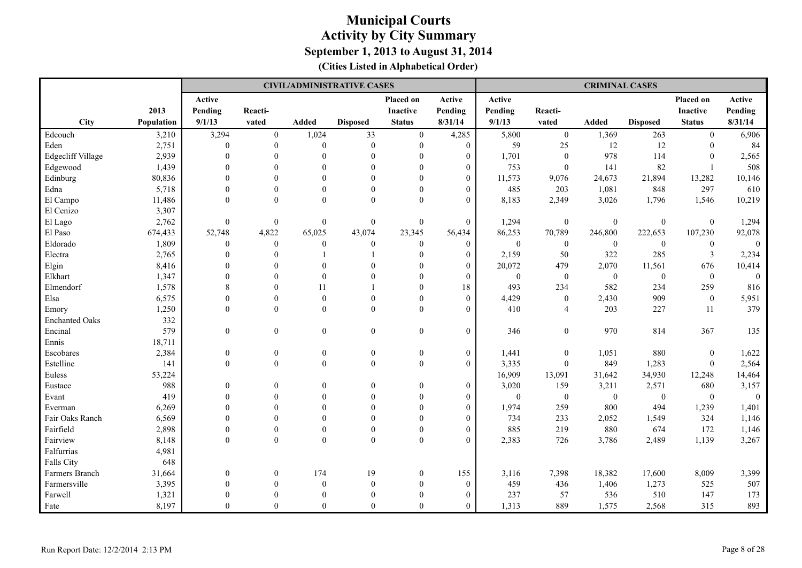|                          |            |                  |                  |                  | <b>CIVIL/ADMINISTRATIVE CASES</b> |                  |                  |                  |                  | <b>CRIMINAL CASES</b> |                  |                  |                  |
|--------------------------|------------|------------------|------------------|------------------|-----------------------------------|------------------|------------------|------------------|------------------|-----------------------|------------------|------------------|------------------|
|                          |            | Active           |                  |                  |                                   | Placed on        | Active           | Active           |                  |                       |                  | Placed on        | Active           |
|                          | 2013       | Pending          | Reacti-          |                  |                                   | Inactive         | Pending          | Pending          | Reacti-          |                       |                  | <b>Inactive</b>  | Pending          |
| City                     | Population | 9/1/13           | vated            | <b>Added</b>     | <b>Disposed</b>                   | <b>Status</b>    | 8/31/14          | 9/1/13           | vated            | Added                 | <b>Disposed</b>  | <b>Status</b>    | 8/31/14          |
| Edcouch                  | 3,210      | 3,294            | $\boldsymbol{0}$ | 1,024            | 33                                | $\mathbf{0}$     | 4,285            | 5,800            | $\boldsymbol{0}$ | 1,369                 | 263              | $\boldsymbol{0}$ | 6,906            |
| Eden                     | 2,751      | $\theta$         | $\boldsymbol{0}$ | $\mathbf{0}$     | $\boldsymbol{0}$                  | $\mathbf{0}$     | $\boldsymbol{0}$ | 59               | 25               | 12                    | 12               | $\mathbf{0}$     | 84               |
| <b>Edgecliff Village</b> | 2,939      | $\Omega$         | $\Omega$         | $\Omega$         | $\Omega$                          | $\Omega$         | $\boldsymbol{0}$ | 1,701            | $\boldsymbol{0}$ | 978                   | 114              | $\Omega$         | 2,565            |
| Edgewood                 | 1,439      | $\Omega$         | $\Omega$         | $\Omega$         | $\Omega$                          | $\Omega$         | $\theta$         | 753              | $\boldsymbol{0}$ | 141                   | 82               | $\overline{1}$   | 508              |
| Edinburg                 | 80,836     | $\Omega$         | $\Omega$         | $\Omega$         | $\Omega$                          | $\Omega$         | $\theta$         | 11,573           | 9,076            | 24,673                | 21,894           | 13,282           | 10,146           |
| Edna                     | 5,718      | $\Omega$         | $\Omega$         | $\Omega$         | $\theta$                          | $\Omega$         | $\mathbf{0}$     | 485              | 203              | 1,081                 | 848              | 297              | 610              |
| El Campo                 | 11,486     | $\theta$         | $\mathbf{0}$     | $\theta$         | $\theta$                          | $\Omega$         | $\overline{0}$   | 8,183            | 2,349            | 3,026                 | 1,796            | 1,546            | 10,219           |
| El Cenizo                | 3,307      |                  |                  |                  |                                   |                  |                  |                  |                  |                       |                  |                  |                  |
| El Lago                  | 2,762      | $\boldsymbol{0}$ | $\boldsymbol{0}$ | $\boldsymbol{0}$ | $\mathbf{0}$                      | $\boldsymbol{0}$ | $\mathbf{0}$     | 1,294            | $\boldsymbol{0}$ | $\mathbf{0}$          | $\boldsymbol{0}$ | $\boldsymbol{0}$ | 1,294            |
| El Paso                  | 674,433    | 52,748           | 4,822            | 65,025           | 43,074                            | 23,345           | 56,434           | 86,253           | 70,789           | 246,800               | 222,653          | 107,230          | 92,078           |
| Eldorado                 | 1,809      | $\mathbf{0}$     | $\mathbf{0}$     | $\mathbf{0}$     | $\boldsymbol{0}$                  | $\mathbf{0}$     | $\mathbf{0}$     | $\boldsymbol{0}$ | $\boldsymbol{0}$ | $\boldsymbol{0}$      | $\boldsymbol{0}$ | $\boldsymbol{0}$ | $\boldsymbol{0}$ |
| Electra                  | 2,765      | $\theta$         | $\Omega$         |                  |                                   | $\theta$         | $\mathbf{0}$     | 2,159            | 50               | 322                   | 285              | $\mathfrak{Z}$   | 2,234            |
| Elgin                    | 8,416      | $\mathbf{0}$     | $\theta$         | $\mathbf{0}$     | $\theta$                          | $\mathbf{0}$     | $\mathbf{0}$     | 20,072           | 479              | 2,070                 | 11,561           | 676              | 10,414           |
| Elkhart                  | 1,347      | $\mathbf{0}$     | $\theta$         | $\mathbf{0}$     |                                   | $\mathbf{0}$     | $\boldsymbol{0}$ | $\mathbf{0}$     | $\boldsymbol{0}$ | $\bf{0}$              | $\boldsymbol{0}$ | $\boldsymbol{0}$ | $\mathbf{0}$     |
| Elmendorf                | 1,578      | 8                | $\theta$         | 11               |                                   | $\theta$         | 18               | 493              | 234              | 582                   | 234              | 259              | 816              |
| Elsa                     | 6,575      | $\theta$         | $\Omega$         | $\mathbf{0}$     | $\theta$                          | $\theta$         | $\mathbf{0}$     | 4,429            | $\boldsymbol{0}$ | 2,430                 | 909              | $\mathbf{0}$     | 5,951            |
| Emory                    | 1,250      | $\theta$         | $\mathbf{0}$     | $\mathbf{0}$     | $\theta$                          | $\theta$         | $\overline{0}$   | 410              | $\overline{4}$   | 203                   | 227              | 11               | 379              |
| <b>Enchanted Oaks</b>    | 332        |                  |                  |                  |                                   |                  |                  |                  |                  |                       |                  |                  |                  |
| Encinal                  | 579        | $\theta$         | $\mathbf{0}$     | $\mathbf{0}$     | $\mathbf{0}$                      | $\mathbf{0}$     | $\mathbf{0}$     | 346              | $\mathbf{0}$     | 970                   | 814              | 367              | 135              |
| Ennis                    | 18,711     |                  |                  |                  |                                   |                  |                  |                  |                  |                       |                  |                  |                  |
| Escobares                | 2,384      | $\boldsymbol{0}$ | $\boldsymbol{0}$ | $\boldsymbol{0}$ | $\boldsymbol{0}$                  | $\boldsymbol{0}$ | $\boldsymbol{0}$ | 1,441            | $\boldsymbol{0}$ | 1,051                 | 880              | $\boldsymbol{0}$ | 1,622            |
| Estelline                | 141        | $\theta$         | $\mathbf{0}$     | $\boldsymbol{0}$ | $\boldsymbol{0}$                  | $\boldsymbol{0}$ | $\boldsymbol{0}$ | 3,335            | $\boldsymbol{0}$ | 849                   | 1,283            | $\mathbf{0}$     | 2,564            |
| Euless                   | 53,224     |                  |                  |                  |                                   |                  |                  | 16,909           | 13,091           | 31,642                | 34,930           | 12,248           | 14,464           |
| Eustace                  | 988        | $\theta$         | $\Omega$         | $\mathbf{0}$     | $\Omega$                          | $\mathbf{0}$     | $\boldsymbol{0}$ | 3,020            | 159              | 3,211                 | 2,571            | 680              | 3,157            |
| Evant                    | 419        | $\Omega$         | $\Omega$         | $\theta$         |                                   | $\theta$         | $\boldsymbol{0}$ | $\overline{0}$   | $\boldsymbol{0}$ | $\mathbf{0}$          | $\boldsymbol{0}$ | $\mathbf{0}$     | $\boldsymbol{0}$ |
| Everman                  | 6,269      | $\theta$         | $\Omega$         | $\theta$         | $\theta$                          | $\theta$         | $\boldsymbol{0}$ | 1,974            | 259              | 800                   | 494              | 1,239            | 1,401            |
| Fair Oaks Ranch          | 6,569      | $\theta$         | $\Omega$         | $\Omega$         |                                   | $\Omega$         | $\boldsymbol{0}$ | 734              | 233              | 2,052                 | 1,549            | 324              | 1,146            |
| Fairfield                | 2,898      | $\mathbf{0}$     | $\theta$         | $\theta$         |                                   | $\theta$         | $\boldsymbol{0}$ | 885              | 219              | 880                   | 674              | 172              | 1,146            |
| Fairview                 | 8,148      | $\theta$         | $\boldsymbol{0}$ | $\theta$         | $\mathbf{0}$                      | $\mathbf{0}$     | $\theta$         | 2,383            | 726              | 3,786                 | 2,489            | 1,139            | 3,267            |
| Falfurrias               | 4,981      |                  |                  |                  |                                   |                  |                  |                  |                  |                       |                  |                  |                  |
| Falls City               | 648        |                  |                  |                  |                                   |                  |                  |                  |                  |                       |                  |                  |                  |
| Farmers Branch           | 31,664     | $\theta$         | $\mathbf{0}$     | 174              | 19                                | $\mathbf{0}$     | 155              | 3,116            | 7,398            | 18,382                | 17,600           | 8,009            | 3,399            |
| Farmersville             | 3,395      | $\theta$         | $\Omega$         | $\theta$         | $\mathbf{0}$                      | $\theta$         | $\boldsymbol{0}$ | 459              | 436              | 1,406                 | 1,273            | 525              | 507              |
| Farwell                  | 1,321      | $\theta$         | $\theta$         | $\theta$         | $\theta$                          | $\mathbf{0}$     | $\boldsymbol{0}$ | 237              | 57               | 536                   | 510              | 147              | 173              |
| Fate                     | 8,197      | $\theta$         | $\Omega$         | $\theta$         | $\theta$                          | $\theta$         | $\theta$         | 1,313            | 889              | 1,575                 | 2,568            | 315              | 893              |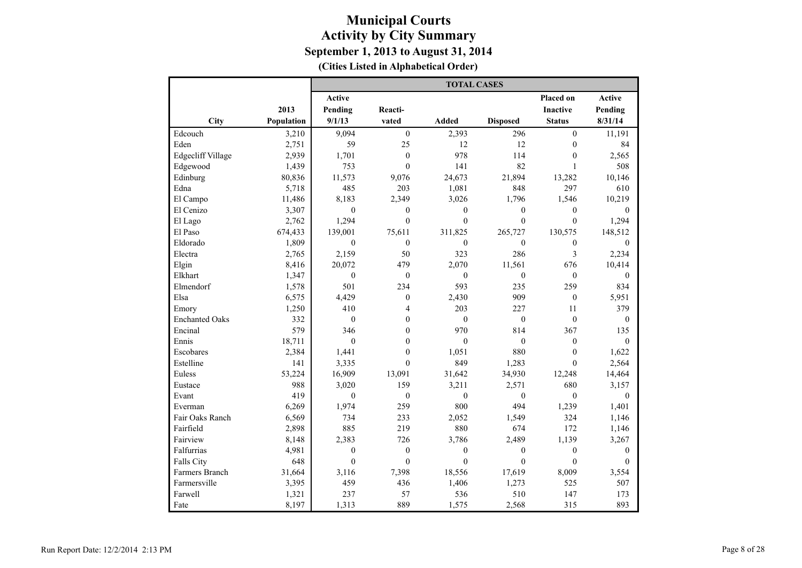|                          |            | <b>TOTAL CASES</b> |                  |                  |                  |                  |              |  |  |  |
|--------------------------|------------|--------------------|------------------|------------------|------------------|------------------|--------------|--|--|--|
|                          |            | <b>Active</b>      |                  |                  |                  | Placed on        | Active       |  |  |  |
|                          | 2013       | Pending            | Reacti-          |                  |                  | <b>Inactive</b>  | Pending      |  |  |  |
| City                     | Population | 9/1/13             | vated            | <b>Added</b>     | <b>Disposed</b>  | <b>Status</b>    | 8/31/14      |  |  |  |
| Edcouch                  | 3,210      | 9,094              | $\overline{0}$   | 2,393            | 296              | $\boldsymbol{0}$ | 11,191       |  |  |  |
| Eden                     | 2,751      | 59                 | 25               | 12               | 12               | $\mathbf{0}$     | 84           |  |  |  |
| <b>Edgecliff Village</b> | 2,939      | 1,701              | $\boldsymbol{0}$ | 978              | 114              | $\boldsymbol{0}$ | 2,565        |  |  |  |
| Edgewood                 | 1,439      | 753                | $\theta$         | 141              | 82               | 1                | 508          |  |  |  |
| Edinburg                 | 80,836     | 11,573             | 9,076            | 24,673           | 21,894           | 13,282           | 10,146       |  |  |  |
| Edna                     | 5,718      | 485                | 203              | 1,081            | 848              | 297              | 610          |  |  |  |
| El Campo                 | 11,486     | 8,183              | 2,349            | 3,026            | 1,796            | 1,546            | 10,219       |  |  |  |
| El Cenizo                | 3,307      | $\mathbf{0}$       | $\boldsymbol{0}$ | $\boldsymbol{0}$ | $\boldsymbol{0}$ | $\boldsymbol{0}$ | $\mathbf{0}$ |  |  |  |
| El Lago                  | 2,762      | 1,294              | $\overline{0}$   | $\boldsymbol{0}$ | $\mathbf{0}$     | $\mathbf{0}$     | 1,294        |  |  |  |
| El Paso                  | 674,433    | 139,001            | 75,611           | 311,825          | 265,727          | 130,575          | 148,512      |  |  |  |
| Eldorado                 | 1,809      | $\mathbf{0}$       | $\mathbf{0}$     | $\mathbf{0}$     | $\mathbf{0}$     | $\boldsymbol{0}$ | $\theta$     |  |  |  |
| Electra                  | 2,765      | 2,159              | 50               | 323              | 286              | 3                | 2,234        |  |  |  |
| Elgin                    | 8,416      | 20,072             | 479              | 2,070            | 11,561           | 676              | 10,414       |  |  |  |
| Elkhart                  | 1,347      | $\mathbf{0}$       | $\mathbf{0}$     | $\mathbf{0}$     | $\theta$         | $\mathbf{0}$     | $\theta$     |  |  |  |
| Elmendorf                | 1,578      | 501                | 234              | 593              | 235              | 259              | 834          |  |  |  |
| Elsa                     | 6,575      | 4,429              | $\overline{0}$   | 2,430            | 909              | $\mathbf{0}$     | 5,951        |  |  |  |
| Emory                    | 1,250      | 410                | $\overline{4}$   | 203              | 227              | 11               | 379          |  |  |  |
| <b>Enchanted Oaks</b>    | 332        | $\theta$           | $\overline{0}$   | $\theta$         | $\mathbf{0}$     | $\theta$         | $\theta$     |  |  |  |
| Encinal                  | 579        | 346                | $\overline{0}$   | 970              | 814              | 367              | 135          |  |  |  |
| Ennis                    | 18,711     | $\theta$           | $\theta$         | $\theta$         | $\overline{0}$   | $\mathbf{0}$     | $\theta$     |  |  |  |
| Escobares                | 2,384      | 1,441              | $\overline{0}$   | 1,051            | 880              | $\mathbf{0}$     | 1,622        |  |  |  |
| Estelline                | 141        | 3,335              | $\Omega$         | 849              | 1,283            | $\Omega$         | 2,564        |  |  |  |
| Euless                   | 53,224     | 16,909             | 13,091           | 31,642           | 34,930           | 12,248           | 14,464       |  |  |  |
| Eustace                  | 988        | 3,020              | 159              | 3,211            | 2,571            | 680              | 3,157        |  |  |  |
| Evant                    | 419        | $\mathbf{0}$       | $\mathbf{0}$     | $\mathbf{0}$     | $\theta$         | $\mathbf{0}$     | $\mathbf{0}$ |  |  |  |
| Everman                  | 6,269      | 1,974              | 259              | 800              | 494              | 1,239            | 1,401        |  |  |  |
| Fair Oaks Ranch          | 6,569      | 734                | 233              | 2,052            | 1,549            | 324              | 1,146        |  |  |  |
| Fairfield                | 2,898      | 885                | 219              | 880              | 674              | 172              | 1,146        |  |  |  |
| Fairview                 | 8,148      | 2,383              | 726              | 3,786            | 2,489            | 1,139            | 3,267        |  |  |  |
| Falfurrias               | 4,981      | $\mathbf{0}$       | $\boldsymbol{0}$ | $\boldsymbol{0}$ | $\boldsymbol{0}$ | $\boldsymbol{0}$ | $\mathbf{0}$ |  |  |  |
| Falls City               | 648        | $\theta$           | $\theta$         | $\theta$         | $\theta$         | $\theta$         | $\theta$     |  |  |  |
| Farmers Branch           | 31,664     | 3,116              | 7,398            | 18,556           | 17,619           | 8,009            | 3,554        |  |  |  |
| Farmersville             | 3,395      | 459                | 436              | 1,406            | 1,273            | 525              | 507          |  |  |  |
| Farwell                  | 1,321      | 237                | 57               | 536              | 510              | 147              | 173          |  |  |  |
| Fate                     | 8,197      | 1,313              | 889              | 1,575            | 2,568            | 315              | 893          |  |  |  |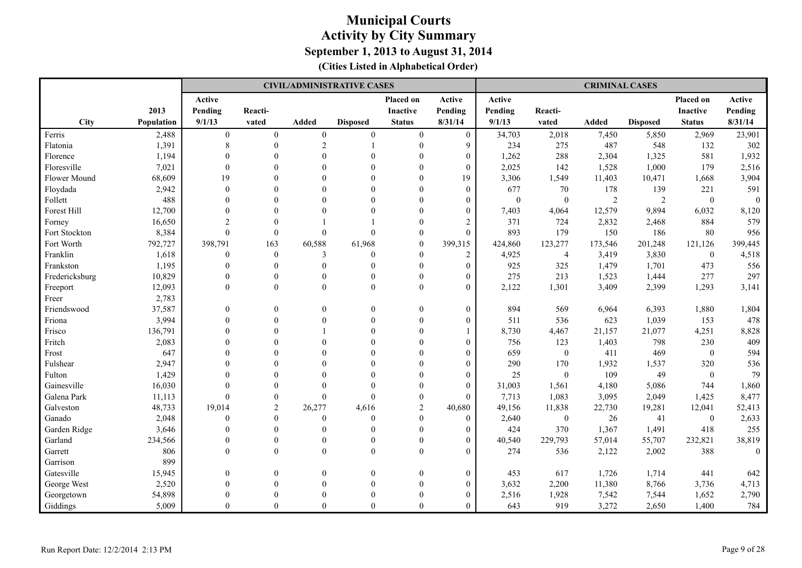|                |            |                  |                  |                  | <b>CIVIL/ADMINISTRATIVE CASES</b> |                  |                  |              |                  | <b>CRIMINAL CASES</b> |                 |                  |                  |
|----------------|------------|------------------|------------------|------------------|-----------------------------------|------------------|------------------|--------------|------------------|-----------------------|-----------------|------------------|------------------|
|                |            | Active           |                  |                  |                                   | <b>Placed on</b> | Active           | Active       |                  |                       |                 | Placed on        | Active           |
|                | 2013       | Pending          | Reacti-          |                  |                                   | <b>Inactive</b>  | Pending          | Pending      | Reacti-          |                       |                 | <b>Inactive</b>  | Pending          |
| <b>City</b>    | Population | 9/1/13           | vated            | <b>Added</b>     | <b>Disposed</b>                   | <b>Status</b>    | 8/31/14          | 9/1/13       | vated            | Added                 | <b>Disposed</b> | <b>Status</b>    | 8/31/14          |
| Ferris         | 2,488      | $\boldsymbol{0}$ | $\overline{0}$   | $\boldsymbol{0}$ | $\overline{0}$                    | $\overline{0}$   | $\overline{0}$   | 34,703       | 2,018            | 7,450                 | 5,850           | 2,969            | 23,901           |
| Flatonia       | 1,391      | 8                | $\Omega$         | $\overline{c}$   |                                   | $\theta$         | 9                | 234          | 275              | 487                   | 548             | 132              | 302              |
| Florence       | 1,194      | $\Omega$         | $\Omega$         | $\Omega$         | $\Omega$                          | $\mathbf{0}$     | $\mathbf{0}$     | 1,262        | 288              | 2,304                 | 1,325           | 581              | 1,932            |
| Floresville    | 7,021      | $\theta$         | $\Omega$         | $\Omega$         |                                   |                  | $\mathbf{0}$     | 2,025        | 142              | 1,528                 | 1,000           | 179              | 2,516            |
| Flower Mound   | 68,609     | 19               |                  | $\Omega$         |                                   |                  | 19               | 3,306        | 1,549            | 11,403                | 10,471          | 1,668            | 3,904            |
| Floydada       | 2,942      | $\theta$         |                  | $\Omega$         |                                   |                  | $\mathbf{0}$     | 677          | 70               | 178                   | 139             | 221              | 591              |
| Follett        | 488        | $\theta$         |                  |                  |                                   |                  | $\boldsymbol{0}$ | $\mathbf{0}$ | $\boldsymbol{0}$ | $\overline{2}$        | $\overline{c}$  | $\boldsymbol{0}$ | $\boldsymbol{0}$ |
| Forest Hill    | 12,700     |                  |                  |                  |                                   |                  | $\boldsymbol{0}$ | 7,403        | 4,064            | 12,579                | 9,894           | 6,032            | 8,120            |
| Forney         | 16,650     | $\overline{2}$   | $\Omega$         |                  |                                   | $\Omega$         | $\sqrt{2}$       | 371          | 724              | 2,832                 | 2,468           | 884              | 579              |
| Fort Stockton  | 8,384      | $\theta$         | $\theta$         | $\Omega$         |                                   |                  | $\theta$         | 893          | 179              | 150                   | 186             | 80               | 956              |
| Fort Worth     | 792,727    | 398,791          | 163              | 60,588           | 61,968                            | $\theta$         | 399,315          | 424,860      | 123,277          | 173,546               | 201,248         | 121,126          | 399,445          |
| Franklin       | 1,618      | $\theta$         | $\boldsymbol{0}$ | 3                | $\mathbf{0}$                      | $\Omega$         | 2                | 4,925        | $\overline{4}$   | 3,419                 | 3,830           | $\boldsymbol{0}$ | 4,518            |
| Frankston      | 1,195      | $\theta$         | $\theta$         | $\Omega$         | $\Omega$                          | $\theta$         | $\mathbf{0}$     | 925          | 325              | 1,479                 | 1,701           | 473              | 556              |
| Fredericksburg | 10,829     | $\theta$         | $\theta$         | $\theta$         | $\theta$                          | $\theta$         | $\boldsymbol{0}$ | 275          | 213              | 1,523                 | 1,444           | 277              | 297              |
| Freeport       | 12,093     | $\theta$         | $\mathbf{0}$     | $\theta$         | $\mathbf{0}$                      | $\theta$         | $\overline{0}$   | 2,122        | 1,301            | 3,409                 | 2,399           | 1,293            | 3,141            |
| Freer          | 2,783      |                  |                  |                  |                                   |                  |                  |              |                  |                       |                 |                  |                  |
| Friendswood    | 37,587     | $\theta$         | $\Omega$         | $\theta$         | $\theta$                          | $\theta$         | $\boldsymbol{0}$ | 894          | 569              | 6,964                 | 6,393           | 1,880            | 1,804            |
| Friona         | 3,994      | $\Omega$         | $\Omega$         | $\Omega$         | $\Omega$                          | $\Omega$         | $\boldsymbol{0}$ | 511          | 536              | 623                   | 1,039           | 153              | 478              |
| Frisco         | 136,791    | $\theta$         | $\Omega$         |                  | $\Omega$                          | $\theta$         | $\mathbf{1}$     | 8,730        | 4,467            | 21,157                | 21,077          | 4,251            | 8,828            |
| Fritch         | 2,083      | $\Omega$         |                  | $\theta$         |                                   |                  | $\mathbf{0}$     | 756          | 123              | 1,403                 | 798             | 230              | 409              |
| Frost          | 647        |                  |                  | $\Omega$         |                                   |                  | $\theta$         | 659          | $\boldsymbol{0}$ | 411                   | 469             | $\mathbf{0}$     | 594              |
| Fulshear       | 2,947      | $\Omega$         |                  | $\Omega$         |                                   |                  | $\theta$         | 290          | 170              | 1,932                 | 1,537           | 320              | 536              |
| Fulton         | 1,429      | $\Omega$         | $\Omega$         | $\Omega$         |                                   |                  | $\mathbf{0}$     | 25           | $\mathbf{0}$     | 109                   | 49              | $\mathbf{0}$     | 79               |
| Gainesville    | 16,030     | $\Omega$         | $\Omega$         | $\Omega$         | $\Omega$                          | $\Omega$         | $\mathbf{0}$     | 31,003       | 1,561            | 4,180                 | 5,086           | 744              | 1,860            |
| Galena Park    | 11,113     | $\theta$         | $\theta$         | $\theta$         | $\Omega$                          | $\theta$         | $\theta$         | 7,713        | 1,083            | 3,095                 | 2,049           | 1,425            | 8,477            |
| Galveston      | 48,733     | 19,014           | $\overline{2}$   | 26,277           | 4,616                             | 2                | 40,680           | 49,156       | 11,838           | 22,730                | 19,281          | 12,041           | 52,413           |
| Ganado         | 2,048      | $\theta$         | $\theta$         | $\theta$         | $\theta$                          | $\theta$         | $\overline{0}$   | 2,640        | $\boldsymbol{0}$ | 26                    | 41              | $\mathbf{0}$     | 2,633            |
| Garden Ridge   | 3,646      | $\Omega$         | $\Omega$         | $\theta$         | $\theta$                          | $\theta$         | $\mathbf{0}$     | 424          | 370              | 1,367                 | 1,491           | 418              | 255              |
| Garland        | 234,566    | $\Omega$         | $\Omega$         | $\Omega$         | $\mathbf{0}$                      | $\Omega$         | $\mathbf{0}$     | 40,540       | 229,793          | 57,014                | 55,707          | 232,821          | 38,819           |
| Garrett        | 806        | $\Omega$         | $\theta$         | $\Omega$         | $\Omega$                          |                  | $\theta$         | 274          | 536              | 2,122                 | 2,002           | 388              | $\mathbf{0}$     |
| Garrison       | 899        |                  |                  |                  |                                   |                  |                  |              |                  |                       |                 |                  |                  |
| Gatesville     | 15,945     | $\theta$         | $\theta$         | $\theta$         | $\theta$                          | $\theta$         | $\mathbf{0}$     | 453          | 617              | 1,726                 | 1,714           | 441              | 642              |
| George West    | 2,520      | $\theta$         | $\Omega$         | $\theta$         |                                   | $\Omega$         | $\boldsymbol{0}$ | 3,632        | 2,200            | 11,380                | 8,766           | 3,736            | 4,713            |
| Georgetown     | 54,898     | $\theta$         | $\Omega$         | $\Omega$         |                                   | $\theta$         | $\mathbf{0}$     | 2,516        | 1,928            | 7,542                 | 7,544           | 1,652            | 2,790            |
| Giddings       | 5,009      | $\theta$         | $\Omega$         | $\Omega$         | $\theta$                          | $\theta$         | $\overline{0}$   | 643          | 919              | 3,272                 | 2,650           | 1,400            | 784              |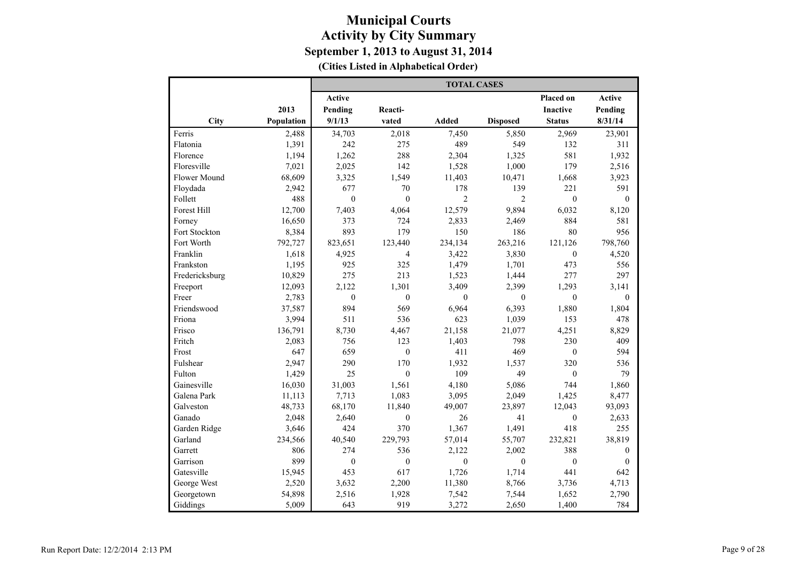**(Cities Listed in Alphabetical Order)**

|                     |            |                  |                  | <b>TOTAL CASES</b> |                  |                  |               |
|---------------------|------------|------------------|------------------|--------------------|------------------|------------------|---------------|
|                     |            | <b>Active</b>    |                  |                    |                  | Placed on        | <b>Active</b> |
|                     | 2013       | Pending          | Reacti-          |                    |                  | <b>Inactive</b>  | Pending       |
| City                | Population | 9/1/13           | vated            | <b>Added</b>       | <b>Disposed</b>  | <b>Status</b>    | 8/31/14       |
| Ferris              | 2,488      | 34,703           | 2,018            | 7,450              | 5,850            | 2,969            | 23,901        |
| Flatonia            | 1,391      | 242              | 275              | 489                | 549              | 132              | 311           |
| Florence            | 1,194      | 1,262            | 288              | 2,304              | 1,325            | 581              | 1,932         |
| Floresville         | 7,021      | 2,025            | 142              | 1,528              | 1,000            | 179              | 2,516         |
| <b>Flower Mound</b> | 68,609     | 3,325            | 1,549            | 11,403             | 10,471           | 1,668            | 3,923         |
| Floydada            | 2,942      | 677              | 70               | 178                | 139              | 221              | 591           |
| Follett             | 488        | $\mathbf{0}$     | $\mathbf{0}$     | $\overline{2}$     | $\overline{2}$   | $\mathbf{0}$     | $\mathbf{0}$  |
| Forest Hill         | 12,700     | 7,403            | 4,064            | 12,579             | 9,894            | 6,032            | 8,120         |
| Forney              | 16,650     | 373              | 724              | 2,833              | 2,469            | 884              | 581           |
| Fort Stockton       | 8,384      | 893              | 179              | 150                | 186              | 80               | 956           |
| Fort Worth          | 792,727    | 823,651          | 123,440          | 234,134            | 263,216          | 121,126          | 798,760       |
| Franklin            | 1,618      | 4,925            | $\overline{4}$   | 3,422              | 3,830            | $\boldsymbol{0}$ | 4,520         |
| Frankston           | 1,195      | 925              | 325              | 1,479              | 1,701            | 473              | 556           |
| Fredericksburg      | 10,829     | 275              | 213              | 1,523              | 1,444            | 277              | 297           |
| Freeport            | 12,093     | 2,122            | 1,301            | 3,409              | 2,399            | 1,293            | 3,141         |
| Freer               | 2,783      | $\mathbf{0}$     | $\mathbf{0}$     | $\mathbf{0}$       | $\mathbf{0}$     | $\mathbf{0}$     | $\mathbf{0}$  |
| Friendswood         | 37,587     | 894              | 569              | 6,964              | 6,393            | 1,880            | 1,804         |
| Friona              | 3,994      | 511              | 536              | 623                | 1,039            | 153              | 478           |
| Frisco              | 136,791    | 8,730            | 4,467            | 21,158             | 21,077           | 4,251            | 8,829         |
| Fritch              | 2,083      | 756              | 123              | 1,403              | 798              | 230              | 409           |
| Frost               | 647        | 659              | $\mathbf{0}$     | 411                | 469              | $\boldsymbol{0}$ | 594           |
| Fulshear            | 2,947      | 290              | 170              | 1,932              | 1,537            | 320              | 536           |
| Fulton              | 1,429      | 25               | $\mathbf{0}$     | 109                | 49               | $\boldsymbol{0}$ | 79            |
| Gainesville         | 16,030     | 31,003           | 1,561            | 4,180              | 5,086            | 744              | 1,860         |
| Galena Park         | 11,113     | 7,713            | 1,083            | 3,095              | 2,049            | 1,425            | 8,477         |
| Galveston           | 48,733     | 68,170           | 11,840           | 49,007             | 23,897           | 12,043           | 93,093        |
| Ganado              | 2,048      | 2,640            | $\mathbf{0}$     | 26                 | 41               | $\mathbf{0}$     | 2,633         |
| Garden Ridge        | 3,646      | 424              | 370              | 1,367              | 1,491            | 418              | 255           |
| Garland             | 234,566    | 40,540           | 229,793          | 57,014             | 55,707           | 232,821          | 38,819        |
| Garrett             | 806        | 274              | 536              | 2,122              | 2,002            | 388              | $\theta$      |
| Garrison            | 899        | $\boldsymbol{0}$ | $\boldsymbol{0}$ | $\mathbf{0}$       | $\boldsymbol{0}$ | $\boldsymbol{0}$ | $\mathbf{0}$  |
| Gatesville          | 15,945     | 453              | 617              | 1,726              | 1,714            | 441              | 642           |
| George West         | 2,520      | 3,632            | 2,200            | 11,380             | 8,766            | 3,736            | 4,713         |
| Georgetown          | 54,898     | 2,516            | 1,928            | 7,542              | 7,544            | 1,652            | 2,790         |
| Giddings            | 5,009      | 643              | 919              | 3,272              | 2,650            | 1,400            | 784           |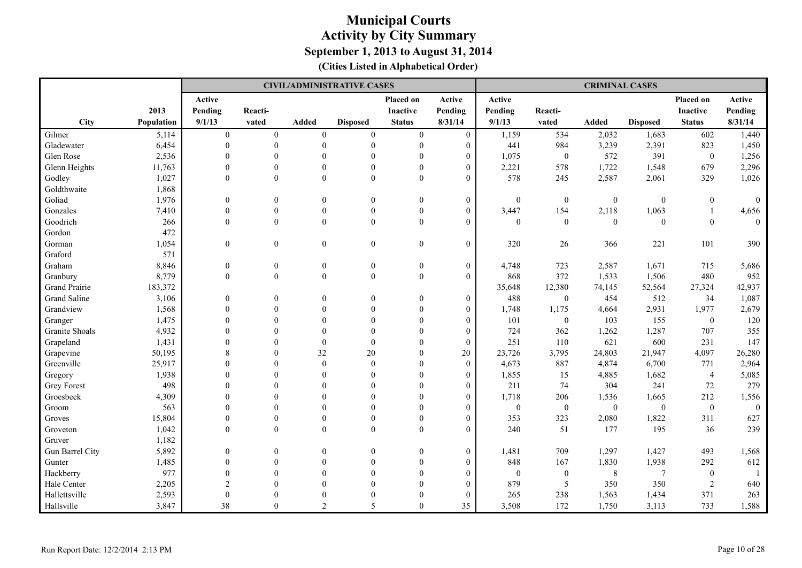|                     |            |                  |                  |                  | <b>CIVIL/ADMINISTRATIVE CASES</b> |                  |                  |              |                  | <b>CRIMINAL CASES</b> |                  |                  |                  |
|---------------------|------------|------------------|------------------|------------------|-----------------------------------|------------------|------------------|--------------|------------------|-----------------------|------------------|------------------|------------------|
|                     |            | Active           |                  |                  |                                   | Placed on        | Active           | Active       |                  |                       |                  | Placed on        | Active           |
|                     | 2013       | Pending          | Reacti-          |                  |                                   | Inactive         | Pending          | Pending      | Reacti-          |                       |                  | <b>Inactive</b>  | Pending          |
| City                | Population | 9/1/13           | vated            | <b>Added</b>     | <b>Disposed</b>                   | <b>Status</b>    | 8/31/14          | 9/1/13       | vated            | <b>Added</b>          | <b>Disposed</b>  | <b>Status</b>    | 8/31/14          |
| Gilmer              | 5,114      | $\boldsymbol{0}$ | $\boldsymbol{0}$ | $\boldsymbol{0}$ | $\mathbf{0}$                      | $\mathbf{0}$     | $\mathbf{0}$     | 1,159        | 534              | 2,032                 | 1,683            | 602              | 1,440            |
| Gladewater          | 6,454      | $\theta$         | $\boldsymbol{0}$ | $\Omega$         | $\boldsymbol{0}$                  | $\mathbf{0}$     | $\mathbf{0}$     | 441          | 984              | 3,239                 | 2,391            | 823              | 1,450            |
| Glen Rose           | 2,536      | $\Omega$         | $\theta$         | $\Omega$         | $\theta$                          | $\mathbf{0}$     | $\mathbf{0}$     | 1,075        | $\boldsymbol{0}$ | 572                   | 391              | $\boldsymbol{0}$ | 1,256            |
| Glenn Heights       | 11,763     | $\Omega$         | $\theta$         | $\Omega$         | $\Omega$                          | $\theta$         | $\theta$         | 2,221        | 578              | 1,722                 | 1,548            | 679              | 2,296            |
| Godley              | 1,027      | $\Omega$         | $\theta$         | $\Omega$         | $\theta$                          | $\Omega$         | $\theta$         | 578          | 245              | 2,587                 | 2,061            | 329              | 1,026            |
| Goldthwaite         | 1,868      |                  |                  |                  |                                   |                  |                  |              |                  |                       |                  |                  |                  |
| Goliad              | 1,976      | $\mathbf{0}$     | $\theta$         | $\mathbf{0}$     | $\mathbf{0}$                      | $\mathbf{0}$     | $\mathbf{0}$     | $\mathbf{0}$ | $\boldsymbol{0}$ | $\mathbf{0}$          | $\boldsymbol{0}$ | $\mathbf{0}$     | $\mathbf{0}$     |
| Gonzales            | 7,410      | $\boldsymbol{0}$ | $\mathbf{0}$     | $\boldsymbol{0}$ | $\theta$                          | $\boldsymbol{0}$ | $\boldsymbol{0}$ | 3,447        | 154              | 2,118                 | 1,063            | $\mathbf{1}$     | 4,656            |
| Goodrich            | 266        | $\theta$         | $\boldsymbol{0}$ | $\theta$         | $\boldsymbol{0}$                  | $\boldsymbol{0}$ | $\overline{0}$   | $\mathbf{0}$ | $\mathbf{0}$     | $\mathbf{0}$          | $\mathbf{0}$     | $\Omega$         | $\theta$         |
| Gordon              | 472        |                  |                  |                  |                                   |                  |                  |              |                  |                       |                  |                  |                  |
| Gorman              | 1,054      | $\mathbf{0}$     | $\boldsymbol{0}$ | $\boldsymbol{0}$ | $\boldsymbol{0}$                  | $\boldsymbol{0}$ | $\boldsymbol{0}$ | 320          | 26               | 366                   | 221              | 101              | 390              |
| Graford             | 571        |                  |                  |                  |                                   |                  |                  |              |                  |                       |                  |                  |                  |
| Graham              | 8,846      | $\boldsymbol{0}$ | $\boldsymbol{0}$ | $\boldsymbol{0}$ | $\boldsymbol{0}$                  | $\boldsymbol{0}$ | $\boldsymbol{0}$ | 4,748        | 723              | 2,587                 | 1,671            | 715              | 5,686            |
| Granbury            | 8,779      | $\mathbf{0}$     | $\boldsymbol{0}$ | $\boldsymbol{0}$ | $\boldsymbol{0}$                  | $\boldsymbol{0}$ | $\overline{0}$   | 868          | 372              | 1,533                 | 1,506            | 480              | 952              |
| Grand Prairie       | 183,372    |                  |                  |                  |                                   |                  |                  | 35,648       | 12,380           | 74,145                | 52,564           | 27,324           | 42,937           |
| <b>Grand Saline</b> | 3,106      | $\theta$         | $\Omega$         | $\Omega$         | $\theta$                          | $\Omega$         | $\boldsymbol{0}$ | 488          | $\boldsymbol{0}$ | 454                   | 512              | 34               | 1,087            |
| Grandview           | 1,568      | $\Omega$         | $\Omega$         | $\Omega$         | $\Omega$                          | $\Omega$         | $\mathbf{0}$     | 1,748        | 1,175            | 4,664                 | 2,931            | 1,977            | 2,679            |
| Granger             | 1,475      | $\Omega$         | $\Omega$         | $\Omega$         |                                   |                  | $\theta$         | 101          | $\boldsymbol{0}$ | 103                   | 155              | $\mathbf{0}$     | 120              |
| Granite Shoals      | 4,932      | $\Omega$         | $\Omega$         | $\Omega$         | $\Omega$                          | $\Omega$         | $\mathbf{0}$     | 724          | 362              | 1,262                 | 1,287            | 707              | 355              |
| Grapeland           | 1,431      | $\Omega$         |                  | $\mathbf{0}$     | $\theta$                          | $\Omega$         | $\mathbf{0}$     | 251          | 110              | 621                   | 600              | 231              | 147              |
| Grapevine           | 50,195     | 8                |                  | 32               | 20                                |                  | 20               | 23,726       | 3,795            | 24,803                | 21,947           | 4,097            | 26,280           |
| Greenville          | 25,917     |                  |                  | $\theta$         | $\mathbf{0}$                      |                  | $\boldsymbol{0}$ | 4,673        | 887              | 4,874                 | 6,700            | 771              | 2,964            |
| Gregory             | 1,938      | $\Omega$         |                  | $\Omega$         | $\theta$                          | $\Omega$         | $\mathbf{0}$     | 1,855        | 15               | 4,885                 | 1,682            | $\overline{4}$   | 5,085            |
| <b>Grey Forest</b>  | 498        | $\Omega$         |                  | $\Omega$         |                                   |                  | $\mathbf{0}$     | 211          | 74               | 304                   | 241              | 72               | 279              |
| Groesbeck           | 4,309      | $\Omega$         | $\Omega$         | $\Omega$         | $\Omega$                          |                  | $\boldsymbol{0}$ | 1,718        | 206              | 1,536                 | 1,665            | 212              | 1,556            |
| Groom               | 563        | $\theta$         | $\Omega$         | $\Omega$         | $\theta$                          | $\Omega$         | $\boldsymbol{0}$ | $\mathbf{0}$ | $\boldsymbol{0}$ | $\mathbf{0}$          | $\boldsymbol{0}$ | $\boldsymbol{0}$ | $\boldsymbol{0}$ |
| Groves              | 15,804     | $\theta$         | $\Omega$         | $\theta$         | $\Omega$                          | $\theta$         | $\boldsymbol{0}$ | 353          | 323              | 2,080                 | 1,822            | 311              | 627              |
| Groveton            | 1,042      | $\theta$         | $\theta$         | $\theta$         | $\Omega$                          | $\theta$         | $\theta$         | 240          | 51               | 177                   | 195              | 36               | 239              |
| Gruver              | 1,182      |                  |                  |                  |                                   |                  |                  |              |                  |                       |                  |                  |                  |
| Gun Barrel City     | 5,892      | $\theta$         | $\Omega$         | $\Omega$         | $\Omega$                          | $\theta$         | $\boldsymbol{0}$ | 1,481        | 709              | 1,297                 | 1,427            | 493              | 1,568            |
| Gunter              | 1,485      | $\Omega$         | $\Omega$         | $\Omega$         |                                   |                  | $\mathbf{0}$     | 848          | 167              | 1,830                 | 1,938            | 292              | 612              |
| Hackberry           | 977        | $\Omega$         | $\Omega$         | $\Omega$         |                                   |                  | $\boldsymbol{0}$ | $\mathbf{0}$ | $\boldsymbol{0}$ | 8                     | $\overline{7}$   | $\mathbf{0}$     |                  |
| Hale Center         | 2,205      |                  | $\Omega$         | $\Omega$         |                                   |                  | $\mathbf{0}$     | 879          | 5                | 350                   | 350              | $\sqrt{2}$       | 640              |
| Hallettsville       | 2,593      | $\theta$         |                  | $\theta$         |                                   |                  | $\overline{0}$   | 265          | 238              | 1,563                 | 1,434            | 371              | 263              |
| Hallsville          | 3,847      | 38               | $\Omega$         | $\mathfrak{D}$   | 5                                 | $\theta$         | 35               | 3,508        | 172              | 1,750                 | 3,113            | 733              | 1,588            |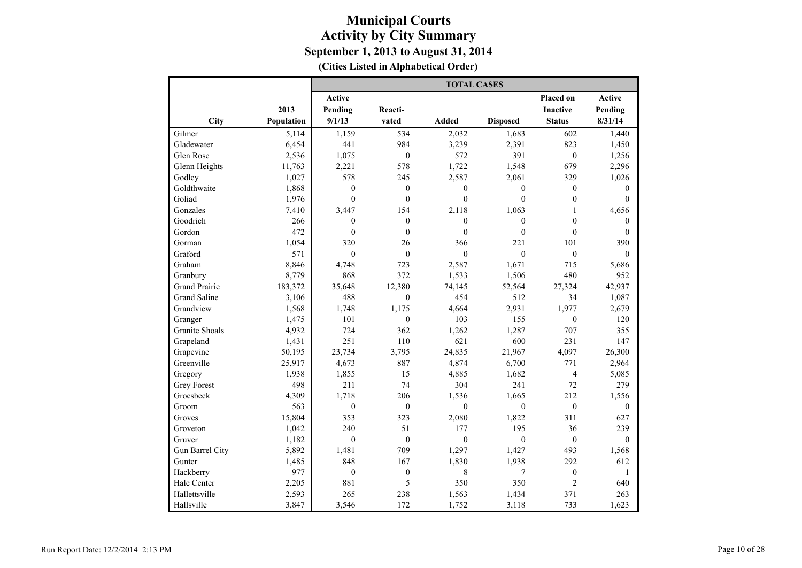**(Cities Listed in Alphabetical Order)**

|                       |            |                  |                  | <b>TOTAL CASES</b> |                  |                         |              |
|-----------------------|------------|------------------|------------------|--------------------|------------------|-------------------------|--------------|
|                       |            | <b>Active</b>    |                  |                    |                  | <b>Placed on</b>        | Active       |
|                       | 2013       | Pending          | Reacti-          |                    |                  | Inactive                | Pending      |
| City                  | Population | 9/1/13           | vated            | <b>Added</b>       | <b>Disposed</b>  | <b>Status</b>           | 8/31/14      |
| Gilmer                | 5,114      | 1,159            | 534              | 2,032              | 1,683            | 602                     | 1,440        |
| Gladewater            | 6,454      | 441              | 984              | 3,239              | 2,391            | 823                     | 1,450        |
| Glen Rose             | 2,536      | 1,075            | $\mathbf{0}$     | 572                | 391              | $\mathbf{0}$            | 1,256        |
| Glenn Heights         | 11,763     | 2,221            | 578              | 1,722              | 1,548            | 679                     | 2,296        |
| Godley                | 1,027      | 578              | 245              | 2,587              | 2,061            | 329                     | 1,026        |
| Goldthwaite           | 1,868      | $\mathbf{0}$     | $\mathbf{0}$     | $\mathbf{0}$       | $\mathbf{0}$     | $\mathbf{0}$            | $\theta$     |
| Goliad                | 1,976      | $\overline{0}$   | $\mathbf{0}$     | $\mathbf{0}$       | $\mathbf{0}$     | $\boldsymbol{0}$        | $\mathbf{0}$ |
| Gonzales              | 7,410      | 3,447            | 154              | 2,118              | 1,063            | $\mathbf{1}$            | 4,656        |
| Goodrich              | 266        | $\theta$         | $\mathbf{0}$     | $\mathbf{0}$       | $\boldsymbol{0}$ | $\boldsymbol{0}$        | $\mathbf{0}$ |
| Gordon                | 472        | $\mathbf{0}$     | $\overline{0}$   | $\boldsymbol{0}$   | $\boldsymbol{0}$ | $\boldsymbol{0}$        | $\mathbf{0}$ |
| Gorman                | 1,054      | 320              | 26               | 366                | 221              | 101                     | 390          |
| Graford               | 571        | $\mathbf{0}$     | $\mathbf{0}$     | $\boldsymbol{0}$   | $\boldsymbol{0}$ | $\boldsymbol{0}$        | $\theta$     |
| Graham                | 8,846      | 4,748            | 723              | 2,587              | 1,671            | 715                     | 5,686        |
| Granbury              | 8,779      | 868              | 372              | 1,533              | 1,506            | 480                     | 952          |
| <b>Grand Prairie</b>  | 183,372    | 35,648           | 12,380           | 74,145             | 52,564           | 27,324                  | 42,937       |
| <b>Grand Saline</b>   | 3,106      | 488              | $\mathbf{0}$     | 454                | 512              | 34                      | 1,087        |
| Grandview             | 1,568      | 1,748            | 1,175            | 4,664              | 2,931            | 1,977                   | 2,679        |
| Granger               | 1,475      | 101              | $\mathbf{0}$     | 103                | 155              | $\boldsymbol{0}$        | 120          |
| <b>Granite Shoals</b> | 4,932      | 724              | 362              | 1,262              | 1,287            | 707                     | 355          |
| Grapeland             | 1,431      | 251              | 110              | 621                | 600              | 231                     | 147          |
| Grapevine             | 50,195     | 23,734           | 3,795            | 24,835             | 21,967           | 4,097                   | 26,300       |
| Greenville            | 25,917     | 4,673            | 887              | 4,874              | 6,700            | 771                     | 2,964        |
| Gregory               | 1,938      | 1,855            | 15               | 4,885              | 1,682            | $\overline{\mathbf{4}}$ | 5,085        |
| <b>Grey Forest</b>    | 498        | 211              | 74               | 304                | 241              | 72                      | 279          |
| Groesbeck             | 4,309      | 1,718            | 206              | 1,536              | 1,665            | 212                     | 1,556        |
| Groom                 | 563        | $\boldsymbol{0}$ | $\mathbf{0}$     | $\mathbf{0}$       | $\mathbf{0}$     | $\boldsymbol{0}$        | $\mathbf{0}$ |
| Groves                | 15,804     | 353              | 323              | 2,080              | 1,822            | 311                     | 627          |
| Groveton              | 1,042      | 240              | 51               | 177                | 195              | 36                      | 239          |
| Gruver                | 1,182      | $\theta$         | $\theta$         | $\theta$           | $\theta$         | $\boldsymbol{0}$        | $\theta$     |
| Gun Barrel City       | 5,892      | 1,481            | 709              | 1,297              | 1,427            | 493                     | 1,568        |
| Gunter                | 1,485      | 848              | 167              | 1,830              | 1,938            | 292                     | 612          |
| Hackberry             | 977        | $\mathbf{0}$     | $\boldsymbol{0}$ | 8                  | 7                | $\boldsymbol{0}$        | $\mathbf{1}$ |
| Hale Center           | 2,205      | 881              | 5                | 350                | 350              | $\overline{c}$          | 640          |
| Hallettsville         | 2,593      | 265              | 238              | 1,563              | 1,434            | 371                     | 263          |
| Hallsville            | 3,847      | 3,546            | 172              | 1,752              | 3,118            | 733                     | 1,623        |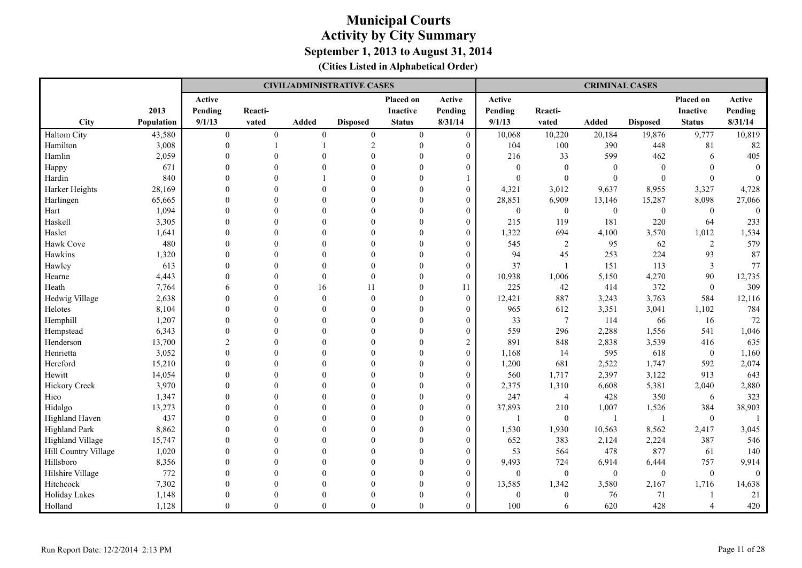|                      |            |                  |                |                  | <b>CIVIL/ADMINISTRATIVE CASES</b> |                 |                  |              |                  | <b>CRIMINAL CASES</b> |                  |                  |                  |
|----------------------|------------|------------------|----------------|------------------|-----------------------------------|-----------------|------------------|--------------|------------------|-----------------------|------------------|------------------|------------------|
|                      |            | Active           |                |                  |                                   | Placed on       | Active           | Active       |                  |                       |                  | Placed on        | Active           |
|                      | 2013       | Pending          | Reacti-        |                  |                                   | <b>Inactive</b> | Pending          | Pending      | Reacti-          |                       |                  | <b>Inactive</b>  | Pending          |
| <b>City</b>          | Population | 9/1/13           | vated          | <b>Added</b>     | <b>Disposed</b>                   | <b>Status</b>   | 8/31/14          | 9/1/13       | vated            | <b>Added</b>          | <b>Disposed</b>  | <b>Status</b>    | 8/31/14          |
| Haltom City          | 43,580     | $\boldsymbol{0}$ | $\overline{0}$ | $\boldsymbol{0}$ | $\mathbf{0}$                      | $\overline{0}$  | $\overline{0}$   | 10,068       | 10,220           | 20,184                | 19,876           | 9,777            | 10,819           |
| Hamilton             | 3,008      |                  |                |                  | $\overline{2}$                    | $\mathbf{0}$    | $\boldsymbol{0}$ | 104          | 100              | 390                   | 448              | 81               | 82               |
| Hamlin               | 2,059      |                  |                |                  |                                   |                 | $\mathbf{0}$     | 216          | 33               | 599                   | 462              | 6                | 405              |
| Happy                | 671        |                  |                |                  |                                   |                 | $\Omega$         | $\theta$     | $\mathbf{0}$     | $\theta$              | $\theta$         | $\Omega$         | $\mathbf{0}$     |
| Hardin               | 840        |                  |                |                  |                                   |                 |                  | $\Omega$     | $\mathbf{0}$     | $\theta$              | $\mathbf{0}$     | $\theta$         | $\theta$         |
| Harker Heights       | 28,169     |                  |                |                  |                                   |                 | $\mathbf{0}$     | 4,321        | 3,012            | 9,637                 | 8,955            | 3,327            | 4,728            |
| Harlingen            | 65,665     |                  |                |                  |                                   |                 | $\boldsymbol{0}$ | 28,851       | 6,909            | 13,146                | 15,287           | 8,098            | 27,066           |
| Hart                 | 1,094      |                  |                |                  |                                   |                 | $\boldsymbol{0}$ | $\mathbf{0}$ | $\boldsymbol{0}$ | $\boldsymbol{0}$      | $\boldsymbol{0}$ | $\bf{0}$         | $\mathbf{0}$     |
| Haskell              | 3,305      |                  |                |                  |                                   |                 | $\mathbf{0}$     | 215          | 119              | 181                   | 220              | 64               | 233              |
| Haslet               | 1,641      |                  |                |                  |                                   |                 | $\mathbf{0}$     | 1,322        | 694              | 4,100                 | 3,570            | 1,012            | 1,534            |
| Hawk Cove            | 480        |                  |                |                  |                                   |                 | $\mathbf{0}$     | 545          | 2                | 95                    | 62               | 2                | 579              |
| Hawkins              | 1,320      |                  |                | $\Omega$         |                                   |                 | $\mathbf{0}$     | 94           | 45               | 253                   | 224              | 93               | 87               |
| Hawley               | 613        |                  |                | $\Omega$         |                                   |                 | $\boldsymbol{0}$ | 37           | $\mathbf{1}$     | 151                   | 113              | $\mathfrak{Z}$   | 77               |
| Hearne               | 4,443      |                  |                | $\Omega$         | $\Omega$                          | $\Omega$        | $\overline{0}$   | 10,938       | 1,006            | 5,150                 | 4,270            | 90               | 12,735           |
| Heath                | 7,764      |                  |                | 16               | 11                                |                 | 11               | 225          | 42               | 414                   | 372              | $\mathbf{0}$     | 309              |
| Hedwig Village       | 2,638      |                  |                | $\theta$         | $\Omega$                          |                 | $\boldsymbol{0}$ | 12,421       | 887              | 3,243                 | 3,763            | 584              | 12,116           |
| Helotes              | 8,104      |                  |                | $\Omega$         |                                   |                 | $\mathbf{0}$     | 965          | 612              | 3,351                 | 3,041            | 1,102            | 784              |
| Hemphill             | 1,207      |                  |                |                  |                                   |                 | $\mathbf{0}$     | 33           | $\overline{7}$   | 114                   | 66               | 16               | 72               |
| Hempstead            | 6,343      |                  |                |                  |                                   |                 | $\mathbf{0}$     | 559          | 296              | 2,288                 | 1,556            | 541              | 1,046            |
| Henderson            | 13,700     |                  |                | $\Omega$         |                                   |                 | $\sqrt{2}$       | 891          | 848              | 2,838                 | 3,539            | 416              | 635              |
| Henrietta            | 3,052      |                  |                |                  |                                   |                 | $\boldsymbol{0}$ | 1,168        | 14               | 595                   | 618              | $\mathbf{0}$     | 1,160            |
| Hereford             | 15,210     |                  |                |                  |                                   |                 | $\boldsymbol{0}$ | 1,200        | 681              | 2,522                 | 1,747            | 592              | 2,074            |
| Hewitt               | 14,054     |                  |                |                  |                                   |                 | $\boldsymbol{0}$ | 560          | 1,717            | 2,397                 | 3,122            | 913              | 643              |
| Hickory Creek        | 3,970      |                  |                |                  |                                   |                 | $\mathbf{0}$     | 2,375        | 1,310            | 6,608                 | 5,381            | 2,040            | 2,880            |
| Hico                 | 1,347      |                  |                |                  |                                   |                 | $\mathbf{0}$     | 247          | 4                | 428                   | 350              | 6                | 323              |
| Hidalgo              | 13,273     |                  |                |                  |                                   |                 | $\boldsymbol{0}$ | 37,893       | 210              | 1,007                 | 1,526            | 384              | 38,903           |
| Highland Haven       | 437        |                  |                | $\Omega$         |                                   |                 | $\boldsymbol{0}$ |              | $\mathbf{0}$     | $\overline{1}$        | $\mathbf{1}$     | $\boldsymbol{0}$ |                  |
| Highland Park        | 8,862      |                  |                | $\Omega$         |                                   |                 | $\theta$         | 1,530        | 1,930            | 10,563                | 8,562            | 2,417            | 3,045            |
| Highland Village     | 15,747     |                  |                | $\Omega$         |                                   |                 | $\mathbf{0}$     | 652          | 383              | 2,124                 | 2,224            | 387              | 546              |
| Hill Country Village | 1,020      |                  |                |                  |                                   |                 | $\theta$         | 53           | 564              | 478                   | 877              | 61               | 140              |
| Hillsboro            | 8,356      |                  |                |                  |                                   |                 | $\mathbf{0}$     | 9,493        | 724              | 6,914                 | 6,444            | 757              | 9,914            |
| Hilshire Village     | 772        |                  |                |                  |                                   |                 | $\mathbf{0}$     | $\mathbf{0}$ | $\boldsymbol{0}$ | $\boldsymbol{0}$      | $\boldsymbol{0}$ | $\boldsymbol{0}$ | $\boldsymbol{0}$ |
| Hitchcock            | 7,302      |                  |                |                  |                                   |                 | $\mathbf{0}$     | 13,585       | 1,342            | 3,580                 | 2,167            | 1,716            | 14,638           |
| Holiday Lakes        | 1,148      |                  |                |                  |                                   |                 | $\theta$         | $\theta$     | $\mathbf{0}$     | 76                    | 71               | $\mathbf{1}$     | 21               |
| Holland              | 1,128      | $\Omega$         | $\Omega$       | $\Omega$         | $\Omega$                          | $\Omega$        | $\overline{0}$   | 100          | 6                | 620                   | 428              | $\overline{4}$   | 420              |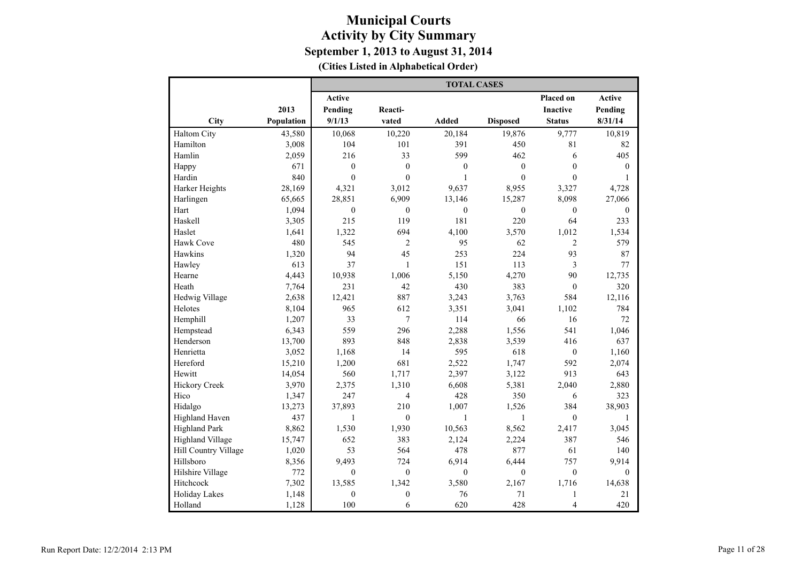|                         |            |                  |                  | <b>TOTAL CASES</b> |                  |                  |              |
|-------------------------|------------|------------------|------------------|--------------------|------------------|------------------|--------------|
|                         |            | Active           |                  |                    |                  | Placed on        | Active       |
|                         | 2013       | Pending          | Reacti-          |                    |                  | <b>Inactive</b>  | Pending      |
| City                    | Population | 9/1/13           | vated            | <b>Added</b>       | <b>Disposed</b>  | <b>Status</b>    | 8/31/14      |
| Haltom City             | 43,580     | 10,068           | 10,220           | 20,184             | 19,876           | 9,777            | 10,819       |
| Hamilton                | 3,008      | 104              | 101              | 391                | 450              | 81               | 82           |
| Hamlin                  | 2,059      | 216              | 33               | 599                | 462              | 6                | 405          |
| Happy                   | 671        | $\mathbf{0}$     | $\boldsymbol{0}$ | $\mathbf{0}$       | $\boldsymbol{0}$ | $\mathbf{0}$     | $\mathbf{0}$ |
| Hardin                  | 840        | $\boldsymbol{0}$ | $\boldsymbol{0}$ | $\mathbf{1}$       | $\boldsymbol{0}$ | $\overline{0}$   | 1            |
| Harker Heights          | 28,169     | 4,321            | 3,012            | 9,637              | 8,955            | 3,327            | 4,728        |
| Harlingen               | 65,665     | 28,851           | 6,909            | 13,146             | 15,287           | 8,098            | 27,066       |
| Hart                    | 1,094      | $\boldsymbol{0}$ | $\mathbf{0}$     | $\mathbf{0}$       | $\mathbf{0}$     | $\boldsymbol{0}$ | $\mathbf{0}$ |
| Haskell                 | 3,305      | 215              | 119              | 181                | 220              | 64               | 233          |
| Haslet                  | 1,641      | 1,322            | 694              | 4,100              | 3,570            | 1,012            | 1,534        |
| Hawk Cove               | 480        | 545              | $\overline{c}$   | 95                 | 62               | $\overline{2}$   | 579          |
| Hawkins                 | 1,320      | 94               | 45               | 253                | 224              | 93               | 87           |
| Hawley                  | 613        | 37               | $\mathbf{1}$     | 151                | 113              | 3                | 77           |
| Hearne                  | 4,443      | 10,938           | 1,006            | 5,150              | 4,270            | 90               | 12,735       |
| Heath                   | 7,764      | 231              | 42               | 430                | 383              | $\mathbf{0}$     | 320          |
| Hedwig Village          | 2,638      | 12,421           | 887              | 3,243              | 3,763            | 584              | 12,116       |
| Helotes                 | 8,104      | 965              | 612              | 3,351              | 3,041            | 1,102            | 784          |
| Hemphill                | 1,207      | 33               | $\overline{7}$   | 114                | 66               | 16               | 72           |
| Hempstead               | 6,343      | 559              | 296              | 2,288              | 1,556            | 541              | 1,046        |
| Henderson               | 13,700     | 893              | 848              | 2,838              | 3,539            | 416              | 637          |
| Henrietta               | 3,052      | 1,168            | 14               | 595                | 618              | $\mathbf{0}$     | 1,160        |
| Hereford                | 15,210     | 1,200            | 681              | 2,522              | 1,747            | 592              | 2,074        |
| Hewitt                  | 14,054     | 560              | 1,717            | 2,397              | 3,122            | 913              | 643          |
| Hickory Creek           | 3,970      | 2,375            | 1,310            | 6,608              | 5,381            | 2,040            | 2,880        |
| Hico                    | 1,347      | 247              | 4                | 428                | 350              | 6                | 323          |
| Hidalgo                 | 13,273     | 37,893           | 210              | 1,007              | 1,526            | 384              | 38,903       |
| Highland Haven          | 437        | $\mathbf{1}$     | $\theta$         | $\mathbf{1}$       | $\mathbf{1}$     | $\theta$         | $\mathbf{1}$ |
| <b>Highland Park</b>    | 8,862      | 1,530            | 1,930            | 10,563             | 8,562            | 2,417            | 3,045        |
| <b>Highland Village</b> | 15,747     | 652              | 383              | 2,124              | 2,224            | 387              | 546          |
| Hill Country Village    | 1,020      | 53               | 564              | 478                | 877              | 61               | 140          |
| Hillsboro               | 8,356      | 9,493            | 724              | 6,914              | 6,444            | 757              | 9,914        |
| Hilshire Village        | 772        | $\boldsymbol{0}$ | $\boldsymbol{0}$ | $\mathbf{0}$       | $\boldsymbol{0}$ | $\mathbf{0}$     | $\mathbf{0}$ |
| Hitchcock               | 7,302      | 13,585           | 1,342            | 3,580              | 2,167            | 1,716            | 14,638       |
| <b>Holiday Lakes</b>    | 1,148      | $\boldsymbol{0}$ | $\boldsymbol{0}$ | 76                 | 71               | $\mathbf{1}$     | 21           |
| Holland                 | 1,128      | 100              | 6                | 620                | 428              | $\overline{4}$   | 420          |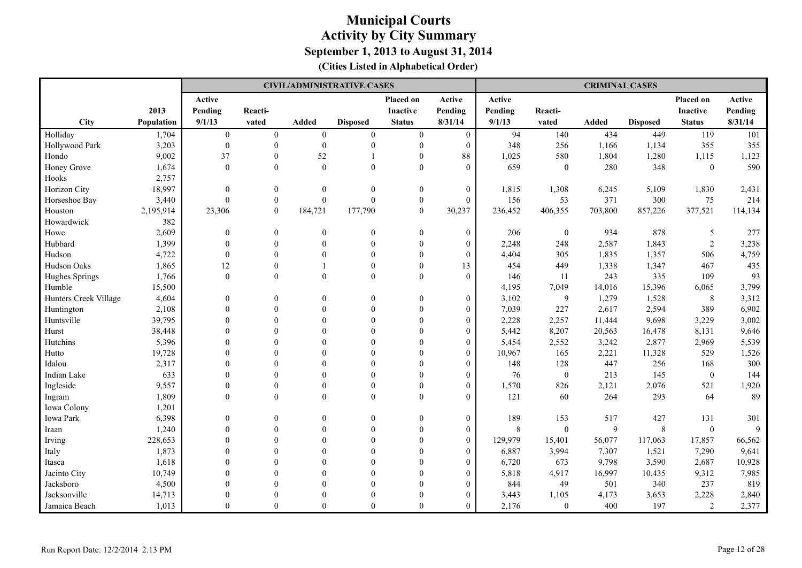|                       |            |                  |                  |                  | <b>CIVIL/ADMINISTRATIVE CASES</b> |                  |                  |         |                  | <b>CRIMINAL CASES</b> |                 |                  |         |
|-----------------------|------------|------------------|------------------|------------------|-----------------------------------|------------------|------------------|---------|------------------|-----------------------|-----------------|------------------|---------|
|                       |            | Active           |                  |                  |                                   | Placed on        | Active           | Active  |                  |                       |                 | Placed on        | Active  |
|                       | 2013       | Pending          | Reacti-          |                  |                                   | <b>Inactive</b>  | Pending          | Pending | Reacti-          |                       |                 | <b>Inactive</b>  | Pending |
| <b>City</b>           | Population | 9/1/13           | vated            | <b>Added</b>     | <b>Disposed</b>                   | <b>Status</b>    | 8/31/14          | 9/1/13  | vated            | Added                 | <b>Disposed</b> | <b>Status</b>    | 8/31/14 |
| Holliday              | 1,704      | $\boldsymbol{0}$ | $\boldsymbol{0}$ | $\mathbf{0}$     | $\boldsymbol{0}$                  | $\overline{0}$   | $\boldsymbol{0}$ | 94      | 140              | 434                   | 449             | 119              | 101     |
| Hollywood Park        | 3,203      | $\boldsymbol{0}$ | $\boldsymbol{0}$ | $\mathbf{0}$     | $\boldsymbol{0}$                  | $\boldsymbol{0}$ | $\boldsymbol{0}$ | 348     | 256              | 1,166                 | 1,134           | 355              | 355     |
| Hondo                 | 9,002      | 37               | $\mathbf{0}$     | 52               | $\mathbf{1}$                      | $\theta$         | 88               | 1,025   | 580              | 1,804                 | 1,280           | 1,115            | 1,123   |
| Honey Grove           | 1,674      | $\theta$         | $\mathbf{0}$     | $\theta$         | $\mathbf{0}$                      | $\theta$         | $\theta$         | 659     | $\boldsymbol{0}$ | 280                   | 348             | $\boldsymbol{0}$ | 590     |
| Hooks                 | 2,757      |                  |                  |                  |                                   |                  |                  |         |                  |                       |                 |                  |         |
| Horizon City          | 18,997     | $\mathbf{0}$     | $\mathbf{0}$     | $\mathbf{0}$     | $\mathbf{0}$                      | $\mathbf{0}$     | $\boldsymbol{0}$ | 1,815   | 1,308            | 6,245                 | 5,109           | 1,830            | 2,431   |
| Horseshoe Bay         | 3,440      | $\mathbf{0}$     | $\boldsymbol{0}$ | $\overline{0}$   | $\mathbf{0}$                      | $\boldsymbol{0}$ | $\mathbf{0}$     | 156     | 53               | 371                   | 300             | 75               | 214     |
| Houston               | 2,195,914  | 23,306           | $\boldsymbol{0}$ | 184,721          | 177,790                           | $\Omega$         | 30,237           | 236,452 | 406,355          | 703,800               | 857,226         | 377,521          | 114,134 |
| Howardwick            | 382        |                  |                  |                  |                                   |                  |                  |         |                  |                       |                 |                  |         |
| Howe                  | 2,609      | $\mathbf{0}$     | $\theta$         | $\mathbf{0}$     | $\overline{0}$                    | $\boldsymbol{0}$ | $\boldsymbol{0}$ | 206     | $\boldsymbol{0}$ | 934                   | 878             | $\sqrt{5}$       | 277     |
| Hubbard               | 1,399      | $\mathbf{0}$     | $\theta$         | $\mathbf{0}$     | $\theta$                          | $\mathbf{0}$     | $\boldsymbol{0}$ | 2,248   | 248              | 2,587                 | 1,843           | $\overline{2}$   | 3,238   |
| Hudson                | 4,722      | $\theta$         | $\theta$         | $\theta$         | $\theta$                          | $\theta$         | $\theta$         | 4,404   | 305              | 1,835                 | 1,357           | 506              | 4,759   |
| Hudson Oaks           | 1,865      | 12               | $\Omega$         |                  | $\theta$                          | $\Omega$         | 13               | 454     | 449              | 1,338                 | 1,347           | 467              | 435     |
| Hughes Springs        | 1,766      | $\mathbf{0}$     | $\mathbf{0}$     | $\boldsymbol{0}$ | $\mathbf{0}$                      | $\mathbf{0}$     | $\mathbf{0}$     | 146     | 11               | 243                   | 335             | 109              | 93      |
| Humble                | 15,500     |                  |                  |                  |                                   |                  |                  | 4,195   | 7,049            | 14,016                | 15,396          | 6,065            | 3,799   |
| Hunters Creek Village | 4,604      | $\mathbf{0}$     | $\theta$         | $\mathbf{0}$     | $\theta$                          | $\mathbf{0}$     | $\boldsymbol{0}$ | 3,102   | 9                | 1,279                 | 1,528           | 8                | 3,312   |
| Huntington            | 2,108      | $\theta$         | $\theta$         | $\theta$         | $\theta$                          | $\mathbf{0}$     | $\theta$         | 7,039   | 227              | 2,617                 | 2,594           | 389              | 6,902   |
| Huntsville            | 39,795     | $\theta$         | $\theta$         | $\theta$         | $\theta$                          | $\Omega$         | $\mathbf{0}$     | 2,228   | 2,257            | 11,444                | 9,698           | 3,229            | 3,002   |
| Hurst                 | 38,448     | $\theta$         | $\theta$         | $\theta$         | $\theta$                          | $\Omega$         | $\theta$         | 5,442   | 8,207            | 20,563                | 16,478          | 8,131            | 9,646   |
| Hutchins              | 5,396      | $\Omega$         | $\Omega$         | $\Omega$         | $\Omega$                          | $\Omega$         | $\mathbf{0}$     | 5,454   | 2,552            | 3,242                 | 2,877           | 2,969            | 5,539   |
| Hutto                 | 19,728     | $\theta$         | $\Omega$         | $\Omega$         | $\theta$                          | $\Omega$         | $\mathbf{0}$     | 10,967  | 165              | 2,221                 | 11,328          | 529              | 1,526   |
| Idalou                | 2,317      | $\theta$         | $\Omega$         | $\theta$         | $\Omega$                          | $\Omega$         | $\mathbf{0}$     | 148     | 128              | 447                   | 256             | 168              | 300     |
| Indian Lake           | 633        | $\mathbf{0}$     | $\theta$         | $\mathbf{0}$     | $\theta$                          | $\theta$         | $\boldsymbol{0}$ | 76      | $\boldsymbol{0}$ | 213                   | 145             | $\boldsymbol{0}$ | 144     |
| Ingleside             | 9,557      | $\mathbf{0}$     | $\theta$         | $\mathbf{0}$     | $\mathbf{0}$                      | $\mathbf{0}$     | $\mathbf{0}$     | 1,570   | 826              | 2,121                 | 2,076           | 521              | 1,920   |
| Ingram                | 1,809      | $\Omega$         | $\theta$         | $\Omega$         | $\theta$                          | $\theta$         | $\theta$         | 121     | 60               | 264                   | 293             | 64               | 89      |
| Iowa Colony           | 1,201      |                  |                  |                  |                                   |                  |                  |         |                  |                       |                 |                  |         |
| Iowa Park             | 6,398      | $\mathbf{0}$     | $\theta$         | $\mathbf{0}$     | $\mathbf{0}$                      | $\mathbf{0}$     | $\boldsymbol{0}$ | 189     | 153              | 517                   | 427             | 131              | 301     |
| Iraan                 | 1,240      | $\mathbf{0}$     | $\theta$         | $\overline{0}$   | $\theta$                          | $\mathbf{0}$     | $\boldsymbol{0}$ | $\,8\,$ | $\mathbf{0}$     | 9                     | $\,8\,$         | $\mathbf{0}$     | 9       |
| Irving                | 228,653    | $\theta$         | $\theta$         | $\theta$         | $\theta$                          | $\mathbf{0}$     | $\mathbf{0}$     | 129,979 | 15,401           | 56,077                | 117,063         | 17,857           | 66,562  |
| Italy                 | 1,873      | $\theta$         | $\theta$         | $\theta$         | $\theta$                          | $\Omega$         | $\mathbf{0}$     | 6,887   | 3,994            | 7,307                 | 1,521           | 7,290            | 9,641   |
| Itasca                | 1,618      | $\Omega$         | $\Omega$         | $\Omega$         |                                   | $\Omega$         | $\theta$         | 6,720   | 673              | 9,798                 | 3,590           | 2,687            | 10,928  |
| Jacinto City          | 10,749     | $\Omega$         | $\Omega$         | $\Omega$         | $\Omega$                          | $\Omega$         | $\mathbf{0}$     | 5,818   | 4,917            | 16,997                | 10,435          | 9,312            | 7,985   |
| Jacksboro             | 4,500      | $\Omega$         | $\Omega$         | $\Omega$         | $\Omega$                          |                  | $\theta$         | 844     | 49               | 501                   | 340             | 237              | 819     |
| Jacksonville          | 14,713     | $\Omega$         | $\Omega$         | $\Omega$         | $\Omega$                          | $\Omega$         | $\theta$         | 3,443   | 1,105            | 4,173                 | 3,653           | 2,228            | 2,840   |
| Jamaica Beach         | 1,013      | $\Omega$         | $\theta$         | $\Omega$         | $\theta$                          | $\Omega$         | $\theta$         | 2,176   | $\overline{0}$   | 400                   | 197             | 2                | 2,377   |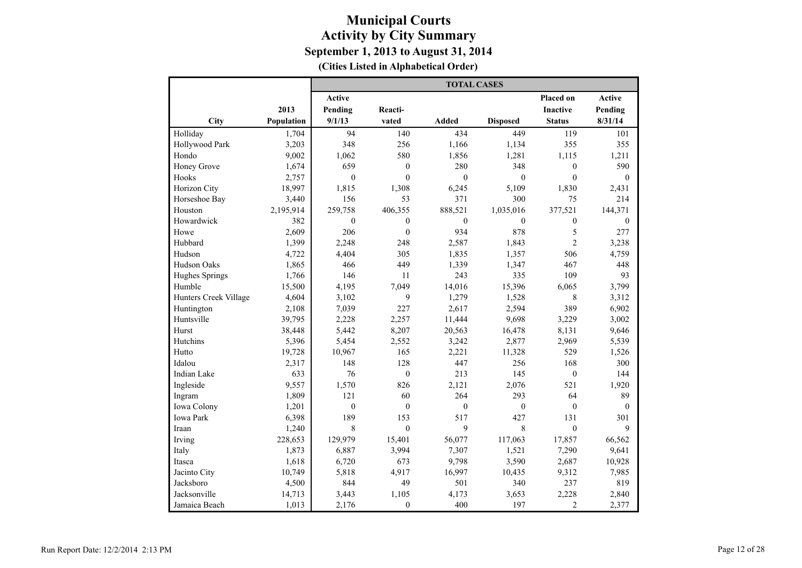|                       |            |              |                  | <b>TOTAL CASES</b> |                 |                  |              |
|-----------------------|------------|--------------|------------------|--------------------|-----------------|------------------|--------------|
|                       |            | Active       |                  |                    |                 | Placed on        | Active       |
|                       | 2013       | Pending      | Reacti-          |                    |                 | <b>Inactive</b>  | Pending      |
| City                  | Population | 9/1/13       | vated            | <b>Added</b>       | <b>Disposed</b> | <b>Status</b>    | 8/31/14      |
| Holliday              | 1,704      | 94           | 140              | 434                | 449             | 119              | 101          |
| Hollywood Park        | 3,203      | 348          | 256              | 1,166              | 1,134           | 355              | 355          |
| Hondo                 | 9,002      | 1,062        | 580              | 1,856              | 1,281           | 1,115            | 1,211        |
| Honey Grove           | 1,674      | 659          | $\boldsymbol{0}$ | 280                | 348             | $\boldsymbol{0}$ | 590          |
| Hooks                 | 2,757      | $\mathbf{0}$ | $\theta$         | $\mathbf{0}$       | $\mathbf{0}$    | $\theta$         | $\mathbf{0}$ |
| Horizon City          | 18,997     | 1,815        | 1,308            | 6,245              | 5,109           | 1,830            | 2,431        |
| Horseshoe Bay         | 3,440      | 156          | 53               | 371                | 300             | 75               | 214          |
| Houston               | 2,195,914  | 259,758      | 406,355          | 888,521            | 1,035,016       | 377,521          | 144,371      |
| Howardwick            | 382        | $\mathbf{0}$ | $\boldsymbol{0}$ | $\boldsymbol{0}$   | $\mathbf{0}$    | $\boldsymbol{0}$ | $\mathbf{0}$ |
| Howe                  | 2,609      | 206          | $\overline{0}$   | 934                | 878             | 5                | 277          |
| Hubbard               | 1,399      | 2,248        | 248              | 2,587              | 1,843           | $\overline{2}$   | 3,238        |
| Hudson                | 4,722      | 4,404        | 305              | 1,835              | 1,357           | 506              | 4,759        |
| Hudson Oaks           | 1,865      | 466          | 449              | 1,339              | 1,347           | 467              | 448          |
| Hughes Springs        | 1,766      | 146          | 11               | 243                | 335             | 109              | 93           |
| Humble                | 15,500     | 4,195        | 7,049            | 14,016             | 15,396          | 6,065            | 3,799        |
| Hunters Creek Village | 4,604      | 3,102        | 9                | 1,279              | 1,528           | 8                | 3,312        |
| Huntington            | 2,108      | 7,039        | 227              | 2,617              | 2,594           | 389              | 6,902        |
| Huntsville            | 39,795     | 2,228        | 2,257            | 11,444             | 9,698           | 3,229            | 3,002        |
| Hurst                 | 38,448     | 5,442        | 8,207            | 20,563             | 16,478          | 8,131            | 9,646        |
| Hutchins              | 5,396      | 5,454        | 2,552            | 3,242              | 2,877           | 2,969            | 5,539        |
| Hutto                 | 19,728     | 10,967       | 165              | 2,221              | 11,328          | 529              | 1,526        |
| Idalou                | 2,317      | 148          | 128              | 447                | 256             | 168              | 300          |
| <b>Indian Lake</b>    | 633        | 76           | $\boldsymbol{0}$ | 213                | 145             | $\overline{0}$   | 144          |
| Ingleside             | 9,557      | 1,570        | 826              | 2,121              | 2,076           | 521              | 1,920        |
| Ingram                | 1,809      | 121          | 60               | 264                | 293             | 64               | 89           |
| Iowa Colony           | 1,201      | $\mathbf{0}$ | $\mathbf{0}$     | $\mathbf{0}$       | $\mathbf{0}$    | $\mathbf{0}$     | $\theta$     |
| Iowa Park             | 6,398      | 189          | 153              | 517                | 427             | 131              | 301          |
| Iraan                 | 1,240      | 8            | $\theta$         | 9                  | 8               | $\theta$         | 9            |
| Irving                | 228,653    | 129,979      | 15,401           | 56,077             | 117,063         | 17,857           | 66,562       |
| Italy                 | 1,873      | 6,887        | 3,994            | 7,307              | 1,521           | 7,290            | 9,641        |
| Itasca                | 1,618      | 6,720        | 673              | 9,798              | 3,590           | 2,687            | 10,928       |
| Jacinto City          | 10,749     | 5,818        | 4,917            | 16,997             | 10,435          | 9,312            | 7,985        |
| Jacksboro             | 4,500      | 844          | 49               | 501                | 340             | 237              | 819          |
| Jacksonville          | 14,713     | 3,443        | 1,105            | 4,173              | 3,653           | 2,228            | 2,840        |
| Jamaica Beach         | 1,013      | 2,176        | $\mathbf{0}$     | 400                | 197             | $\overline{2}$   | 2,377        |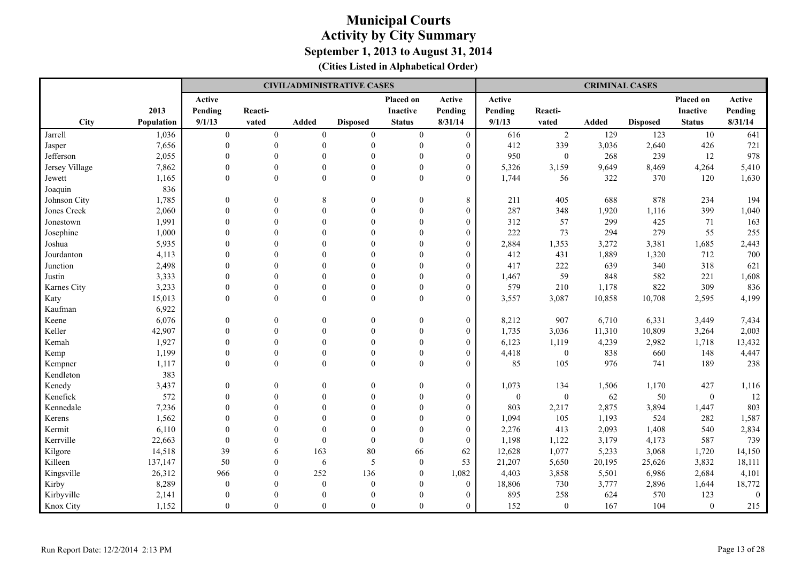|                |            |                  |                  |                  | <b>CIVIL/ADMINISTRATIVE CASES</b> |                  |                  |              |                  | <b>CRIMINAL CASES</b> |                 |                 |              |
|----------------|------------|------------------|------------------|------------------|-----------------------------------|------------------|------------------|--------------|------------------|-----------------------|-----------------|-----------------|--------------|
|                |            | Active           |                  |                  |                                   | Placed on        | Active           | Active       |                  |                       |                 | Placed on       | Active       |
|                | 2013       | Pending          | Reacti-          |                  |                                   | <b>Inactive</b>  | Pending          | Pending      | Reacti-          |                       |                 | <b>Inactive</b> | Pending      |
| City           | Population | 9/1/13           | vated            | <b>Added</b>     | <b>Disposed</b>                   | <b>Status</b>    | 8/31/14          | 9/1/13       | vated            | Added                 | <b>Disposed</b> | <b>Status</b>   | 8/31/14      |
| Jarrell        | 1,036      | $\boldsymbol{0}$ | $\boldsymbol{0}$ | $\boldsymbol{0}$ | $\mathbf{0}$                      | $\mathbf{0}$     | $\overline{0}$   | 616          | $\sqrt{2}$       | 129                   | 123             | 10              | 641          |
| Jasper         | 7,656      | $\mathbf{0}$     | $\boldsymbol{0}$ | $\theta$         | $\boldsymbol{0}$                  | $\mathbf{0}$     | $\boldsymbol{0}$ | 412          | 339              | 3,036                 | 2,640           | 426             | 721          |
| Jefferson      | 2,055      | $\theta$         | $\theta$         | $\Omega$         | $\mathbf{0}$                      | $\mathbf{0}$     | $\mathbf{0}$     | 950          | $\boldsymbol{0}$ | 268                   | 239             | 12              | 978          |
| Jersey Village | 7,862      | $\theta$         | $\theta$         | $\theta$         | $\theta$                          | $\theta$         | $\mathbf{0}$     | 5,326        | 3,159            | 9,649                 | 8,469           | 4,264           | 5,410        |
| Jewett         | 1,165      | $\theta$         | $\mathbf{0}$     | $\theta$         | $\mathbf{0}$                      | $\theta$         | $\mathbf{0}$     | 1,744        | 56               | 322                   | 370             | 120             | 1,630        |
| Joaquin        | 836        |                  |                  |                  |                                   |                  |                  |              |                  |                       |                 |                 |              |
| Johnson City   | 1,785      | $\boldsymbol{0}$ | $\theta$         | 8                | $\boldsymbol{0}$                  | $\boldsymbol{0}$ | 8                | 211          | 405              | 688                   | 878             | 234             | 194          |
| Jones Creek    | 2,060      | $\boldsymbol{0}$ | $\Omega$         | $\boldsymbol{0}$ |                                   | $\boldsymbol{0}$ | $\boldsymbol{0}$ | 287          | 348              | 1,920                 | 1,116           | 399             | 1,040        |
| Jonestown      | 1,991      | $\theta$         | $\Omega$         | $\Omega$         |                                   | $\theta$         | $\theta$         | 312          | 57               | 299                   | 425             | 71              | 163          |
| Josephine      | 1,000      | $\Omega$         | $\Omega$         | $\Omega$         |                                   | $\Omega$         | $\mathbf{0}$     | 222          | 73               | 294                   | 279             | 55              | 255          |
| Joshua         | 5,935      | $\Omega$         | $\Omega$         | $\Omega$         |                                   | $\Omega$         | $\mathbf{0}$     | 2,884        | 1,353            | 3,272                 | 3,381           | 1,685           | 2,443        |
| Jourdanton     | 4,113      | $\Omega$         | $\Omega$         | $\Omega$         | $\Omega$                          | $\Omega$         | $\theta$         | 412          | 431              | 1,889                 | 1,320           | 712             | 700          |
| Junction       | 2,498      | $\theta$         | $\Omega$         | $\theta$         | $\theta$                          | $\Omega$         | $\mathbf{0}$     | 417          | 222              | 639                   | 340             | 318             | 621          |
| Justin         | 3,333      | $\mathbf{0}$     | $\theta$         | $\Omega$         | $\theta$                          | $\Omega$         | $\overline{0}$   | 1,467        | 59               | 848                   | 582             | 221             | 1,608        |
| Karnes City    | 3,233      | $\mathbf{0}$     | $\theta$         | $\theta$         | $\theta$                          | $\mathbf{0}$     | $\boldsymbol{0}$ | 579          | 210              | 1,178                 | 822             | 309             | 836          |
| Katy           | 15,013     | $\theta$         | $\boldsymbol{0}$ | $\boldsymbol{0}$ | $\mathbf{0}$                      | $\mathbf{0}$     | $\mathbf{0}$     | 3,557        | 3,087            | 10,858                | 10,708          | 2,595           | 4,199        |
| Kaufman        | 6,922      |                  |                  |                  |                                   |                  |                  |              |                  |                       |                 |                 |              |
| Keene          | 6,076      | $\mathbf{0}$     | $\theta$         | $\mathbf{0}$     | $\theta$                          | $\mathbf{0}$     | $\boldsymbol{0}$ | 8,212        | 907              | 6,710                 | 6,331           | 3,449           | 7,434        |
| Keller         | 42,907     | $\theta$         | $\Omega$         | $\theta$         | $\Omega$                          | $\theta$         | $\boldsymbol{0}$ | 1,735        | 3,036            | 11,310                | 10,809          | 3,264           | 2,003        |
| Kemah          | 1,927      | $\mathbf{0}$     | $\mathbf{0}$     | $\mathbf{0}$     | $\theta$                          | $\mathbf{0}$     | $\overline{0}$   | 6,123        | 1,119            | 4,239                 | 2,982           | 1,718           | 13,432       |
| Kemp           | 1,199      | $\boldsymbol{0}$ | $\boldsymbol{0}$ | $\boldsymbol{0}$ | $\boldsymbol{0}$                  | $\mathbf{0}$     | $\boldsymbol{0}$ | 4,418        | $\boldsymbol{0}$ | 838                   | 660             | 148             | 4,447        |
| Kempner        | 1,117      | $\theta$         | $\mathbf{0}$     | $\mathbf{0}$     | $\mathbf{0}$                      | $\mathbf{0}$     | $\mathbf{0}$     | 85           | 105              | 976                   | 741             | 189             | 238          |
| Kendleton      | 383        |                  |                  |                  |                                   |                  |                  |              |                  |                       |                 |                 |              |
| Kenedy         | 3,437      | $\theta$         | $\Omega$         | $\theta$         | $\Omega$                          | $\theta$         | $\boldsymbol{0}$ | 1,073        | 134              | 1,506                 | 1,170           | 427             | 1,116        |
| Kenefick       | 572        | $\Omega$         | $\theta$         | $\theta$         | $\theta$                          | $\theta$         | $\mathbf{0}$     | $\mathbf{0}$ | $\mathbf{0}$     | 62                    | 50              | $\mathbf{0}$    | 12           |
| Kennedale      | 7,236      | $\Omega$         | $\Omega$         | $\Omega$         | $\Omega$                          | $\Omega$         | $\mathbf{0}$     | 803          | 2,217            | 2,875                 | 3,894           | 1,447           | 803          |
| Kerens         | 1,562      | $\theta$         | $\theta$         | $\Omega$         | $\theta$                          | $\Omega$         | $\overline{0}$   | 1,094        | 105              | 1,193                 | 524             | 282             | 1,587        |
| Kermit         | 6,110      | $\theta$         | $\Omega$         | $\Omega$         | $\theta$                          | $\Omega$         | $\boldsymbol{0}$ | 2,276        | 413              | 2,093                 | 1,408           | 540             | 2,834        |
| Kerrville      | 22,663     | $\theta$         | $\Omega$         | $\Omega$         | $\theta$                          | $\theta$         | $\mathbf{0}$     | 1,198        | 1,122            | 3,179                 | 4,173           | 587             | 739          |
| Kilgore        | 14,518     | 39               | 6                | 163              | 80                                | 66               | 62               | 12,628       | 1,077            | 5,233                 | 3,068           | 1,720           | 14,150       |
| Killeen        | 137,147    | 50               | $\Omega$         | 6                | 5                                 | $\mathbf{0}$     | 53               | 21,207       | 5,650            | 20,195                | 25,626          | 3,832           | 18,111       |
| Kingsville     | 26,312     | 966              | $\Omega$         | 252              | 136                               | $\Omega$         | 1,082            | 4,403        | 3,858            | 5,501                 | 6,986           | 2,684           | 4,101        |
| Kirby          | 8,289      | $\theta$         | $\Omega$         | $\theta$         | $\theta$                          | $\Omega$         | $\mathbf{0}$     | 18,806       | 730              | 3,777                 | 2,896           | 1,644           | 18,772       |
| Kirbyville     | 2,141      | $\theta$         | $\theta$         | $\theta$         | $\mathbf{0}$                      | $\mathbf{0}$     | $\mathbf{0}$     | 895          | 258              | 624                   | 570             | 123             | $\mathbf{0}$ |
| Knox City      | 1,152      | $\theta$         | $\Omega$         | $\theta$         | $\theta$                          | $\theta$         | $\overline{0}$   | 152          | $\mathbf{0}$     | 167                   | 104             | $\mathbf{0}$    | 215          |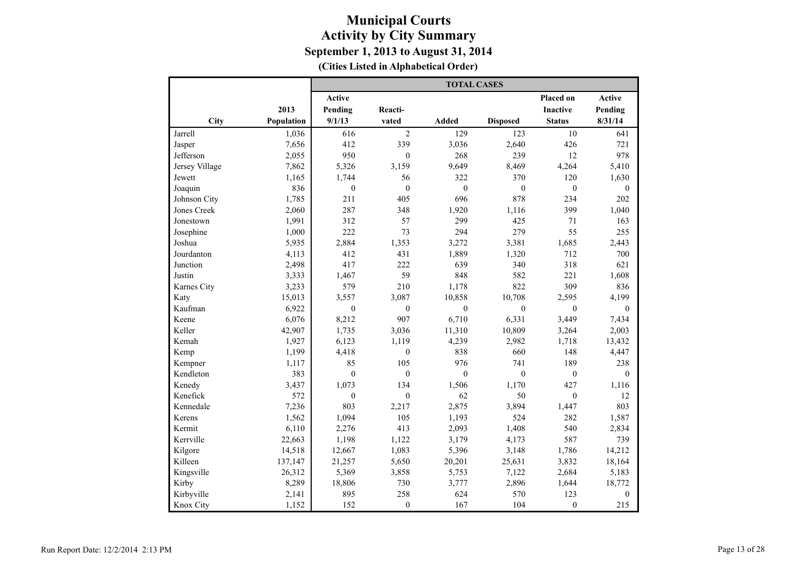|                    |            |              |                  | <b>TOTAL CASES</b> |                  |                 |                  |
|--------------------|------------|--------------|------------------|--------------------|------------------|-----------------|------------------|
|                    |            | Active       |                  |                    |                  | Placed on       | Active           |
|                    | 2013       | Pending      | Reacti-          |                    |                  | <b>Inactive</b> | Pending          |
| City               | Population | 9/1/13       | vated            | Added              | <b>Disposed</b>  | <b>Status</b>   | 8/31/14          |
| Jarrell            | 1,036      | 616          | $\overline{2}$   | 129                | 123              | 10              | 641              |
| Jasper             | 7,656      | 412          | 339              | 3,036              | 2,640            | 426             | 721              |
| Jefferson          | 2,055      | 950          | $\mathbf{0}$     | 268                | 239              | 12              | 978              |
| Jersey Village     | 7,862      | 5,326        | 3,159            | 9,649              | 8,469            | 4,264           | 5,410            |
| Jewett             | 1,165      | 1,744        | 56               | 322                | 370              | 120             | 1,630            |
| Joaquin            | 836        | $\mathbf{0}$ | $\mathbf{0}$     | $\mathbf{0}$       | $\mathbf{0}$     | $\mathbf{0}$    | $\mathbf{0}$     |
| Johnson City       | 1,785      | 211          | 405              | 696                | 878              | 234             | 202              |
| <b>Jones Creek</b> | 2,060      | 287          | 348              | 1,920              | 1,116            | 399             | 1,040            |
| Jonestown          | 1,991      | 312          | 57               | 299                | 425              | $71\,$          | 163              |
| Josephine          | 1,000      | 222          | 73               | 294                | 279              | 55              | 255              |
| Joshua             | 5,935      | 2,884        | 1,353            | 3,272              | 3,381            | 1,685           | 2,443            |
| Jourdanton         | 4,113      | 412          | 431              | 1,889              | 1,320            | 712             | 700              |
| Junction           | 2,498      | 417          | 222              | 639                | 340              | 318             | 621              |
| Justin             | 3,333      | 1,467        | 59               | 848                | 582              | 221             | 1,608            |
| Karnes City        | 3,233      | 579          | 210              | 1,178              | 822              | 309             | 836              |
| Katy               | 15,013     | 3,557        | 3,087            | 10,858             | 10,708           | 2,595           | 4,199            |
| Kaufman            | 6,922      | $\mathbf{0}$ | $\boldsymbol{0}$ | $\overline{0}$     | $\boldsymbol{0}$ | $\mathbf{0}$    | $\overline{0}$   |
| Keene              | 6,076      | 8,212        | 907              | 6,710              | 6,331            | 3,449           | 7,434            |
| Keller             | 42,907     | 1,735        | 3,036            | 11,310             | 10,809           | 3,264           | 2,003            |
| Kemah              | 1,927      | 6,123        | 1,119            | 4,239              | 2,982            | 1,718           | 13,432           |
| Kemp               | 1,199      | 4,418        | $\overline{0}$   | 838                | 660              | 148             | 4,447            |
| Kempner            | 1,117      | 85           | 105              | 976                | 741              | 189             | 238              |
| Kendleton          | 383        | $\theta$     | $\mathbf{0}$     | $\theta$           | $\mathbf{0}$     | $\mathbf{0}$    | $\theta$         |
| Kenedy             | 3,437      | 1,073        | 134              | 1,506              | 1,170            | 427             | 1,116            |
| Kenefick           | 572        | $\mathbf{0}$ | $\mathbf{0}$     | 62                 | 50               | $\mathbf{0}$    | 12               |
| Kennedale          | 7,236      | 803          | 2,217            | 2,875              | 3,894            | 1,447           | 803              |
| Kerens             | 1,562      | 1,094        | 105              | 1,193              | 524              | 282             | 1,587            |
| Kermit             | 6,110      | 2,276        | 413              | 2,093              | 1,408            | 540             | 2,834            |
| Kerrville          | 22,663     | 1,198        | 1,122            | 3,179              | 4,173            | 587             | 739              |
| Kilgore            | 14,518     | 12,667       | 1,083            | 5,396              | 3,148            | 1,786           | 14,212           |
| Killeen            | 137,147    | 21,257       | 5,650            | 20,201             | 25,631           | 3,832           | 18,164           |
| Kingsville         | 26,312     | 5,369        | 3,858            | 5,753              | 7,122            | 2,684           | 5,183            |
| Kirby              | 8,289      | 18,806       | 730              | 3,777              | 2,896            | 1,644           | 18,772           |
| Kirbyville         | 2,141      | 895          | 258              | 624                | 570              | 123             | $\boldsymbol{0}$ |
| Knox City          | 1,152      | 152          | $\mathbf{0}$     | 167                | 104              | $\mathbf{0}$    | 215              |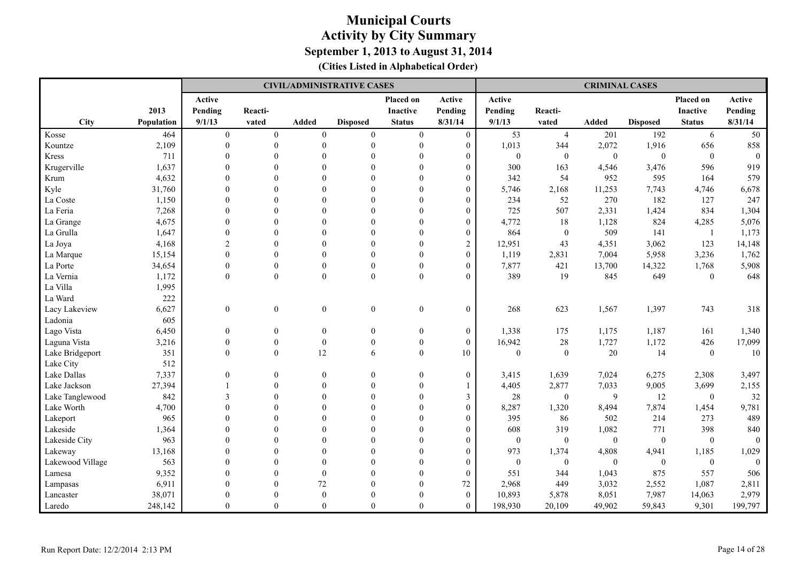|                  |            |                  |                  |                  | <b>CIVIL/ADMINISTRATIVE CASES</b> |                  |                  |                  |                  | <b>CRIMINAL CASES</b> |                  |                  |                  |
|------------------|------------|------------------|------------------|------------------|-----------------------------------|------------------|------------------|------------------|------------------|-----------------------|------------------|------------------|------------------|
|                  |            | Active           |                  |                  |                                   | Placed on        | Active           | Active           |                  |                       |                  | Placed on        | Active           |
|                  | 2013       | Pending          | Reacti-          |                  |                                   | Inactive         | Pending          | Pending          | Reacti-          |                       |                  | <b>Inactive</b>  | Pending          |
| City             | Population | 9/1/13           | vated            | Added            | <b>Disposed</b>                   | <b>Status</b>    | 8/31/14          | 9/1/13           | vated            | <b>Added</b>          | <b>Disposed</b>  | <b>Status</b>    | 8/31/14          |
| Kosse            | 464        | $\mathbf{0}$     | $\boldsymbol{0}$ | $\boldsymbol{0}$ | $\mathbf{0}$                      | $\mathbf{0}$     | $\overline{0}$   | 53               | $\overline{4}$   | 201                   | 192              | 6                | 50               |
| Kountze          | 2,109      | $\theta$         | $\mathbf{0}$     | $\Omega$         | $\theta$                          | $\mathbf{0}$     | $\mathbf{0}$     | 1,013            | 344              | 2,072                 | 1,916            | 656              | 858              |
| Kress            | 711        | $\Omega$         | $\Omega$         | $\Omega$         | $\theta$                          | $\Omega$         | $\mathbf{0}$     | $\boldsymbol{0}$ | $\boldsymbol{0}$ | $\overline{0}$        | $\boldsymbol{0}$ | $\mathbf{0}$     | $\mathbf{0}$     |
| Krugerville      | 1,637      | $\Omega$         | $\Omega$         | $\Omega$         |                                   | $\Omega$         | $\mathbf{0}$     | 300              | 163              | 4,546                 | 3,476            | 596              | 919              |
| Krum             | 4,632      | $\Omega$         | $\Omega$         | $\Omega$         |                                   |                  | $\boldsymbol{0}$ | 342              | 54               | 952                   | 595              | 164              | 579              |
| Kyle             | 31,760     | $\Omega$         | $\Omega$         | $\Omega$         | $\Omega$                          | $\Omega$         | $\mathbf{0}$     | 5,746            | 2,168            | 11,253                | 7,743            | 4,746            | 6,678            |
| La Coste         | 1,150      | $\theta$         | $\Omega$         | $\Omega$         | $\Omega$                          | $\Omega$         | $\overline{0}$   | 234              | 52               | 270                   | 182              | 127              | 247              |
| La Feria         | 7,268      | $\theta$         | $\Omega$         | $\Omega$         |                                   |                  | $\boldsymbol{0}$ | 725              | 507              | 2,331                 | 1,424            | 834              | 1,304            |
| La Grange        | 4,675      | $\theta$         | $\Omega$         | $\Omega$         |                                   | $\Omega$         | $\boldsymbol{0}$ | 4,772            | 18               | 1,128                 | 824              | 4,285            | 5,076            |
| La Grulla        | 1,647      | $\theta$         | $\Omega$         | $\Omega$         |                                   | $\Omega$         | $\boldsymbol{0}$ | 864              | $\boldsymbol{0}$ | 509                   | 141              | $\mathbf{1}$     | 1,173            |
| La Joya          | 4,168      | $\overline{2}$   | $\Omega$         | $\Omega$         | $\Omega$                          | $\Omega$         | 2                | 12,951           | 43               | 4,351                 | 3,062            | 123              | 14,148           |
| La Marque        | 15,154     | $\Omega$         | $\theta$         | $\Omega$         | $\theta$                          | $\Omega$         | $\boldsymbol{0}$ | 1,119            | 2,831            | 7,004                 | 5,958            | 3,236            | 1,762            |
| La Porte         | 34,654     | $\theta$         | $\theta$         | $\theta$         | $\Omega$                          | $\theta$         | $\overline{0}$   | 7,877            | 421              | 13,700                | 14,322           | 1,768            | 5,908            |
| La Vernia        | 1,172      | $\theta$         | $\mathbf{0}$     | $\mathbf{0}$     | $\mathbf{0}$                      | $\mathbf{0}$     | $\overline{0}$   | 389              | 19               | 845                   | 649              | $\mathbf{0}$     | 648              |
| La Villa         | 1,995      |                  |                  |                  |                                   |                  |                  |                  |                  |                       |                  |                  |                  |
| La Ward          | 222        |                  |                  |                  |                                   |                  |                  |                  |                  |                       |                  |                  |                  |
| Lacy Lakeview    | 6,627      | $\boldsymbol{0}$ | $\boldsymbol{0}$ | $\boldsymbol{0}$ | $\boldsymbol{0}$                  | $\boldsymbol{0}$ | $\boldsymbol{0}$ | 268              | 623              | 1,567                 | 1,397            | 743              | 318              |
| Ladonia          | 605        |                  |                  |                  |                                   |                  |                  |                  |                  |                       |                  |                  |                  |
| Lago Vista       | 6,450      | $\boldsymbol{0}$ | $\boldsymbol{0}$ | $\boldsymbol{0}$ | $\boldsymbol{0}$                  | $\boldsymbol{0}$ | $\boldsymbol{0}$ | 1,338            | 175              | 1,175                 | 1,187            | 161              | 1,340            |
| Laguna Vista     | 3,216      | $\mathbf{0}$     | $\boldsymbol{0}$ | $\mathbf{0}$     | $\theta$                          | $\mathbf{0}$     | $\mathbf{0}$     | 16,942           | $28\,$           | 1,727                 | 1,172            | 426              | 17,099           |
| Lake Bridgeport  | 351        | $\theta$         | $\overline{0}$   | 12               | 6                                 | $\theta$         | $10\,$           | $\mathbf{0}$     | $\mathbf{0}$     | 20                    | 14               | $\mathbf{0}$     | 10               |
| Lake City        | 512        |                  |                  |                  |                                   |                  |                  |                  |                  |                       |                  |                  |                  |
| Lake Dallas      | 7,337      | $\mathbf{0}$     | $\Omega$         | $\mathbf{0}$     | $\Omega$                          | $\mathbf{0}$     | $\boldsymbol{0}$ | 3,415            | 1,639            | 7,024                 | 6,275            | 2,308            | 3,497            |
| Lake Jackson     | 27,394     |                  | $\Omega$         | $\mathbf{0}$     | $\Omega$                          | $\mathbf{0}$     | 1                | 4,405            | 2,877            | 7,033                 | 9,005            | 3,699            | 2,155            |
| Lake Tanglewood  | 842        | $\mathbf{3}$     | $\Omega$         | $\Omega$         | $\Omega$                          | $\theta$         | $\mathfrak{Z}$   | 28               | $\boldsymbol{0}$ | 9                     | 12               | $\boldsymbol{0}$ | 32               |
| Lake Worth       | 4,700      | $\Omega$         | $\Omega$         | $\Omega$         | $\Omega$                          | $\Omega$         | $\mathbf{0}$     | 8,287            | 1,320            | 8,494                 | 7,874            | 1,454            | 9,781            |
| Lakeport         | 965        | $\Omega$         | $\Omega$         | $\theta$         | $\Omega$                          | $\Omega$         | $\mathbf{0}$     | 395              | 86               | 502                   | 214              | 273              | 489              |
| Lakeside         | 1,364      | $\theta$         | $\Omega$         | $\theta$         |                                   | $\Omega$         | $\mathbf{0}$     | 608              | 319              | 1,082                 | 771              | 398              | 840              |
| Lakeside City    | 963        | $\theta$         | $\Omega$         | $\theta$         |                                   | $\theta$         | $\boldsymbol{0}$ | $\boldsymbol{0}$ | $\boldsymbol{0}$ | $\boldsymbol{0}$      | $\boldsymbol{0}$ | $\boldsymbol{0}$ | $\boldsymbol{0}$ |
| Lakeway          | 13,168     | $\Omega$         |                  | $\Omega$         |                                   | $\Omega$         | $\mathbf{0}$     | 973              | 1,374            | 4,808                 | 4,941            | 1,185            | 1,029            |
| Lakewood Village | 563        | $\Omega$         |                  | $\Omega$         |                                   |                  | $\mathbf{0}$     | $\mathbf{0}$     | $\boldsymbol{0}$ | $\mathbf{0}$          | $\boldsymbol{0}$ | $\boldsymbol{0}$ | $\boldsymbol{0}$ |
| Lamesa           | 9,352      | $\Omega$         | $\Omega$         | $\Omega$         |                                   | $\Omega$         | $\mathbf{0}$     | 551              | 344              | 1,043                 | 875              | 557              | 506              |
| Lampasas         | 6,911      |                  | $\Omega$         | 72               |                                   |                  | 72               | 2,968            | 449              | 3,032                 | 2,552            | 1,087            | 2,811            |
| Lancaster        | 38,071     | $\Omega$         |                  | $\theta$         |                                   |                  | $\mathbf{0}$     | 10,893           | 5,878            | 8,051                 | 7,987            | 14,063           | 2,979            |
| Laredo           | 248,142    | $\theta$         | $\Omega$         | $\theta$         | $\theta$                          | $\theta$         | $\overline{0}$   | 198,930          | 20,109           | 49,902                | 59,843           | 9,301            | 199,797          |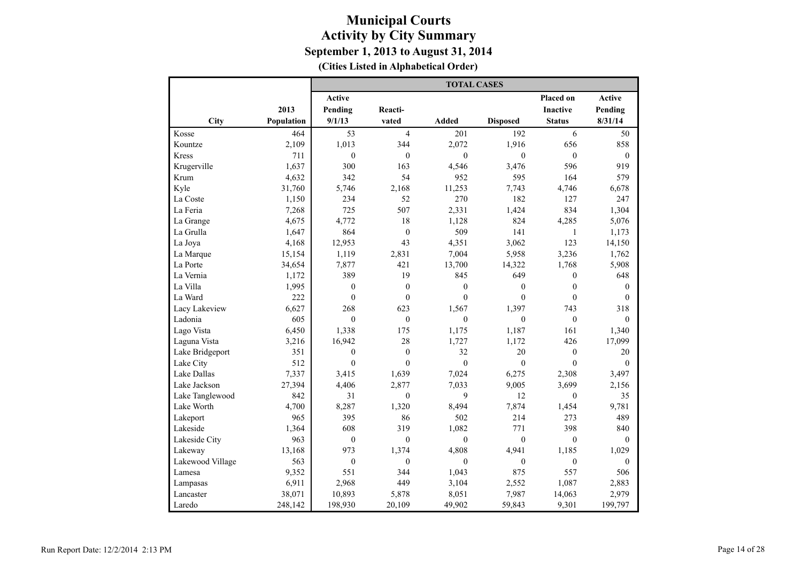|                  |            |                  |                  | <b>TOTAL CASES</b> |                  |                  |              |
|------------------|------------|------------------|------------------|--------------------|------------------|------------------|--------------|
|                  |            | Active           |                  |                    |                  | Placed on        | Active       |
|                  | 2013       | Pending          | Reacti-          |                    |                  | <b>Inactive</b>  | Pending      |
| City             | Population | 9/1/13           | vated            | <b>Added</b>       | <b>Disposed</b>  | <b>Status</b>    | 8/31/14      |
| Kosse            | 464        | 53               | $\overline{4}$   | 201                | 192              | 6                | 50           |
| Kountze          | 2,109      | 1,013            | 344              | 2,072              | 1,916            | 656              | 858          |
| <b>Kress</b>     | 711        | $\mathbf{0}$     | $\mathbf{0}$     | $\theta$           | $\mathbf{0}$     | $\theta$         | $\theta$     |
| Krugerville      | 1,637      | 300              | 163              | 4,546              | 3,476            | 596              | 919          |
| Krum             | 4,632      | 342              | 54               | 952                | 595              | 164              | 579          |
| Kyle             | 31,760     | 5,746            | 2,168            | 11,253             | 7,743            | 4,746            | 6,678        |
| La Coste         | 1,150      | 234              | 52               | 270                | 182              | 127              | 247          |
| La Feria         | 7,268      | 725              | 507              | 2,331              | 1,424            | 834              | 1,304        |
| La Grange        | 4,675      | 4,772            | 18               | 1,128              | 824              | 4,285            | 5,076        |
| La Grulla        | 1,647      | 864              | $\boldsymbol{0}$ | 509                | 141              | $\mathbf{1}$     | 1,173        |
| La Joya          | 4,168      | 12,953           | 43               | 4,351              | 3,062            | 123              | 14,150       |
| La Marque        | 15,154     | 1,119            | 2,831            | 7,004              | 5,958            | 3,236            | 1,762        |
| La Porte         | 34,654     | 7,877            | 421              | 13,700             | 14,322           | 1,768            | 5,908        |
| La Vernia        | 1,172      | 389              | 19               | 845                | 649              | $\mathbf{0}$     | 648          |
| La Villa         | 1,995      | $\mathbf{0}$     | $\mathbf{0}$     | $\mathbf{0}$       | $\mathbf{0}$     | $\mathbf{0}$     | $\mathbf{0}$ |
| La Ward          | 222        | $\mathbf{0}$     | $\mathbf{0}$     | $\theta$           | $\theta$         | $\theta$         | $\theta$     |
| Lacy Lakeview    | 6,627      | 268              | 623              | 1,567              | 1,397            | 743              | 318          |
| Ladonia          | 605        | $\mathbf{0}$     | $\mathbf{0}$     | $\mathbf{0}$       | $\boldsymbol{0}$ | $\mathbf{0}$     | $\mathbf{0}$ |
| Lago Vista       | 6,450      | 1,338            | 175              | 1,175              | 1,187            | 161              | 1,340        |
| Laguna Vista     | 3,216      | 16,942           | 28               | 1,727              | 1,172            | 426              | 17,099       |
| Lake Bridgeport  | 351        | $\boldsymbol{0}$ | $\boldsymbol{0}$ | 32                 | 20               | $\boldsymbol{0}$ | 20           |
| Lake City        | 512        | $\theta$         | $\theta$         | $\theta$           | $\theta$         | $\theta$         | $\theta$     |
| Lake Dallas      | 7,337      | 3,415            | 1,639            | 7,024              | 6,275            | 2,308            | 3,497        |
| Lake Jackson     | 27,394     | 4,406            | 2,877            | 7,033              | 9,005            | 3,699            | 2,156        |
| Lake Tanglewood  | 842        | 31               | $\mathbf{0}$     | 9                  | 12               | $\mathbf{0}$     | 35           |
| Lake Worth       | 4,700      | 8,287            | 1,320            | 8,494              | 7,874            | 1,454            | 9,781        |
| Lakeport         | 965        | 395              | 86               | 502                | 214              | 273              | 489          |
| Lakeside         | 1,364      | 608              | 319              | 1,082              | 771              | 398              | 840          |
| Lakeside City    | 963        | $\boldsymbol{0}$ | $\mathbf{0}$     | $\mathbf{0}$       | $\boldsymbol{0}$ | $\mathbf{0}$     | $\Omega$     |
| Lakeway          | 13,168     | 973              | 1,374            | 4,808              | 4,941            | 1,185            | 1,029        |
| Lakewood Village | 563        | $\boldsymbol{0}$ | $\boldsymbol{0}$ | $\mathbf{0}$       | $\boldsymbol{0}$ | $\boldsymbol{0}$ | $\mathbf{0}$ |
| Lamesa           | 9,352      | 551              | 344              | 1,043              | 875              | 557              | 506          |
| Lampasas         | 6,911      | 2,968            | 449              | 3,104              | 2,552            | 1,087            | 2,883        |
| Lancaster        | 38,071     | 10,893           | 5,878            | 8,051              | 7,987            | 14,063           | 2,979        |
| Laredo           | 248,142    | 198,930          | 20,109           | 49,902             | 59,843           | 9,301            | 199,797      |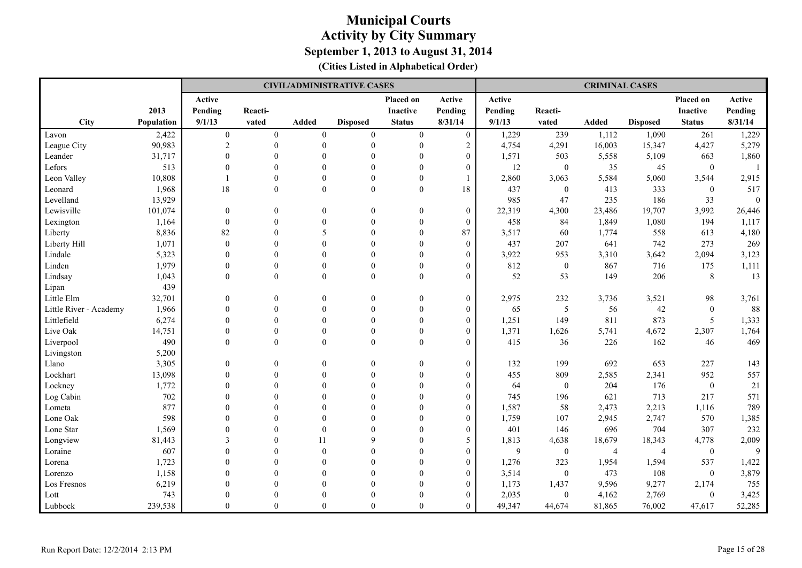|                        |            |                  |                  |                | <b>CIVIL/ADMINISTRATIVE CASES</b> |                  |                  |         |                  | <b>CRIMINAL CASES</b> |                 |                  |                  |
|------------------------|------------|------------------|------------------|----------------|-----------------------------------|------------------|------------------|---------|------------------|-----------------------|-----------------|------------------|------------------|
|                        |            | Active           |                  |                |                                   | Placed on        | Active           | Active  |                  |                       |                 | Placed on        | Active           |
|                        | 2013       | Pending          | Reacti-          |                |                                   | <b>Inactive</b>  | Pending          | Pending | Reacti-          |                       |                 | <b>Inactive</b>  | Pending          |
| City                   | Population | 9/1/13           | vated            | <b>Added</b>   | <b>Disposed</b>                   | <b>Status</b>    | 8/31/14          | 9/1/13  | vated            | Added                 | <b>Disposed</b> | <b>Status</b>    | 8/31/14          |
| Lavon                  | 2,422      | $\boldsymbol{0}$ | $\boldsymbol{0}$ | $\overline{0}$ | $\boldsymbol{0}$                  | $\mathbf{0}$     | $\overline{0}$   | 1,229   | 239              | 1,112                 | 1,090           | 261              | 1,229            |
| League City            | 90,983     | $\sqrt{2}$       | $\boldsymbol{0}$ | $\mathbf{0}$   | $\boldsymbol{0}$                  | $\mathbf{0}$     | $\sqrt{2}$       | 4,754   | 4,291            | 16,003                | 15,347          | 4,427            | 5,279            |
| Leander                | 31,717     | $\Omega$         | $\Omega$         | $\Omega$       | $\theta$                          | $\Omega$         | $\mathbf{0}$     | 1,571   | 503              | 5,558                 | 5,109           | 663              | 1,860            |
| Lefors                 | 513        | $\Omega$         | $\Omega$         | $\Omega$       | $\Omega$                          |                  | $\mathbf{0}$     | 12      | $\mathbf{0}$     | 35                    | 45              | $\mathbf{0}$     | $\overline{1}$   |
| Leon Valley            | 10,808     |                  | $\theta$         | $\Omega$       |                                   |                  |                  | 2,860   | 3,063            | 5,584                 | 5,060           | 3,544            | 2,915            |
| Leonard                | 1,968      | 18               | $\Omega$         | $\Omega$       | $\theta$                          | $\Omega$         | 18               | 437     | $\mathbf{0}$     | 413                   | 333             | $\theta$         | 517              |
| Levelland              | 13,929     |                  |                  |                |                                   |                  |                  | 985     | 47               | 235                   | 186             | 33               | $\boldsymbol{0}$ |
| Lewisville             | 101,074    | $\boldsymbol{0}$ | $\theta$         | $\theta$       | $\theta$                          | $\boldsymbol{0}$ | $\mathbf{0}$     | 22,319  | 4,300            | 23,486                | 19,707          | 3,992            | 26,446           |
| Lexington              | 1,164      | $\mathbf{0}$     |                  | $\theta$       |                                   | $\theta$         | $\boldsymbol{0}$ | 458     | 84               | 1,849                 | 1,080           | 194              | 1,117            |
| Liberty                | 8,836      | 82               |                  | 5              |                                   | $\theta$         | 87               | 3,517   | 60               | 1,774                 | 558             | 613              | 4,180            |
| Liberty Hill           | 1,071      | $\theta$         | $\Omega$         | $\Omega$       |                                   |                  | $\mathbf{0}$     | 437     | 207              | 641                   | 742             | 273              | 269              |
| Lindale                | 5,323      | $\Omega$         | $\Omega$         | $\Omega$       |                                   |                  | $\mathbf{0}$     | 3,922   | 953              | 3,310                 | 3,642           | 2,094            | 3,123            |
| Linden                 | 1,979      | $\Omega$         | $\Omega$         | $\Omega$       | $\Omega$                          | $\Omega$         | $\mathbf{0}$     | 812     | $\mathbf{0}$     | 867                   | 716             | 175              | 1,111            |
| Lindsay                | 1,043      | $\Omega$         | $\overline{0}$   | $\theta$       | $\theta$                          | $\theta$         | $\overline{0}$   | 52      | 53               | 149                   | 206             | 8                | 13               |
| Lipan                  | 439        |                  |                  |                |                                   |                  |                  |         |                  |                       |                 |                  |                  |
| Little Elm             | 32,701     | $\theta$         | $\Omega$         | $\theta$       | $\theta$                          | $\mathbf{0}$     | $\boldsymbol{0}$ | 2,975   | 232              | 3,736                 | 3,521           | 98               | 3,761            |
| Little River - Academy | 1,966      | $\Omega$         | $\theta$         | $\theta$       | $\theta$                          | $\theta$         | $\mathbf{0}$     | 65      | $\sqrt{5}$       | 56                    | 42              | $\boldsymbol{0}$ | 88               |
| Littlefield            | 6,274      |                  | $\theta$         | $\Omega$       | $\theta$                          | $\Omega$         | $\mathbf{0}$     | 1,251   | 149              | 811                   | 873             | 5                | 1,333            |
| Live Oak               | 14,751     |                  | $\mathbf{0}$     | $\theta$       | $\theta$                          |                  | $\boldsymbol{0}$ | 1,371   | 1,626            | 5,741                 | 4,672           | 2,307            | 1,764            |
| Liverpool              | 490        | $\Omega$         | $\theta$         | $\theta$       | $\theta$                          | $\Omega$         | $\theta$         | 415     | 36               | 226                   | 162             | 46               | 469              |
| Livingston             | 5,200      |                  |                  |                |                                   |                  |                  |         |                  |                       |                 |                  |                  |
| Llano                  | 3,305      | $\theta$         | $\Omega$         | $\theta$       | $\Omega$                          | $\theta$         | $\boldsymbol{0}$ | 132     | 199              | 692                   | 653             | 227              | 143              |
| Lockhart               | 13,098     | $\Omega$         |                  | $\Omega$       |                                   | $\theta$         | $\theta$         | 455     | 809              | 2,585                 | 2,341           | 952              | 557              |
| Lockney                | 1,772      |                  |                  | $\Omega$       |                                   | $\Omega$         | $\mathbf{0}$     | 64      | $\boldsymbol{0}$ | 204                   | 176             | $\boldsymbol{0}$ | 21               |
| Log Cabin              | 702        |                  |                  | $\Omega$       |                                   |                  | $\mathbf{0}$     | 745     | 196              | 621                   | 713             | 217              | 571              |
| Lometa                 | 877        |                  |                  | $\Omega$       |                                   |                  | $\boldsymbol{0}$ | 1,587   | 58               | 2,473                 | 2,213           | 1,116            | 789              |
| Lone Oak               | 598        |                  |                  | $\Omega$       |                                   |                  | $\overline{0}$   | 1,759   | 107              | 2,945                 | 2,747           | 570              | 1,385            |
| Lone Star              | 1,569      |                  |                  | $\mathbf{0}$   |                                   |                  | $\boldsymbol{0}$ | 401     | 146              | 696                   | 704             | 307              | 232              |
| Longview               | 81,443     |                  |                  | 11             |                                   |                  | 5                | 1,813   | 4,638            | 18,679                | 18,343          | 4,778            | 2,009            |
| Loraine                | 607        |                  |                  | $\Omega$       |                                   |                  | $\mathbf{0}$     | 9       | $\boldsymbol{0}$ | $\overline{4}$        | $\overline{4}$  | $\mathbf{0}$     | 9                |
| Lorena                 | 1,723      |                  |                  | $\Omega$       |                                   |                  | $\theta$         | 1,276   | 323              | 1,954                 | 1,594           | 537              | 1,422            |
| Lorenzo                | 1,158      |                  | $\Omega$         | $\Omega$       |                                   |                  | $\theta$         | 3,514   | $\boldsymbol{0}$ | 473                   | 108             | $\mathbf{0}$     | 3,879            |
| Los Fresnos            | 6,219      |                  |                  | $\Omega$       |                                   |                  | $\mathbf{0}$     | 1,173   | 1,437            | 9,596                 | 9,277           | 2,174            | 755              |
| Lott                   | 743        |                  |                  | $\Omega$       |                                   |                  | $\overline{0}$   | 2,035   | $\boldsymbol{0}$ | 4,162                 | 2,769           | $\boldsymbol{0}$ | 3,425            |
| Lubbock                | 239,538    | $\theta$         | $\theta$         | $\theta$       | $\theta$                          | $\theta$         | $\theta$         | 49,347  | 44,674           | 81,865                | 76,002          | 47,617           | 52,285           |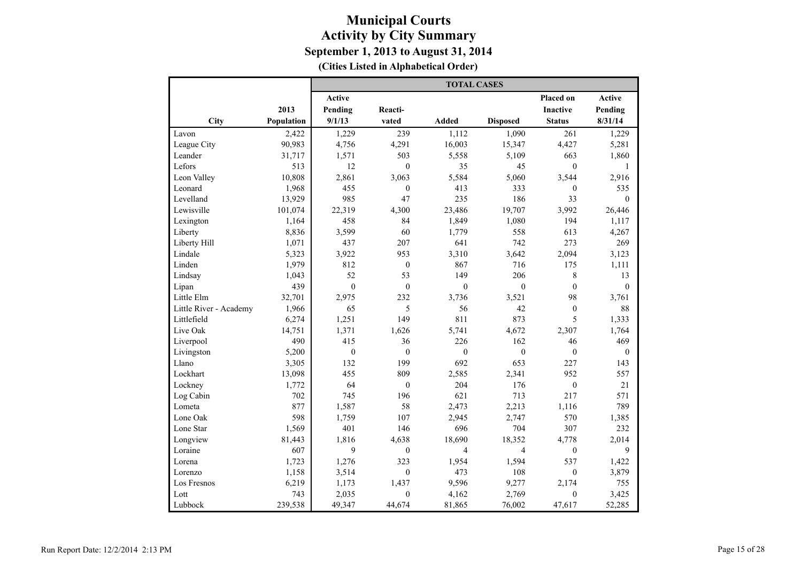**(Cities Listed in Alphabetical Order)**

|                        |            | <b>TOTAL CASES</b> |                  |                  |                  |                  |                |  |  |  |
|------------------------|------------|--------------------|------------------|------------------|------------------|------------------|----------------|--|--|--|
|                        |            | Active             |                  |                  |                  | Placed on        | Active         |  |  |  |
|                        | 2013       | Pending            | Reacti-          |                  |                  | Inactive         | Pending        |  |  |  |
| City                   | Population | 9/1/13             | vated            | <b>Added</b>     | <b>Disposed</b>  | <b>Status</b>    | 8/31/14        |  |  |  |
| Lavon                  | 2,422      | 1,229              | 239              | 1,112            | 1,090            | 261              | 1,229          |  |  |  |
| League City            | 90,983     | 4,756              | 4,291            | 16,003           | 15,347           | 4,427            | 5,281          |  |  |  |
| Leander                | 31,717     | 1,571              | 503              | 5,558            | 5,109            | 663              | 1,860          |  |  |  |
| Lefors                 | 513        | 12                 | $\mathbf{0}$     | 35               | 45               | $\mathbf{0}$     | 1              |  |  |  |
| Leon Valley            | 10,808     | 2,861              | 3,063            | 5,584            | 5,060            | 3,544            | 2,916          |  |  |  |
| Leonard                | 1,968      | 455                | $\mathbf{0}$     | 413              | 333              | $\mathbf{0}$     | 535            |  |  |  |
| Levelland              | 13,929     | 985                | 47               | 235              | 186              | 33               | $\overline{0}$ |  |  |  |
| Lewisville             | 101,074    | 22,319             | 4,300            | 23,486           | 19,707           | 3,992            | 26,446         |  |  |  |
| Lexington              | 1,164      | 458                | 84               | 1,849            | 1,080            | 194              | 1,117          |  |  |  |
| Liberty                | 8,836      | 3,599              | 60               | 1,779            | 558              | 613              | 4,267          |  |  |  |
| Liberty Hill           | 1,071      | 437                | 207              | 641              | 742              | 273              | 269            |  |  |  |
| Lindale                | 5,323      | 3,922              | 953              | 3,310            | 3,642            | 2,094            | 3,123          |  |  |  |
| Linden                 | 1,979      | 812                | $\boldsymbol{0}$ | 867              | 716              | 175              | 1,111          |  |  |  |
| Lindsay                | 1,043      | 52                 | 53               | 149              | 206              | 8                | 13             |  |  |  |
| Lipan                  | 439        | $\mathbf{0}$       | $\mathbf{0}$     | $\mathbf{0}$     | $\mathbf{0}$     | $\mathbf{0}$     | $\overline{0}$ |  |  |  |
| Little Elm             | 32,701     | 2,975              | 232              | 3,736            | 3,521            | 98               | 3,761          |  |  |  |
| Little River - Academy | 1,966      | 65                 | 5                | 56               | 42               | $\boldsymbol{0}$ | 88             |  |  |  |
| Littlefield            | 6,274      | 1,251              | 149              | 811              | 873              | 5                | 1,333          |  |  |  |
| Live Oak               | 14,751     | 1,371              | 1,626            | 5,741            | 4,672            | 2,307            | 1,764          |  |  |  |
| Liverpool              | 490        | 415                | 36               | 226              | 162              | 46               | 469            |  |  |  |
| Livingston             | 5,200      | $\boldsymbol{0}$   | $\mathbf{0}$     | $\boldsymbol{0}$ | $\boldsymbol{0}$ | $\boldsymbol{0}$ | $\mathbf{0}$   |  |  |  |
| Llano                  | 3,305      | 132                | 199              | 692              | 653              | 227              | 143            |  |  |  |
| Lockhart               | 13,098     | 455                | 809              | 2,585            | 2,341            | 952              | 557            |  |  |  |
| Lockney                | 1,772      | 64                 | $\boldsymbol{0}$ | 204              | 176              | $\boldsymbol{0}$ | 21             |  |  |  |
| Log Cabin              | 702        | 745                | 196              | 621              | 713              | 217              | 571            |  |  |  |
| Lometa                 | 877        | 1,587              | 58               | 2,473            | 2,213            | 1,116            | 789            |  |  |  |
| Lone Oak               | 598        | 1,759              | 107              | 2,945            | 2,747            | 570              | 1,385          |  |  |  |
| Lone Star              | 1,569      | 401                | 146              | 696              | 704              | 307              | 232            |  |  |  |
| Longview               | 81,443     | 1,816              | 4,638            | 18,690           | 18,352           | 4,778            | 2,014          |  |  |  |
| Loraine                | 607        | 9                  | $\mathbf{0}$     | 4                | 4                | $\boldsymbol{0}$ | 9              |  |  |  |
| Lorena                 | 1,723      | 1,276              | 323              | 1,954            | 1,594            | 537              | 1,422          |  |  |  |
| Lorenzo                | 1,158      | 3,514              | $\boldsymbol{0}$ | 473              | 108              | $\mathbf{0}$     | 3,879          |  |  |  |
| Los Fresnos            | 6,219      | 1,173              | 1,437            | 9,596            | 9,277            | 2,174            | 755            |  |  |  |
| Lott                   | 743        | 2,035              | $\mathbf{0}$     | 4,162            | 2,769            | $\boldsymbol{0}$ | 3,425          |  |  |  |
| Lubbock                | 239,538    | 49,347             | 44,674           | 81,865           | 76,002           | 47,617           | 52,285         |  |  |  |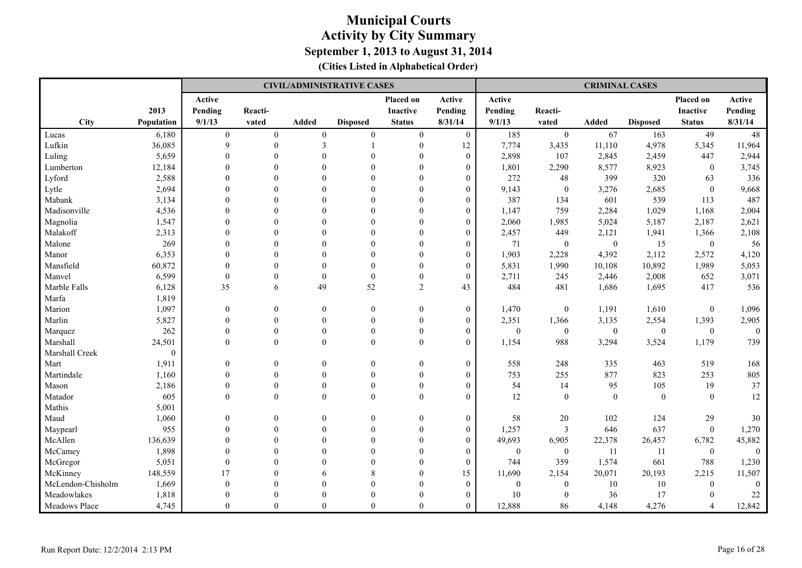|                   |            |              |                  |                  | <b>CIVIL/ADMINISTRATIVE CASES</b> |                  |                  |                  |                  | <b>CRIMINAL CASES</b> |                 |                          |              |
|-------------------|------------|--------------|------------------|------------------|-----------------------------------|------------------|------------------|------------------|------------------|-----------------------|-----------------|--------------------------|--------------|
|                   |            | Active       |                  |                  |                                   | Placed on        | Active           | Active           |                  |                       |                 | Placed on                | Active       |
|                   | 2013       | Pending      | Reacti-          |                  |                                   | <b>Inactive</b>  | Pending          | Pending          | Reacti-          |                       |                 | <b>Inactive</b>          | Pending      |
| City              | Population | 9/1/13       | vated            | <b>Added</b>     | <b>Disposed</b>                   | <b>Status</b>    | 8/31/14          | 9/1/13           | vated            | Added                 | <b>Disposed</b> | <b>Status</b>            | 8/31/14      |
| Lucas             | 6,180      | $\mathbf{0}$ | $\boldsymbol{0}$ | $\boldsymbol{0}$ | $\mathbf{0}$                      | $\overline{0}$   | $\overline{0}$   | 185              | $\boldsymbol{0}$ | 67                    | 163             | 49                       | 48           |
| Lufkin            | 36,085     | 9            | $\mathbf{0}$     | 3                |                                   | $\boldsymbol{0}$ | 12               | 7,774            | 3,435            | 11,110                | 4,978           | 5,345                    | 11,964       |
| Luling            | 5,659      | $\Omega$     | $\Omega$         | $\Omega$         |                                   | $\theta$         | $\boldsymbol{0}$ | 2,898            | 107              | 2,845                 | 2,459           | 447                      | 2,944        |
| Lumberton         | 12,184     | $\Omega$     | $\Omega$         | $\Omega$         |                                   | $\Omega$         | $\mathbf{0}$     | 1,801            | 2,290            | 8,577                 | 8,923           | $\mathbf{0}$             | 3,745        |
| Lyford            | 2,588      | $\Omega$     |                  | $\Omega$         |                                   |                  | $\theta$         | 272              | 48               | 399                   | 320             | 63                       | 336          |
| Lytle             | 2,694      | $\Omega$     | $\Omega$         | $\Omega$         |                                   | $\Omega$         | $\mathbf{0}$     | 9,143            | $\boldsymbol{0}$ | 3,276                 | 2,685           | $\mathbf{0}$             | 9,668        |
| Mabank            | 3,134      | $\theta$     | $\Omega$         | $\Omega$         |                                   | $\Omega$         | $\mathbf{0}$     | 387              | 134              | 601                   | 539             | 113                      | 487          |
| Madisonville      | 4,536      | $\theta$     | $\theta$         | $\theta$         |                                   | $\Omega$         | $\boldsymbol{0}$ | 1,147            | 759              | 2,284                 | 1,029           | 1,168                    | 2,004        |
| Magnolia          | 1,547      | $\Omega$     |                  | $\Omega$         |                                   |                  | $\mathbf{0}$     | 2,060            | 1,985            | 5,024                 | 5,187           | 2,187                    | 2,621        |
| Malakoff          | 2,313      | $\Omega$     |                  | $\Omega$         |                                   | $\Omega$         | $\theta$         | 2,457            | 449              | 2,121                 | 1,941           | 1,366                    | 2,108        |
| Malone            | 269        | $\Omega$     | $\Omega$         | $\Omega$         |                                   |                  | $\mathbf{0}$     | 71               | $\boldsymbol{0}$ | $\bf{0}$              | 15              | $\mathbf{0}$             | 56           |
| Manor             | 6,353      | $\Omega$     | $\Omega$         | $\Omega$         |                                   |                  | $\boldsymbol{0}$ | 1,903            | 2,228            | 4,392                 | 2,112           | 2,572                    | 4,120        |
| Mansfield         | 60,872     | $\theta$     | $\Omega$         | $\theta$         | $\Omega$                          | $\theta$         | $\boldsymbol{0}$ | 5,831            | 1,990            | 10,108                | 10,892          | 1,989                    | 5,053        |
| Manvel            | 6,599      | $\mathbf{0}$ | $\theta$         | $\theta$         | $\theta$                          | $\mathbf{0}$     | $\mathbf{0}$     | 2,711            | 245              | 2,446                 | 2,008           | 652                      | 3,071        |
| Marble Falls      | 6,128      | 35           | 6                | 49               | 52                                | $\overline{2}$   | 43               | 484              | 481              | 1,686                 | 1,695           | 417                      | 536          |
| Marfa             | 1,819      |              |                  |                  |                                   |                  |                  |                  |                  |                       |                 |                          |              |
| Marion            | 1,097      | $\mathbf{0}$ | $\Omega$         | $\theta$         | $\boldsymbol{0}$                  | $\mathbf{0}$     | $\boldsymbol{0}$ | 1,470            | $\boldsymbol{0}$ | 1,191                 | 1,610           | $\boldsymbol{0}$         | 1,096        |
| Marlin            | 5,827      | $\theta$     | $\theta$         | $\Omega$         | $\theta$                          | $\theta$         | $\boldsymbol{0}$ | 2,351            | 1,366            | 3,135                 | 2,554           | 1,393                    | 2,905        |
| Marquez           | 262        | $\theta$     | $\theta$         | $\theta$         | $\theta$                          | $\Omega$         | $\mathbf{0}$     | $\overline{0}$   | $\boldsymbol{0}$ | $\mathbf{0}$          | $\mathbf{0}$    | $\mathbf{0}$             | $\mathbf{0}$ |
| Marshall          | 24,501     | $\Omega$     | $\theta$         | $\Omega$         | $\Omega$                          | $\Omega$         | $\mathbf{0}$     | 1,154            | 988              | 3,294                 | 3,524           | 1,179                    | 739          |
| Marshall Creek    | $\theta$   |              |                  |                  |                                   |                  |                  |                  |                  |                       |                 |                          |              |
| Mart              | 1,911      | $\mathbf{0}$ | $\theta$         | $\overline{0}$   | $\theta$                          | $\boldsymbol{0}$ | $\boldsymbol{0}$ | 558              | 248              | 335                   | 463             | 519                      | 168          |
| Martindale        | 1,160      | $\theta$     | $\Omega$         | $\overline{0}$   | $\theta$                          | $\boldsymbol{0}$ | $\boldsymbol{0}$ | 753              | 255              | 877                   | 823             | 253                      | 805          |
| Mason             | 2,186      | $\theta$     | $\Omega$         | $\Omega$         | $\theta$                          | $\mathbf{0}$     | $\mathbf{0}$     | 54               | 14               | 95                    | 105             | 19                       | 37           |
| Matador           | 605        | $\theta$     | $\theta$         | $\theta$         | $\Omega$                          | $\theta$         | $\overline{0}$   | 12               | $\mathbf{0}$     | $\theta$              | $\mathbf{0}$    | $\theta$                 | 12           |
| Mathis            | 5,001      |              |                  |                  |                                   |                  |                  |                  |                  |                       |                 |                          |              |
| Maud              | 1,060      | $\mathbf{0}$ | $\Omega$         | $\mathbf{0}$     | $\theta$                          | $\mathbf{0}$     | $\boldsymbol{0}$ | 58               | $20\,$           | 102                   | 124             | 29                       | 30           |
| Maypearl          | 955        | $\theta$     |                  | $\theta$         |                                   | $\theta$         | $\boldsymbol{0}$ | 1,257            | $\mathfrak{Z}$   | 646                   | 637             | $\boldsymbol{0}$         | 1,270        |
| McAllen           | 136,639    | $\theta$     | $\Omega$         | $\theta$         | $\Omega$                          | $\theta$         | $\overline{0}$   | 49,693           | 6,905            | 22,378                | 26,457          | 6,782                    | 45,882       |
| McCamey           | 1,898      | $\theta$     |                  | $\Omega$         |                                   |                  | $\mathbf{0}$     | $\boldsymbol{0}$ | $\boldsymbol{0}$ | 11                    | 11              | $\mathbf{0}$             | $\mathbf{0}$ |
| McGregor          | 5,051      | $\theta$     |                  |                  |                                   |                  | $\boldsymbol{0}$ | 744              | 359              | 1,574                 | 661             | 788                      | 1,230        |
| McKinney          | 148,559    | 17           |                  | 6                |                                   | $\Omega$         | 15               | 11,690           | 2,154            | 20,071                | 20,193          | 2,215                    | 11,507       |
| McLendon-Chisholm | 1,669      | $\Omega$     |                  |                  |                                   |                  | $\mathbf{0}$     | $\mathbf{0}$     | $\mathbf{0}$     | 10                    | $10\,$          | $\mathbf{0}$             | $\mathbf{0}$ |
| Meadowlakes       | 1,818      |              |                  |                  |                                   |                  | $\mathbf{0}$     | 10               | $\mathbf{0}$     | 36                    | 17              | $\theta$                 | 22           |
| Meadows Place     | 4,745      | $\theta$     | $\theta$         | $\Omega$         | $\theta$                          | $\Omega$         | $\overline{0}$   | 12,888           | 86               | 4,148                 | 4,276           | $\overline{\mathcal{A}}$ | 12,842       |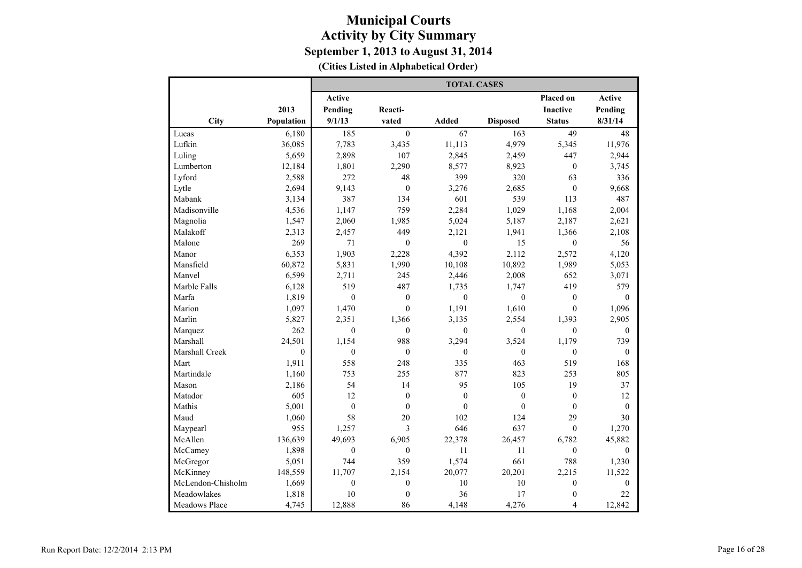**(Cities Listed in Alphabetical Order)**

|                      |              |                  |                  | <b>TOTAL CASES</b> |                  |                  |               |
|----------------------|--------------|------------------|------------------|--------------------|------------------|------------------|---------------|
|                      |              | <b>Active</b>    |                  |                    |                  | Placed on        | <b>Active</b> |
|                      | 2013         | Pending          | Reacti-          |                    |                  | <b>Inactive</b>  | Pending       |
| City                 | Population   | 9/1/13           | vated            | <b>Added</b>       | <b>Disposed</b>  | <b>Status</b>    | 8/31/14       |
| Lucas                | 6,180        | 185              | $\overline{0}$   | 67                 | 163              | 49               | 48            |
| Lufkin               | 36,085       | 7,783            | 3,435            | 11,113             | 4,979            | 5,345            | 11,976        |
| Luling               | 5,659        | 2,898            | 107              | 2,845              | 2,459            | 447              | 2,944         |
| Lumberton            | 12,184       | 1,801            | 2,290            | 8,577              | 8,923            | $\boldsymbol{0}$ | 3,745         |
| Lyford               | 2,588        | 272              | 48               | 399                | 320              | 63               | 336           |
| Lytle                | 2,694        | 9,143            | $\overline{0}$   | 3,276              | 2,685            | $\mathbf{0}$     | 9,668         |
| Mabank               | 3,134        | 387              | 134              | 601                | 539              | 113              | 487           |
| Madisonville         | 4,536        | 1,147            | 759              | 2,284              | 1,029            | 1,168            | 2,004         |
| Magnolia             | 1,547        | 2,060            | 1,985            | 5,024              | 5,187            | 2,187            | 2,621         |
| Malakoff             | 2,313        | 2,457            | 449              | 2,121              | 1,941            | 1,366            | 2,108         |
| Malone               | 269          | 71               | $\mathbf{0}$     | $\mathbf{0}$       | 15               | $\mathbf{0}$     | 56            |
| Manor                | 6,353        | 1,903            | 2,228            | 4,392              | 2,112            | 2,572            | 4,120         |
| Mansfield            | 60,872       | 5,831            | 1,990            | 10,108             | 10,892           | 1,989            | 5,053         |
| Manvel               | 6,599        | 2,711            | 245              | 2,446              | 2,008            | 652              | 3,071         |
| Marble Falls         | 6,128        | 519              | 487              | 1,735              | 1,747            | 419              | 579           |
| Marfa                | 1,819        | $\theta$         | $\boldsymbol{0}$ | $\theta$           | $\mathbf{0}$     | $\boldsymbol{0}$ | $\mathbf{0}$  |
| Marion               | 1,097        | 1,470            | $\mathbf{0}$     | 1,191              | 1,610            | $\mathbf{0}$     | 1,096         |
| Marlin               | 5,827        | 2,351            | 1,366            | 3,135              | 2,554            | 1,393            | 2,905         |
| Marquez              | 262          | $\mathbf{0}$     | $\mathbf{0}$     | $\mathbf{0}$       | $\mathbf{0}$     | $\mathbf{0}$     | $\mathbf{0}$  |
| Marshall             | 24,501       | 1,154            | 988              | 3,294              | 3,524            | 1,179            | 739           |
| Marshall Creek       | $\mathbf{0}$ | $\boldsymbol{0}$ | $\boldsymbol{0}$ | $\boldsymbol{0}$   | $\boldsymbol{0}$ | $\boldsymbol{0}$ | $\mathbf{0}$  |
| Mart                 | 1,911        | 558              | 248              | 335                | 463              | 519              | 168           |
| Martindale           | 1,160        | 753              | 255              | 877                | 823              | 253              | 805           |
| Mason                | 2,186        | 54               | 14               | 95                 | 105              | 19               | 37            |
| Matador              | 605          | 12               | $\boldsymbol{0}$ | $\boldsymbol{0}$   | $\boldsymbol{0}$ | $\boldsymbol{0}$ | 12            |
| Mathis               | 5,001        | $\boldsymbol{0}$ | $\overline{0}$   | $\mathbf{0}$       | $\overline{0}$   | $\boldsymbol{0}$ | $\mathbf{0}$  |
| Maud                 | 1,060        | 58               | 20               | 102                | 124              | 29               | 30            |
| Maypearl             | 955          | 1,257            | 3                | 646                | 637              | $\mathbf{0}$     | 1,270         |
| McAllen              | 136,639      | 49,693           | 6,905            | 22,378             | 26,457           | 6,782            | 45,882        |
| McCamey              | 1,898        | $\mathbf{0}$     | $\mathbf{0}$     | 11                 | 11               | $\boldsymbol{0}$ | $\mathbf{0}$  |
| McGregor             | 5,051        | 744              | 359              | 1,574              | 661              | 788              | 1,230         |
| McKinney             | 148,559      | 11,707           | 2,154            | 20,077             | 20,201           | 2,215            | 11,522        |
| McLendon-Chisholm    | 1,669        | $\boldsymbol{0}$ | $\boldsymbol{0}$ | 10                 | 10               | $\boldsymbol{0}$ | $\mathbf{0}$  |
| Meadowlakes          | 1,818        | 10               | $\boldsymbol{0}$ | 36                 | 17               | $\boldsymbol{0}$ | 22            |
| <b>Meadows Place</b> | 4,745        | 12,888           | 86               | 4,148              | 4,276            | $\overline{4}$   | 12,842        |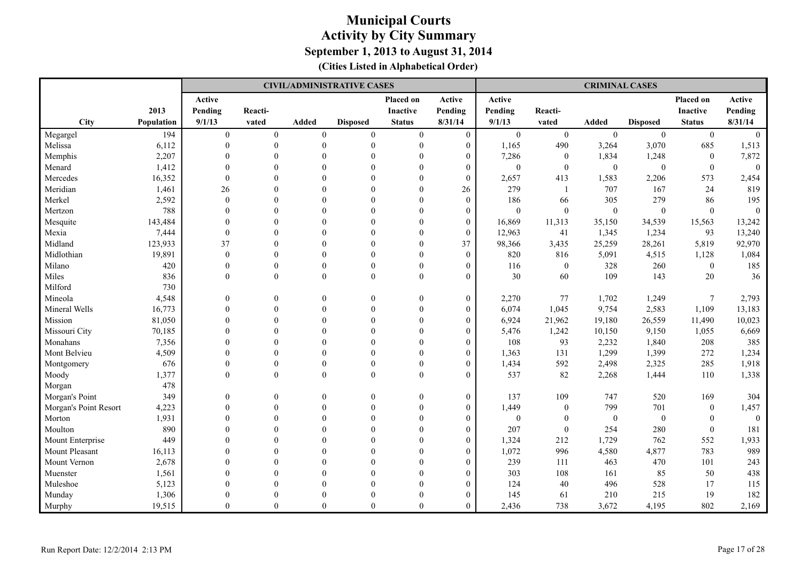|                       |            |                  |                  |                  | <b>CIVIL/ADMINISTRATIVE CASES</b> |                 |                  |                  |                  | <b>CRIMINAL CASES</b> |                  |                  |                |
|-----------------------|------------|------------------|------------------|------------------|-----------------------------------|-----------------|------------------|------------------|------------------|-----------------------|------------------|------------------|----------------|
|                       |            | Active           |                  |                  |                                   | Placed on       | Active           | Active           |                  |                       |                  | Placed on        | Active         |
|                       | 2013       | Pending          | Reacti-          |                  |                                   | <b>Inactive</b> | Pending          | Pending          | Reacti-          |                       |                  | <b>Inactive</b>  | Pending        |
| <b>City</b>           | Population | 9/1/13           | vated            | <b>Added</b>     | <b>Disposed</b>                   | <b>Status</b>   | 8/31/14          | 9/1/13           | vated            | <b>Added</b>          | <b>Disposed</b>  | <b>Status</b>    | 8/31/14        |
| Megargel              | 194        | $\boldsymbol{0}$ | $\boldsymbol{0}$ | $\boldsymbol{0}$ | $\boldsymbol{0}$                  | $\mathbf{0}$    | $\boldsymbol{0}$ | $\mathbf{0}$     | $\mathbf{0}$     | $\overline{0}$        | $\mathbf{0}$     | $\overline{0}$   | $\overline{0}$ |
| Melissa               | 6,112      | $\theta$         | $\mathbf{0}$     | $\Omega$         | $\theta$                          | $\mathbf{0}$    | $\boldsymbol{0}$ | 1,165            | 490              | 3,264                 | 3,070            | 685              | 1,513          |
| Memphis               | 2,207      | $\Omega$         | $\Omega$         | $\Omega$         |                                   | $\theta$        | $\theta$         | 7,286            | $\boldsymbol{0}$ | 1,834                 | 1,248            | $\overline{0}$   | 7,872          |
| Menard                | 1,412      |                  |                  | $\Omega$         |                                   | $\Omega$        | $\theta$         | $\mathbf{0}$     | $\mathbf{0}$     | $\mathbf{0}$          | $\boldsymbol{0}$ | $\mathbf{0}$     | $\mathbf{0}$   |
| Mercedes              | 16,352     | $\Omega$         |                  |                  |                                   | $\Omega$        | $\theta$         | 2,657            | 413              | 1,583                 | 2,206            | 573              | 2,454          |
| Meridian              | 1,461      | 26               |                  |                  |                                   | $\Omega$        | 26               | 279              | $\overline{1}$   | 707                   | 167              | 24               | 819            |
| Merkel                | 2,592      | $\mathbf{0}$     |                  |                  |                                   | $\theta$        | $\mathbf{0}$     | 186              | 66               | 305                   | 279              | 86               | 195            |
| Mertzon               | 788        |                  |                  |                  |                                   | $\theta$        | $\boldsymbol{0}$ | $\boldsymbol{0}$ | $\boldsymbol{0}$ | $\boldsymbol{0}$      | $\boldsymbol{0}$ | $\mathbf{0}$     | $\mathbf{0}$   |
| Mesquite              | 143,484    |                  |                  |                  |                                   | $\theta$        | $\mathbf{0}$     | 16,869           | 11,313           | 35,150                | 34,539           | 15,563           | 13,242         |
| Mexia                 | 7,444      | $\theta$         |                  |                  |                                   | $\theta$        | $\mathbf{0}$     | 12,963           | 41               | 1,345                 | 1,234            | 93               | 13,240         |
| Midland               | 123,933    | 37               | $\Omega$         | $\Omega$         |                                   | $\Omega$        | 37               | 98,366           | 3,435            | 25,259                | 28,261           | 5,819            | 92,970         |
| Midlothian            | 19,891     | $\theta$         | $\Omega$         | $\Omega$         |                                   | $\theta$        | $\mathbf{0}$     | 820              | 816              | 5,091                 | 4,515            | 1,128            | 1,084          |
| Milano                | 420        | $\Omega$         | $\Omega$         | $\theta$         |                                   | $\theta$        | $\boldsymbol{0}$ | 116              | $\boldsymbol{0}$ | 328                   | 260              | $\mathbf{0}$     | 185            |
| Miles                 | 836        | $\theta$         | $\theta$         | $\theta$         | $\theta$                          | $\theta$        | $\theta$         | 30               | 60               | 109                   | 143              | 20               | 36             |
| Milford               | 730        |                  |                  |                  |                                   |                 |                  |                  |                  |                       |                  |                  |                |
| Mineola               | 4,548      | $\mathbf{0}$     | $\theta$         | $\theta$         |                                   | $\mathbf{0}$    | $\boldsymbol{0}$ | 2,270            | 77               | 1,702                 | 1,249            | $7\phantom{.0}$  | 2,793          |
| Mineral Wells         | 16,773     | $\theta$         | $\Omega$         | $\Omega$         |                                   | $\theta$        | $\mathbf{0}$     | 6,074            | 1,045            | 9,754                 | 2,583            | 1,109            | 13,183         |
| Mission               | 81,050     | $\Omega$         | $\Omega$         | $\Omega$         |                                   | $\theta$        | $\mathbf{0}$     | 6,924            | 21,962           | 19,180                | 26,559           | 11,490           | 10,023         |
| Missouri City         | 70,185     |                  | $\Omega$         | $\Omega$         |                                   | $\Omega$        | $\theta$         | 5,476            | 1,242            | 10,150                | 9,150            | 1,055            | 6,669          |
| Monahans              | 7,356      |                  | $\Omega$         | $\Omega$         |                                   | $\Omega$        | $\overline{0}$   | 108              | 93               | 2,232                 | 1,840            | 208              | 385            |
| Mont Belvieu          | 4,509      | $\Omega$         | $\Omega$         | $\Omega$         |                                   | $\theta$        | $\boldsymbol{0}$ | 1,363            | 131              | 1,299                 | 1,399            | 272              | 1,234          |
| Montgomery            | 676        | $\Omega$         | $\theta$         | $\theta$         |                                   | $\mathbf{0}$    | $\boldsymbol{0}$ | 1,434            | 592              | 2,498                 | 2,325            | 285              | 1,918          |
| Moody                 | 1,377      | $\Omega$         | $\mathbf{0}$     | $\Omega$         | $\Omega$                          | $\Omega$        | $\boldsymbol{0}$ | 537              | 82               | 2,268                 | 1,444            | 110              | 1,338          |
| Morgan                | 478        |                  |                  |                  |                                   |                 |                  |                  |                  |                       |                  |                  |                |
| Morgan's Point        | 349        | $\Omega$         | $\Omega$         | $\Omega$         |                                   | $\theta$        | $\mathbf{0}$     | 137              | 109              | 747                   | 520              | 169              | 304            |
| Morgan's Point Resort | 4,223      | $\Omega$         |                  | $\Omega$         |                                   | $\theta$        | $\mathbf{0}$     | 1,449            | $\mathbf{0}$     | 799                   | 701              | $\mathbf{0}$     | 1,457          |
| Morton                | 1,931      | $\Omega$         | $\Omega$         | $\Omega$         |                                   | $\Omega$        | $\boldsymbol{0}$ | $\boldsymbol{0}$ | $\mathbf{0}$     | $\boldsymbol{0}$      | $\boldsymbol{0}$ | $\theta$         | $\mathbf{0}$   |
| Moulton               | 890        | $\Omega$         |                  | $\Omega$         |                                   | $\Omega$        | $\theta$         | 207              | $\boldsymbol{0}$ | 254                   | 280              | $\boldsymbol{0}$ | 181            |
| Mount Enterprise      | 449        |                  |                  | $\Omega$         |                                   | $\theta$        | $\mathbf{0}$     | 1,324            | 212              | 1,729                 | 762              | 552              | 1,933          |
| Mount Pleasant        | 16,113     |                  |                  |                  |                                   | $\theta$        | $\mathbf{0}$     | 1,072            | 996              | 4,580                 | 4,877            | 783              | 989            |
| Mount Vernon          | 2,678      |                  |                  |                  |                                   | $\Omega$        | $\overline{0}$   | 239              | 111              | 463                   | 470              | 101              | 243            |
| Muenster              | 1,561      |                  |                  |                  |                                   | $\Omega$        | $\mathbf{0}$     | 303              | 108              | 161                   | 85               | 50               | 438            |
| Muleshoe              | 5,123      |                  |                  |                  |                                   |                 | $\theta$         | 124              | 40               | 496                   | 528              | 17               | 115            |
| Munday                | 1,306      |                  |                  |                  |                                   |                 | $\overline{0}$   | 145              | 61               | 210                   | 215              | 19               | 182            |
| Murphy                | 19,515     | $\Omega$         | $\theta$         | $\Omega$         | $\Omega$                          | $\theta$        | $\theta$         | 2,436            | 738              | 3,672                 | 4,195            | 802              | 2,169          |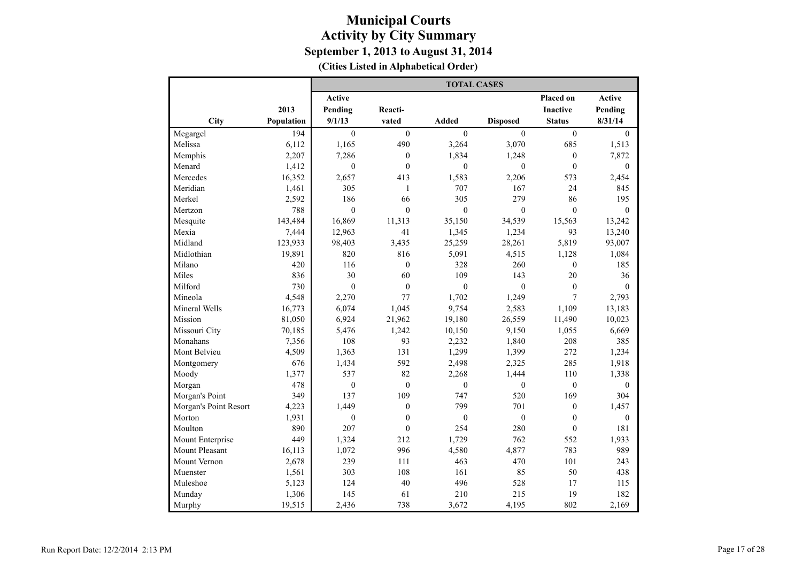|                       |            |                  |                  | <b>TOTAL CASES</b> |                  |                  |                  |
|-----------------------|------------|------------------|------------------|--------------------|------------------|------------------|------------------|
|                       |            | Active           |                  |                    |                  | Placed on        | Active           |
|                       | 2013       | Pending          | Reacti-          |                    |                  | <b>Inactive</b>  | Pending          |
| City                  | Population | 9/1/13           | vated            | <b>Added</b>       | <b>Disposed</b>  | <b>Status</b>    | 8/31/14          |
| Megargel              | 194        | $\boldsymbol{0}$ | $\mathbf{0}$     | $\boldsymbol{0}$   | $\mathbf{0}$     | $\mathbf{0}$     | $\mathbf{0}$     |
| Melissa               | 6,112      | 1,165            | 490              | 3,264              | 3,070            | 685              | 1,513            |
| Memphis               | 2,207      | 7,286            | $\boldsymbol{0}$ | 1,834              | 1,248            | $\boldsymbol{0}$ | 7,872            |
| Menard                | 1,412      | $\boldsymbol{0}$ | $\boldsymbol{0}$ | $\theta$           | $\boldsymbol{0}$ | $\boldsymbol{0}$ | $\theta$         |
| Mercedes              | 16,352     | 2,657            | 413              | 1,583              | 2,206            | 573              | 2,454            |
| Meridian              | 1,461      | 305              | $\mathbf{1}$     | 707                | 167              | 24               | 845              |
| Merkel                | 2,592      | 186              | 66               | 305                | 279              | 86               | 195              |
| Mertzon               | 788        | $\boldsymbol{0}$ | $\boldsymbol{0}$ | $\boldsymbol{0}$   | $\boldsymbol{0}$ | $\boldsymbol{0}$ | $\boldsymbol{0}$ |
| Mesquite              | 143,484    | 16,869           | 11,313           | 35,150             | 34,539           | 15,563           | 13,242           |
| Mexia                 | 7,444      | 12,963           | 41               | 1,345              | 1,234            | 93               | 13,240           |
| Midland               | 123,933    | 98,403           | 3,435            | 25,259             | 28,261           | 5,819            | 93,007           |
| Midlothian            | 19,891     | 820              | 816              | 5,091              | 4,515            | 1,128            | 1,084            |
| Milano                | 420        | 116              | $\boldsymbol{0}$ | 328                | 260              | $\mathbf{0}$     | 185              |
| Miles                 | 836        | 30               | 60               | 109                | 143              | 20               | 36               |
| Milford               | 730        | $\mathbf{0}$     | $\overline{0}$   | $\mathbf{0}$       | $\mathbf{0}$     | $\boldsymbol{0}$ | $\mathbf{0}$     |
| Mineola               | 4,548      | 2,270            | 77               | 1,702              | 1,249            | $\overline{7}$   | 2,793            |
| Mineral Wells         | 16,773     | 6,074            | 1,045            | 9,754              | 2,583            | 1,109            | 13,183           |
| Mission               | 81,050     | 6,924            | 21,962           | 19,180             | 26,559           | 11,490           | 10,023           |
| Missouri City         | 70,185     | 5,476            | 1,242            | 10,150             | 9,150            | 1,055            | 6,669            |
| Monahans              | 7,356      | 108              | 93               | 2,232              | 1,840            | 208              | 385              |
| Mont Belvieu          | 4,509      | 1,363            | 131              | 1,299              | 1,399            | 272              | 1,234            |
| Montgomery            | 676        | 1,434            | 592              | 2,498              | 2,325            | 285              | 1,918            |
| Moody                 | 1,377      | 537              | 82               | 2,268              | 1,444            | 110              | 1,338            |
| Morgan                | 478        | $\boldsymbol{0}$ | $\mathbf{0}$     | $\boldsymbol{0}$   | $\boldsymbol{0}$ | $\boldsymbol{0}$ | $\mathbf{0}$     |
| Morgan's Point        | 349        | 137              | 109              | 747                | 520              | 169              | 304              |
| Morgan's Point Resort | 4,223      | 1,449            | $\mathbf{0}$     | 799                | 701              | $\mathbf{0}$     | 1,457            |
| Morton                | 1,931      | $\boldsymbol{0}$ | $\boldsymbol{0}$ | $\mathbf{0}$       | $\boldsymbol{0}$ | $\mathbf{0}$     | $\mathbf{0}$     |
| Moulton               | 890        | 207              | $\overline{0}$   | 254                | 280              | $\mathbf{0}$     | 181              |
| Mount Enterprise      | 449        | 1,324            | 212              | 1,729              | 762              | 552              | 1,933            |
| <b>Mount Pleasant</b> | 16,113     | 1,072            | 996              | 4,580              | 4,877            | 783              | 989              |
| Mount Vernon          | 2,678      | 239              | 111              | 463                | 470              | 101              | 243              |
| Muenster              | 1,561      | 303              | 108              | 161                | 85               | 50               | 438              |
| Muleshoe              | 5,123      | 124              | 40               | 496                | 528              | 17               | 115              |
| Munday                | 1,306      | 145              | 61               | 210                | 215              | 19               | 182              |
| Murphy                | 19,515     | 2,436            | 738              | 3,672              | 4,195            | 802              | 2,169            |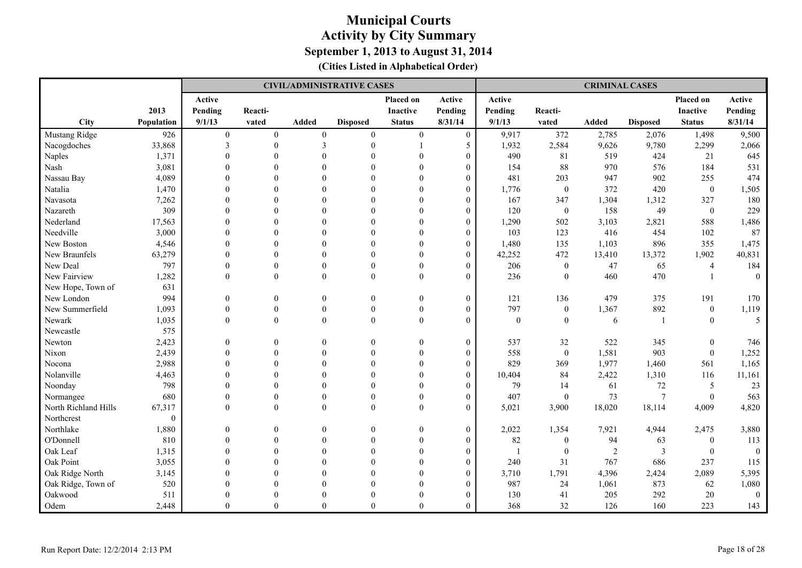|                      |            |                  |              |              | <b>CIVIL/ADMINISTRATIVE CASES</b> |                  |                  |              |                  | <b>CRIMINAL CASES</b> |                 |                  |              |
|----------------------|------------|------------------|--------------|--------------|-----------------------------------|------------------|------------------|--------------|------------------|-----------------------|-----------------|------------------|--------------|
|                      |            | Active           |              |              |                                   | Placed on        | Active           | Active       |                  |                       |                 | Placed on        | Active       |
|                      | 2013       | Pending          | Reacti-      |              |                                   | <b>Inactive</b>  | Pending          | Pending      | Reacti-          |                       |                 | <b>Inactive</b>  | Pending      |
| <b>City</b>          | Population | 9/1/13           | vated        | <b>Added</b> | <b>Disposed</b>                   | <b>Status</b>    | 8/31/14          | 9/1/13       | vated            | <b>Added</b>          | <b>Disposed</b> | <b>Status</b>    | 8/31/14      |
| Mustang Ridge        | 926        | $\boldsymbol{0}$ | $\mathbf{0}$ | $\mathbf{0}$ | $\mathbf{0}$                      | $\overline{0}$   | $\overline{0}$   | 9,917        | 372              | 2,785                 | 2,076           | 1,498            | 9,500        |
| Nacogdoches          | 33,868     | 3                | $\theta$     | 3            | $\theta$                          |                  | 5                | 1,932        | 2,584            | 9,626                 | 9,780           | 2,299            | 2,066        |
| Naples               | 1,371      |                  |              |              |                                   |                  | $\mathbf{0}$     | 490          | 81               | 519                   | 424             | 21               | 645          |
| Nash                 | 3,081      |                  |              |              |                                   |                  | $\mathbf{0}$     | 154          | 88               | 970                   | 576             | 184              | 531          |
| Nassau Bay           | 4,089      |                  |              |              |                                   |                  | $\mathbf{0}$     | 481          | 203              | 947                   | 902             | 255              | 474          |
| Natalia              | 1,470      |                  |              |              |                                   |                  | $\mathbf{0}$     | 1,776        | $\boldsymbol{0}$ | 372                   | 420             | $\boldsymbol{0}$ | 1,505        |
| Navasota             | 7,262      |                  |              |              |                                   |                  | $\theta$         | 167          | 347              | 1,304                 | 1,312           | 327              | 180          |
| Nazareth             | 309        |                  |              |              |                                   |                  | $\mathbf{0}$     | 120          | $\boldsymbol{0}$ | 158                   | 49              | $\boldsymbol{0}$ | 229          |
| Nederland            | 17,563     |                  |              |              |                                   |                  | $\mathbf{0}$     | 1,290        | 502              | 3,103                 | 2,821           | 588              | 1,486        |
| Needville            | 3,000      |                  |              |              |                                   |                  | $\mathbf{0}$     | 103          | 123              | 416                   | 454             | 102              | 87           |
| New Boston           | 4,546      |                  |              | $\Omega$     |                                   |                  | $\mathbf{0}$     | 1,480        | 135              | 1,103                 | 896             | 355              | 1,475        |
| New Braunfels        | 63,279     |                  | $\Omega$     | $\Omega$     |                                   |                  | $\boldsymbol{0}$ | 42,252       | 472              | 13,410                | 13,372          | 1,902            | 40,831       |
| New Deal             | 797        |                  | $\Omega$     | $\Omega$     |                                   | $\Omega$         | $\mathbf{0}$     | 206          | $\mathbf{0}$     | 47                    | 65              | $\overline{4}$   | 184          |
| New Fairview         | 1,282      | $\Omega$         | $\theta$     | $\theta$     | $\theta$                          | $\theta$         | $\theta$         | 236          | $\mathbf{0}$     | 460                   | 470             | $\mathbf{1}$     | $\mathbf{0}$ |
| New Hope, Town of    | 631        |                  |              |              |                                   |                  |                  |              |                  |                       |                 |                  |              |
| New London           | 994        | $\Omega$         | $\Omega$     | $\Omega$     | $\theta$                          | $\theta$         | $\boldsymbol{0}$ | 121          | 136              | 479                   | 375             | 191              | 170          |
| New Summerfield      | 1,093      | $\theta$         | $\theta$     | $\theta$     | $\theta$                          | $\boldsymbol{0}$ | $\boldsymbol{0}$ | 797          | $\boldsymbol{0}$ | 1,367                 | 892             | $\boldsymbol{0}$ | 1,119        |
| Newark               | 1,035      | $\theta$         | $\mathbf{0}$ | $\mathbf{0}$ | $\mathbf{0}$                      | $\mathbf{0}$     | $\overline{0}$   | $\mathbf{0}$ | $\boldsymbol{0}$ | 6                     | 1               | $\mathbf{0}$     | 5            |
| Newcastle            | 575        |                  |              |              |                                   |                  |                  |              |                  |                       |                 |                  |              |
| Newton               | 2,423      | $\Omega$         | $\Omega$     | $\theta$     | $\Omega$                          | $\Omega$         | $\mathbf{0}$     | 537          | 32               | 522                   | 345             | $\mathbf{0}$     | 746          |
| Nixon                | 2,439      |                  |              | $\Omega$     |                                   | $\Omega$         | $\overline{0}$   | 558          | $\boldsymbol{0}$ | 1,581                 | 903             | $\mathbf{0}$     | 1,252        |
| Nocona               | 2,988      |                  |              | $\Omega$     |                                   |                  | $\overline{0}$   | 829          | 369              | 1,977                 | 1,460           | 561              | 1,165        |
| Nolanville           | 4,463      |                  |              |              |                                   |                  | $\mathbf{0}$     | 10,404       | 84               | 2,422                 | 1,310           | 116              | 11,161       |
| Noonday              | 798        |                  |              |              |                                   |                  | $\mathbf{0}$     | 79           | 14               | 61                    | $72\,$          | $\mathfrak{S}$   | 23           |
| Normangee            | 680        |                  | $\theta$     | $\Omega$     | $\Omega$                          |                  | $\boldsymbol{0}$ | 407          | $\boldsymbol{0}$ | 73                    | $\overline{7}$  | $\mathbf{0}$     | 563          |
| North Richland Hills | 67,317     |                  | $\Omega$     | $\Omega$     | $\Omega$                          | $\Omega$         | $\theta$         | 5,021        | 3,900            | 18,020                | 18,114          | 4,009            | 4,820        |
| Northcrest           | $\theta$   |                  |              |              |                                   |                  |                  |              |                  |                       |                 |                  |              |
| Northlake            | 1,880      | $\mathbf{0}$     | $\Omega$     | $\theta$     | $\Omega$                          | $\mathbf{0}$     | $\mathbf{0}$     | 2,022        | 1,354            | 7,921                 | 4,944           | 2,475            | 3,880        |
| O'Donnell            | 810        |                  |              | $\theta$     |                                   | $\theta$         | $\boldsymbol{0}$ | 82           | $\boldsymbol{0}$ | 94                    | 63              | $\mathbf{0}$     | 113          |
| Oak Leaf             | 1,315      |                  |              | $\theta$     |                                   |                  | $\boldsymbol{0}$ |              | $\boldsymbol{0}$ | $\sqrt{2}$            | $\mathfrak{Z}$  | $\boldsymbol{0}$ | $\mathbf{0}$ |
| Oak Point            | 3,055      |                  |              |              |                                   |                  | $\mathbf{0}$     | 240          | 31               | 767                   | 686             | 237              | 115          |
| Oak Ridge North      | 3,145      |                  |              | $\Omega$     |                                   |                  | $\theta$         | 3,710        | 1,791            | 4,396                 | 2,424           | 2,089            | 5,395        |
| Oak Ridge, Town of   | 520        |                  |              |              |                                   |                  | $\theta$         | 987          | 24               | 1,061                 | 873             | 62               | 1,080        |
| Oakwood              | 511        |                  |              |              |                                   |                  | $\theta$         | 130          | 41               | 205                   | 292             | 20               | $\mathbf{0}$ |
| Odem                 | 2,448      | $\Omega$         | $\Omega$     | $\Omega$     | $\theta$                          | $\Omega$         | $\theta$         | 368          | 32               | 126                   | 160             | 223              | 143          |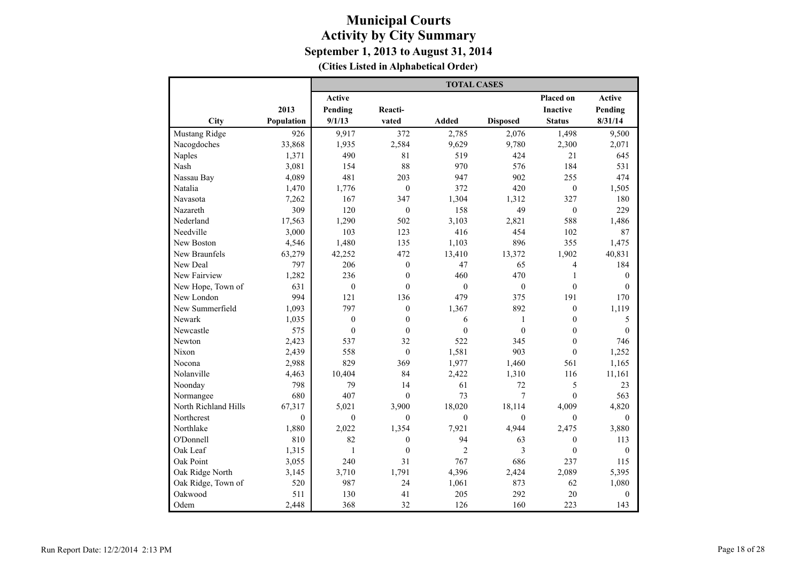**(Cities Listed in Alphabetical Order)**

|                      |            |                  |                  | <b>TOTAL CASES</b> |                  |                  |              |
|----------------------|------------|------------------|------------------|--------------------|------------------|------------------|--------------|
|                      |            | <b>Active</b>    |                  |                    |                  | <b>Placed on</b> | Active       |
|                      | 2013       | Pending          | Reacti-          |                    |                  | <b>Inactive</b>  | Pending      |
| <b>City</b>          | Population | 9/1/13           | vated            | <b>Added</b>       | <b>Disposed</b>  | <b>Status</b>    | 8/31/14      |
| Mustang Ridge        | 926        | 9,917            | 372              | 2,785              | 2,076            | 1,498            | 9,500        |
| Nacogdoches          | 33,868     | 1,935            | 2,584            | 9,629              | 9,780            | 2,300            | 2,071        |
| <b>Naples</b>        | 1,371      | 490              | 81               | 519                | 424              | 21               | 645          |
| Nash                 | 3,081      | 154              | 88               | 970                | 576              | 184              | 531          |
| Nassau Bay           | 4,089      | 481              | 203              | 947                | 902              | 255              | 474          |
| Natalia              | 1,470      | 1,776            | $\mathbf{0}$     | 372                | 420              | $\mathbf{0}$     | 1,505        |
| Navasota             | 7,262      | 167              | 347              | 1,304              | 1,312            | 327              | 180          |
| Nazareth             | 309        | 120              | $\mathbf{0}$     | 158                | 49               | $\mathbf{0}$     | 229          |
| Nederland            | 17,563     | 1,290            | 502              | 3,103              | 2,821            | 588              | 1,486        |
| Needville            | 3,000      | 103              | 123              | 416                | 454              | 102              | 87           |
| New Boston           | 4,546      | 1,480            | 135              | 1,103              | 896              | 355              | 1,475        |
| New Braunfels        | 63,279     | 42,252           | 472              | 13,410             | 13,372           | 1,902            | 40,831       |
| New Deal             | 797        | 206              | $\boldsymbol{0}$ | 47                 | 65               | 4                | 184          |
| New Fairview         | 1,282      | 236              | $\theta$         | 460                | 470              | 1                | $\theta$     |
| New Hope, Town of    | 631        | $\boldsymbol{0}$ | $\mathbf{0}$     | $\mathbf{0}$       | $\boldsymbol{0}$ | $\boldsymbol{0}$ | $\mathbf{0}$ |
| New London           | 994        | 121              | 136              | 479                | 375              | 191              | 170          |
| New Summerfield      | 1,093      | 797              | $\mathbf{0}$     | 1,367              | 892              | $\boldsymbol{0}$ | 1,119        |
| Newark               | 1,035      | $\boldsymbol{0}$ | $\mathbf{0}$     | 6                  | $\mathbf{1}$     | $\boldsymbol{0}$ | 5            |
| Newcastle            | 575        | $\overline{0}$   | $\mathbf{0}$     | $\theta$           | $\overline{0}$   | $\mathbf{0}$     | $\mathbf{0}$ |
| Newton               | 2,423      | 537              | 32               | 522                | 345              | $\boldsymbol{0}$ | 746          |
| Nixon                | 2,439      | 558              | $\mathbf{0}$     | 1,581              | 903              | $\boldsymbol{0}$ | 1,252        |
| Nocona               | 2,988      | 829              | 369              | 1,977              | 1,460            | 561              | 1,165        |
| Nolanville           | 4,463      | 10,404           | 84               | 2,422              | 1,310            | 116              | 11,161       |
| Noonday              | 798        | 79               | 14               | 61                 | 72               | 5                | 23           |
| Normangee            | 680        | 407              | $\mathbf{0}$     | 73                 | $\overline{7}$   | $\mathbf{0}$     | 563          |
| North Richland Hills | 67,317     | 5,021            | 3,900            | 18,020             | 18,114           | 4,009            | 4,820        |
| Northcrest           | $\theta$   | $\mathbf{0}$     | $\theta$         | $\theta$           | $\mathbf{0}$     | $\mathbf{0}$     | $\theta$     |
| Northlake            | 1,880      | 2,022            | 1,354            | 7,921              | 4,944            | 2,475            | 3,880        |
| O'Donnell            | 810        | 82               | $\theta$         | 94                 | 63               | $\boldsymbol{0}$ | 113          |
| Oak Leaf             | 1,315      | $\mathbf{1}$     | $\mathbf{0}$     | $\overline{2}$     | 3                | $\mathbf{0}$     | $\mathbf{0}$ |
| Oak Point            | 3,055      | 240              | 31               | 767                | 686              | 237              | 115          |
| Oak Ridge North      | 3,145      | 3,710            | 1,791            | 4,396              | 2,424            | 2,089            | 5,395        |
| Oak Ridge, Town of   | 520        | 987              | 24               | 1,061              | 873              | 62               | 1,080        |
| Oakwood              | 511        | 130              | 41               | 205                | 292              | 20               | $\mathbf{0}$ |
| Odem                 | 2,448      | 368              | 32               | 126                | 160              | 223              | 143          |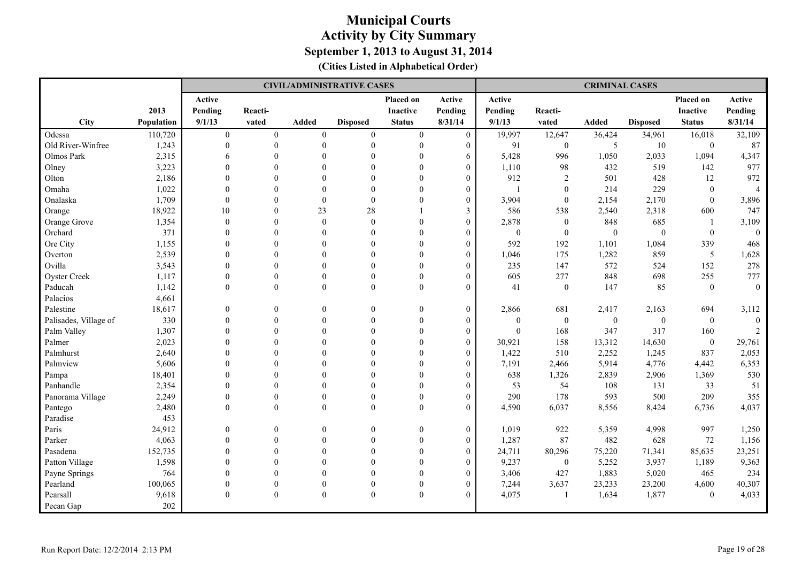|                       |            |                  |                  |                  | <b>CIVIL/ADMINISTRATIVE CASES</b> |                  |                  |                |                  | <b>CRIMINAL CASES</b> |                  |                  |                  |
|-----------------------|------------|------------------|------------------|------------------|-----------------------------------|------------------|------------------|----------------|------------------|-----------------------|------------------|------------------|------------------|
|                       |            | Active           |                  |                  |                                   | <b>Placed on</b> | Active           | Active         |                  |                       |                  | Placed on        | Active           |
|                       | 2013       | Pending          | Reacti-          |                  |                                   | <b>Inactive</b>  | Pending          | Pending        | Reacti-          |                       |                  | <b>Inactive</b>  | Pending          |
| City                  | Population | 9/1/13           | vated            | <b>Added</b>     | <b>Disposed</b>                   | <b>Status</b>    | 8/31/14          | 9/1/13         | vated            | Added                 | <b>Disposed</b>  | <b>Status</b>    | 8/31/14          |
| Odessa                | 110,720    | $\boldsymbol{0}$ | $\boldsymbol{0}$ | $\boldsymbol{0}$ | $\mathbf{0}$                      | $\mathbf{0}$     | $\overline{0}$   | 19,997         | 12,647           | 36,424                | 34,961           | 16,018           | 32,109           |
| Old River-Winfree     | 1,243      | $\mathbf{0}$     | $\boldsymbol{0}$ | $\theta$         | $\boldsymbol{0}$                  | $\mathbf{0}$     | $\boldsymbol{0}$ | 91             | $\boldsymbol{0}$ | 5                     | 10               | $\boldsymbol{0}$ | 87               |
| Olmos Park            | 2,315      | 6                | $\Omega$         | $\Omega$         | $\theta$                          | $\theta$         | 6                | 5,428          | 996              | 1,050                 | 2,033            | 1,094            | 4,347            |
| Olney                 | 3,223      | $\Omega$         | $\Omega$         | $\Omega$         |                                   |                  | $\mathbf{0}$     | 1,110          | 98               | 432                   | 519              | 142              | 977              |
| Olton                 | 2,186      | $\Omega$         |                  | $\Omega$         |                                   |                  | $\theta$         | 912            | $\overline{2}$   | 501                   | 428              | 12               | 972              |
| Omaha                 | 1,022      | $\Omega$         | $\Omega$         | $\Omega$         | $\Omega$                          |                  | $\theta$         |                | $\mathbf{0}$     | 214                   | 229              | $\theta$         | $\overline{4}$   |
| Onalaska              | 1,709      | $\theta$         |                  | $\theta$         | $\theta$                          |                  | $\overline{0}$   | 3,904          | $\mathbf{0}$     | 2,154                 | 2,170            | $\mathbf{0}$     | 3,896            |
| Orange                | 18,922     | 10               |                  | 23               | 28                                |                  | $\mathbf{3}$     | 586            | 538              | 2,540                 | 2,318            | 600              | 747              |
| Orange Grove          | 1,354      | $\theta$         |                  | $\Omega$         | $\theta$                          |                  | $\theta$         | 2,878          | $\boldsymbol{0}$ | 848                   | 685              | $\overline{1}$   | 3,109            |
| Orchard               | 371        | $\Omega$         |                  | $\Omega$         | $\Omega$                          |                  | $\mathbf{0}$     | $\overline{0}$ | $\theta$         | $\mathbf{0}$          | $\boldsymbol{0}$ | $\mathbf{0}$     | $\boldsymbol{0}$ |
| Ore City              | 1,155      | $\Omega$         | $\Omega$         | $\Omega$         |                                   |                  | $\mathbf{0}$     | 592            | 192              | 1,101                 | 1,084            | 339              | 468              |
| Overton               | 2,539      | $\Omega$         | $\Omega$         | $\Omega$         | $\Omega$                          |                  | $\boldsymbol{0}$ | 1,046          | 175              | 1,282                 | 859              | $\sqrt{5}$       | 1,628            |
| Ovilla                | 3,543      | $\theta$         | $\Omega$         | $\Omega$         | $\theta$                          | $\theta$         | $\mathbf{0}$     | 235            | 147              | 572                   | 524              | 152              | 278              |
| Oyster Creek          | 1,117      | $\theta$         | $\Omega$         | $\mathbf{0}$     | $\theta$                          | $\theta$         | $\boldsymbol{0}$ | 605            | 277              | 848                   | 698              | 255              | 777              |
| Paducah               | 1,142      | $\mathbf{0}$     | $\mathbf{0}$     | $\mathbf{0}$     | $\theta$                          | $\mathbf{0}$     | $\boldsymbol{0}$ | 41             | $\boldsymbol{0}$ | 147                   | 85               | $\boldsymbol{0}$ | $\boldsymbol{0}$ |
| Palacios              | 4,661      |                  |                  |                  |                                   |                  |                  |                |                  |                       |                  |                  |                  |
| Palestine             | 18,617     | $\theta$         | $\Omega$         | $\Omega$         | $\theta$                          | $\theta$         | $\mathbf{0}$     | 2,866          | 681              | 2,417                 | 2,163            | 694              | 3,112            |
| Palisades, Village of | 330        | $\Omega$         | $\Omega$         | $\Omega$         | $\Omega$                          | $\theta$         | $\mathbf{0}$     | $\mathbf{0}$   | $\boldsymbol{0}$ | $\mathbf{0}$          | $\boldsymbol{0}$ | $\overline{0}$   | $\mathbf{0}$     |
| Palm Valley           | 1,307      | $\Omega$         | $\Omega$         | $\Omega$         | $\Omega$                          | $\Omega$         | $\boldsymbol{0}$ | $\theta$       | 168              | 347                   | 317              | 160              | $\overline{2}$   |
| Palmer                | 2,023      | $\Omega$         | $\Omega$         | $\Omega$         | $\Omega$                          | $\Omega$         | $\mathbf{0}$     | 30,921         | 158              | 13,312                | 14,630           | $\mathbf{0}$     | 29,761           |
| Palmhurst             | 2,640      | $\Omega$         | $\Omega$         | $\theta$         |                                   |                  | $\mathbf{0}$     | 1,422          | 510              | 2,252                 | 1,245            | 837              | 2,053            |
| Palmview              | 5,606      | $\theta$         | $\Omega$         | $\Omega$         |                                   |                  | $\mathbf{0}$     | 7,191          | 2,466            | 5,914                 | 4,776            | 4,442            | 6,353            |
| Pampa                 | 18,401     | $\Omega$         | $\Omega$         | $\Omega$         |                                   | $\Omega$         | $\mathbf{0}$     | 638            | 1,326            | 2,839                 | 2,906            | 1,369            | 530              |
| Panhandle             | 2,354      | $\Omega$         | $\Omega$         | $\Omega$         | $\Omega$                          | $\Omega$         | $\mathbf{0}$     | 53             | 54               | 108                   | 131              | 33               | 51               |
| Panorama Village      | 2,249      | $\theta$         | $\theta$         | $\theta$         | $\theta$                          | $\Omega$         | $\boldsymbol{0}$ | 290            | 178              | 593                   | 500              | 209              | 355              |
| Pantego               | 2,480      | $\Omega$         | $\overline{0}$   | $\theta$         | $\theta$                          | $\theta$         | $\boldsymbol{0}$ | 4,590          | 6,037            | 8,556                 | 8,424            | 6,736            | 4,037            |
| Paradise              | 453        |                  |                  |                  |                                   |                  |                  |                |                  |                       |                  |                  |                  |
| Paris                 | 24,912     | $\mathbf{0}$     | $\mathbf{0}$     | $\theta$         | $\mathbf{0}$                      | $\mathbf{0}$     | $\boldsymbol{0}$ | 1,019          | 922              | 5,359                 | 4,998            | 997              | 1,250            |
| Parker                | 4,063      | $\theta$         | $\Omega$         | $\Omega$         |                                   | $\theta$         | $\mathbf{0}$     | 1,287          | 87               | 482                   | 628              | 72               | 1,156            |
| Pasadena              | 152,735    | $\Omega$         | $\Omega$         | $\Omega$         | $\theta$                          | $\Omega$         | $\mathbf{0}$     | 24,711         | 80,296           | 75,220                | 71,341           | 85,635           | 23,251           |
| Patton Village        | 1,598      | $\Omega$         | $\Omega$         | $\Omega$         | $\Omega$                          |                  | $\theta$         | 9,237          | $\boldsymbol{0}$ | 5,252                 | 3,937            | 1,189            | 9,363            |
| Payne Springs         | 764        | $\Omega$         | $\Omega$         | $\Omega$         | $\Omega$                          |                  | $\theta$         | 3,406          | 427              | 1,883                 | 5,020            | 465              | 234              |
| Pearland              | 100,065    | $\Omega$         | $\theta$         | $\Omega$         | $\theta$                          | $\Omega$         | $\mathbf{0}$     | 7,244          | 3,637            | 23,233                | 23,200           | 4,600            | 40,307           |
| Pearsall              | 9,618      | $\theta$         | $\mathbf{0}$     | $\theta$         | $\mathbf{0}$                      | $\theta$         | $\theta$         | 4,075          | 1                | 1,634                 | 1,877            | $\mathbf{0}$     | 4,033            |
| Pecan Gap             | 202        |                  |                  |                  |                                   |                  |                  |                |                  |                       |                  |                  |                  |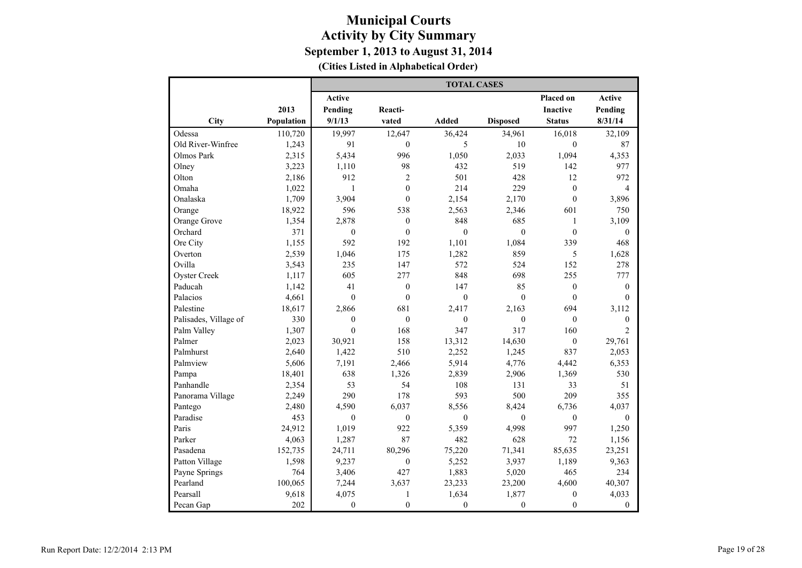|                       |            |                  |                  | <b>TOTAL CASES</b> |                  |                  |                  |
|-----------------------|------------|------------------|------------------|--------------------|------------------|------------------|------------------|
|                       |            | <b>Active</b>    |                  |                    |                  | Placed on        | <b>Active</b>    |
|                       | 2013       | Pending          | Reacti-          |                    |                  | <b>Inactive</b>  | Pending          |
| City                  | Population | 9/1/13           | vated            | <b>Added</b>       | <b>Disposed</b>  | <b>Status</b>    | 8/31/14          |
| Odessa                | 110,720    | 19,997           | 12,647           | 36,424             | 34,961           | 16,018           | 32,109           |
| Old River-Winfree     | 1,243      | 91               | $\mathbf{0}$     | 5                  | 10               | $\theta$         | 87               |
| Olmos Park            | 2,315      | 5,434            | 996              | 1,050              | 2,033            | 1,094            | 4,353            |
| Olney                 | 3,223      | 1,110            | 98               | 432                | 519              | 142              | 977              |
| Olton                 | 2,186      | 912              | $\overline{c}$   | 501                | 428              | 12               | 972              |
| Omaha                 | 1,022      | $\mathbf{1}$     | $\mathbf{0}$     | 214                | 229              | $\boldsymbol{0}$ | $\overline{4}$   |
| Onalaska              | 1,709      | 3,904            | $\mathbf{0}$     | 2,154              | 2,170            | $\mathbf{0}$     | 3,896            |
| Orange                | 18,922     | 596              | 538              | 2,563              | 2,346            | 601              | 750              |
| Orange Grove          | 1,354      | 2,878            | $\mathbf{0}$     | 848                | 685              | $\mathbf{1}$     | 3,109            |
| Orchard               | 371        | $\mathbf{0}$     | $\mathbf{0}$     | $\mathbf{0}$       | $\mathbf{0}$     | $\mathbf{0}$     | $\mathbf{0}$     |
| Ore City              | 1,155      | 592              | 192              | 1,101              | 1,084            | 339              | 468              |
| Overton               | 2,539      | 1,046            | 175              | 1,282              | 859              | 5                | 1,628            |
| Ovilla                | 3,543      | 235              | 147              | 572                | 524              | 152              | 278              |
| <b>Oyster Creek</b>   | 1,117      | 605              | 277              | 848                | 698              | 255              | 777              |
| Paducah               | 1,142      | 41               | $\boldsymbol{0}$ | 147                | 85               | $\mathbf{0}$     | $\mathbf{0}$     |
| Palacios              | 4,661      | $\theta$         | $\theta$         | $\theta$           | $\theta$         | $\mathbf{0}$     | $\theta$         |
| Palestine             | 18,617     | 2,866            | 681              | 2,417              | 2,163            | 694              | 3,112            |
| Palisades, Village of | 330        | $\boldsymbol{0}$ | $\mathbf{0}$     | $\mathbf{0}$       | $\boldsymbol{0}$ | $\mathbf{0}$     | $\boldsymbol{0}$ |
| Palm Valley           | 1,307      | $\theta$         | 168              | 347                | 317              | 160              | $\overline{2}$   |
| Palmer                | 2,023      | 30,921           | 158              | 13,312             | 14,630           | $\mathbf{0}$     | 29,761           |
| Palmhurst             | 2,640      | 1,422            | 510              | 2,252              | 1,245            | 837              | 2,053            |
| Palmview              | 5,606      | 7,191            | 2,466            | 5,914              | 4,776            | 4,442            | 6,353            |
| Pampa                 | 18,401     | 638              | 1,326            | 2,839              | 2,906            | 1.369            | 530              |
| Panhandle             | 2,354      | 53               | 54               | 108                | 131              | 33               | 51               |
| Panorama Village      | 2,249      | 290              | 178              | 593                | 500              | 209              | 355              |
| Pantego               | 2,480      | 4,590            | 6,037            | 8,556              | 8,424            | 6,736            | 4,037            |
| Paradise              | 453        | $\mathbf{0}$     | $\mathbf{0}$     | $\mathbf{0}$       | $\mathbf{0}$     | $\mathbf{0}$     | $\theta$         |
| Paris                 | 24,912     | 1,019            | 922              | 5,359              | 4,998            | 997              | 1,250            |
| Parker                | 4,063      | 1,287            | 87               | 482                | 628              | 72               | 1,156            |
| Pasadena              | 152,735    | 24,711           | 80,296           | 75,220             | 71,341           | 85,635           | 23,251           |
| Patton Village        | 1,598      | 9,237            | $\boldsymbol{0}$ | 5,252              | 3,937            | 1,189            | 9,363            |
| Payne Springs         | 764        | 3,406            | 427              | 1,883              | 5,020            | 465              | 234              |
| Pearland              | 100,065    | 7,244            | 3,637            | 23,233             | 23,200           | 4,600            | 40,307           |
| Pearsall              | 9,618      | 4,075            | $\mathbf{1}$     | 1,634              | 1,877            | $\boldsymbol{0}$ | 4,033            |
| Pecan Gap             | 202        | $\mathbf{0}$     | $\mathbf{0}$     | $\mathbf{0}$       | $\mathbf{0}$     | $\mathbf{0}$     | $\mathbf{0}$     |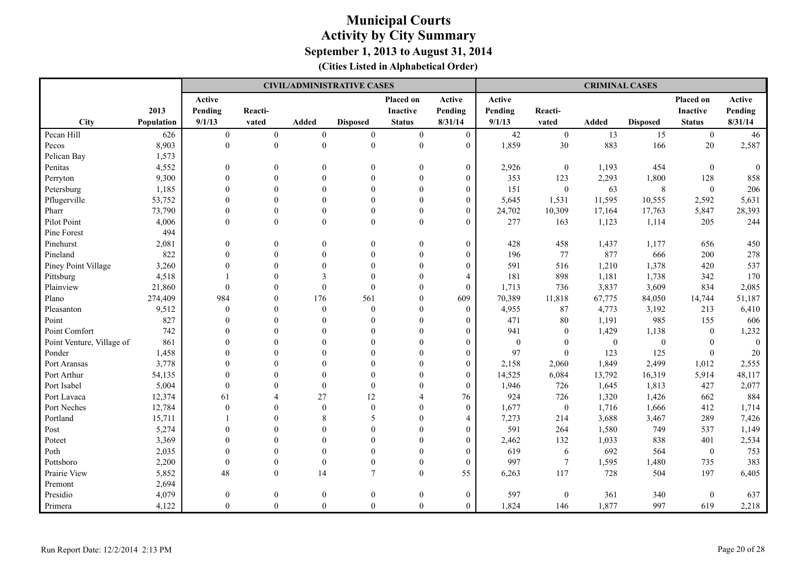|                           |            |                  |                  |                  | <b>CIVIL/ADMINISTRATIVE CASES</b> |                  |                  |              |                  | <b>CRIMINAL CASES</b> |                  |                  |                  |
|---------------------------|------------|------------------|------------------|------------------|-----------------------------------|------------------|------------------|--------------|------------------|-----------------------|------------------|------------------|------------------|
|                           |            | Active           |                  |                  |                                   | Placed on        | Active           | Active       |                  |                       |                  | Placed on        | Active           |
|                           | 2013       | Pending          | Reacti-          |                  |                                   | <b>Inactive</b>  | Pending          | Pending      | Reacti-          |                       |                  | <b>Inactive</b>  | Pending          |
| <b>City</b>               | Population | 9/1/13           | vated            | <b>Added</b>     | <b>Disposed</b>                   | <b>Status</b>    | 8/31/14          | 9/1/13       | vated            | <b>Added</b>          | <b>Disposed</b>  | <b>Status</b>    | 8/31/14          |
| Pecan Hill                | 626        | $\boldsymbol{0}$ | $\boldsymbol{0}$ | $\boldsymbol{0}$ | $\boldsymbol{0}$                  | $\boldsymbol{0}$ | $\boldsymbol{0}$ | 42           | $\boldsymbol{0}$ | 13                    | 15               | $\mathbf{0}$     | 46               |
| Pecos                     | 8,903      | $\boldsymbol{0}$ | $\boldsymbol{0}$ | $\boldsymbol{0}$ | $\boldsymbol{0}$                  | $\boldsymbol{0}$ | $\mathbf{0}$     | 1,859        | 30               | 883                   | 166              | 20               | 2,587            |
| Pelican Bay               | 1,573      |                  |                  |                  |                                   |                  |                  |              |                  |                       |                  |                  |                  |
| Penitas                   | 4,552      | $\theta$         | $\theta$         | $\overline{0}$   | $\theta$                          | $\mathbf{0}$     | $\boldsymbol{0}$ | 2,926        | $\boldsymbol{0}$ | 1,193                 | 454              | $\mathbf{0}$     | $\boldsymbol{0}$ |
| Perryton                  | 9,300      | $\Omega$         | $\Omega$         | $\Omega$         |                                   | $\Omega$         | $\mathbf{0}$     | 353          | 123              | 2,293                 | 1,800            | 128              | 858              |
| Petersburg                | 1,185      | $\Omega$         | $\Omega$         | $\Omega$         | $\Omega$                          | $\Omega$         | $\mathbf{0}$     | 151          | $\mathbf{0}$     | 63                    | $\,8\,$          | $\overline{0}$   | 206              |
| Pflugerville              | 53,752     |                  | $\theta$         | $\Omega$         |                                   | $\theta$         | $\mathbf{0}$     | 5,645        | 1,531            | 11,595                | 10,555           | 2,592            | 5,631            |
| Pharr                     | 73,790     | $\mathbf{0}$     | $\theta$         | $\theta$         | $\Omega$                          | $\mathbf{0}$     | $\boldsymbol{0}$ | 24,702       | 10,309           | 17,164                | 17,763           | 5,847            | 28,393           |
| Pilot Point               | 4,006      | $\theta$         | $\mathbf{0}$     | $\theta$         | $\theta$                          | $\theta$         | $\mathbf{0}$     | 277          | 163              | 1,123                 | 1,114            | 205              | 244              |
| Pine Forest               | 494        |                  |                  |                  |                                   |                  |                  |              |                  |                       |                  |                  |                  |
| Pinehurst                 | 2,081      | $\theta$         | $\Omega$         | $\Omega$         | $\Omega$                          | $\theta$         | $\mathbf{0}$     | 428          | 458              | 1,437                 | 1,177            | 656              | 450              |
| Pineland                  | 822        | $\Omega$         | $\Omega$         | $\Omega$         |                                   | $\Omega$         | $\mathbf{0}$     | 196          | 77               | 877                   | 666              | 200              | 278              |
| Piney Point Village       | 3,260      | $\Omega$         | $\Omega$         | $\theta$         | $\Omega$                          | $\theta$         | $\theta$         | 591          | 516              | 1,210                 | 1,378            | 420              | 537              |
| Pittsburg                 | 4,518      |                  | $\theta$         | 3                |                                   | $\mathbf{0}$     | $\overline{4}$   | 181          | 898              | 1,181                 | 1,738            | 342              | 170              |
| Plainview                 | 21,860     | $\theta$         | $\theta$         | $\theta$         |                                   | $\mathbf{0}$     | $\overline{0}$   | 1,713        | 736              | 3,837                 | 3,609            | 834              | 2,085            |
| Plano                     | 274,409    | 984              | $\Omega$         | 176              | 561                               | $\Omega$         | 609              | 70,389       | 11,818           | 67,775                | 84,050           | 14,744           | 51,187           |
| Pleasanton                | 9,512      | $\theta$         | $\Omega$         | $\Omega$         | $\theta$                          | $\Omega$         | $\theta$         | 4,955        | 87               | 4,773                 | 3,192            | 213              | 6,410            |
| Point                     | 827        |                  | $\Omega$         | $\Omega$         |                                   | $\Omega$         | $\theta$         | 471          | 80               | 1,191                 | 985              | 155              | 606              |
| Point Comfort             | 742        |                  | $\Omega$         | $\Omega$         |                                   | $\Omega$         | $\overline{0}$   | 941          | $\mathbf{0}$     | 1,429                 | 1,138            | $\mathbf{0}$     | 1,232            |
| Point Venture, Village of | 861        |                  |                  | $\Omega$         |                                   | $\Omega$         | $\mathbf{0}$     | $\mathbf{0}$ | $\theta$         | $\boldsymbol{0}$      | $\boldsymbol{0}$ | $\theta$         | $\boldsymbol{0}$ |
| Ponder                    | 1,458      |                  |                  | $\Omega$         |                                   | $\Omega$         | $\boldsymbol{0}$ | 97           | $\mathbf{0}$     | 123                   | 125              | $\overline{0}$   | 20               |
| Port Aransas              | 3,778      |                  |                  |                  |                                   | $\theta$         | $\mathbf{0}$     | 2,158        | 2,060            | 1,849                 | 2,499            | 1,012            | 2,555            |
| Port Arthur               | 54,135     | $\Omega$         |                  | $\Omega$         |                                   | $\Omega$         | $\overline{0}$   | 14,525       | 6,084            | 13,792                | 16,319           | 5,914            | 48,117           |
| Port Isabel               | 5,004      | $\Omega$         |                  | $\Omega$         | $\Omega$                          | $\theta$         | $\theta$         | 1,946        | 726              | 1,645                 | 1,813            | 427              | 2,077            |
| Port Lavaca               | 12,374     | 61               |                  | 27               | 12                                |                  | 76               | 924          | 726              | 1,320                 | 1,426            | 662              | 884              |
| Port Neches               | 12,784     | $\theta$         | $\Omega$         | $\theta$         | $\theta$                          | $\Omega$         | $\boldsymbol{0}$ | 1,677        | $\boldsymbol{0}$ | 1,716                 | 1,666            | 412              | 1,714            |
| Portland                  | 15,711     |                  | $\Omega$         | $\mathbf{8}$     | 5                                 | $\Omega$         | $\overline{4}$   | 7,273        | 214              | 3,688                 | 3,467            | 289              | 7,426            |
| Post                      | 5,274      | $\Omega$         | $\Omega$         | $\Omega$         |                                   | $\theta$         | $\mathbf{0}$     | 591          | 264              | 1,580                 | 749              | 537              | 1,149            |
| Poteet                    | 3,369      | $\theta$         | $\theta$         | $\Omega$         |                                   | $\theta$         | $\mathbf{0}$     | 2,462        | 132              | 1,033                 | 838              | 401              | 2,534            |
| Poth                      | 2,035      | $\Omega$         | $\Omega$         | $\Omega$         | $\Omega$                          | $\theta$         | $\boldsymbol{0}$ | 619          | 6                | 692                   | 564              | $\boldsymbol{0}$ | 753              |
| Pottsboro                 | 2,200      | $\theta$         | $\Omega$         | $\Omega$         | $\theta$                          | $\mathbf{0}$     | $\overline{0}$   | 997          | $\tau$           | 1,595                 | 1,480            | 735              | 383              |
| Prairie View              | 5,852      | 48               | $\mathbf{0}$     | 14               | $7\phantom{.0}$                   | $\theta$         | 55               | 6,263        | 117              | 728                   | 504              | 197              | 6,405            |
| Premont                   | 2,694      |                  |                  |                  |                                   |                  |                  |              |                  |                       |                  |                  |                  |
| Presidio                  | 4,079      | $\theta$         | $\boldsymbol{0}$ | $\theta$         | $\theta$                          | $\boldsymbol{0}$ | $\boldsymbol{0}$ | 597          | $\mathbf{0}$     | 361                   | 340              | $\overline{0}$   | 637              |
| Primera                   | 4,122      | $\theta$         | $\mathbf{0}$     | $\theta$         | $\theta$                          | $\theta$         | $\overline{0}$   | 1,824        | 146              | 1,877                 | 997              | 619              | 2,218            |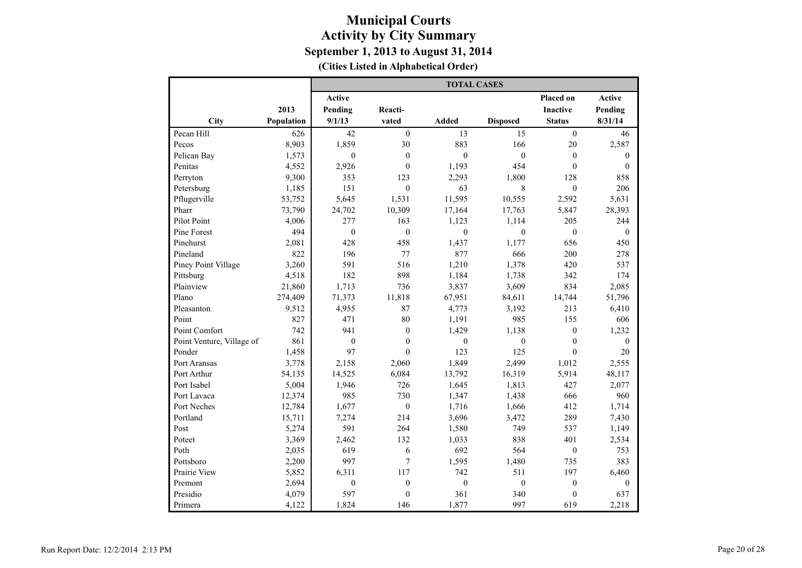|                           |            |                  |                  | <b>TOTAL CASES</b> |                 |                  |              |
|---------------------------|------------|------------------|------------------|--------------------|-----------------|------------------|--------------|
|                           |            | Active           |                  |                    |                 | Placed on        | Active       |
|                           | 2013       | Pending          | Reacti-          |                    |                 | <b>Inactive</b>  | Pending      |
| City                      | Population | 9/1/13           | vated            | <b>Added</b>       | <b>Disposed</b> | <b>Status</b>    | 8/31/14      |
| Pecan Hill                | 626        | 42               | $\boldsymbol{0}$ | 13                 | 15              | $\mathbf{0}$     | 46           |
| Pecos                     | 8,903      | 1,859            | 30               | 883                | 166             | 20               | 2,587        |
| Pelican Bay               | 1,573      | $\theta$         | $\mathbf{0}$     | $\theta$           | $\theta$        | $\mathbf{0}$     | $\theta$     |
| Penitas                   | 4,552      | 2,926            | $\theta$         | 1,193              | 454             | $\mathbf{0}$     | $\mathbf{0}$ |
| Perryton                  | 9,300      | 353              | 123              | 2,293              | 1,800           | 128              | 858          |
| Petersburg                | 1,185      | 151              | $\theta$         | 63                 | 8               | $\mathbf{0}$     | 206          |
| Pflugerville              | 53,752     | 5,645            | 1,531            | 11,595             | 10,555          | 2,592            | 5,631        |
| Pharr                     | 73,790     | 24,702           | 10,309           | 17,164             | 17,763          | 5,847            | 28,393       |
| Pilot Point               | 4,006      | 277              | 163              | 1,123              | 1,114           | 205              | 244          |
| Pine Forest               | 494        | $\boldsymbol{0}$ | $\mathbf{0}$     | $\boldsymbol{0}$   | $\mathbf{0}$    | $\boldsymbol{0}$ | $\mathbf{0}$ |
| Pinehurst                 | 2,081      | 428              | 458              | 1,437              | 1,177           | 656              | 450          |
| Pineland                  | 822        | 196              | 77               | 877                | 666             | 200              | 278          |
| Piney Point Village       | 3,260      | 591              | 516              | 1,210              | 1,378           | 420              | 537          |
| Pittsburg                 | 4,518      | 182              | 898              | 1,184              | 1,738           | 342              | 174          |
| Plainview                 | 21,860     | 1,713            | 736              | 3,837              | 3,609           | 834              | 2,085        |
| Plano                     | 274,409    | 71,373           | 11,818           | 67,951             | 84,611          | 14,744           | 51,796       |
| Pleasanton                | 9,512      | 4,955            | 87               | 4,773              | 3,192           | 213              | 6,410        |
| Point                     | 827        | 471              | 80               | 1,191              | 985             | 155              | 606          |
| Point Comfort             | 742        | 941              | $\overline{0}$   | 1,429              | 1,138           | $\mathbf{0}$     | 1,232        |
| Point Venture, Village of | 861        | $\mathbf{0}$     | $\overline{0}$   | $\mathbf{0}$       | $\mathbf{0}$    | $\mathbf{0}$     | $\mathbf{0}$ |
| Ponder                    | 1,458      | 97               | $\theta$         | 123                | 125             | $\mathbf{0}$     | 20           |
| Port Aransas              | 3,778      | 2,158            | 2,060            | 1,849              | 2,499           | 1,012            | 2,555        |
| Port Arthur               | 54,135     | 14,525           | 6,084            | 13,792             | 16,319          | 5,914            | 48,117       |
| Port Isabel               | 5,004      | 1,946            | 726              | 1.645              | 1,813           | 427              | 2,077        |
| Port Lavaca               | 12,374     | 985              | 730              | 1,347              | 1,438           | 666              | 960          |
| Port Neches               | 12,784     | 1,677            | $\mathbf{0}$     | 1,716              | 1,666           | 412              | 1,714        |
| Portland                  | 15,711     | 7,274            | 214              | 3,696              | 3,472           | 289              | 7,430        |
| Post                      | 5,274      | 591              | 264              | 1,580              | 749             | 537              | 1,149        |
| Poteet                    | 3,369      | 2,462            | 132              | 1,033              | 838             | 401              | 2,534        |
| Poth                      | 2,035      | 619              | 6                | 692                | 564             | $\mathbf{0}$     | 753          |
| Pottsboro                 | 2,200      | 997              | $\tau$           | 1,595              | 1,480           | 735              | 383          |
| Prairie View              | 5,852      | 6,311            | 117              | 742                | 511             | 197              | 6,460        |
| Premont                   | 2,694      | $\boldsymbol{0}$ | $\boldsymbol{0}$ | $\boldsymbol{0}$   | $\mathbf{0}$    | $\boldsymbol{0}$ | $\mathbf{0}$ |
| Presidio                  | 4,079      | 597              | $\overline{0}$   | 361                | 340             | $\mathbf{0}$     | 637          |
| Primera                   | 4,122      | 1,824            | 146              | 1,877              | 997             | 619              | 2,218        |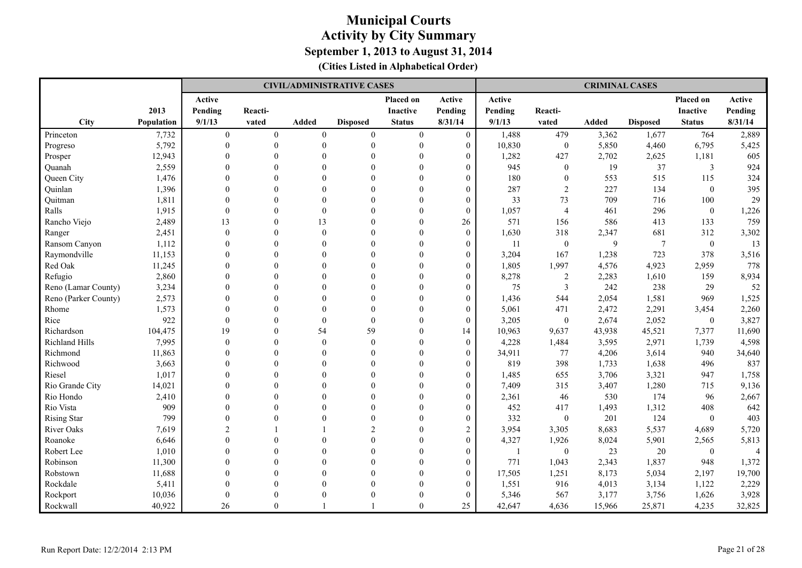|                      |            |                |                  |                | <b>CIVIL/ADMINISTRATIVE CASES</b> |                 |                  |              |                  | <b>CRIMINAL CASES</b> |                 |                  |                |
|----------------------|------------|----------------|------------------|----------------|-----------------------------------|-----------------|------------------|--------------|------------------|-----------------------|-----------------|------------------|----------------|
|                      |            | Active         |                  |                |                                   | Placed on       | Active           | Active       |                  |                       |                 | Placed on        | Active         |
|                      | 2013       | Pending        | Reacti-          |                |                                   | <b>Inactive</b> | Pending          | Pending      | Reacti-          |                       |                 | <b>Inactive</b>  | Pending        |
| <b>City</b>          | Population | 9/1/13         | vated            | Added          | <b>Disposed</b>                   | <b>Status</b>   | 8/31/14          | 9/1/13       | vated            | <b>Added</b>          | <b>Disposed</b> | <b>Status</b>    | 8/31/14        |
| Princeton            | 7,732      | $\overline{0}$ | $\boldsymbol{0}$ | $\overline{0}$ | $\boldsymbol{0}$                  | $\overline{0}$  | $\boldsymbol{0}$ | 1,488        | 479              | 3,362                 | 1,677           | 764              | 2,889          |
| Progreso             | 5,792      | $\theta$       | $\mathbf{0}$     | $\mathbf{0}$   | $\theta$                          | $\theta$        | $\boldsymbol{0}$ | 10,830       | $\mathbf{0}$     | 5,850                 | 4,460           | 6,795            | 5,425          |
| Prosper              | 12,943     | $\theta$       | $\theta$         | $\theta$       | $\theta$                          | $\theta$        | $\mathbf{0}$     | 1,282        | 427              | 2,702                 | 2,625           | 1,181            | 605            |
| Quanah               | 2,559      | $\Omega$       | $\theta$         | $\theta$       | $\theta$                          | $\theta$        | $\mathbf{0}$     | 945          | $\boldsymbol{0}$ | 19                    | 37              | $\mathfrak{Z}$   | 924            |
| Queen City           | 1,476      | $\Omega$       | $\Omega$         | $\Omega$       | $\Omega$                          | $\Omega$        | $\theta$         | 180          | $\mathbf{0}$     | 553                   | 515             | 115              | 324            |
| Quinlan              | 1,396      | $\Omega$       | $\Omega$         | $\Omega$       | $\theta$                          | $\Omega$        | $\mathbf{0}$     | 287          | 2                | 227                   | 134             | $\theta$         | 395            |
| Quitman              | 1,811      | $\theta$       | $\Omega$         | $\theta$       | $\theta$                          | $\theta$        | $\theta$         | 33           | 73               | 709                   | 716             | 100              | 29             |
| Ralls                | 1,915      | $\mathbf{0}$   | $\theta$         | $\theta$       | $\theta$                          | $\theta$        | $\boldsymbol{0}$ | 1,057        | $\overline{4}$   | 461                   | 296             | $\boldsymbol{0}$ | 1,226          |
| Rancho Viejo         | 2,489      | 13             | $\theta$         | 13             | $\theta$                          | $\theta$        | 26               | 571          | 156              | 586                   | 413             | 133              | 759            |
| Ranger               | 2,451      | $\mathbf{0}$   | $\Omega$         | $\Omega$       | $\Omega$                          | $\Omega$        | $\boldsymbol{0}$ | 1,630        | 318              | 2,347                 | 681             | 312              | 3,302          |
| Ransom Canyon        | 1,112      | $\Omega$       | $\Omega$         | $\Omega$       | $\Omega$                          | $\Omega$        | $\theta$         | 11           | $\mathbf{0}$     | 9                     | $\overline{7}$  | $\mathbf{0}$     | 13             |
| Raymondville         | 11,153     | $\Omega$       | $\Omega$         | $\Omega$       | $\theta$                          | $\theta$        | $\mathbf{0}$     | 3,204        | 167              | 1,238                 | 723             | 378              | 3,516          |
| Red Oak              | 11,245     | $\theta$       | $\Omega$         | $\Omega$       | $\theta$                          | $\theta$        | $\mathbf{0}$     | 1,805        | 1,997            | 4,576                 | 4,923           | 2,959            | 778            |
| Refugio              | 2,860      | $\theta$       | $\Omega$         | $\theta$       | $\theta$                          | $\theta$        | $\boldsymbol{0}$ | 8,278        | $\overline{c}$   | 2,283                 | 1,610           | 159              | 8,934          |
| Reno (Lamar County)  | 3,234      | $\theta$       | $\theta$         | $\theta$       | $\theta$                          | $\theta$        | $\boldsymbol{0}$ | 75           | $\overline{3}$   | 242                   | 238             | 29               | 52             |
| Reno (Parker County) | 2,573      | $\Omega$       | $\Omega$         | $\Omega$       | $\Omega$                          | $\Omega$        | $\mathbf{0}$     | 1,436        | 544              | 2,054                 | 1,581           | 969              | 1,525          |
| Rhome                | 1,573      | $\Omega$       | $\Omega$         | $\Omega$       | $\theta$                          | $\theta$        | $\theta$         | 5,061        | 471              | 2,472                 | 2,291           | 3,454            | 2,260          |
| Rice                 | 922        | $\Omega$       | $\Omega$         | $\theta$       | $\theta$                          | $\Omega$        | $\Omega$         | 3,205        | $\boldsymbol{0}$ | 2,674                 | 2,052           | $\overline{0}$   | 3,827          |
| Richardson           | 104,475    | 19             | $\theta$         | 54             | 59                                | $\Omega$        | 14               | 10,963       | 9,637            | 43,938                | 45,521          | 7,377            | 11,690         |
| Richland Hills       | 7,995      | $\theta$       | $\Omega$         | $\theta$       | $\overline{0}$                    | $\Omega$        | $\theta$         | 4,228        | 1,484            | 3,595                 | 2,971           | 1,739            | 4,598          |
| Richmond             | 11,863     | $\Omega$       | $\Omega$         | $\Omega$       | $\theta$                          | $\Omega$        | $\boldsymbol{0}$ | 34,911       | 77               | 4,206                 | 3,614           | 940              | 34,640         |
| Richwood             | 3,663      | $\theta$       | $\Omega$         | $\theta$       | $\theta$                          | $\theta$        | $\boldsymbol{0}$ | 819          | 398              | 1,733                 | 1,638           | 496              | 837            |
| Riesel               | 1,017      | $\Omega$       | $\Omega$         | $\Omega$       | $\Omega$                          | $\Omega$        | $\theta$         | 1,485        | 655              | 3,706                 | 3,321           | 947              | 1,758          |
| Rio Grande City      | 14,021     | $\Omega$       | $\Omega$         | $\Omega$       | $\Omega$                          | $\theta$        | $\mathbf{0}$     | 7,409        | 315              | 3,407                 | 1,280           | 715              | 9,136          |
| Rio Hondo            | 2,410      | $\Omega$       | $\Omega$         | $\Omega$       | $\theta$                          | $\theta$        | $\mathbf{0}$     | 2,361        | $46\,$           | 530                   | 174             | 96               | 2,667          |
| Rio Vista            | 909        | $\theta$       | $\Omega$         | $\theta$       | $\theta$                          | $\theta$        | $\boldsymbol{0}$ | 452          | 417              | 1,493                 | 1,312           | 408              | 642            |
| <b>Rising Star</b>   | 799        | $\Omega$       | $\Omega$         | $\Omega$       | $\theta$                          | $\Omega$        | $\mathbf{0}$     | 332          | $\mathbf{0}$     | 201                   | 124             | $\theta$         | 403            |
| <b>River Oaks</b>    | 7,619      | $\overline{2}$ |                  | $\mathbf{1}$   | $\overline{2}$                    | $\theta$        | $\overline{2}$   | 3,954        | 3,305            | 8,683                 | 5,537           | 4,689            | 5,720          |
| Roanoke              | 6,646      | $\theta$       | $\Omega$         | $\theta$       | $\theta$                          | $\theta$        | $\boldsymbol{0}$ | 4,327        | 1,926            | 8,024                 | 5,901           | 2,565            | 5,813          |
| Robert Lee           | 1,010      | $\Omega$       | $\Omega$         | $\Omega$       | $\Omega$                          | $\theta$        | $\boldsymbol{0}$ | $\mathbf{1}$ | $\boldsymbol{0}$ | 23                    | 20              | $\boldsymbol{0}$ | $\overline{4}$ |
| Robinson             | 11,300     | $\Omega$       | $\Omega$         | $\Omega$       | $\theta$                          | $\theta$        | $\mathbf{0}$     | 771          | 1,043            | 2,343                 | 1,837           | 948              | 1,372          |
| Robstown             | 11,688     | $\Omega$       | $\Omega$         | $\Omega$       | $\Omega$                          | $\Omega$        | $\mathbf{0}$     | 17,505       | 1,251            | 8,173                 | 5,034           | 2,197            | 19,700         |
| Rockdale             | 5,411      | $\Omega$       | $\Omega$         | $\Omega$       | $\Omega$                          | $\Omega$        | $\theta$         | 1,551        | 916              | 4,013                 | 3,134           | 1,122            | 2,229          |
| Rockport             | 10,036     | $\theta$       | $\Omega$         | $\Omega$       |                                   | $\Omega$        | $\theta$         | 5,346        | 567              | 3,177                 | 3,756           | 1,626            | 3,928          |
| Rockwall             | 40,922     | 26             | $\theta$         |                |                                   | $\theta$        | 25               | 42,647       | 4,636            | 15,966                | 25,871          | 4,235            | 32,825         |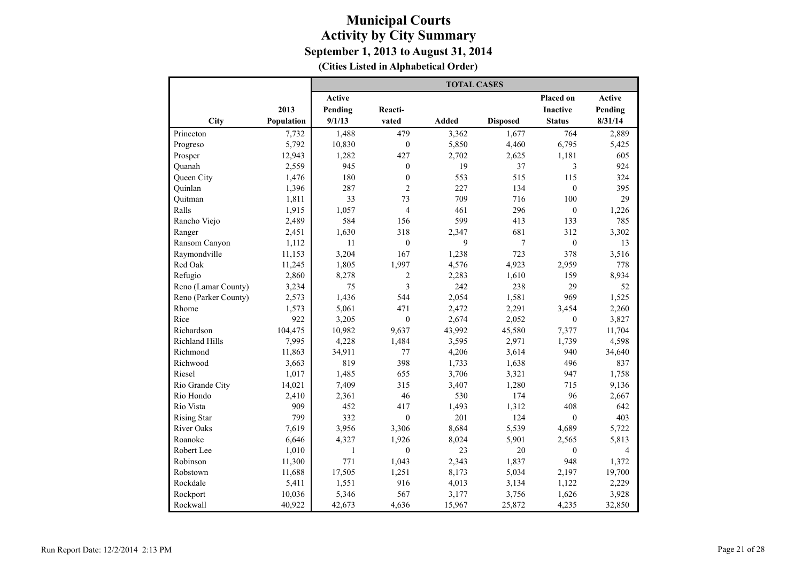**(Cities Listed in Alphabetical Order)**

|                       |            |              |                  | <b>TOTAL CASES</b> |                 |                  |                |
|-----------------------|------------|--------------|------------------|--------------------|-----------------|------------------|----------------|
|                       |            | Active       |                  |                    |                 | Placed on        | Active         |
|                       | 2013       | Pending      | Reacti-          |                    |                 | <b>Inactive</b>  | Pending        |
| City                  | Population | 9/1/13       | vated            | <b>Added</b>       | <b>Disposed</b> | <b>Status</b>    | 8/31/14        |
| Princeton             | 7,732      | 1,488        | 479              | 3,362              | 1,677           | 764              | 2,889          |
| Progreso              | 5,792      | 10,830       | $\boldsymbol{0}$ | 5,850              | 4,460           | 6,795            | 5,425          |
| Prosper               | 12,943     | 1,282        | 427              | 2,702              | 2,625           | 1,181            | 605            |
| Quanah                | 2,559      | 945          | $\boldsymbol{0}$ | 19                 | 37              | 3                | 924            |
| Queen City            | 1,476      | 180          | $\mathbf{0}$     | 553                | 515             | 115              | 324            |
| Quinlan               | 1,396      | 287          | $\overline{c}$   | 227                | 134             | $\boldsymbol{0}$ | 395            |
| Quitman               | 1,811      | 33           | 73               | 709                | 716             | 100              | 29             |
| Ralls                 | 1,915      | 1,057        | $\overline{4}$   | 461                | 296             | $\boldsymbol{0}$ | 1,226          |
| Rancho Viejo          | 2,489      | 584          | 156              | 599                | 413             | 133              | 785            |
| Ranger                | 2,451      | 1,630        | 318              | 2,347              | 681             | 312              | 3,302          |
| Ransom Canyon         | 1,112      | 11           | $\boldsymbol{0}$ | 9                  | $\tau$          | $\boldsymbol{0}$ | 13             |
| Raymondville          | 11,153     | 3,204        | 167              | 1,238              | 723             | 378              | 3,516          |
| Red Oak               | 11,245     | 1,805        | 1,997            | 4,576              | 4,923           | 2,959            | 778            |
| Refugio               | 2,860      | 8,278        | $\overline{2}$   | 2,283              | 1,610           | 159              | 8,934          |
| Reno (Lamar County)   | 3,234      | 75           | 3                | 242                | 238             | 29               | 52             |
| Reno (Parker County)  | 2,573      | 1,436        | 544              | 2,054              | 1,581           | 969              | 1,525          |
| Rhome                 | 1,573      | 5,061        | 471              | 2,472              | 2,291           | 3,454            | 2,260          |
| Rice                  | 922        | 3,205        | $\boldsymbol{0}$ | 2,674              | 2,052           | $\boldsymbol{0}$ | 3,827          |
| Richardson            | 104,475    | 10,982       | 9,637            | 43,992             | 45,580          | 7,377            | 11,704         |
| <b>Richland Hills</b> | 7,995      | 4,228        | 1,484            | 3,595              | 2,971           | 1,739            | 4,598          |
| Richmond              | 11,863     | 34,911       | 77               | 4,206              | 3,614           | 940              | 34,640         |
| Richwood              | 3,663      | 819          | 398              | 1,733              | 1,638           | 496              | 837            |
| Riesel                | 1,017      | 1,485        | 655              | 3,706              | 3,321           | 947              | 1,758          |
| Rio Grande City       | 14,021     | 7,409        | 315              | 3,407              | 1,280           | 715              | 9,136          |
| Rio Hondo             | 2,410      | 2,361        | 46               | 530                | 174             | 96               | 2,667          |
| Rio Vista             | 909        | 452          | 417              | 1,493              | 1,312           | 408              | 642            |
| <b>Rising Star</b>    | 799        | 332          | $\mathbf{0}$     | 201                | 124             | $\mathbf{0}$     | 403            |
| <b>River Oaks</b>     | 7,619      | 3,956        | 3,306            | 8,684              | 5,539           | 4,689            | 5,722          |
| Roanoke               | 6,646      | 4,327        | 1,926            | 8,024              | 5,901           | 2,565            | 5,813          |
| Robert Lee            | 1,010      | $\mathbf{1}$ | $\mathbf{0}$     | 23                 | 20              | $\mathbf{0}$     | $\overline{4}$ |
| Robinson              | 11,300     | 771          | 1,043            | 2,343              | 1,837           | 948              | 1,372          |
| Robstown              | 11,688     | 17,505       | 1,251            | 8,173              | 5,034           | 2,197            | 19,700         |
| Rockdale              | 5,411      | 1,551        | 916              | 4,013              | 3,134           | 1,122            | 2,229          |
| Rockport              | 10,036     | 5,346        | 567              | 3,177              | 3,756           | 1,626            | 3,928          |
| Rockwall              | 40,922     | 42,673       | 4,636            | 15,967             | 25,872          | 4,235            | 32,850         |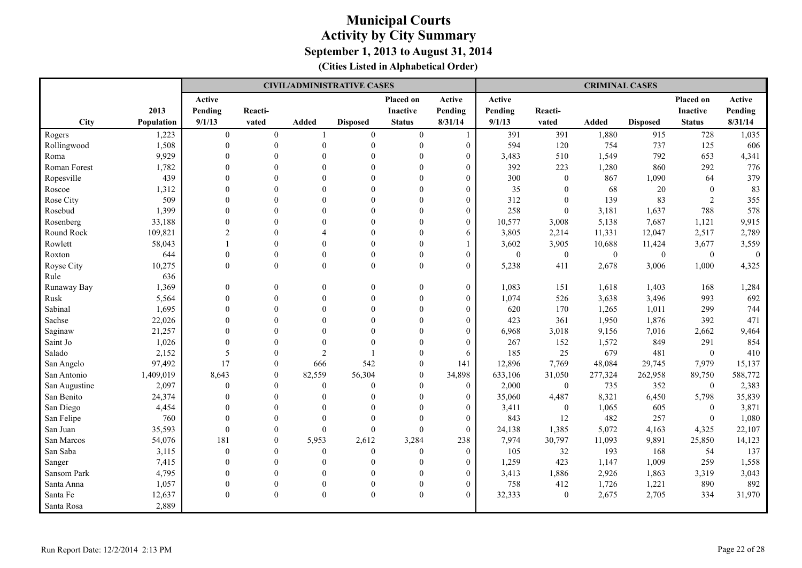|               |            |                  |                  |                | <b>CIVIL/ADMINISTRATIVE CASES</b> |                  |                  |              |                  | <b>CRIMINAL CASES</b> |                  |                  |          |
|---------------|------------|------------------|------------------|----------------|-----------------------------------|------------------|------------------|--------------|------------------|-----------------------|------------------|------------------|----------|
|               |            | Active           |                  |                |                                   | <b>Placed on</b> | Active           | Active       |                  |                       |                  | Placed on        | Active   |
|               | 2013       | Pending          | Reacti-          |                |                                   | <b>Inactive</b>  | Pending          | Pending      | Reacti-          |                       |                  | <b>Inactive</b>  | Pending  |
| City          | Population | 9/1/13           | vated            | <b>Added</b>   | <b>Disposed</b>                   | <b>Status</b>    | 8/31/14          | 9/1/13       | vated            | <b>Added</b>          | <b>Disposed</b>  | <b>Status</b>    | 8/31/14  |
| Rogers        | 1,223      | $\boldsymbol{0}$ | $\boldsymbol{0}$ |                | $\mathbf{0}$                      | $\boldsymbol{0}$ | 1                | 391          | 391              | 1,880                 | 915              | 728              | 1,035    |
| Rollingwood   | 1,508      | $\theta$         | $\theta$         | $\Omega$       | $\mathbf{0}$                      | $\mathbf{0}$     | $\boldsymbol{0}$ | 594          | 120              | 754                   | 737              | 125              | 606      |
| Roma          | 9,929      | $\Omega$         | $\Omega$         | $\Omega$       | $\Omega$                          | $\Omega$         | $\mathbf{0}$     | 3,483        | 510              | 1,549                 | 792              | 653              | 4,341    |
| Roman Forest  | 1,782      | $\Omega$         | $\Omega$         | $\Omega$       |                                   |                  | $\mathbf{0}$     | 392          | 223              | 1,280                 | 860              | 292              | 776      |
| Ropesville    | 439        | $\Omega$         | $\Omega$         | $\Omega$       |                                   |                  | $\mathbf{0}$     | 300          | $\boldsymbol{0}$ | 867                   | 1,090            | 64               | 379      |
| Roscoe        | 1,312      | $\theta$         | $\Omega$         | $\Omega$       |                                   | $\Omega$         | $\mathbf{0}$     | 35           | $\mathbf{0}$     | 68                    | $20\,$           | $\mathbf{0}$     | 83       |
| Rose City     | 509        | $\theta$         | $\theta$         | $\Omega$       |                                   |                  | $\overline{0}$   | 312          | $\boldsymbol{0}$ | 139                   | 83               | $\overline{2}$   | 355      |
| Rosebud       | 1,399      | $\theta$         | $\Omega$         | $\Omega$       |                                   | $\Omega$         | $\boldsymbol{0}$ | 258          | $\mathbf{0}$     | 3,181                 | 1,637            | 788              | 578      |
| Rosenberg     | 33,188     | $\theta$         | $\Omega$         | $\Omega$       |                                   | $\Omega$         | $\mathbf{0}$     | 10,577       | 3,008            | 5,138                 | 7,687            | 1,121            | 9,915    |
| Round Rock    | 109,821    | $\overline{2}$   | $\Omega$         |                | $\Omega$                          | $\Omega$         | 6                | 3,805        | 2,214            | 11,331                | 12,047           | 2,517            | 2,789    |
| Rowlett       | 58,043     |                  | $\Omega$         | $\Omega$       |                                   |                  |                  | 3,602        | 3,905            | 10,688                | 11,424           | 3,677            | 3,559    |
| Roxton        | 644        | $\Omega$         | $\Omega$         | $\theta$       | $\theta$                          | $\theta$         | $\boldsymbol{0}$ | $\mathbf{0}$ | $\boldsymbol{0}$ | $\mathbf{0}$          | $\boldsymbol{0}$ | $\boldsymbol{0}$ | $\theta$ |
| Royse City    | 10,275     | $\mathbf{0}$     | $\overline{0}$   | $\mathbf{0}$   | $\mathbf{0}$                      | $\mathbf{0}$     | $\boldsymbol{0}$ | 5,238        | 411              | 2,678                 | 3,006            | 1,000            | 4,325    |
| Rule          | 636        |                  |                  |                |                                   |                  |                  |              |                  |                       |                  |                  |          |
| Runaway Bay   | 1,369      | $\theta$         | $\Omega$         | $\Omega$       | $\Omega$                          | $\theta$         | $\boldsymbol{0}$ | 1,083        | 151              | 1,618                 | 1,403            | 168              | 1,284    |
| ${\rm Rusk}$  | 5,564      | $\Omega$         | $\Omega$         | $\Omega$       | $\Omega$                          | $\theta$         | $\theta$         | 1,074        | 526              | 3,638                 | 3,496            | 993              | 692      |
| Sabinal       | 1,695      | $\Omega$         | $\Omega$         | $\Omega$       | $\theta$                          | $\Omega$         | $\Omega$         | 620          | 170              | 1,265                 | 1,011            | 299              | 744      |
| Sachse        | 22,026     | $\Omega$         | $\Omega$         | $\Omega$       | $\Omega$                          |                  | $\mathbf{0}$     | 423          | 361              | 1,950                 | 1,876            | 392              | 471      |
| Saginaw       | 21,257     | $\Omega$         | $\Omega$         | $\Omega$       | $\Omega$                          |                  | $\theta$         | 6,968        | 3,018            | 9,156                 | 7,016            | 2,662            | 9,464    |
| Saint Jo      | 1,026      | $\theta$         | $\theta$         | $\Omega$       |                                   |                  | $\theta$         | 267          | 152              | 1,572                 | 849              | 291              | 854      |
| Salado        | 2,152      | 5                | $\theta$         | $\overline{2}$ |                                   | $\Omega$         | 6                | 185          | 25               | 679                   | 481              | $\mathbf{0}$     | 410      |
| San Angelo    | 97,492     | 17               | $\theta$         | 666            | 542                               | $\theta$         | 141              | 12,896       | 7,769            | 48,084                | 29,745           | 7,979            | 15,137   |
| San Antonio   | 1,409,019  | 8,643            | $\Omega$         | 82,559         | 56,304                            | $\Omega$         | 34,898           | 633,106      | 31,050           | 277,324               | 262,958          | 89,750           | 588,772  |
| San Augustine | 2,097      | $\theta$         | $\Omega$         | $\Omega$       | $\mathbf{0}$                      |                  | $\mathbf{0}$     | 2,000        | $\boldsymbol{0}$ | 735                   | 352              | $\mathbf{0}$     | 2,383    |
| San Benito    | 24,374     | $\Omega$         | $\Omega$         | $\Omega$       | $\theta$                          | $\Omega$         | $\theta$         | 35,060       | 4,487            | 8,321                 | 6,450            | 5,798            | 35,839   |
| San Diego     | 4,454      | $\theta$         | $\Omega$         | $\Omega$       | $\theta$                          | $\theta$         | $\mathbf{0}$     | 3,411        | $\boldsymbol{0}$ | 1,065                 | 605              | $\mathbf{0}$     | 3,871    |
| San Felipe    | 760        | $\theta$         | $\Omega$         | $\Omega$       | $\theta$                          | $\Omega$         | $\mathbf{0}$     | 843          | 12               | 482                   | 257              | $\boldsymbol{0}$ | 1,080    |
| San Juan      | 35,593     | $\theta$         | $\theta$         | $\Omega$       | $\mathbf{0}$                      | $\mathbf{0}$     | $\mathbf{0}$     | 24,138       | 1,385            | 5,072                 | 4,163            | 4,325            | 22,107   |
| San Marcos    | 54,076     | 181              | $\Omega$         | 5,953          | 2,612                             | 3,284            | 238              | 7,974        | 30,797           | 11,093                | 9,891            | 25,850           | 14,123   |
| San Saba      | 3,115      | $\theta$         | $\Omega$         | $\theta$       | $\theta$                          | $\mathbf{0}$     | $\mathbf{0}$     | 105          | 32               | 193                   | 168              | 54               | 137      |
| Sanger        | 7,415      | $\Omega$         | $\Omega$         | $\Omega$       | $\Omega$                          |                  | $\mathbf{0}$     | 1,259        | 423              | 1,147                 | 1,009            | 259              | 1,558    |
| Sansom Park   | 4,795      | $\Omega$         | $\Omega$         | $\Omega$       | $\theta$                          | $\Omega$         | $\mathbf{0}$     | 3,413        | 1,886            | 2,926                 | 1,863            | 3,319            | 3,043    |
| Santa Anna    | 1,057      | $\theta$         | $\theta$         | $\theta$       | $\mathbf{0}$                      | $\theta$         | $\boldsymbol{0}$ | 758          | 412              | 1,726                 | 1,221            | 890              | 892      |
| Santa Fe      | 12,637     | $\theta$         | $\mathbf{0}$     | $\Omega$       | $\mathbf{0}$                      | $\theta$         | $\overline{0}$   | 32,333       | $\boldsymbol{0}$ | 2,675                 | 2,705            | 334              | 31,970   |
| Santa Rosa    | 2,889      |                  |                  |                |                                   |                  |                  |              |                  |                       |                  |                  |          |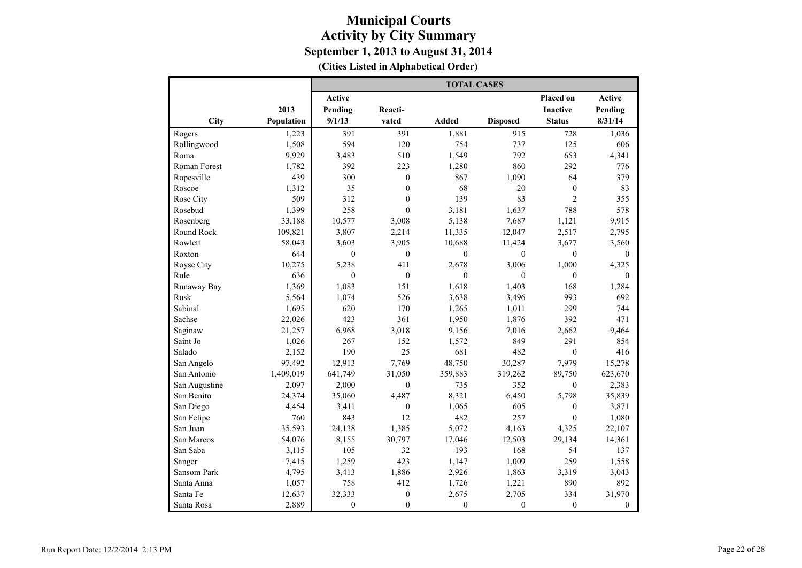**(Cities Listed in Alphabetical Order)**

|                     |            |               |                  | <b>TOTAL CASES</b> |                 |                  |              |
|---------------------|------------|---------------|------------------|--------------------|-----------------|------------------|--------------|
|                     |            | <b>Active</b> |                  |                    |                 | <b>Placed on</b> | Active       |
|                     | 2013       | Pending       | Reacti-          |                    |                 | <b>Inactive</b>  | Pending      |
| City                | Population | 9/1/13        | vated            | <b>Added</b>       | <b>Disposed</b> | <b>Status</b>    | 8/31/14      |
| Rogers              | 1,223      | 391           | 391              | 1,881              | 915             | 728              | 1,036        |
| Rollingwood         | 1,508      | 594           | 120              | 754                | 737             | 125              | 606          |
| Roma                | 9,929      | 3,483         | 510              | 1,549              | 792             | 653              | 4,341        |
| <b>Roman Forest</b> | 1,782      | 392           | 223              | 1,280              | 860             | 292              | 776          |
| Ropesville          | 439        | 300           | $\boldsymbol{0}$ | 867                | 1,090           | 64               | 379          |
| Roscoe              | 1,312      | 35            | $\theta$         | 68                 | 20              | $\mathbf{0}$     | 83           |
| Rose City           | 509        | 312           | $\mathbf{0}$     | 139                | 83              | $\overline{2}$   | 355          |
| Rosebud             | 1,399      | 258           | $\boldsymbol{0}$ | 3,181              | 1,637           | 788              | 578          |
| Rosenberg           | 33,188     | 10,577        | 3,008            | 5,138              | 7,687           | 1,121            | 9,915        |
| Round Rock          | 109,821    | 3,807         | 2,214            | 11,335             | 12,047          | 2,517            | 2,795        |
| Rowlett             | 58,043     | 3,603         | 3,905            | 10,688             | 11,424          | 3,677            | 3,560        |
| Roxton              | 644        | $\mathbf{0}$  | $\mathbf{0}$     | $\mathbf{0}$       | $\mathbf{0}$    | $\mathbf{0}$     | $\theta$     |
| Royse City          | 10,275     | 5,238         | 411              | 2,678              | 3,006           | 1,000            | 4,325        |
| Rule                | 636        | $\mathbf{0}$  | $\mathbf{0}$     | $\mathbf{0}$       | $\mathbf{0}$    | $\mathbf{0}$     | $\mathbf{0}$ |
| Runaway Bay         | 1,369      | 1,083         | 151              | 1,618              | 1,403           | 168              | 1,284        |
| Rusk                | 5,564      | 1,074         | 526              | 3,638              | 3,496           | 993              | 692          |
| Sabinal             | 1,695      | 620           | 170              | 1,265              | 1,011           | 299              | 744          |
| Sachse              | 22,026     | 423           | 361              | 1,950              | 1,876           | 392              | 471          |
| Saginaw             | 21,257     | 6,968         | 3,018            | 9,156              | 7,016           | 2,662            | 9,464        |
| Saint Jo            | 1,026      | 267           | 152              | 1,572              | 849             | 291              | 854          |
| Salado              | 2,152      | 190           | 25               | 681                | 482             | $\mathbf{0}$     | 416          |
| San Angelo          | 97,492     | 12,913        | 7,769            | 48,750             | 30,287          | 7,979            | 15,278       |
| San Antonio         | 1,409,019  | 641,749       | 31,050           | 359,883            | 319,262         | 89,750           | 623,670      |
| San Augustine       | 2,097      | 2,000         | $\mathbf{0}$     | 735                | 352             | $\mathbf{0}$     | 2,383        |
| San Benito          | 24,374     | 35,060        | 4,487            | 8,321              | 6,450           | 5,798            | 35,839       |
| San Diego           | 4,454      | 3,411         | $\mathbf{0}$     | 1,065              | 605             | $\boldsymbol{0}$ | 3,871        |
| San Felipe          | 760        | 843           | 12               | 482                | 257             | $\mathbf{0}$     | 1,080        |
| San Juan            | 35,593     | 24,138        | 1,385            | 5,072              | 4,163           | 4,325            | 22,107       |
| San Marcos          | 54,076     | 8,155         | 30,797           | 17,046             | 12,503          | 29,134           | 14,361       |
| San Saba            | 3,115      | 105           | 32               | 193                | 168             | 54               | 137          |
| Sanger              | 7,415      | 1,259         | 423              | 1,147              | 1,009           | 259              | 1,558        |
| Sansom Park         | 4,795      | 3,413         | 1,886            | 2,926              | 1,863           | 3,319            | 3,043        |
| Santa Anna          | 1,057      | 758           | 412              | 1,726              | 1,221           | 890              | 892          |
| Santa Fe            | 12,637     | 32,333        | $\boldsymbol{0}$ | 2,675              | 2,705           | 334              | 31,970       |
| Santa Rosa          | 2,889      | $\mathbf{0}$  | $\theta$         | $\mathbf{0}$       | $\mathbf{0}$    | $\mathbf{0}$     | $\mathbf{0}$ |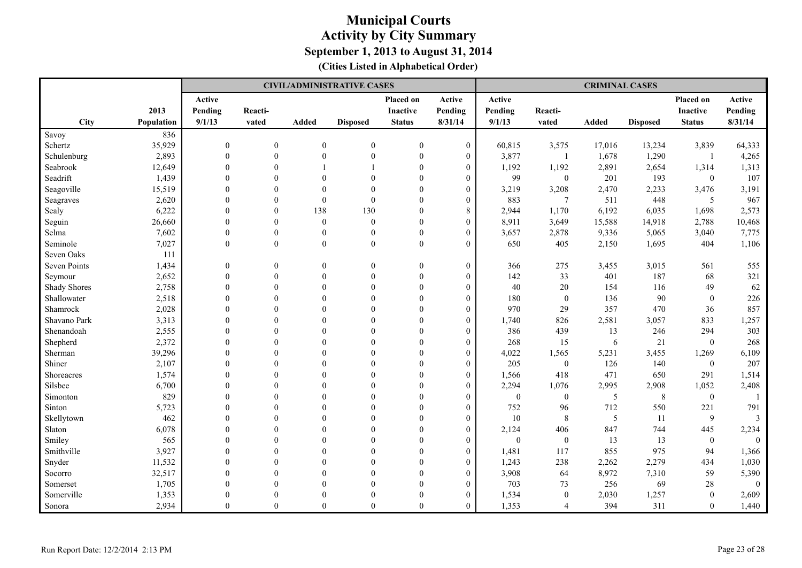|                     |            |              |              |              | <b>CIVIL/ADMINISTRATIVE CASES</b> |                  |                  |                  |                  | <b>CRIMINAL CASES</b> |                 |                  |              |
|---------------------|------------|--------------|--------------|--------------|-----------------------------------|------------------|------------------|------------------|------------------|-----------------------|-----------------|------------------|--------------|
|                     |            | Active       |              |              |                                   | Placed on        | Active           | Active           |                  |                       |                 | Placed on        | Active       |
|                     | 2013       | Pending      | Reacti-      |              |                                   | <b>Inactive</b>  | Pending          | Pending          | Reacti-          |                       |                 | Inactive         | Pending      |
| <b>City</b>         | Population | 9/1/13       | vated        | <b>Added</b> | <b>Disposed</b>                   | <b>Status</b>    | 8/31/14          | 9/1/13           | vated            | Added                 | <b>Disposed</b> | <b>Status</b>    | 8/31/14      |
| Savoy               | 836        |              |              |              |                                   |                  |                  |                  |                  |                       |                 |                  |              |
| Schertz             | 35,929     | $\mathbf{0}$ | $\mathbf{0}$ | $\mathbf{0}$ | $\mathbf{0}$                      | $\mathbf{0}$     | $\boldsymbol{0}$ | 60,815           | 3,575            | 17,016                | 13,234          | 3,839            | 64,333       |
| Schulenburg         | 2,893      | $\theta$     | $\Omega$     | $\theta$     | $\theta$                          | $\mathbf{0}$     | $\boldsymbol{0}$ | 3,877            | -1               | 1,678                 | 1,290           | -1               | 4,265        |
| Seabrook            | 12,649     | $\Omega$     | $\Omega$     |              |                                   | $\theta$         | $\overline{0}$   | 1,192            | 1,192            | 2,891                 | 2,654           | 1,314            | 1,313        |
| Seadrift            | 1,439      | $\Omega$     |              | $\theta$     | $\theta$                          | $\Omega$         | $\overline{0}$   | 99               | $\boldsymbol{0}$ | 201                   | 193             | $\mathbf{0}$     | 107          |
| Seagoville          | 15,519     | $\Omega$     | $\Omega$     | $\theta$     | $\Omega$                          | $\Omega$         | $\boldsymbol{0}$ | 3,219            | 3,208            | 2,470                 | 2,233           | 3,476            | 3,191        |
| Seagraves           | 2,620      | $\theta$     | $\Omega$     | $\theta$     | $\theta$                          | $\Omega$         | $\mathbf{0}$     | 883              | $\tau$           | 511                   | 448             | 5                | 967          |
| Sealy               | 6,222      | $\theta$     | $\theta$     | 138          | 130                               | $\theta$         | 8                | 2,944            | 1,170            | 6,192                 | 6,035           | 1,698            | 2,573        |
| Seguin              | 26,660     | $\theta$     | $\Omega$     | $\mathbf{0}$ | $\mathbf{0}$                      | $\Omega$         | $\boldsymbol{0}$ | 8,911            | 3,649            | 15,588                | 14,918          | 2,788            | 10,468       |
| Selma               | 7,602      | $\theta$     | $\mathbf{0}$ | $\theta$     | $\overline{0}$                    | $\mathbf{0}$     | $\overline{0}$   | 3,657            | 2,878            | 9,336                 | 5,065           | 3,040            | 7,775        |
| Seminole            | 7,027      | $\mathbf{0}$ | $\mathbf{0}$ | $\theta$     | $\mathbf{0}$                      | $\boldsymbol{0}$ | $\mathbf{0}$     | 650              | 405              | 2,150                 | 1,695           | 404              | 1,106        |
| Seven Oaks          | 111        |              |              |              |                                   |                  |                  |                  |                  |                       |                 |                  |              |
| Seven Points        | 1,434      | $\mathbf{0}$ | $\theta$     | $\mathbf{0}$ | $\theta$                          | $\mathbf{0}$     | $\boldsymbol{0}$ | 366              | 275              | 3,455                 | 3,015           | 561              | 555          |
| Seymour             | 2,652      | $\mathbf{0}$ |              | $\mathbf{0}$ | $\theta$                          | $\mathbf{0}$     | $\mathbf{0}$     | 142              | 33               | 401                   | 187             | 68               | 321          |
| <b>Shady Shores</b> | 2,758      | $\theta$     |              | $\theta$     | $\theta$                          | $\mathbf{0}$     | $\mathbf{0}$     | 40               | $20\,$           | 154                   | 116             | 49               | 62           |
| Shallowater         | 2,518      | $\Omega$     |              | $\theta$     | $\theta$                          | $\Omega$         | $\boldsymbol{0}$ | 180              | $\boldsymbol{0}$ | 136                   | 90              | $\boldsymbol{0}$ | 226          |
| Shamrock            | 2,028      | $\Omega$     |              | $\theta$     | $\theta$                          | $\Omega$         | $\overline{0}$   | 970              | 29               | 357                   | 470             | 36               | 857          |
| Shavano Park        | 3,313      | $\Omega$     |              | $\theta$     | $\theta$                          | $\Omega$         | $\overline{0}$   | 1,740            | 826              | 2,581                 | 3,057           | 833              | 1,257        |
| Shenandoah          | 2,555      | $\Omega$     |              | $\Omega$     | $\Omega$                          | $\Omega$         | $\boldsymbol{0}$ | 386              | 439              | 13                    | 246             | 294              | 303          |
| Shepherd            | 2,372      | $\Omega$     | $\Omega$     | $\Omega$     | $\Omega$                          | $\Omega$         | $\mathbf{0}$     | 268              | 15               | 6                     | 21              | $\theta$         | 268          |
| Sherman             | 39,296     | $\theta$     |              | $\theta$     | $\theta$                          | $\Omega$         | $\mathbf{0}$     | 4,022            | 1,565            | 5,231                 | 3,455           | 1,269            | 6,109        |
| Shiner              | 2,107      | $\theta$     |              | $\theta$     | $\theta$                          | $\theta$         | $\boldsymbol{0}$ | 205              | $\boldsymbol{0}$ | 126                   | 140             | $\mathbf{0}$     | 207          |
| Shoreacres          | 1,574      | $\Omega$     |              | $\theta$     | $\Omega$                          | $\Omega$         | $\boldsymbol{0}$ | 1,566            | 418              | 471                   | 650             | 291              | 1,514        |
| Silsbee             | 6,700      | $\Omega$     |              | $\theta$     | $\theta$                          | $\Omega$         | $\overline{0}$   | 2,294            | 1,076            | 2,995                 | 2,908           | 1,052            | 2,408        |
| Simonton            | 829        | $\Omega$     |              | $\Omega$     | $\Omega$                          | $\Omega$         | $\overline{0}$   | $\boldsymbol{0}$ | $\boldsymbol{0}$ | 5                     | $\,8\,$         | $\boldsymbol{0}$ | - 1          |
| Sinton              | 5,723      | $\Omega$     |              | $\Omega$     | $\Omega$                          | $\Omega$         | $\overline{0}$   | 752              | 96               | 712                   | 550             | 221              | 791          |
| Skellytown          | 462        | $\Omega$     | $\Omega$     | $\Omega$     | $\theta$                          | $\theta$         | $\mathbf{0}$     | 10               | 8                | 5                     | 11              | $\overline{9}$   | 3            |
| Slaton              | 6,078      | $\mathbf{0}$ |              | $\theta$     | $\theta$                          | $\theta$         | $\mathbf{0}$     | 2,124            | 406              | 847                   | 744             | 445              | 2,234        |
| Smiley              | 565        | $\theta$     |              | $\theta$     | $\theta$                          | $\theta$         | $\boldsymbol{0}$ | $\boldsymbol{0}$ | $\boldsymbol{0}$ | 13                    | 13              | $\boldsymbol{0}$ | $\mathbf{0}$ |
| Smithville          | 3,927      | $\Omega$     |              | $\theta$     | $\theta$                          | $\Omega$         | $\boldsymbol{0}$ | 1,481            | 117              | 855                   | 975             | 94               | 1,366        |
| Snyder              | 11,532     | $\Omega$     |              | $\theta$     | $\theta$                          | $\Omega$         | $\overline{0}$   | 1,243            | 238              | 2,262                 | 2,279           | 434              | 1,030        |
| Socorro             | 32,517     | $\Omega$     |              | $\Omega$     | $\Omega$                          | $\Omega$         | $\theta$         | 3,908            | 64               | 8,972                 | 7,310           | 59               | 5,390        |
| Somerset            | 1,705      |              |              | $\Omega$     | $\Omega$                          | $\Omega$         | $\overline{0}$   | 703              | 73               | 256                   | 69              | 28               | $\theta$     |
| Somerville          | 1,353      |              |              | $\Omega$     | $\Omega$                          | $\Omega$         | $\theta$         | 1,534            | $\boldsymbol{0}$ | 2,030                 | 1,257           | $\theta$         | 2,609        |
| Sonora              | 2,934      | $\Omega$     | $\Omega$     | $\theta$     | $\theta$                          | $\theta$         | $\overline{0}$   | 1,353            | 4                | 394                   | 311             | $\mathbf{0}$     | 1,440        |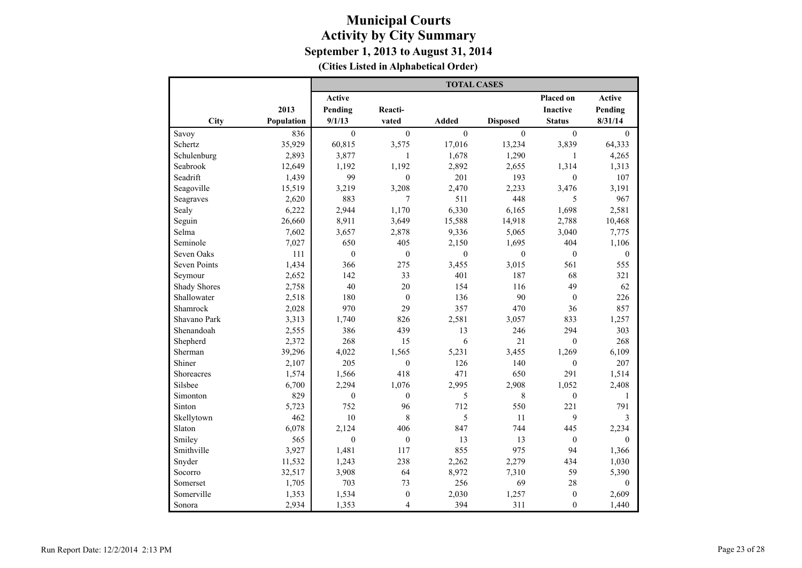|                     |            | <b>TOTAL CASES</b> |                  |                |                  |                  |                |  |  |  |
|---------------------|------------|--------------------|------------------|----------------|------------------|------------------|----------------|--|--|--|
|                     |            | Active             |                  |                |                  | Placed on        | Active         |  |  |  |
|                     | 2013       | Pending            | Reacti-          |                |                  | <b>Inactive</b>  | Pending        |  |  |  |
| City                | Population | 9/1/13             | vated            | <b>Added</b>   | <b>Disposed</b>  | <b>Status</b>    | 8/31/14        |  |  |  |
| Savoy               | 836        | $\boldsymbol{0}$   | $\mathbf{0}$     | $\theta$       | $\mathbf{0}$     | $\boldsymbol{0}$ | $\overline{0}$ |  |  |  |
| Schertz             | 35,929     | 60,815             | 3,575            | 17,016         | 13,234           | 3,839            | 64,333         |  |  |  |
| Schulenburg         | 2,893      | 3,877              | 1                | 1,678          | 1,290            | $\mathbf{1}$     | 4,265          |  |  |  |
| Seabrook            | 12,649     | 1,192              | 1,192            | 2,892          | 2,655            | 1,314            | 1,313          |  |  |  |
| Seadrift            | 1,439      | 99                 | $\mathbf{0}$     | 201            | 193              | $\mathbf{0}$     | 107            |  |  |  |
| Seagoville          | 15,519     | 3,219              | 3,208            | 2,470          | 2,233            | 3,476            | 3,191          |  |  |  |
| Seagraves           | 2,620      | 883                | $\tau$           | 511            | 448              | 5                | 967            |  |  |  |
| Sealy               | 6,222      | 2,944              | 1,170            | 6,330          | 6,165            | 1,698            | 2,581          |  |  |  |
| Seguin              | 26,660     | 8,911              | 3,649            | 15,588         | 14,918           | 2,788            | 10,468         |  |  |  |
| Selma               | 7,602      | 3,657              | 2,878            | 9,336          | 5,065            | 3,040            | 7,775          |  |  |  |
| Seminole            | 7,027      | 650                | 405              | 2,150          | 1,695            | 404              | 1,106          |  |  |  |
| Seven Oaks          | 111        | $\boldsymbol{0}$   | $\mathbf{0}$     | $\overline{0}$ | $\boldsymbol{0}$ | $\boldsymbol{0}$ | $\mathbf{0}$   |  |  |  |
| Seven Points        | 1,434      | 366                | 275              | 3,455          | 3,015            | 561              | 555            |  |  |  |
| Seymour             | 2,652      | 142                | 33               | 401            | 187              | 68               | 321            |  |  |  |
| <b>Shady Shores</b> | 2,758      | 40                 | 20               | 154            | 116              | 49               | 62             |  |  |  |
| Shallowater         | 2,518      | 180                | $\mathbf{0}$     | 136            | 90               | $\boldsymbol{0}$ | 226            |  |  |  |
| Shamrock            | 2,028      | 970                | 29               | 357            | 470              | 36               | 857            |  |  |  |
| Shavano Park        | 3,313      | 1,740              | 826              | 2,581          | 3,057            | 833              | 1,257          |  |  |  |
| Shenandoah          | 2,555      | 386                | 439              | 13             | 246              | 294              | 303            |  |  |  |
| Shepherd            | 2,372      | 268                | 15               | 6              | 21               | $\boldsymbol{0}$ | 268            |  |  |  |
| Sherman             | 39,296     | 4,022              | 1,565            | 5,231          | 3,455            | 1,269            | 6,109          |  |  |  |
| Shiner              | 2,107      | 205                | $\mathbf{0}$     | 126            | 140              | $\mathbf{0}$     | 207            |  |  |  |
| Shoreacres          | 1,574      | 1,566              | 418              | 471            | 650              | 291              | 1,514          |  |  |  |
| Silsbee             | 6,700      | 2,294              | 1,076            | 2,995          | 2,908            | 1,052            | 2,408          |  |  |  |
| Simonton            | 829        | $\boldsymbol{0}$   | $\boldsymbol{0}$ | 5              | 8                | $\boldsymbol{0}$ | $\mathbf{1}$   |  |  |  |
| Sinton              | 5,723      | 752                | 96               | 712            | 550              | 221              | 791            |  |  |  |
| Skellytown          | 462        | 10                 | 8                | 5              | 11               | 9                | 3              |  |  |  |
| Slaton              | 6,078      | 2,124              | 406              | 847            | 744              | 445              | 2,234          |  |  |  |
| Smiley              | 565        | $\mathbf{0}$       | $\boldsymbol{0}$ | 13             | 13               | $\mathbf{0}$     | $\mathbf{0}$   |  |  |  |
| Smithville          | 3,927      | 1,481              | 117              | 855            | 975              | 94               | 1,366          |  |  |  |
| Snyder              | 11,532     | 1,243              | 238              | 2,262          | 2,279            | 434              | 1,030          |  |  |  |
| Socorro             | 32,517     | 3,908              | 64               | 8,972          | 7,310            | 59               | 5,390          |  |  |  |
| Somerset            | 1,705      | 703                | 73               | 256            | 69               | 28               | $\mathbf{0}$   |  |  |  |
| Somerville          | 1,353      | 1,534              | $\boldsymbol{0}$ | 2,030          | 1,257            | $\boldsymbol{0}$ | 2,609          |  |  |  |
| Sonora              | 2,934      | 1,353              | $\overline{4}$   | 394            | 311              | $\mathbf{0}$     | 1,440          |  |  |  |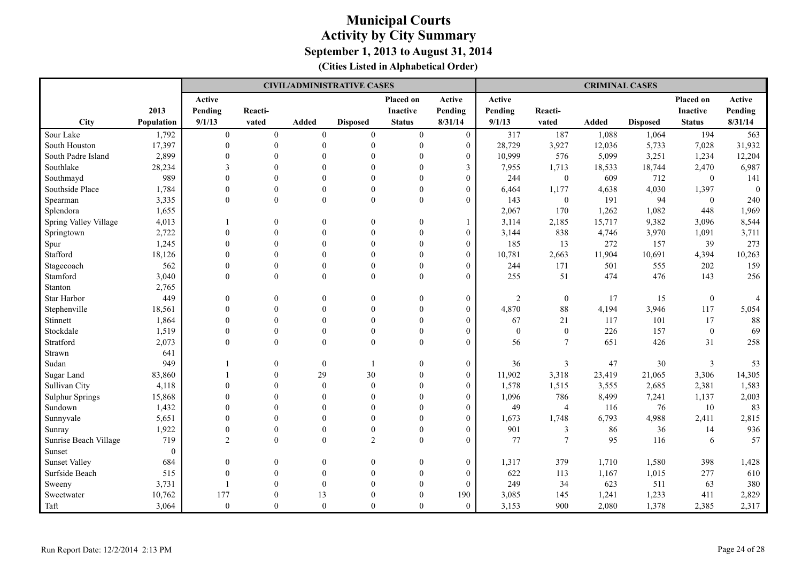|                        |              |                |                  |                  | <b>CIVIL/ADMINISTRATIVE CASES</b> |                  |                  |            |                  | <b>CRIMINAL CASES</b> |                 |                  |                |
|------------------------|--------------|----------------|------------------|------------------|-----------------------------------|------------------|------------------|------------|------------------|-----------------------|-----------------|------------------|----------------|
|                        |              | Active         |                  |                  |                                   | Placed on        | Active           | Active     |                  |                       |                 | Placed on        | Active         |
|                        | 2013         | Pending        | Reacti-          |                  |                                   | Inactive         | Pending          | Pending    | Reacti-          |                       |                 | <b>Inactive</b>  | Pending        |
| City                   | Population   | 9/1/13         | vated            | <b>Added</b>     | <b>Disposed</b>                   | <b>Status</b>    | 8/31/14          | 9/1/13     | vated            | <b>Added</b>          | <b>Disposed</b> | <b>Status</b>    | 8/31/14        |
| Sour Lake              | 1,792        | $\mathbf{0}$   | $\mathbf{0}$     | $\boldsymbol{0}$ | $\mathbf{0}$                      | $\overline{0}$   | $\overline{0}$   | 317        | 187              | 1,088                 | 1,064           | 194              | 563            |
| South Houston          | 17,397       | $\theta$       | $\theta$         | $\Omega$         | $\theta$                          | $\mathbf{0}$     | $\mathbf{0}$     | 28,729     | 3,927            | 12,036                | 5,733           | 7,028            | 31,932         |
| South Padre Island     | 2,899        | $\Omega$       | $\Omega$         | $\Omega$         | $\Omega$                          | $\Omega$         | $\mathbf{0}$     | 10,999     | 576              | 5,099                 | 3,251           | 1,234            | 12,204         |
| Southlake              | 28,234       | $\mathbf{3}$   | $\Omega$         | $\Omega$         |                                   | $\Omega$         | $\mathfrak{Z}$   | 7,955      | 1,713            | 18,533                | 18,744          | 2,470            | 6,987          |
| Southmayd              | 989          | $\Omega$       | $\Omega$         | $\Omega$         |                                   |                  | $\boldsymbol{0}$ | 244        | $\boldsymbol{0}$ | 609                   | 712             | $\mathbf{0}$     | 141            |
| Southside Place        | 1,784        | $\theta$       | $\mathbf{0}$     | $\Omega$         | $\theta$                          | $\Omega$         | $\mathbf{0}$     | 6,464      | 1,177            | 4,638                 | 4,030           | 1,397            | $\mathbf{0}$   |
| Spearman               | 3,335        | $\theta$       | $\overline{0}$   | $\theta$         | $\mathbf{0}$                      | $\theta$         | $\theta$         | 143        | $\boldsymbol{0}$ | 191                   | 94              | $\mathbf{0}$     | 240            |
| Splendora              | 1,655        |                |                  |                  |                                   |                  |                  | 2,067      | 170              | 1,262                 | 1,082           | 448              | 1,969          |
| Spring Valley Village  | 4,013        |                | $\Omega$         | $\theta$         | $\theta$                          | $\mathbf{0}$     | 1                | 3,114      | 2,185            | 15,717                | 9,382           | 3,096            | 8,544          |
| Springtown             | 2,722        | $\theta$       |                  | $\theta$         |                                   | $\theta$         | $\boldsymbol{0}$ | 3,144      | 838              | 4,746                 | 3,970           | 1,091            | 3,711          |
| Spur                   | 1,245        | $\Omega$       | $\Omega$         | $\theta$         | $\Omega$                          | $\Omega$         | $\boldsymbol{0}$ | 185        | 13               | 272                   | 157             | 39               | 273            |
| Stafford               | 18,126       | $\Omega$       | $\Omega$         | $\Omega$         | $\Omega$                          | $\Omega$         | $\boldsymbol{0}$ | 10,781     | 2,663            | 11,904                | 10,691          | 4,394            | 10,263         |
| Stagecoach             | 562          | $\Omega$       | $\Omega$         | $\Omega$         | $\theta$                          | $\theta$         | $\mathbf{0}$     | 244        | 171              | 501                   | 555             | 202              | 159            |
| Stamford               | 3,040        | $\theta$       | $\mathbf{0}$     | $\mathbf{0}$     | $\theta$                          | $\theta$         | $\overline{0}$   | 255        | 51               | 474                   | 476             | 143              | 256            |
| Stanton                | 2,765        |                |                  |                  |                                   |                  |                  |            |                  |                       |                 |                  |                |
| Star Harbor            | 449          | $\theta$       | $\Omega$         | $\theta$         | $\theta$                          | $\mathbf{0}$     | $\boldsymbol{0}$ | $\sqrt{2}$ | $\boldsymbol{0}$ | 17                    | 15              | $\boldsymbol{0}$ | $\overline{4}$ |
| Stephenville           | 18,561       | $\theta$       | $\Omega$         | $\Omega$         | $\theta$                          | $\theta$         | $\boldsymbol{0}$ | 4,870      | $88\,$           | 4,194                 | 3,946           | 117              | 5,054          |
| Stinnett               | 1,864        | $\Omega$       | $\theta$         | $\Omega$         | $\Omega$                          | $\Omega$         | $\boldsymbol{0}$ | 67         | 21               | 117                   | 101             | 17               | 88             |
| Stockdale              | 1,519        | $\Omega$       | $\boldsymbol{0}$ | $\Omega$         | $\Omega$                          | $\Omega$         | $\boldsymbol{0}$ | $\theta$   | $\boldsymbol{0}$ | 226                   | 157             | $\boldsymbol{0}$ | 69             |
| Stratford              | 2,073        | $\Omega$       | $\Omega$         | $\Omega$         | $\theta$                          | $\Omega$         | $\theta$         | 56         | $\tau$           | 651                   | 426             | 31               | 258            |
| Strawn                 | 641          |                |                  |                  |                                   |                  |                  |            |                  |                       |                 |                  |                |
| Sudan                  | 949          |                | $\theta$         | $\boldsymbol{0}$ |                                   | $\boldsymbol{0}$ | $\mathbf{0}$     | 36         | 3                | 47                    | 30              | $\mathfrak{Z}$   | 53             |
| Sugar Land             | 83,860       |                |                  | 29               | 30                                | $\mathbf{0}$     | $\boldsymbol{0}$ | 11,902     | 3,318            | 23,419                | 21,065          | 3,306            | 14,305         |
| Sullivan City          | 4,118        |                |                  | $\mathbf{0}$     | $\boldsymbol{0}$                  | $\theta$         | $\mathbf{0}$     | 1,578      | 1,515            | 3,555                 | 2,685           | 2,381            | 1,583          |
| <b>Sulphur Springs</b> | 15,868       | $\Omega$       | $\Omega$         | $\Omega$         | $\theta$                          |                  | $\mathbf{0}$     | 1,096      | 786              | 8,499                 | 7,241           | 1,137            | 2,003          |
| Sundown                | 1,432        | $\Omega$       | $\Omega$         | $\Omega$         | $\Omega$                          | $\Omega$         | $\mathbf{0}$     | 49         | $\overline{4}$   | 116                   | 76              | 10               | 83             |
| Sunnyvale              | 5,651        | $\theta$       | $\Omega$         | $\theta$         | $\theta$                          | $\Omega$         | $\mathbf{0}$     | 1,673      | 1,748            | 6,793                 | 4,988           | 2,411            | 2,815          |
| Sunray                 | 1,922        | $\mathbf{0}$   | $\theta$         | $\mathbf{0}$     | $\theta$                          | $\mathbf{0}$     | $\overline{0}$   | 901        | 3                | 86                    | 36              | 14               | 936            |
| Sunrise Beach Village  | 719          | $\overline{c}$ | $\mathbf{0}$     | $\boldsymbol{0}$ | $\overline{2}$                    | $\mathbf{0}$     | $\overline{0}$   | 77         | $\overline{7}$   | 95                    | 116             | 6                | 57             |
| Sunset                 | $\mathbf{0}$ |                |                  |                  |                                   |                  |                  |            |                  |                       |                 |                  |                |
| <b>Sunset Valley</b>   | 684          | $\theta$       | $\Omega$         | $\Omega$         | $\Omega$                          | $\theta$         | $\boldsymbol{0}$ | 1,317      | 379              | 1,710                 | 1,580           | 398              | 1,428          |
| Surfside Beach         | 515          | $\Omega$       | $\Omega$         | $\Omega$         |                                   | $\Omega$         | $\mathbf{0}$     | 622        | 113              | 1,167                 | 1,015           | 277              | 610            |
| Sweeny                 | 3,731        |                |                  | $\Omega$         |                                   |                  | $\mathbf{0}$     | 249        | 34               | 623                   | 511             | 63               | 380            |
| Sweetwater             | 10,762       | 177            | $\Omega$         | 13               |                                   |                  | 190              | 3,085      | 145              | 1,241                 | 1,233           | 411              | 2,829          |
| Taft                   | 3,064        | $\mathbf{0}$   | $\Omega$         | $\theta$         | $\Omega$                          | $\Omega$         | $\overline{0}$   | 3,153      | 900              | 2,080                 | 1,378           | 2,385            | 2,317          |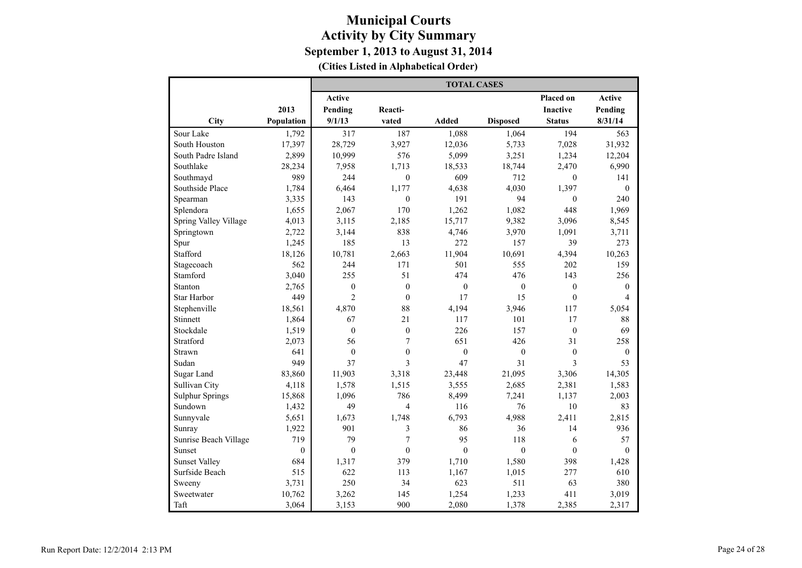|                        |            | <b>TOTAL CASES</b> |                  |              |                  |                 |              |  |  |  |
|------------------------|------------|--------------------|------------------|--------------|------------------|-----------------|--------------|--|--|--|
|                        |            | <b>Active</b>      |                  |              |                  | Placed on       | Active       |  |  |  |
|                        | 2013       | Pending            | Reacti-          |              |                  | <b>Inactive</b> | Pending      |  |  |  |
| City                   | Population | 9/1/13             | vated            | <b>Added</b> | <b>Disposed</b>  | <b>Status</b>   | 8/31/14      |  |  |  |
| Sour Lake              | 1,792      | 317                | 187              | 1,088        | 1,064            | 194             | 563          |  |  |  |
| South Houston          | 17,397     | 28,729             | 3,927            | 12,036       | 5,733            | 7,028           | 31,932       |  |  |  |
| South Padre Island     | 2,899      | 10,999             | 576              | 5,099        | 3,251            | 1,234           | 12,204       |  |  |  |
| Southlake              | 28,234     | 7,958              | 1,713            | 18,533       | 18,744           | 2,470           | 6,990        |  |  |  |
| Southmayd              | 989        | 244                | $\mathbf{0}$     | 609          | 712              | $\mathbf{0}$    | 141          |  |  |  |
| Southside Place        | 1,784      | 6,464              | 1,177            | 4,638        | 4,030            | 1,397           | $\mathbf{0}$ |  |  |  |
| Spearman               | 3,335      | 143                | $\mathbf{0}$     | 191          | 94               | $\mathbf{0}$    | 240          |  |  |  |
| Splendora              | 1,655      | 2,067              | 170              | 1,262        | 1,082            | 448             | 1,969        |  |  |  |
| Spring Valley Village  | 4,013      | 3,115              | 2,185            | 15,717       | 9,382            | 3,096           | 8,545        |  |  |  |
| Springtown             | 2,722      | 3,144              | 838              | 4,746        | 3,970            | 1,091           | 3,711        |  |  |  |
| Spur                   | 1,245      | 185                | 13               | 272          | 157              | 39              | 273          |  |  |  |
| Stafford               | 18,126     | 10,781             | 2,663            | 11,904       | 10,691           | 4,394           | 10,263       |  |  |  |
| Stagecoach             | 562        | 244                | 171              | 501          | 555              | 202             | 159          |  |  |  |
| Stamford               | 3,040      | 255                | 51               | 474          | 476              | 143             | 256          |  |  |  |
| Stanton                | 2,765      | $\boldsymbol{0}$   | $\mathbf{0}$     | $\mathbf{0}$ | $\boldsymbol{0}$ | $\mathbf{0}$    | $\mathbf{0}$ |  |  |  |
| <b>Star Harbor</b>     | 449        | $\overline{2}$     | $\mathbf{0}$     | 17           | 15               | $\mathbf{0}$    | 4            |  |  |  |
| Stephenville           | 18,561     | 4,870              | 88               | 4,194        | 3,946            | 117             | 5,054        |  |  |  |
| Stinnett               | 1,864      | 67                 | 21               | 117          | 101              | 17              | 88           |  |  |  |
| Stockdale              | 1,519      | $\mathbf{0}$       | $\boldsymbol{0}$ | 226          | 157              | $\overline{0}$  | 69           |  |  |  |
| Stratford              | 2,073      | 56                 | $\overline{7}$   | 651          | 426              | 31              | 258          |  |  |  |
| Strawn                 | 641        | $\mathbf{0}$       | $\overline{0}$   | $\mathbf{0}$ | $\mathbf{0}$     | $\mathbf{0}$    | $\mathbf{0}$ |  |  |  |
| Sudan                  | 949        | 37                 | 3                | 47           | 31               | 3               | 53           |  |  |  |
| Sugar Land             | 83,860     | 11,903             | 3,318            | 23,448       | 21,095           | 3,306           | 14,305       |  |  |  |
| Sullivan City          | 4,118      | 1,578              | 1,515            | 3,555        | 2,685            | 2,381           | 1,583        |  |  |  |
| <b>Sulphur Springs</b> | 15,868     | 1,096              | 786              | 8,499        | 7,241            | 1,137           | 2,003        |  |  |  |
| Sundown                | 1,432      | 49                 | $\overline{4}$   | 116          | 76               | 10              | 83           |  |  |  |
| Sunnyvale              | 5,651      | 1,673              | 1,748            | 6,793        | 4,988            | 2,411           | 2,815        |  |  |  |
| Sunray                 | 1,922      | 901                | 3                | 86           | 36               | 14              | 936          |  |  |  |
| Sunrise Beach Village  | 719        | 79                 | 7                | 95           | 118              | 6               | 57           |  |  |  |
| Sunset                 | $\theta$   | $\theta$           | $\theta$         | $\theta$     | $\theta$         | $\theta$        | $\theta$     |  |  |  |
| <b>Sunset Valley</b>   | 684        | 1,317              | 379              | 1,710        | 1,580            | 398             | 1,428        |  |  |  |
| Surfside Beach         | 515        | 622                | 113              | 1,167        | 1,015            | 277             | 610          |  |  |  |
| Sweeny                 | 3,731      | 250                | 34               | 623          | 511              | 63              | 380          |  |  |  |
| Sweetwater             | 10,762     | 3,262              | 145              | 1,254        | 1,233            | 411             | 3,019        |  |  |  |
| Taft                   | 3,064      | 3,153              | 900              | 2,080        | 1,378            | 2,385           | 2,317        |  |  |  |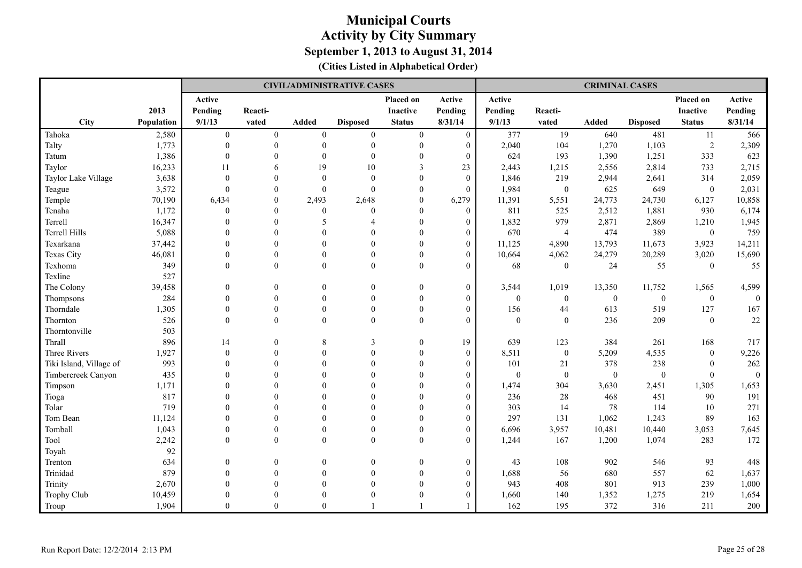|                         |            |                  | <b>CIVIL/ADMINISTRATIVE CASES</b> |                  |                  |                  |                  |              | <b>CRIMINAL CASES</b> |                  |                  |                  |                  |  |
|-------------------------|------------|------------------|-----------------------------------|------------------|------------------|------------------|------------------|--------------|-----------------------|------------------|------------------|------------------|------------------|--|
|                         |            | Active           |                                   |                  |                  | Placed on        | Active           | Active       |                       |                  |                  | Placed on        | Active           |  |
|                         | 2013       | Pending          | Reacti-                           |                  |                  | Inactive         | Pending          | Pending      | Reacti-               |                  |                  | <b>Inactive</b>  | Pending          |  |
| City                    | Population | 9/1/13           | vated                             | Added            | <b>Disposed</b>  | <b>Status</b>    | 8/31/14          | 9/1/13       | vated                 | Added            | <b>Disposed</b>  | <b>Status</b>    | 8/31/14          |  |
| Tahoka                  | 2,580      | $\boldsymbol{0}$ | $\boldsymbol{0}$                  | $\boldsymbol{0}$ | $\boldsymbol{0}$ | $\overline{0}$   | $\overline{0}$   | 377          | 19                    | 640              | 481              | $11\,$           | 566              |  |
| Talty                   | 1,773      | $\theta$         | $\theta$                          | $\theta$         | $\theta$         | $\mathbf{0}$     | $\mathbf{0}$     | 2,040        | 104                   | 1,270            | 1,103            | $\overline{2}$   | 2,309            |  |
| Tatum                   | 1,386      | $\theta$         | $\Omega$                          | $\Omega$         | $\theta$         | $\theta$         | $\mathbf{0}$     | 624          | 193                   | 1,390            | 1,251            | 333              | 623              |  |
| Taylor                  | 16,233     | 11               | 6                                 | 19               | 10               | $\mathcal{E}$    | 23               | 2,443        | 1,215                 | 2,556            | 2,814            | 733              | 2,715            |  |
| Taylor Lake Village     | 3,638      | $\theta$         | $\Omega$                          | $\theta$         | $\mathbf{0}$     |                  | $\mathbf{0}$     | 1,846        | 219                   | 2,944            | 2,641            | 314              | 2,059            |  |
| Teague                  | 3,572      | $\mathbf{0}$     | $\theta$                          | $\mathbf{0}$     | $\mathbf{0}$     | $\Omega$         | $\theta$         | 1,984        | $\boldsymbol{0}$      | 625              | 649              | $\boldsymbol{0}$ | 2,031            |  |
| Temple                  | 70,190     | 6,434            | $\theta$                          | 2,493            | 2,648            | $\Omega$         | 6,279            | 11,391       | 5,551                 | 24,773           | 24,730           | 6,127            | 10,858           |  |
| Tenaha                  | 1,172      | $\overline{0}$   | $\theta$                          | $\boldsymbol{0}$ | $\Omega$         |                  | $\mathbf{0}$     | 811          | 525                   | 2,512            | 1,881            | 930              | 6,174            |  |
| Terrell                 | 16,347     | $\theta$         | $\Omega$                          | 5                |                  | $\Omega$         | $\theta$         | 1,832        | 979                   | 2,871            | 2,869            | 1,210            | 1,945            |  |
| Terrell Hills           | 5,088      | $\Omega$         | $\Omega$                          | $\Omega$         | $\Omega$         | $\Omega$         | $\mathbf{0}$     | 670          | $\overline{4}$        | 474              | 389              | $\mathbf{0}$     | 759              |  |
| Texarkana               | 37,442     | $\Omega$         | $\Omega$                          | $\Omega$         | $\Omega$         | $\Omega$         | $\mathbf{0}$     | 11,125       | 4,890                 | 13,793           | 11,673           | 3,923            | 14,211           |  |
| <b>Texas City</b>       | 46,081     | $\Omega$         | $\Omega$                          | $\theta$         | $\Omega$         | $\Omega$         | $\mathbf{0}$     | 10,664       | 4,062                 | 24,279           | 20,289           | 3,020            | 15,690           |  |
| Texhoma                 | 349        | $\theta$         | $\theta$                          | $\theta$         | $\mathbf{0}$     | $\theta$         | $\overline{0}$   | 68           | $\boldsymbol{0}$      | 24               | 55               | $\mathbf{0}$     | 55               |  |
| Texline                 | 527        |                  |                                   |                  |                  |                  |                  |              |                       |                  |                  |                  |                  |  |
| The Colony              | 39,458     | $\boldsymbol{0}$ | $\boldsymbol{0}$                  | $\overline{0}$   | $\boldsymbol{0}$ | $\boldsymbol{0}$ | $\boldsymbol{0}$ | 3,544        | 1,019                 | 13,350           | 11,752           | 1,565            | 4,599            |  |
| Thompsons               | 284        | $\theta$         | $\Omega$                          | $\Omega$         | $\Omega$         | $\mathbf{0}$     | $\mathbf{0}$     | $\mathbf{0}$ | $\boldsymbol{0}$      | $\overline{0}$   | $\boldsymbol{0}$ | $\mathbf{0}$     | $\theta$         |  |
| Thorndale               | 1,305      | $\theta$         | $\theta$                          | $\theta$         | $\theta$         | $\theta$         | $\overline{0}$   | 156          | 44                    | 613              | 519              | 127              | 167              |  |
| Thornton                | 526        | $\Omega$         | $\theta$                          | $\theta$         | $\Omega$         | $\theta$         | $\theta$         | $\mathbf{0}$ | $\mathbf{0}$          | 236              | 209              | $\theta$         | 22               |  |
| Thorntonville           | 503        |                  |                                   |                  |                  |                  |                  |              |                       |                  |                  |                  |                  |  |
| Thrall                  | 896        | 14               | $\Omega$                          | 8                | 3                | $\mathbf{0}$     | 19               | 639          | 123                   | 384              | 261              | 168              | 717              |  |
| Three Rivers            | 1,927      | $\mathbf{0}$     |                                   | $\mathbf{0}$     |                  | $\theta$         | $\boldsymbol{0}$ | 8,511        | $\boldsymbol{0}$      | 5,209            | 4,535            | $\boldsymbol{0}$ | 9,226            |  |
| Tiki Island, Village of | 993        | $\theta$         |                                   | $\Omega$         |                  |                  | $\mathbf{0}$     | 101          | 21                    | 378              | 238              | $\boldsymbol{0}$ | 262              |  |
| Timbercreek Canyon      | 435        | $\Omega$         |                                   |                  |                  |                  | $\boldsymbol{0}$ | $\mathbf{0}$ | $\boldsymbol{0}$      | $\boldsymbol{0}$ | $\boldsymbol{0}$ | $\mathbf{0}$     | $\boldsymbol{0}$ |  |
| Timpson                 | 1,171      | $\Omega$         |                                   | $\Omega$         |                  |                  | $\mathbf{0}$     | 1,474        | 304                   | 3,630            | 2,451            | 1,305            | 1,653            |  |
| Tioga                   | 817        | $\Omega$         |                                   | $\Omega$         |                  |                  | $\theta$         | 236          | $28\,$                | 468              | 451              | 90               | 191              |  |
| Tolar                   | 719        | $\Omega$         | $\Omega$                          | $\Omega$         |                  |                  | $\mathbf{0}$     | 303          | 14                    | 78               | 114              | 10               | 271              |  |
| Tom Bean                | 11,124     | $\theta$         | $\Omega$                          | $\Omega$         | $\Omega$         | $\theta$         | $\mathbf{0}$     | 297          | 131                   | 1,062            | 1,243            | 89               | 163              |  |
| Tomball                 | 1,043      | $\mathbf{0}$     | $\Omega$                          | $\mathbf{0}$     |                  | $\mathbf{0}$     | $\boldsymbol{0}$ | 6,696        | 3,957                 | 10,481           | 10,440           | 3,053            | 7,645            |  |
| Tool                    | 2,242      | $\theta$         | $\mathbf{0}$                      | $\mathbf{0}$     | $\mathbf{0}$     | $\mathbf{0}$     | $\overline{0}$   | 1,244        | 167                   | 1,200            | 1,074            | 283              | 172              |  |
| Toyah                   | 92         |                  |                                   |                  |                  |                  |                  |              |                       |                  |                  |                  |                  |  |
| Trenton                 | 634        | $\theta$         | $\Omega$                          | $\theta$         | $\theta$         | $\theta$         | $\mathbf{0}$     | 43           | 108                   | 902              | 546              | 93               | 448              |  |
| Trinidad                | 879        | $\Omega$         | $\Omega$                          | $\Omega$         |                  |                  | $\mathbf{0}$     | 1,688        | 56                    | 680              | 557              | 62               | 1,637            |  |
| Trinity                 | 2,670      |                  |                                   | $\Omega$         |                  |                  | $\theta$         | 943          | 408                   | 801              | 913              | 239              | 1,000            |  |
| <b>Trophy Club</b>      | 10,459     |                  |                                   |                  |                  |                  | $\mathbf{0}$     | 1,660        | 140                   | 1,352            | 1,275            | 219              | 1,654            |  |
| Troup                   | 1,904      | $\theta$         | $\Omega$                          | $\theta$         |                  |                  |                  | 162          | 195                   | 372              | 316              | 211              | 200              |  |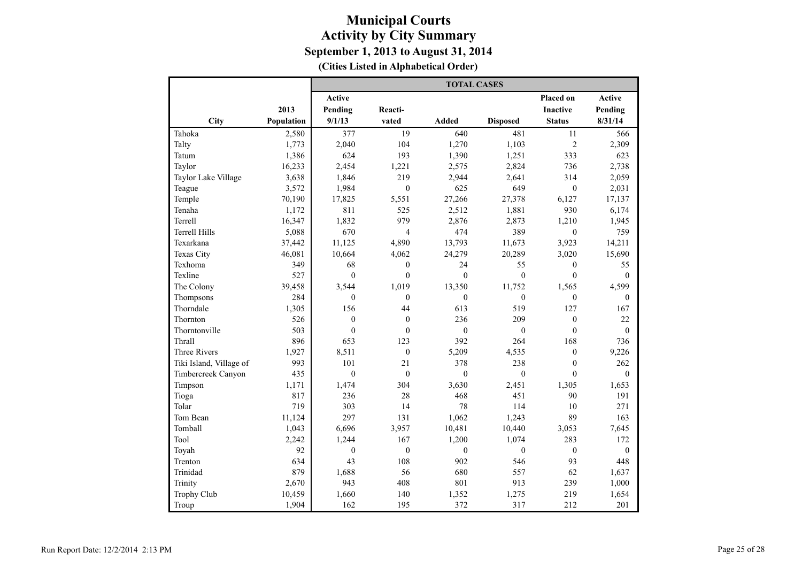|                         |            | <b>TOTAL CASES</b> |                  |              |                 |                  |              |  |  |  |
|-------------------------|------------|--------------------|------------------|--------------|-----------------|------------------|--------------|--|--|--|
|                         |            | Active             |                  |              |                 | Placed on        | Active       |  |  |  |
|                         | 2013       | Pending            | Reacti-          |              |                 | <b>Inactive</b>  | Pending      |  |  |  |
| City                    | Population | 9/1/13             | vated            | <b>Added</b> | <b>Disposed</b> | <b>Status</b>    | 8/31/14      |  |  |  |
| Tahoka                  | 2,580      | 377                | 19               | 640          | 481             | 11               | 566          |  |  |  |
| Talty                   | 1,773      | 2,040              | 104              | 1,270        | 1,103           | $\mathfrak{2}$   | 2,309        |  |  |  |
| Tatum                   | 1,386      | 624                | 193              | 1,390        | 1,251           | 333              | 623          |  |  |  |
| Taylor                  | 16,233     | 2,454              | 1,221            | 2,575        | 2,824           | 736              | 2,738        |  |  |  |
| Taylor Lake Village     | 3,638      | 1,846              | 219              | 2,944        | 2,641           | 314              | 2,059        |  |  |  |
| Teague                  | 3,572      | 1,984              | $\boldsymbol{0}$ | 625          | 649             | $\mathbf{0}$     | 2,031        |  |  |  |
| Temple                  | 70,190     | 17,825             | 5,551            | 27,266       | 27,378          | 6,127            | 17,137       |  |  |  |
| Tenaha                  | 1,172      | 811                | 525              | 2,512        | 1,881           | 930              | 6,174        |  |  |  |
| Terrell                 | 16,347     | 1,832              | 979              | 2,876        | 2,873           | 1,210            | 1,945        |  |  |  |
| <b>Terrell Hills</b>    | 5,088      | 670                | $\overline{4}$   | 474          | 389             | $\mathbf{0}$     | 759          |  |  |  |
| Texarkana               | 37,442     | 11,125             | 4,890            | 13,793       | 11,673          | 3,923            | 14,211       |  |  |  |
| <b>Texas City</b>       | 46,081     | 10,664             | 4,062            | 24,279       | 20,289          | 3,020            | 15,690       |  |  |  |
| Texhoma                 | 349        | 68                 | $\boldsymbol{0}$ | 24           | 55              | $\mathbf{0}$     | 55           |  |  |  |
| Texline                 | 527        | $\mathbf{0}$       | $\theta$         | $\theta$     | $\mathbf{0}$    | $\theta$         | $\theta$     |  |  |  |
| The Colony              | 39,458     | 3,544              | 1,019            | 13,350       | 11,752          | 1,565            | 4,599        |  |  |  |
| Thompsons               | 284        | $\mathbf{0}$       | $\mathbf{0}$     | $\mathbf{0}$ | $\mathbf{0}$    | $\mathbf{0}$     | $\mathbf{0}$ |  |  |  |
| Thorndale               | 1,305      | 156                | 44               | 613          | 519             | 127              | 167          |  |  |  |
| Thornton                | 526        | $\boldsymbol{0}$   | $\boldsymbol{0}$ | 236          | 209             | $\boldsymbol{0}$ | 22           |  |  |  |
| Thorntonville           | 503        | $\theta$           | $\theta$         | $\theta$     | $\mathbf{0}$    | $\theta$         | $\mathbf{0}$ |  |  |  |
| Thrall                  | 896        | 653                | 123              | 392          | 264             | 168              | 736          |  |  |  |
| <b>Three Rivers</b>     | 1,927      | 8,511              | $\mathbf{0}$     | 5,209        | 4,535           | $\mathbf{0}$     | 9,226        |  |  |  |
| Tiki Island, Village of | 993        | 101                | 21               | 378          | 238             | $\mathbf{0}$     | 262          |  |  |  |
| Timbercreek Canyon      | 435        | $\theta$           | $\theta$         | $\theta$     | $\theta$        | $\theta$         | $\theta$     |  |  |  |
| Timpson                 | 1,171      | 1,474              | 304              | 3,630        | 2,451           | 1,305            | 1,653        |  |  |  |
| Tioga                   | 817        | 236                | 28               | 468          | 451             | 90               | 191          |  |  |  |
| Tolar                   | 719        | 303                | 14               | 78           | 114             | 10               | 271          |  |  |  |
| Tom Bean                | 11,124     | 297                | 131              | 1,062        | 1,243           | 89               | 163          |  |  |  |
| Tomball                 | 1,043      | 6,696              | 3,957            | 10,481       | 10,440          | 3,053            | 7,645        |  |  |  |
| Tool                    | 2,242      | 1,244              | 167              | 1,200        | 1,074           | 283              | 172          |  |  |  |
| Toyah                   | 92         | $\mathbf{0}$       | $\theta$         | $\mathbf{0}$ | $\mathbf{0}$    | $\mathbf{0}$     | $\theta$     |  |  |  |
| Trenton                 | 634        | 43                 | 108              | 902          | 546             | 93               | 448          |  |  |  |
| Trinidad                | 879        | 1,688              | 56               | 680          | 557             | 62               | 1,637        |  |  |  |
| Trinity                 | 2,670      | 943                | 408              | 801          | 913             | 239              | 1,000        |  |  |  |
| <b>Trophy Club</b>      | 10,459     | 1,660              | 140              | 1,352        | 1,275           | 219              | 1,654        |  |  |  |
| Troup                   | 1,904      | 162                | 195              | 372          | 317             | 212              | 201          |  |  |  |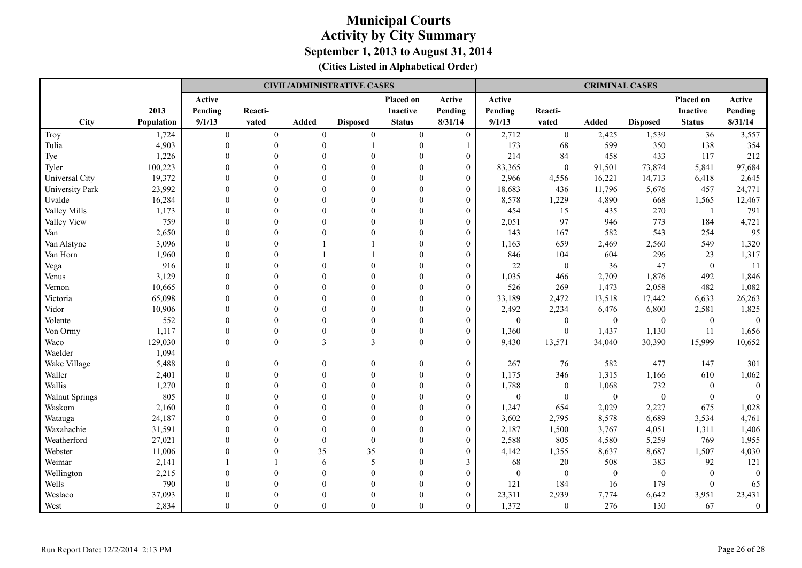|                       |            |              | <b>CIVIL/ADMINISTRATIVE CASES</b> |                |                 |                 |                  |                  | <b>CRIMINAL CASES</b> |                  |                  |                  |                  |
|-----------------------|------------|--------------|-----------------------------------|----------------|-----------------|-----------------|------------------|------------------|-----------------------|------------------|------------------|------------------|------------------|
|                       |            | Active       |                                   |                |                 | Placed on       | Active           | Active           |                       |                  |                  | Placed on        | Active           |
|                       | 2013       | Pending      | Reacti-                           |                |                 | <b>Inactive</b> | Pending          | Pending          | Reacti-               |                  |                  | <b>Inactive</b>  | Pending          |
| <b>City</b>           | Population | 9/1/13       | vated                             | Added          | <b>Disposed</b> | <b>Status</b>   | 8/31/14          | 9/1/13           | vated                 | Added            | <b>Disposed</b>  | <b>Status</b>    | 8/31/14          |
| Troy                  | 1,724      | $\mathbf{0}$ | $\boldsymbol{0}$                  | $\overline{0}$ | $\mathbf{0}$    | $\mathbf{0}$    | $\overline{0}$   | 2,712            | $\boldsymbol{0}$      | 2,425            | 1,539            | 36               | 3,557            |
| Tulia                 | 4,903      | $\theta$     | $\Omega$                          | $\Omega$       |                 | $\mathbf{0}$    | $\mathbf{1}$     | 173              | 68                    | 599              | 350              | 138              | 354              |
| Tye                   | 1,226      | $\Omega$     | $\Omega$                          | $\Omega$       |                 | $\theta$        | $\mathbf{0}$     | 214              | 84                    | 458              | 433              | 117              | 212              |
| Tyler                 | 100,223    |              |                                   |                |                 |                 | $\mathbf{0}$     | 83,365           | $\boldsymbol{0}$      | 91,501           | 73,874           | 5,841            | 97,684           |
| Universal City        | 19,372     | $\Omega$     |                                   |                |                 |                 | $\Omega$         | 2,966            | 4,556                 | 16,221           | 14,713           | 6,418            | 2,645            |
| University Park       | 23,992     | $\Omega$     |                                   |                |                 |                 | $\mathbf{0}$     | 18,683           | 436                   | 11,796           | 5,676            | 457              | 24,771           |
| Uvalde                | 16,284     |              |                                   |                |                 |                 | $\mathbf{0}$     | 8,578            | 1,229                 | 4,890            | 668              | 1,565            | 12,467           |
| Valley Mills          | 1,173      |              |                                   |                |                 |                 | $\mathbf{0}$     | 454              | 15                    | 435              | 270              | $\overline{1}$   | 791              |
| Valley View           | 759        |              |                                   |                |                 |                 | $\boldsymbol{0}$ | 2,051            | 97                    | 946              | 773              | 184              | 4,721            |
| Van                   | 2,650      |              |                                   |                |                 |                 | $\mathbf{0}$     | 143              | 167                   | 582              | 543              | 254              | 95               |
| Van Alstyne           | 3,096      |              |                                   |                |                 |                 | $\theta$         | 1,163            | 659                   | 2,469            | 2,560            | 549              | 1,320            |
| Van Horn              | 1,960      | $\Omega$     |                                   |                |                 |                 | $\theta$         | 846              | 104                   | 604              | 296              | 23               | 1,317            |
| Vega                  | 916        | $\Omega$     |                                   | $\Omega$       |                 |                 | $\mathbf{0}$     | 22               | $\mathbf{0}$          | 36               | 47               | $\mathbf{0}$     | 11               |
| Venus                 | 3,129      | $\Omega$     |                                   | $\Omega$       |                 |                 | $\overline{0}$   | 1,035            | 466                   | 2,709            | 1,876            | 492              | 1,846            |
| Vernon                | 10,665     | $\theta$     |                                   |                |                 |                 | $\boldsymbol{0}$ | 526              | 269                   | 1,473            | 2,058            | 482              | 1,082            |
| Victoria              | 65,098     | $\Omega$     |                                   |                |                 |                 | $\Omega$         | 33,189           | 2,472                 | 13,518           | 17,442           | 6,633            | 26,263           |
| Vidor                 | 10,906     | $\Omega$     | $\Omega$                          | $\Omega$       |                 |                 | $\theta$         | 2,492            | 2,234                 | 6,476            | 6,800            | 2,581            | 1,825            |
| Volente               | 552        | $\Omega$     | $\Omega$                          | $\Omega$       | $\Omega$        |                 | $\mathbf{0}$     | $\mathbf{0}$     | $\boldsymbol{0}$      | $\bf{0}$         | $\mathbf{0}$     | $\boldsymbol{0}$ | $\boldsymbol{0}$ |
| Von Ormy              | 1,117      | $\Omega$     | $\theta$                          | $\Omega$       | $\mathbf{0}$    | $\Omega$        | $\boldsymbol{0}$ | 1,360            | $\boldsymbol{0}$      | 1,437            | 1,130            | 11               | 1,656            |
| Waco                  | 129,030    | $\Omega$     | $\theta$                          | 3              | 3               | $\theta$        | $\mathbf{0}$     | 9,430            | 13,571                | 34,040           | 30,390           | 15,999           | 10,652           |
| Waelder               | 1,094      |              |                                   |                |                 |                 |                  |                  |                       |                  |                  |                  |                  |
| Wake Village          | 5,488      | $\mathbf{0}$ | $\Omega$                          | $\theta$       | $\Omega$        | $\theta$        | $\boldsymbol{0}$ | 267              | 76                    | 582              | 477              | 147              | 301              |
| Waller                | 2,401      | $\Omega$     |                                   | $\Omega$       |                 | $\theta$        | $\mathbf{0}$     | 1,175            | 346                   | 1,315            | 1,166            | 610              | 1,062            |
| Wallis                | 1,270      | $\Omega$     | $\Omega$                          | $\Omega$       |                 | $\Omega$        | $\mathbf{0}$     | 1,788            | $\boldsymbol{0}$      | 1,068            | 732              | $\mathbf{0}$     | $\mathbf{0}$     |
| <b>Walnut Springs</b> | 805        | $\Omega$     | $\Omega$                          | $\Omega$       |                 |                 | $\mathbf{0}$     | $\boldsymbol{0}$ | $\theta$              | $\boldsymbol{0}$ | $\mathbf{0}$     | $\mathbf{0}$     | $\mathbf{0}$     |
| Waskom                | 2,160      | $\Omega$     |                                   | $\Omega$       |                 |                 | $\boldsymbol{0}$ | 1,247            | 654                   | 2,029            | 2,227            | 675              | 1,028            |
| Watauga               | 24,187     | $\Omega$     |                                   | $\Omega$       |                 | $\Omega$        | $\mathbf{0}$     | 3,602            | 2,795                 | 8,578            | 6,689            | 3,534            | 4,761            |
| Waxahachie            | 31,591     | $\theta$     |                                   | $\Omega$       |                 |                 | $\mathbf{0}$     | 2,187            | 1,500                 | 3,767            | 4,051            | 1,311            | 1,406            |
| Weatherford           | 27,021     | $\theta$     |                                   | $\theta$       | $\Omega$        |                 | $\mathbf{0}$     | 2,588            | 805                   | 4,580            | 5,259            | 769              | 1,955            |
| Webster               | 11,006     | $\Omega$     | $\Omega$                          | 35             | 35              | $\Omega$        | $\mathbf{0}$     | 4,142            | 1,355                 | 8,637            | 8,687            | 1,507            | 4,030            |
| Weimar                | 2,141      |              |                                   | 6              | 5               | $\Omega$        | 3                | 68               | $20\,$                | 508              | 383              | 92               | 121              |
| Wellington            | 2,215      | $\Omega$     | $\Omega$                          | $\Omega$       | $\Omega$        |                 | $\mathbf{0}$     | $\mathbf{0}$     | $\boldsymbol{0}$      | $\boldsymbol{0}$ | $\boldsymbol{0}$ | $\mathbf{0}$     | $\boldsymbol{0}$ |
| Wells                 | 790        |              |                                   |                |                 |                 | $\mathbf{0}$     | 121              | 184                   | 16               | 179              | $\theta$         | 65               |
| Weslaco               | 37,093     |              |                                   |                |                 |                 | $\mathbf{0}$     | 23,311           | 2,939                 | 7,774            | 6,642            | 3,951            | 23,431           |
| West                  | 2,834      | $\theta$     | $\theta$                          | $\theta$       | $\Omega$        | $\Omega$        | $\overline{0}$   | 1,372            | $\boldsymbol{0}$      | 276              | 130              | 67               | $\boldsymbol{0}$ |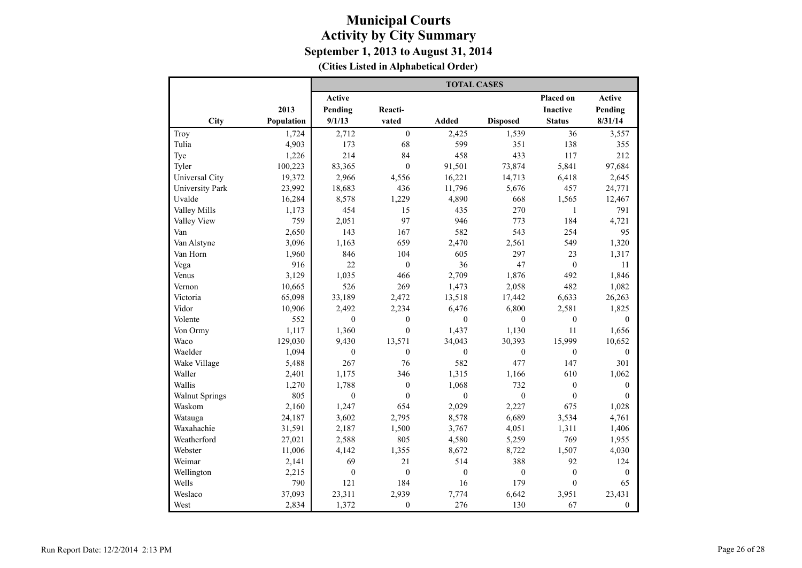|                       |            | <b>TOTAL CASES</b> |                  |                  |                  |                  |                  |  |  |  |
|-----------------------|------------|--------------------|------------------|------------------|------------------|------------------|------------------|--|--|--|
|                       |            | Active             |                  |                  |                  | Placed on        | Active           |  |  |  |
|                       | 2013       | Pending            | Reacti-          |                  |                  | <b>Inactive</b>  | Pending          |  |  |  |
| City                  | Population | 9/1/13             | vated            | <b>Added</b>     | <b>Disposed</b>  | <b>Status</b>    | 8/31/14          |  |  |  |
| Troy                  | 1,724      | 2,712              | $\boldsymbol{0}$ | 2,425            | 1,539            | 36               | 3,557            |  |  |  |
| Tulia                 | 4,903      | 173                | 68               | 599              | 351              | 138              | 355              |  |  |  |
| Tye                   | 1,226      | 214                | 84               | 458              | 433              | 117              | 212              |  |  |  |
| Tyler                 | 100,223    | 83,365             | $\overline{0}$   | 91,501           | 73,874           | 5,841            | 97,684           |  |  |  |
| Universal City        | 19,372     | 2,966              | 4,556            | 16,221           | 14,713           | 6,418            | 2,645            |  |  |  |
| University Park       | 23,992     | 18,683             | 436              | 11,796           | 5,676            | 457              | 24,771           |  |  |  |
| Uvalde                | 16,284     | 8,578              | 1,229            | 4,890            | 668              | 1,565            | 12,467           |  |  |  |
| Valley Mills          | 1,173      | 454                | 15               | 435              | 270              | 1                | 791              |  |  |  |
| Valley View           | 759        | 2,051              | 97               | 946              | 773              | 184              | 4,721            |  |  |  |
| Van                   | 2,650      | 143                | 167              | 582              | 543              | 254              | 95               |  |  |  |
| Van Alstyne           | 3,096      | 1,163              | 659              | 2,470            | 2,561            | 549              | 1,320            |  |  |  |
| Van Horn              | 1,960      | 846                | 104              | 605              | 297              | 23               | 1,317            |  |  |  |
| Vega                  | 916        | 22                 | $\mathbf{0}$     | 36               | 47               | $\mathbf{0}$     | 11               |  |  |  |
| Venus                 | 3,129      | 1,035              | 466              | 2,709            | 1,876            | 492              | 1,846            |  |  |  |
| Vernon                | 10,665     | 526                | 269              | 1,473            | 2,058            | 482              | 1,082            |  |  |  |
| Victoria              | 65,098     | 33,189             | 2,472            | 13,518           | 17,442           | 6,633            | 26,263           |  |  |  |
| Vidor                 | 10,906     | 2,492              | 2,234            | 6,476            | 6,800            | 2,581            | 1,825            |  |  |  |
| Volente               | 552        | $\mathbf{0}$       | $\mathbf{0}$     | $\overline{0}$   | $\mathbf{0}$     | $\boldsymbol{0}$ | $\mathbf{0}$     |  |  |  |
| Von Ormy              | 1,117      | 1,360              | $\boldsymbol{0}$ | 1,437            | 1,130            | 11               | 1,656            |  |  |  |
| Waco                  | 129,030    | 9,430              | 13,571           | 34,043           | 30,393           | 15,999           | 10,652           |  |  |  |
| Waelder               | 1,094      | $\mathbf{0}$       | $\mathbf{0}$     | $\overline{0}$   | $\boldsymbol{0}$ | $\boldsymbol{0}$ | $\mathbf{0}$     |  |  |  |
| Wake Village          | 5,488      | 267                | 76               | 582              | 477              | 147              | 301              |  |  |  |
| Waller                | 2,401      | 1,175              | 346              | 1,315            | 1,166            | 610              | 1,062            |  |  |  |
| Wallis                | 1,270      | 1,788              | $\boldsymbol{0}$ | 1,068            | 732              | $\boldsymbol{0}$ | $\boldsymbol{0}$ |  |  |  |
| <b>Walnut Springs</b> | 805        | $\mathbf{0}$       | $\mathbf{0}$     | $\overline{0}$   | $\mathbf{0}$     | $\mathbf{0}$     | $\mathbf{0}$     |  |  |  |
| Waskom                | 2,160      | 1,247              | 654              | 2,029            | 2,227            | 675              | 1,028            |  |  |  |
| Watauga               | 24,187     | 3,602              | 2,795            | 8,578            | 6,689            | 3,534            | 4,761            |  |  |  |
| Waxahachie            | 31,591     | 2,187              | 1,500            | 3,767            | 4,051            | 1,311            | 1,406            |  |  |  |
| Weatherford           | 27,021     | 2,588              | 805              | 4,580            | 5,259            | 769              | 1,955            |  |  |  |
| Webster               | 11,006     | 4,142              | 1,355            | 8,672            | 8,722            | 1,507            | 4,030            |  |  |  |
| Weimar                | 2,141      | 69                 | 21               | 514              | 388              | 92               | 124              |  |  |  |
| Wellington            | 2,215      | $\boldsymbol{0}$   | $\boldsymbol{0}$ | $\boldsymbol{0}$ | $\boldsymbol{0}$ | $\boldsymbol{0}$ | $\boldsymbol{0}$ |  |  |  |
| Wells                 | 790        | 121                | 184              | 16               | 179              | $\mathbf{0}$     | 65               |  |  |  |
| Weslaco               | 37,093     | 23,311             | 2,939            | 7,774            | 6,642            | 3,951            | 23,431           |  |  |  |
| West                  | 2,834      | 1,372              | $\mathbf{0}$     | 276              | 130              | 67               | $\mathbf{0}$     |  |  |  |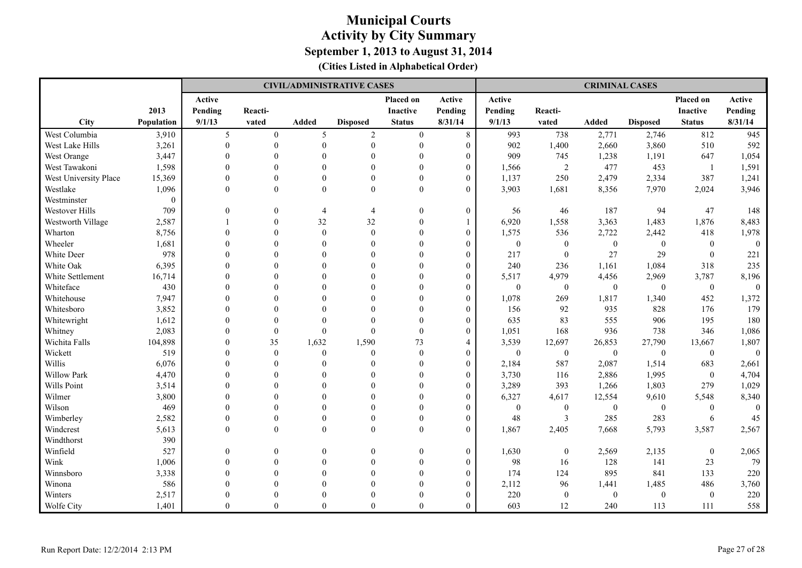|                       |              |                | <b>CIVIL/ADMINISTRATIVE CASES</b> |              |                 |                |                  |                  | <b>CRIMINAL CASES</b> |                  |                  |                  |                  |
|-----------------------|--------------|----------------|-----------------------------------|--------------|-----------------|----------------|------------------|------------------|-----------------------|------------------|------------------|------------------|------------------|
|                       |              | Active         |                                   |              |                 | Placed on      | Active           | Active           |                       |                  |                  | Placed on        | Active           |
|                       | 2013         | Pending        | Reacti-                           |              |                 | Inactive       | Pending          | Pending          | Reacti-               |                  |                  | <b>Inactive</b>  | Pending          |
| City                  | Population   | 9/1/13         | vated                             | <b>Added</b> | <b>Disposed</b> | <b>Status</b>  | 8/31/14          | 9/1/13           | vated                 | Added            | <b>Disposed</b>  | <b>Status</b>    | 8/31/14          |
| West Columbia         | 3,910        | 5              | $\boldsymbol{0}$                  | 5            | $\overline{2}$  | $\overline{0}$ | $8\,$            | 993              | 738                   | 2,771            | 2,746            | 812              | 945              |
| West Lake Hills       | 3,261        | $\Omega$       | $\theta$                          | $\Omega$     | $\mathbf{0}$    | $\theta$       | $\mathbf{0}$     | 902              | 1,400                 | 2,660            | 3,860            | 510              | 592              |
| West Orange           | 3,447        | $\Omega$       | $\Omega$                          | $\Omega$     | $\Omega$        | $\Omega$       | $\theta$         | 909              | 745                   | 1,238            | 1,191            | 647              | 1,054            |
| West Tawakoni         | 1,598        | $\Omega$       | $\Omega$                          | $\Omega$     | $\Omega$        |                | $\mathbf{0}$     | 1,566            | 2                     | 477              | 453              | $\mathbf{1}$     | 1,591            |
| West University Place | 15,369       | $\Omega$       | $\Omega$                          | $\Omega$     | $\theta$        |                | $\mathbf{0}$     | 1,137            | 250                   | 2,479            | 2,334            | 387              | 1,241            |
| Westlake              | 1,096        | $\Omega$       | $\theta$                          | $\theta$     | $\theta$        | $\theta$       | $\mathbf{0}$     | 3,903            | 1,681                 | 8,356            | 7,970            | 2,024            | 3,946            |
| Westminster           | $\mathbf{0}$ |                |                                   |              |                 |                |                  |                  |                       |                  |                  |                  |                  |
| Westover Hills        | 709          | $\overline{0}$ | $\theta$                          | 4            | $\overline{4}$  | $\overline{0}$ | $\boldsymbol{0}$ | 56               | 46                    | 187              | 94               | 47               | 148              |
| Westworth Village     | 2,587        |                |                                   | 32           | 32              | $\theta$       | 1                | 6,920            | 1,558                 | 3,363            | 1,483            | 1,876            | 8,483            |
| Wharton               | 8,756        | $\Omega$       | $\Omega$                          | $\theta$     | $\theta$        | $\Omega$       | $\mathbf{0}$     | 1,575            | 536                   | 2,722            | 2,442            | 418              | 1,978            |
| Wheeler               | 1,681        | $\Omega$       |                                   | $\Omega$     | $\Omega$        |                | $\theta$         | $\mathbf{0}$     | $\mathbf{0}$          | $\mathbf{0}$     | $\boldsymbol{0}$ | $\mathbf{0}$     | $\mathbf{0}$     |
| White Deer            | 978          | $\Omega$       |                                   | $\Omega$     |                 |                | $\mathbf{0}$     | 217              | $\mathbf{0}$          | 27               | 29               | $\mathbf{0}$     | 221              |
| White Oak             | 6,395        | $\Omega$       |                                   | $\Omega$     |                 | $\Omega$       | $\mathbf{0}$     | 240              | 236                   | 1,161            | 1,084            | 318              | 235              |
| White Settlement      | 16,714       | $\theta$       |                                   | $\Omega$     |                 |                | $\boldsymbol{0}$ | 5,517            | 4,979                 | 4,456            | 2,969            | 3,787            | 8,196            |
| Whiteface             | 430          | $\Omega$       |                                   |              |                 |                | $\boldsymbol{0}$ | $\overline{0}$   | $\boldsymbol{0}$      | $\boldsymbol{0}$ | $\boldsymbol{0}$ | $\boldsymbol{0}$ | $\boldsymbol{0}$ |
| Whitehouse            | 7,947        | $\Omega$       |                                   |              |                 |                | $\Omega$         | 1,078            | 269                   | 1,817            | 1,340            | 452              | 1,372            |
| Whitesboro            | 3,852        |                | $\Omega$                          |              |                 |                | $\theta$         | 156              | 92                    | 935              | 828              | 176              | 179              |
| Whitewright           | 1,612        |                | $\Omega$                          |              |                 |                | $\theta$         | 635              | 83                    | 555              | 906              | 195              | 180              |
| Whitney               | 2,083        | $\Omega$       | $\theta$                          | $\theta$     | $\Omega$        | $\Omega$       | $\theta$         | 1,051            | 168                   | 936              | 738              | 346              | 1,086            |
| Wichita Falls         | 104,898      | $\Omega$       | 35                                | 1,632        | 1,590           | 73             | $\overline{4}$   | 3,539            | 12,697                | 26,853           | 27,790           | 13,667           | 1,807            |
| Wickett               | 519          | $\Omega$       | $\theta$                          | $\mathbf{0}$ | $\theta$        | $\mathbf{0}$   | $\mathbf{0}$     | $\boldsymbol{0}$ | $\boldsymbol{0}$      | $\boldsymbol{0}$ | $\boldsymbol{0}$ | $\boldsymbol{0}$ | $\mathbf{0}$     |
| Willis                | 6,076        |                |                                   | $\theta$     |                 |                | $\boldsymbol{0}$ | 2,184            | 587                   | 2,087            | 1,514            | 683              | 2,661            |
| Willow Park           | 4,470        |                |                                   |              |                 |                | $\theta$         | 3,730            | 116                   | 2,886            | 1,995            | $\boldsymbol{0}$ | 4,704            |
| Wills Point           | 3,514        |                |                                   |              |                 |                | $\theta$         | 3,289            | 393                   | 1,266            | 1,803            | 279              | 1,029            |
| Wilmer                | 3,800        |                |                                   | $\Omega$     |                 |                | $\theta$         | 6,327            | 4,617                 | 12,554           | 9,610            | 5,548            | 8,340            |
| Wilson                | 469          | $\Omega$       |                                   | $\Omega$     |                 |                | $\mathbf{0}$     | $\mathbf{0}$     | $\boldsymbol{0}$      | $\mathbf{0}$     | $\mathbf{0}$     | $\mathbf{0}$     | $\theta$         |
| Wimberley             | 2,582        | $\theta$       | $\Omega$                          | $\theta$     |                 | $\theta$       | $\mathbf{0}$     | 48               | $\overline{3}$        | 285              | 283              | 6                | 45               |
| Windcrest             | 5,613        | $\theta$       | $\Omega$                          | $\mathbf{0}$ | $\Omega$        | $\theta$       | $\overline{0}$   | 1,867            | 2,405                 | 7,668            | 5,793            | 3,587            | 2,567            |
| Windthorst            | 390          |                |                                   |              |                 |                |                  |                  |                       |                  |                  |                  |                  |
| Winfield              | 527          | $\theta$       | $\Omega$                          | $\Omega$     |                 | $\theta$       | $\boldsymbol{0}$ | 1,630            | $\boldsymbol{0}$      | 2,569            | 2,135            | $\boldsymbol{0}$ | 2,065            |
| Wink                  | 1,006        | $\Omega$       | $\Omega$                          | $\Omega$     |                 | $\Omega$       | $\theta$         | 98               | 16                    | 128              | 141              | 23               | 79               |
| Winnsboro             | 3,338        |                |                                   | $\Omega$     |                 |                | $\theta$         | 174              | 124                   | 895              | 841              | 133              | 220              |
| Winona                | 586          |                |                                   |              |                 |                | $\theta$         | 2,112            | 96                    | 1,441            | 1,485            | 486              | 3,760            |
| Winters               | 2,517        |                |                                   |              |                 |                | $\overline{0}$   | 220              | $\boldsymbol{0}$      | $\mathbf{0}$     | $\overline{0}$   | $\mathbf{0}$     | 220              |
| Wolfe City            | 1,401        | $\Omega$       | $\theta$                          | $\theta$     | $\theta$        | $\Omega$       | $\theta$         | 603              | 12                    | 240              | 113              | 111              | 558              |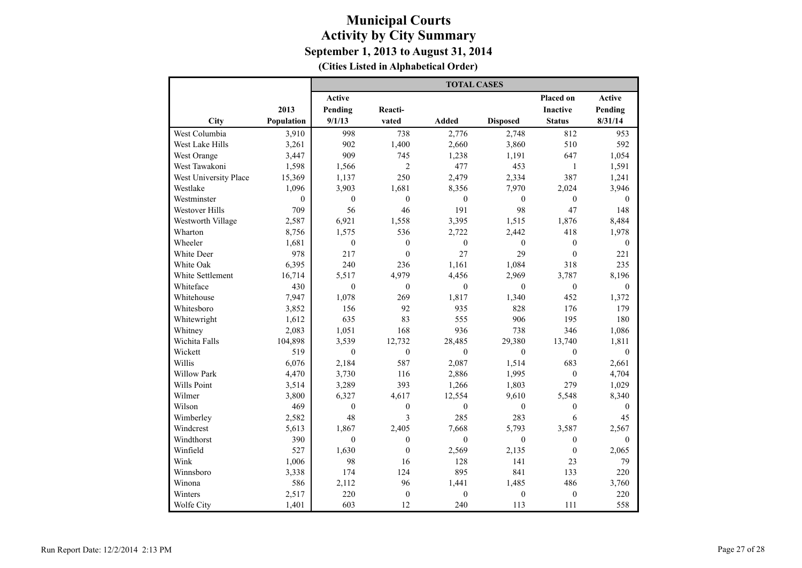|                       |            | <b>TOTAL CASES</b> |                         |                  |                  |                  |              |  |  |  |
|-----------------------|------------|--------------------|-------------------------|------------------|------------------|------------------|--------------|--|--|--|
|                       |            | Active             |                         |                  |                  | Placed on        | Active       |  |  |  |
|                       | 2013       | Pending            | Reacti-                 |                  |                  | <b>Inactive</b>  | Pending      |  |  |  |
| City                  | Population | 9/1/13             | vated                   | <b>Added</b>     | <b>Disposed</b>  | <b>Status</b>    | 8/31/14      |  |  |  |
| West Columbia         | 3,910      | 998                | 738                     | 2,776            | 2,748            | 812              | 953          |  |  |  |
| West Lake Hills       | 3,261      | 902                | 1,400                   | 2,660            | 3,860            | 510              | 592          |  |  |  |
| West Orange           | 3,447      | 909                | 745                     | 1,238            | 1,191            | 647              | 1,054        |  |  |  |
| West Tawakoni         | 1,598      | 1,566              | $\overline{2}$          | 477              | 453              | $\mathbf{1}$     | 1,591        |  |  |  |
| West University Place | 15,369     | 1,137              | 250                     | 2,479            | 2,334            | 387              | 1,241        |  |  |  |
| Westlake              | 1,096      | 3,903              | 1,681                   | 8,356            | 7,970            | 2,024            | 3,946        |  |  |  |
| Westminster           | $\theta$   | $\mathbf{0}$       | $\theta$                | $\overline{0}$   | $\mathbf{0}$     | $\mathbf{0}$     | $\theta$     |  |  |  |
| Westover Hills        | 709        | 56                 | 46                      | 191              | 98               | 47               | 148          |  |  |  |
| Westworth Village     | 2,587      | 6,921              | 1,558                   | 3,395            | 1,515            | 1,876            | 8,484        |  |  |  |
| Wharton               | 8,756      | 1,575              | 536                     | 2,722            | 2,442            | 418              | 1,978        |  |  |  |
| Wheeler               | 1,681      | $\boldsymbol{0}$   | $\boldsymbol{0}$        | $\boldsymbol{0}$ | $\boldsymbol{0}$ | $\boldsymbol{0}$ | $\mathbf{0}$ |  |  |  |
| White Deer            | 978        | 217                | $\overline{0}$          | 27               | 29               | $\mathbf{0}$     | 221          |  |  |  |
| White Oak             | 6,395      | 240                | 236                     | 1,161            | 1,084            | 318              | 235          |  |  |  |
| White Settlement      | 16,714     | 5,517              | 4,979                   | 4,456            | 2,969            | 3,787            | 8,196        |  |  |  |
| Whiteface             | 430        | $\mathbf{0}$       | $\mathbf{0}$            | $\mathbf{0}$     | $\mathbf{0}$     | $\mathbf{0}$     | $\mathbf{0}$ |  |  |  |
| Whitehouse            | 7,947      | 1,078              | 269                     | 1,817            | 1,340            | 452              | 1,372        |  |  |  |
| Whitesboro            | 3,852      | 156                | 92                      | 935              | 828              | 176              | 179          |  |  |  |
| Whitewright           | 1,612      | 635                | 83                      | 555              | 906              | 195              | 180          |  |  |  |
| Whitney               | 2,083      | 1,051              | 168                     | 936              | 738              | 346              | 1,086        |  |  |  |
| Wichita Falls         | 104,898    | 3,539              | 12,732                  | 28,485           | 29,380           | 13,740           | 1,811        |  |  |  |
| Wickett               | 519        | $\theta$           | $\mathbf{0}$            | $\theta$         | $\mathbf{0}$     | $\mathbf{0}$     | $\theta$     |  |  |  |
| Willis                | 6,076      | 2,184              | 587                     | 2,087            | 1,514            | 683              | 2,661        |  |  |  |
| Willow Park           | 4,470      | 3,730              | 116                     | 2,886            | 1,995            | $\mathbf{0}$     | 4,704        |  |  |  |
| Wills Point           | 3,514      | 3,289              | 393                     | 1,266            | 1,803            | 279              | 1,029        |  |  |  |
| Wilmer                | 3,800      | 6,327              | 4,617                   | 12,554           | 9,610            | 5,548            | 8,340        |  |  |  |
| Wilson                | 469        | $\mathbf{0}$       | $\boldsymbol{0}$        | $\mathbf{0}$     | $\mathbf{0}$     | $\boldsymbol{0}$ | $\theta$     |  |  |  |
| Wimberley             | 2,582      | 48                 | $\overline{\mathbf{3}}$ | 285              | 283              | 6                | 45           |  |  |  |
| Windcrest             | 5,613      | 1,867              | 2,405                   | 7,668            | 5,793            | 3,587            | 2,567        |  |  |  |
| Windthorst            | 390        | $\mathbf{0}$       | $\boldsymbol{0}$        | $\mathbf{0}$     | $\boldsymbol{0}$ | $\mathbf{0}$     | $\mathbf{0}$ |  |  |  |
| Winfield              | 527        | 1,630              | $\theta$                | 2,569            | 2,135            | $\mathbf{0}$     | 2,065        |  |  |  |
| Wink                  | 1,006      | 98                 | 16                      | 128              | 141              | 23               | 79           |  |  |  |
| Winnsboro             | 3,338      | 174                | 124                     | 895              | 841              | 133              | 220          |  |  |  |
| Winona                | 586        | 2,112              | 96                      | 1,441            | 1,485            | 486              | 3,760        |  |  |  |
| Winters               | 2,517      | 220                | $\boldsymbol{0}$        | $\boldsymbol{0}$ | $\boldsymbol{0}$ | $\boldsymbol{0}$ | 220          |  |  |  |
| Wolfe City            | 1,401      | 603                | 12                      | 240              | 113              | 111              | 558          |  |  |  |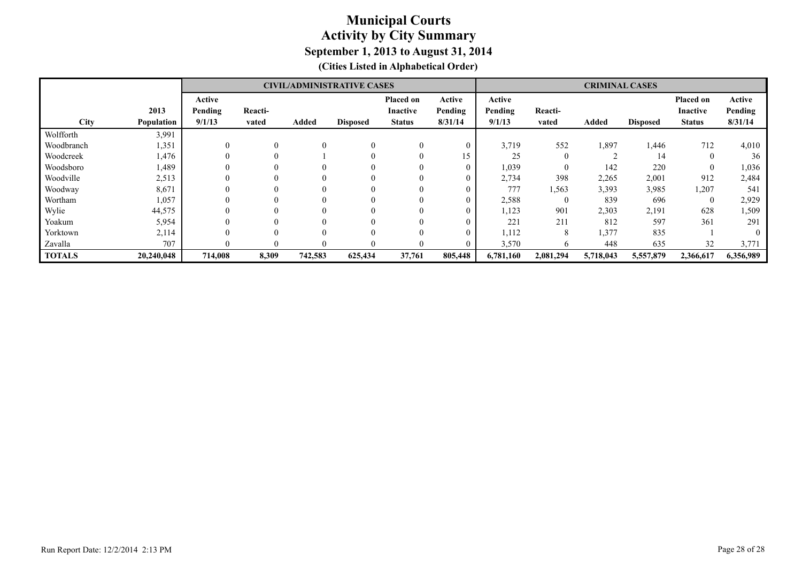|               |                   |          |         |         | <b>CIVIL/ADMINISTRATIVE CASES</b> |                  |                  | <b>CRIMINAL CASES</b> |              |           |                 |                 |           |
|---------------|-------------------|----------|---------|---------|-----------------------------------|------------------|------------------|-----------------------|--------------|-----------|-----------------|-----------------|-----------|
|               |                   | Active   |         |         |                                   | <b>Placed on</b> | Active           | Active                |              |           |                 | Placed on       | Active    |
|               | 2013              | Pending  | Reacti- |         |                                   | <b>Inactive</b>  | Pending          | Pending               | Reacti-      |           |                 | <b>Inactive</b> | Pending   |
| <b>City</b>   | <b>Population</b> | 9/1/13   | vated   | Added   | <b>Disposed</b>                   | <b>Status</b>    | 8/31/14          | 9/1/13                | vated        | Added     | <b>Disposed</b> | <b>Status</b>   | 8/31/14   |
| Wolfforth     | 3,991             |          |         |         |                                   |                  |                  |                       |              |           |                 |                 |           |
| Woodbranch    | 1,351             | $\theta$ | 0       |         | $\theta$                          | $\Omega$         | 0                | 3,719                 | 552          | 1,897     | 1,446           | 712             | 4,010     |
| Woodcreek     | 1,476             | $\Omega$ | O       |         | $\theta$                          |                  | 15               | 25                    | $\mathbf{0}$ |           | 14              | $\theta$        | 36        |
| Woodsboro     | 1,489             | $\theta$ | 0       |         | $\theta$                          |                  | 0                | 1,039                 | $\mathbf{0}$ | 142       | 220             | $\theta$        | 1,036     |
| Woodville     | 2,513             | $\Omega$ |         |         |                                   |                  | $\theta$         | 2,734                 | 398          | 2,265     | 2,001           | 912             | 2,484     |
| Woodway       | 8,671             |          |         |         |                                   |                  | $\theta$         | 777                   | 1,563        | 3,393     | 3,985           | 1,207           | 541       |
| Wortham       | 1,057             |          |         |         |                                   |                  | 0                | 2,588                 | $\mathbf{0}$ | 839       | 696             | $\mathbf{0}$    | 2,929     |
| Wylie         | 44,575            | $\Omega$ |         |         | $\theta$                          |                  | 0                | 1,123                 | 901          | 2,303     | 2,191           | 628             | 1,509     |
| Yoakum        | 5,954             | $\Omega$ |         |         | $\Omega$                          |                  | $\theta$         | 221                   | 211          | 812       | 597             | 361             | 291       |
| Yorktown      | 2,114             |          |         |         |                                   |                  | $\Omega$         | 1,112                 | 8            | 1,377     | 835             |                 |           |
| Zavalla       | 707               |          | O       |         | $\Omega$                          |                  | $\left( \right)$ | 3,570                 | 6            | 448       | 635             | 32              | 3,771     |
| <b>TOTALS</b> | 20,240,048        | 714,008  | 8,309   | 742,583 | 625,434                           | 37,761           | 805,448          | 6,781,160             | 2,081,294    | 5,718,043 | 5,557,879       | 2,366,617       | 6,356,989 |